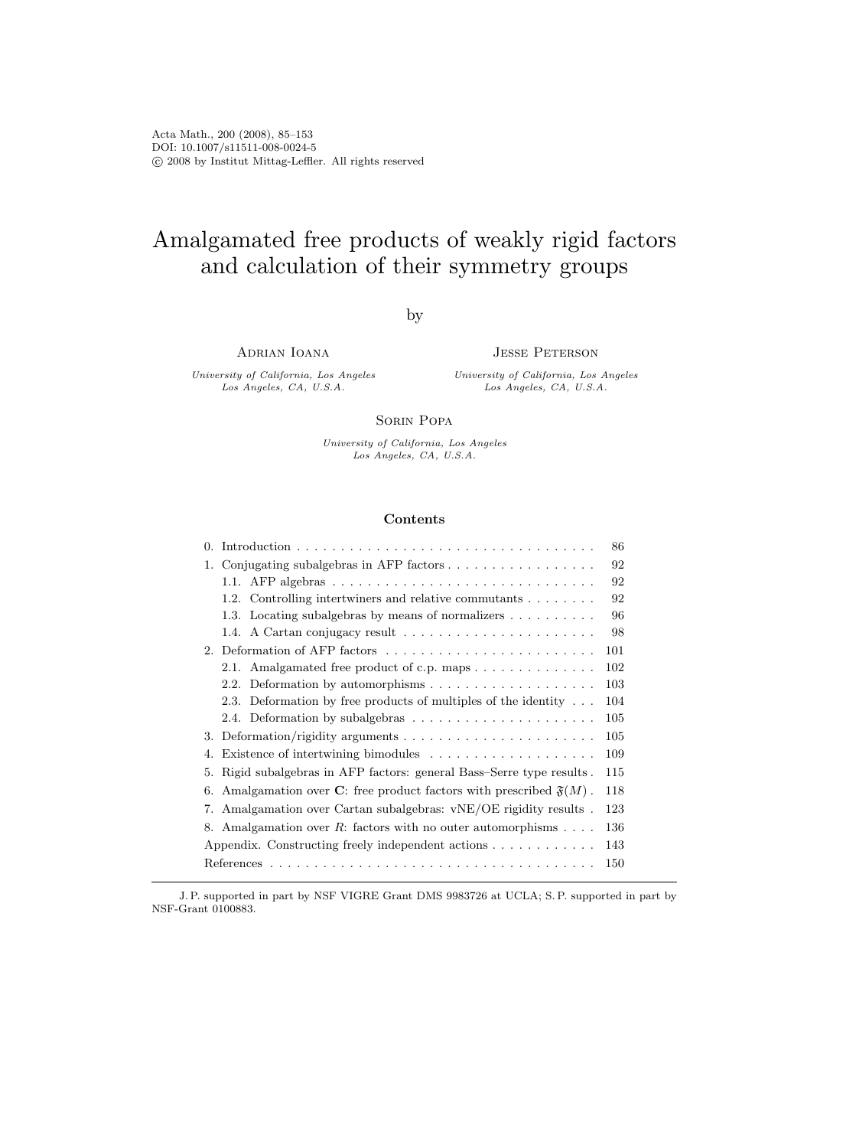Acta Math., 200 (2008), 85–153 DOI: 10.1007/s11511-008-0024-5 c 2008 by Institut Mittag-Leffler. All rights reserved

# Amalgamated free products of weakly rigid factors and calculation of their symmetry groups

by

Adrian Ioana

University of California, Los Angeles Los Angeles, CA, U.S.A.

Jesse Peterson

University of California, Los Angeles Los Angeles, CA, U.S.A.

#### Sorin Popa

University of California, Los Angeles Los Angeles, CA, U.S.A.

# Contents

J. P. supported in part by NSF VIGRE Grant DMS 9983726 at UCLA; S. P. supported in part by NSF-Grant 0100883.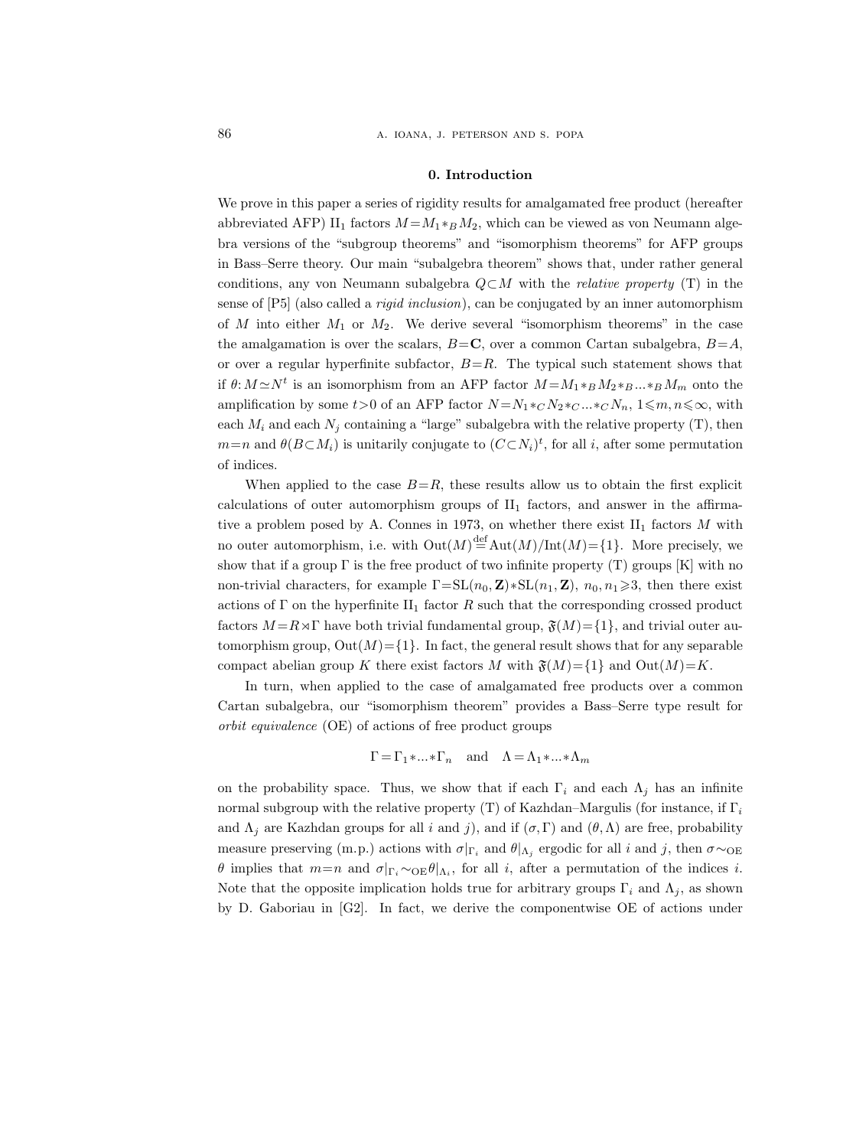#### 0. Introduction

We prove in this paper a series of rigidity results for amalgamated free product (hereafter abbreviated AFP) II<sub>1</sub> factors  $M = M_1 *_{B} M_2$ , which can be viewed as von Neumann algebra versions of the "subgroup theorems" and "isomorphism theorems" for AFP groups in Bass–Serre theory. Our main "subalgebra theorem" shows that, under rather general conditions, any von Neumann subalgebra  $Q\subset M$  with the *relative property* (T) in the sense of  $[P5]$  (also called a *rigid inclusion*), can be conjugated by an inner automorphism of M into either  $M_1$  or  $M_2$ . We derive several "isomorphism theorems" in the case the amalgamation is over the scalars,  $B = C$ , over a common Cartan subalgebra,  $B = A$ , or over a regular hyperfinite subfactor,  $B=R$ . The typical such statement shows that if  $\theta: M \simeq N^t$  is an isomorphism from an AFP factor  $M = M_1 *_{B} M_2 *_{B} ... *_{B} M_m$  onto the amplification by some  $t>0$  of an AFP factor  $N = N_1 *_{C} N_2 *_{C} ... *_{C} N_n$ ,  $1 \leq m, n \leq \infty$ , with each  $M_i$  and each  $N_j$  containing a "large" subalgebra with the relative property (T), then  $m=n$  and  $\theta(B\subset M_i)$  is unitarily conjugate to  $(C\subset N_i)^t$ , for all i, after some permutation of indices.

When applied to the case  $B=R$ , these results allow us to obtain the first explicit calculations of outer automorphism groups of  $II_1$  factors, and answer in the affirmative a problem posed by A. Connes in 1973, on whether there exist  $II_1$  factors M with no outer automorphism, i.e. with  $\mathrm{Out}(M) \stackrel{\text{def}}{=} \mathrm{Aut}(M)/\mathrm{Int}(M) = \{1\}$ . More precisely, we show that if a group  $\Gamma$  is the free product of two infinite property  $(T)$  groups  $[K]$  with no non-trivial characters, for example  $\Gamma = SL(n_0, \mathbf{Z}) * SL(n_1, \mathbf{Z}), n_0, n_1 \geq 3$ , then there exist actions of Γ on the hyperfinite  $II_1$  factor R such that the corresponding crossed product factors  $M = R \rtimes \Gamma$  have both trivial fundamental group,  $\mathfrak{F}(M) = \{1\}$ , and trivial outer automorphism group,  $Out(M) = \{1\}$ . In fact, the general result shows that for any separable compact abelian group K there exist factors M with  $\mathfrak{F}(M)=\{1\}$  and  $\mathrm{Out}(M)=K$ .

In turn, when applied to the case of amalgamated free products over a common Cartan subalgebra, our "isomorphism theorem" provides a Bass–Serre type result for orbit equivalence (OE) of actions of free product groups

$$
\Gamma = \Gamma_1 * ... * \Gamma_n
$$
 and  $\Lambda = \Lambda_1 * ... * \Lambda_m$ 

on the probability space. Thus, we show that if each  $\Gamma_i$  and each  $\Lambda_j$  has an infinite normal subgroup with the relative property (T) of Kazhdan–Margulis (for instance, if  $\Gamma_i$ and  $\Lambda_j$  are Kazhdan groups for all i and j), and if  $(\sigma, \Gamma)$  and  $(\theta, \Lambda)$  are free, probability measure preserving (m.p.) actions with  $\sigma|_{\Gamma_i}$  and  $\theta|_{\Lambda_j}$  ergodic for all i and j, then  $\sigma \sim_{\text{OE}}$ θ implies that  $m=n$  and  $\sigma|_{\Gamma_i} \sim$  oεθ| $\Lambda_i$ , for all *i*, after a permutation of the indices *i*. Note that the opposite implication holds true for arbitrary groups  $\Gamma_i$  and  $\Lambda_j$ , as shown by D. Gaboriau in [G2]. In fact, we derive the componentwise OE of actions under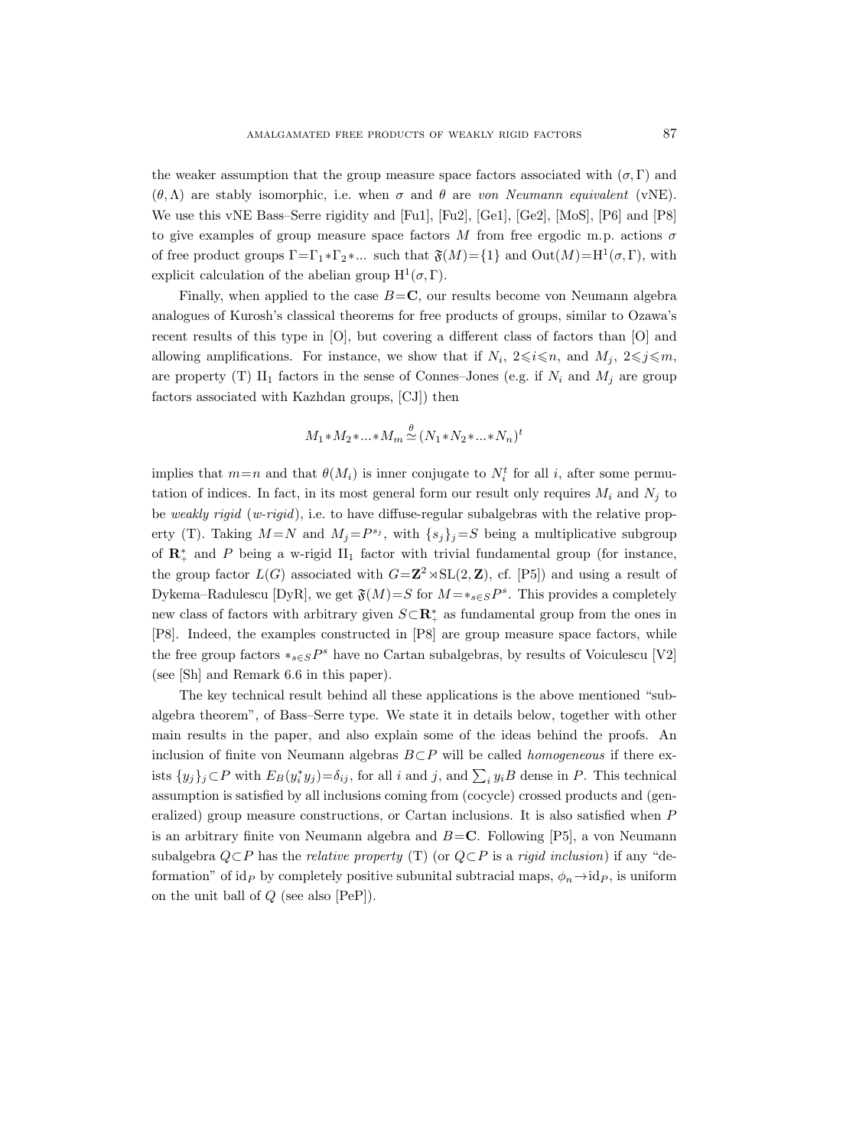the weaker assumption that the group measure space factors associated with  $(\sigma, \Gamma)$  and  $(\theta, \Lambda)$  are stably isomorphic, i.e. when  $\sigma$  and  $\theta$  are von Neumann equivalent (vNE). We use this vNE Bass–Serre rigidity and [Fu1], [Fu2], [Ge1], [Ge2], [MoS], [P6] and [P8] to give examples of group measure space factors M from free ergodic m.p. actions  $\sigma$ of free product groups  $\Gamma = \Gamma_1 * \Gamma_2 * ...$  such that  $\mathfrak{F}(M) = \{1\}$  and  $Out(M) = H^1(\sigma, \Gamma)$ , with explicit calculation of the abelian group  $H^1(\sigma, \Gamma)$ .

Finally, when applied to the case  $B = C$ , our results become von Neumann algebra analogues of Kurosh's classical theorems for free products of groups, similar to Ozawa's recent results of this type in [O], but covering a different class of factors than [O] and allowing amplifications. For instance, we show that if  $N_i$ ,  $2 \leq i \leq n$ , and  $M_j$ ,  $2 \leq j \leq m$ , are property (T) II<sub>1</sub> factors in the sense of Connes–Jones (e.g. if  $N_i$  and  $M_j$  are group factors associated with Kazhdan groups, [CJ]) then

$$
M_1 * M_2 * \dots * M_m \stackrel{\theta}{\simeq} (N_1 * N_2 * \dots * N_n)^t
$$

implies that  $m=n$  and that  $\theta(M_i)$  is inner conjugate to  $N_i^t$  for all i, after some permutation of indices. In fact, in its most general form our result only requires  $M_i$  and  $N_j$  to be weakly rigid  $(w-rigid)$ , i.e. to have diffuse-regular subalgebras with the relative property (T). Taking  $M = N$  and  $M_j = P^{s_j}$ , with  $\{s_j\}_j = S$  being a multiplicative subgroup of  $\mathbb{R}_+^*$  and P being a w-rigid II<sub>1</sub> factor with trivial fundamental group (for instance, the group factor  $L(G)$  associated with  $G = \mathbb{Z}^2 \rtimes SL(2, \mathbb{Z})$ , cf. [P5]) and using a result of Dykema–Radulescu [DyR], we get  $\mathfrak{F}(M) = S$  for  $M = *_{s \in S} P^s$ . This provides a completely new class of factors with arbitrary given  $S \subset \mathbb{R}^*_+$  as fundamental group from the ones in [P8]. Indeed, the examples constructed in [P8] are group measure space factors, while the free group factors  $*_{s\in S}P^s$  have no Cartan subalgebras, by results of Voiculescu [V2] (see [Sh] and Remark 6.6 in this paper).

The key technical result behind all these applications is the above mentioned "subalgebra theorem", of Bass–Serre type. We state it in details below, together with other main results in the paper, and also explain some of the ideas behind the proofs. An inclusion of finite von Neumann algebras  $B\subset P$  will be called *homogeneous* if there exists  $\{y_j\}_j\subset P$  with  $E_B(y_i^*y_j)=\delta_{ij}$ , for all i and j, and  $\sum_i y_iB$  dense in P. This technical assumption is satisfied by all inclusions coming from (cocycle) crossed products and (generalized) group measure constructions, or Cartan inclusions. It is also satisfied when P is an arbitrary finite von Neumann algebra and  $B = \mathbb{C}$ . Following [P5], a von Neumann subalgebra  $Q \subset P$  has the relative property (T) (or  $Q \subset P$  is a rigid inclusion) if any "deformation" of id<sub>P</sub> by completely positive subunital subtracial maps,  $\phi_n \rightarrow id_P$ , is uniform on the unit ball of  $Q$  (see also [PeP]).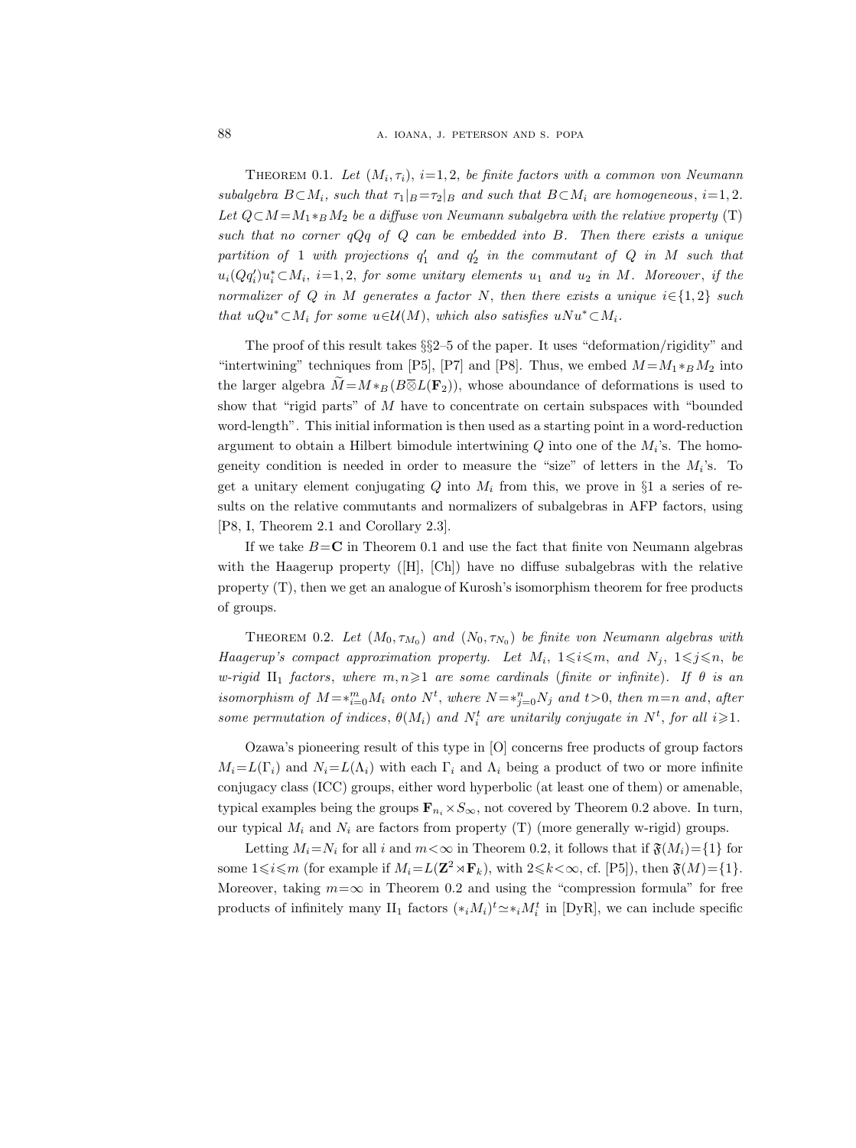THEOREM 0.1. Let  $(M_i, \tau_i)$ ,  $i=1, 2$ , be finite factors with a common von Neumann subalgebra  $B \subset M_i$ , such that  $\tau_1|_B = \tau_2|_B$  and such that  $B \subset M_i$  are homogeneous,  $i=1,2$ . Let  $Q \subset M = M_1 *_{B} M_2$  be a diffuse von Neumann subalgebra with the relative property (T) such that no corner  $qQq$  of  $Q$  can be embedded into  $B$ . Then there exists a unique  $partition \hspace{0.2cm} of \hspace{0.2cm} 1 \hspace{0.2cm} with \hspace{0.2cm} projections \hspace{0.2cm} q'_{1} \hspace{0.2cm} and \hspace{0.2cm} q'_{2} \hspace{0.2cm} in \hspace{0.2cm} the \hspace{0.2cm} commutant \hspace{0.2cm} of \hspace{0.2cm} Q \hspace{0.2cm} in \hspace{0.2cm} M \hspace{0.2cm} such \hspace{0.2cm} that$  $u_i(Qq'_i)u_i^* \subset M_i$ ,  $i=1,2$ , for some unitary elements  $u_1$  and  $u_2$  in M. Moreover, if the normalizer of Q in M generates a factor N, then there exists a unique  $i \in \{1,2\}$  such that  $uQu^* \subset M_i$  for some  $u \in \mathcal{U}(M)$ , which also satisfies  $uNu^* \subset M_i$ .

The proof of this result takes §§2–5 of the paper. It uses "deformation/rigidity" and "intertwining" techniques from [P5], [P7] and [P8]. Thus, we embed  $M = M_1 *_{B} M_2$  into the larger algebra  $\widetilde{M} = M *_{B}(B \overline{\otimes} L(\mathbf{F}_2))$ , whose aboundance of deformations is used to show that "rigid parts" of M have to concentrate on certain subspaces with "bounded word-length". This initial information is then used as a starting point in a word-reduction argument to obtain a Hilbert bimodule intertwining  $Q$  into one of the  $M_i$ 's. The homogeneity condition is needed in order to measure the "size" of letters in the  $M_i$ 's. To get a unitary element conjugating  $Q$  into  $M_i$  from this, we prove in §1 a series of results on the relative commutants and normalizers of subalgebras in AFP factors, using [P8, I, Theorem 2.1 and Corollary 2.3].

If we take  $B = C$  in Theorem 0.1 and use the fact that finite von Neumann algebras with the Haagerup property ([H], [Ch]) have no diffuse subalgebras with the relative property (T), then we get an analogue of Kurosh's isomorphism theorem for free products of groups.

THEOREM 0.2. Let  $(M_0, \tau_{M_0})$  and  $(N_0, \tau_{N_0})$  be finite von Neumann algebras with Haagerup's compact approximation property. Let  $M_i$ ,  $1 \leq i \leq m$ , and  $N_j$ ,  $1 \leq j \leq n$ , be w-rigid II<sub>1</sub> factors, where  $m, n \geq 1$  are some cardinals (finite or infinite). If  $\theta$  is an isomorphism of  $M = *_{i=0}^m M_i$  onto  $N^t$ , where  $N = *_{j=0}^n N_j$  and  $t > 0$ , then  $m = n$  and, after some permutation of indices,  $\theta(M_i)$  and  $N_i^t$  are unitarily conjugate in  $N^t$ , for all  $i \geqslant 1$ .

Ozawa's pioneering result of this type in [O] concerns free products of group factors  $M_i = L(\Gamma_i)$  and  $N_i = L(\Lambda_i)$  with each  $\Gamma_i$  and  $\Lambda_i$  being a product of two or more infinite conjugacy class (ICC) groups, either word hyperbolic (at least one of them) or amenable, typical examples being the groups  $\mathbf{F}_{n_i}\times S_{\infty}$ , not covered by Theorem 0.2 above. In turn, our typical  $M_i$  and  $N_i$  are factors from property (T) (more generally w-rigid) groups.

Letting  $M_i = N_i$  for all i and  $m < \infty$  in Theorem 0.2, it follows that if  $\mathfrak{F}(M_i) = \{1\}$  for some  $1 \leq i \leq m$  (for example if  $M_i = L(\mathbf{Z}^2 \rtimes \mathbf{F}_k)$ , with  $2 \leq k \leq \infty$ , cf. [P5]), then  $\mathfrak{F}(M) = \{1\}$ . Moreover, taking  $m=\infty$  in Theorem 0.2 and using the "compression formula" for free products of infinitely many  $II_1$  factors  $(*_iM_i)^t \simeq *_iM_i^t$  in [DyR], we can include specific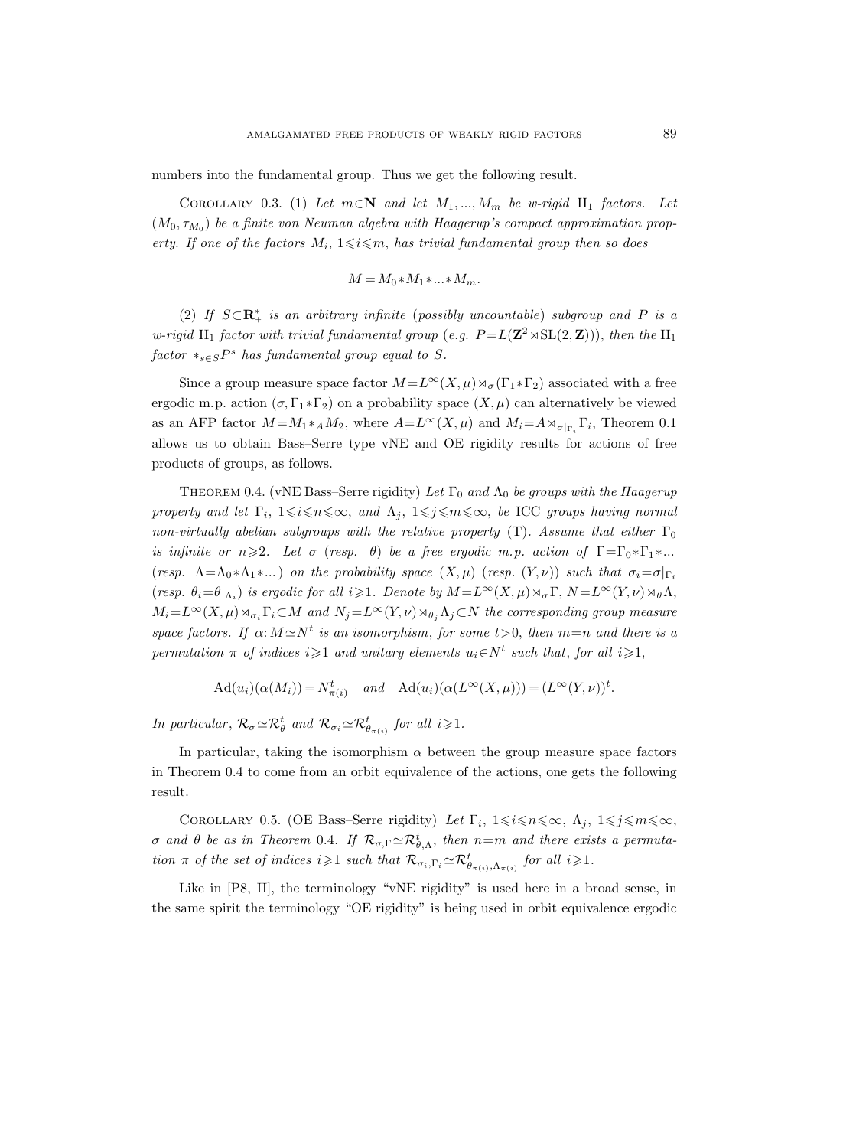numbers into the fundamental group. Thus we get the following result.

COROLLARY 0.3. (1) Let  $m \in \mathbb{N}$  and let  $M_1, ..., M_m$  be w-rigid  $\text{II}_1$  factors. Let  $(M_0, \tau_{M_0})$  be a finite von Neuman algebra with Haagerup's compact approximation property. If one of the factors  $M_i$ ,  $1 \leq i \leq m$ , has trivial fundamental group then so does

$$
M = M_0 * M_1 * \dots * M_m.
$$

(2) If  $S \subset \mathbb{R}^*_+$  is an arbitrary infinite (possibly uncountable) subgroup and P is a w-rigid  $\text{II}_1$  factor with trivial fundamental group (e.g.  $P = L(\mathbf{Z}^2 \rtimes \text{SL}(2,\mathbf{Z}))),$  then the  $\text{II}_1$  $factor *_{s \in S} P^s$  has fundamental group equal to S.

Since a group measure space factor  $M = L^{\infty}(X, \mu) \rtimes_{\sigma} (\Gamma_1 * \Gamma_2)$  associated with a free ergodic m.p. action  $(\sigma, \Gamma_1 * \Gamma_2)$  on a probability space  $(X, \mu)$  can alternatively be viewed as an AFP factor  $M = M_1 *_{A} M_2$ , where  $A = L^{\infty}(X, \mu)$  and  $M_i = A \rtimes_{\sigma|_{\Gamma_i}} \Gamma_i$ , Theorem 0.1 allows us to obtain Bass–Serre type vNE and OE rigidity results for actions of free products of groups, as follows.

THEOREM 0.4. (vNE Bass–Serre rigidity) Let  $\Gamma_0$  and  $\Lambda_0$  be groups with the Haagerup property and let  $\Gamma_i$ ,  $1 \leq i \leq n \leq \infty$ , and  $\Lambda_j$ ,  $1 \leq j \leq m \leq \infty$ , be ICC groups having normal non-virtually abelian subgroups with the relative property (T). Assume that either  $\Gamma_0$ is infinite or  $n\geqslant 2$ . Let  $\sigma$  (resp.  $\theta$ ) be a free ergodic m.p. action of  $\Gamma = \Gamma_0 * \Gamma_1 * ...$ (resp.  $\Lambda = \Lambda_0 * \Lambda_1 * ...$ ) on the probability space  $(X, \mu)$  (resp.  $(Y, \nu)$ ) such that  $\sigma_i = \sigma|_{\Gamma_i}$ (resp.  $\theta_i = \theta|_{\Lambda_i}$ ) is ergodic for all  $i \geqslant 1$ . Denote by  $M = L^{\infty}(X, \mu) \rtimes_{\sigma} \Gamma$ ,  $N = L^{\infty}(Y, \nu) \rtimes_{\theta} \Lambda$ ,  $M_i = L^{\infty}(X, \mu) \rtimes_{\sigma_i} \Gamma_i \subset M$  and  $N_j = L^{\infty}(Y, \nu) \rtimes_{\theta_i} \Lambda_j \subset N$  the corresponding group measure space factors. If  $\alpha: M \simeq N^t$  is an isomorphism, for some  $t > 0$ , then  $m = n$  and there is a permutation  $\pi$  of indices  $i \geqslant 1$  and unitary elements  $u_i \in N^t$  such that, for all  $i \geqslant 1$ ,

$$
\mathrm{Ad}(u_i)(\alpha(M_i)) = N_{\pi(i)}^t \quad \text{and} \quad \mathrm{Ad}(u_i)(\alpha(L^{\infty}(X,\mu))) = (L^{\infty}(Y,\nu))^t.
$$

In particular,  $\mathcal{R}_{\sigma} \simeq \mathcal{R}_{\theta}^{t}$  and  $\mathcal{R}_{\sigma_i} \simeq \mathcal{R}_{\theta_{\pi(i)}}^{t}$  for all  $i \geqslant 1$ .

In particular, taking the isomorphism  $\alpha$  between the group measure space factors in Theorem 0.4 to come from an orbit equivalence of the actions, one gets the following result.

COROLLARY 0.5. (OE Bass–Serre rigidity) Let  $\Gamma_i$ ,  $1 \leq i \leq n \leq \infty$ ,  $\Lambda_j$ ,  $1 \leq j \leq m \leq \infty$ , σ and θ be as in Theorem 0.4. If  $\mathcal{R}_{\sigma,\Gamma} \simeq \mathcal{R}_{\theta,\Lambda}^t$ , then  $n=m$  and there exists a permutation  $\pi$  of the set of indices  $i \geqslant 1$  such that  $\mathcal{R}_{\sigma_i,\Gamma_i} \simeq \mathcal{R}_{\theta_{\pi(i)},\Lambda_{\pi(i)}}^t$  for all  $i \geqslant 1$ .

Like in [P8, II], the terminology "vNE rigidity" is used here in a broad sense, in the same spirit the terminology "OE rigidity" is being used in orbit equivalence ergodic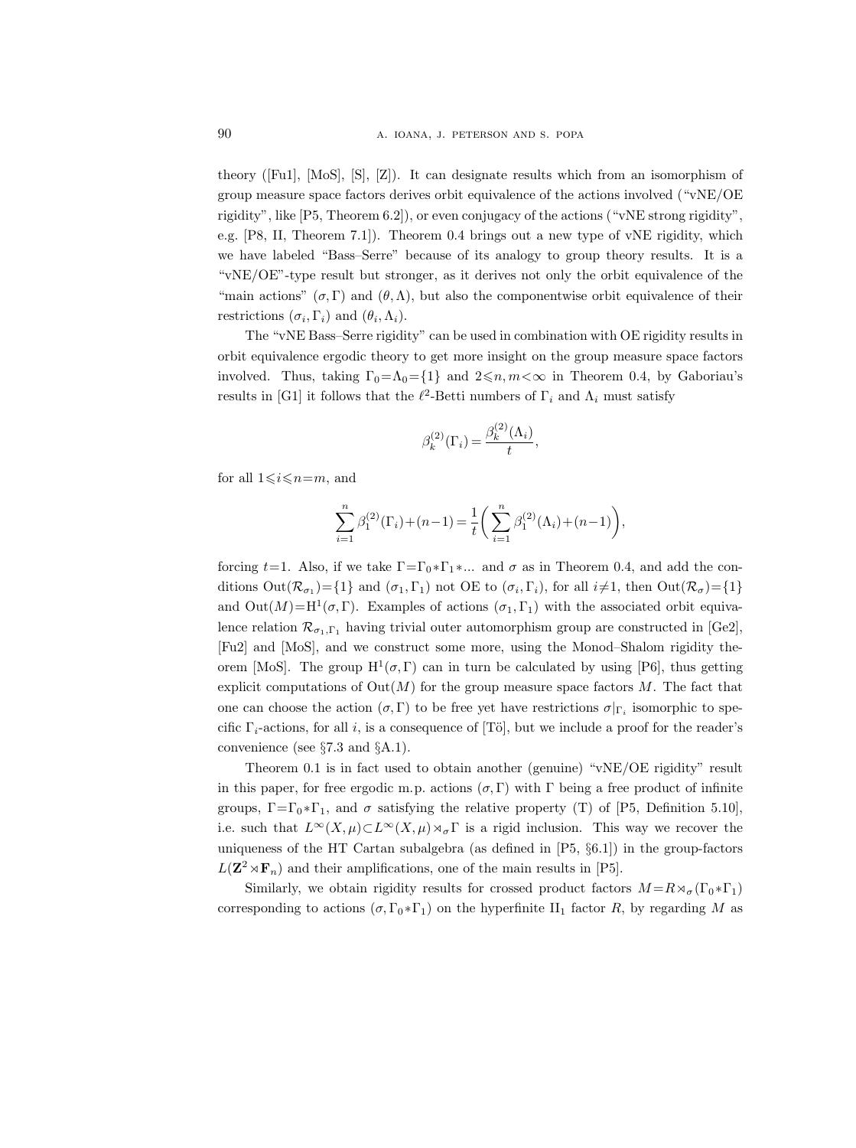theory ([Fu1], [MoS], [S], [Z]). It can designate results which from an isomorphism of group measure space factors derives orbit equivalence of the actions involved ("vNE/OE rigidity", like [P5, Theorem 6.2]), or even conjugacy of the actions ("vNE strong rigidity", e.g. [P8, II, Theorem 7.1]). Theorem 0.4 brings out a new type of vNE rigidity, which we have labeled "Bass–Serre" because of its analogy to group theory results. It is a "vNE/OE"-type result but stronger, as it derives not only the orbit equivalence of the "main actions"  $(\sigma, \Gamma)$  and  $(\theta, \Lambda)$ , but also the componentwise orbit equivalence of their restrictions  $(\sigma_i, \Gamma_i)$  and  $(\theta_i, \Lambda_i)$ .

The "vNE Bass–Serre rigidity" can be used in combination with OE rigidity results in orbit equivalence ergodic theory to get more insight on the group measure space factors involved. Thus, taking  $\Gamma_0 = \Lambda_0 = \{1\}$  and  $2 \leq n, m < \infty$  in Theorem 0.4, by Gaboriau's results in [G1] it follows that the  $\ell^2$ -Betti numbers of  $\Gamma_i$  and  $\Lambda_i$  must satisfy

$$
\beta_k^{(2)}(\Gamma_i) = \frac{\beta_k^{(2)}(\Lambda_i)}{t},
$$

for all  $1 \leq i \leq n=m$ , and

$$
\sum_{i=1}^n\beta_1^{(2)}(\Gamma_i)+(n-1)=\frac{1}{t}\bigg(\sum_{i=1}^n\beta_1^{(2)}(\Lambda_i)+(n-1)\bigg),
$$

forcing t=1. Also, if we take  $\Gamma = \Gamma_0 * \Gamma_1 * ...$  and  $\sigma$  as in Theorem 0.4, and add the conditions  $Out(\mathcal{R}_{\sigma_1}) = \{1\}$  and  $(\sigma_1, \Gamma_1)$  not OE to  $(\sigma_i, \Gamma_i)$ , for all  $i \neq 1$ , then  $Out(\mathcal{R}_{\sigma}) = \{1\}$ and  $Out(M)=H^1(\sigma,\Gamma)$ . Examples of actions  $(\sigma_1,\Gamma_1)$  with the associated orbit equivalence relation  $\mathcal{R}_{\sigma_1,\Gamma_1}$  having trivial outer automorphism group are constructed in [Ge2], [Fu2] and [MoS], and we construct some more, using the Monod–Shalom rigidity theorem [MoS]. The group  $H^1(\sigma, \Gamma)$  can in turn be calculated by using [P6], thus getting explicit computations of  $Out(M)$  for the group measure space factors M. The fact that one can choose the action  $(\sigma, \Gamma)$  to be free yet have restrictions  $\sigma|_{\Gamma_i}$  isomorphic to specific  $\Gamma_i$ -actions, for all i, is a consequence of [Tö], but we include a proof for the reader's convenience (see §7.3 and §A.1).

Theorem 0.1 is in fact used to obtain another (genuine) "vNE/OE rigidity" result in this paper, for free ergodic m.p. actions  $(\sigma, \Gamma)$  with  $\Gamma$  being a free product of infinite groups,  $\Gamma = \Gamma_0 * \Gamma_1$ , and  $\sigma$  satisfying the relative property (T) of [P5, Definition 5.10], i.e. such that  $L^{\infty}(X,\mu) \subset L^{\infty}(X,\mu) \rtimes_{\sigma} \Gamma$  is a rigid inclusion. This way we recover the uniqueness of the HT Cartan subalgebra (as defined in [P5, §6.1]) in the group-factors  $L(\mathbf{Z}^2 \rtimes \mathbf{F}_n)$  and their amplifications, one of the main results in [P5].

Similarly, we obtain rigidity results for crossed product factors  $M = R \rtimes_{\sigma} (\Gamma_0 * \Gamma_1)$ corresponding to actions  $(\sigma, \Gamma_0 * \Gamma_1)$  on the hyperfinite II<sub>1</sub> factor R, by regarding M as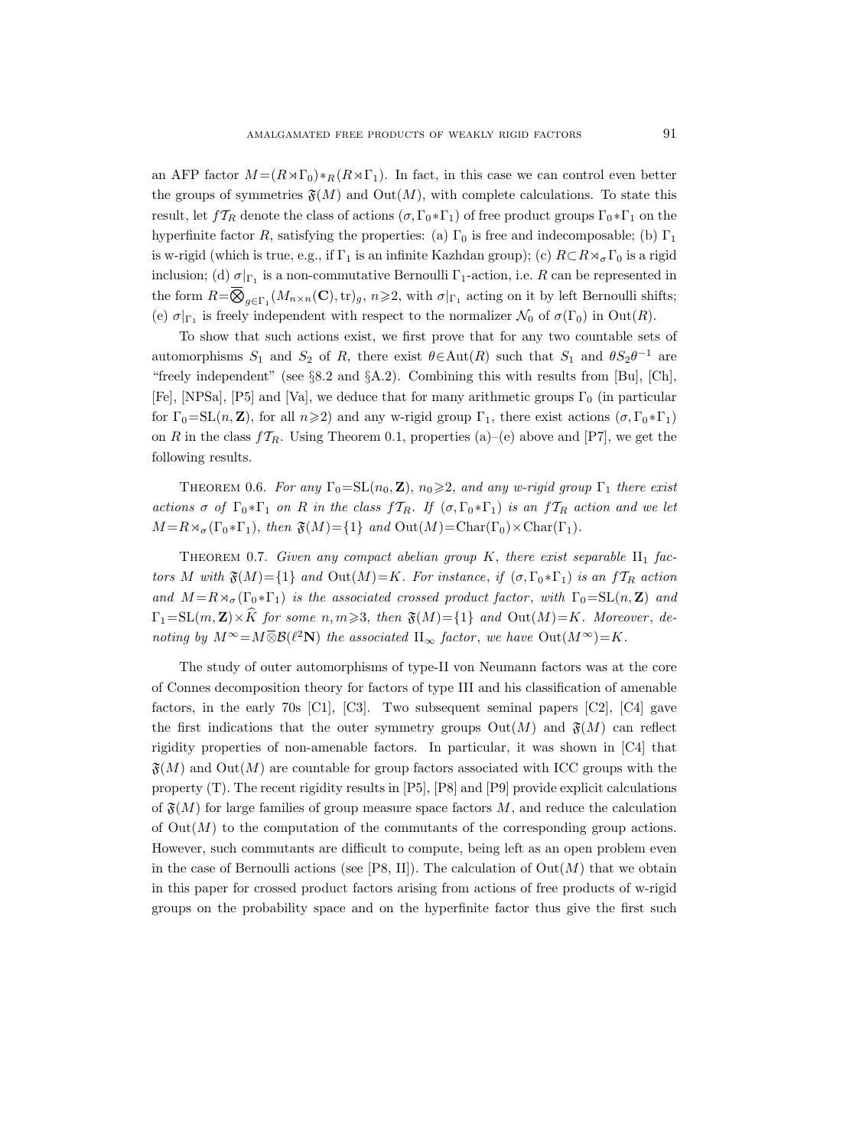an AFP factor  $M = (R \rtimes \Gamma_0) *_{R} (R \rtimes \Gamma_1)$ . In fact, in this case we can control even better the groups of symmetries  $\mathfrak{F}(M)$  and  $\mathrm{Out}(M)$ , with complete calculations. To state this result, let  $f_{R}$  denote the class of actions  $(\sigma, \Gamma_0 * \Gamma_1)$  of free product groups  $\Gamma_0 * \Gamma_1$  on the hyperfinite factor R, satisfying the properties: (a)  $\Gamma_0$  is free and indecomposable; (b)  $\Gamma_1$ is w-rigid (which is true, e.g., if  $\Gamma_1$  is an infinite Kazhdan group); (c)  $R \subset R \rtimes_{\sigma} \Gamma_0$  is a rigid inclusion; (d)  $\sigma|_{\Gamma_1}$  is a non-commutative Bernoulli  $\Gamma_1$ -action, i.e. R can be represented in the form  $R = \overline{\bigotimes}_{g \in \Gamma_1} (M_{n \times n}(\mathbf{C}), \text{tr})_g, n \geqslant 2$ , with  $\sigma|_{\Gamma_1}$  acting on it by left Bernoulli shifts; (e)  $\sigma|_{\Gamma_1}$  is freely independent with respect to the normalizer  $\mathcal{N}_0$  of  $\sigma(\Gamma_0)$  in  $Out(R)$ .

To show that such actions exist, we first prove that for any two countable sets of automorphisms  $S_1$  and  $S_2$  of R, there exist  $\theta \in \text{Aut}(R)$  such that  $S_1$  and  $\theta S_2 \theta^{-1}$  are "freely independent" (see §8.2 and §A.2). Combining this with results from [Bu], [Ch], [Fe], [NPSa], [P5] and [Va], we deduce that for many arithmetic groups  $\Gamma_0$  (in particular for  $\Gamma_0=\mathrm{SL}(n,\mathbf{Z})$ , for all  $n\geqslant 2$ ) and any w-rigid group  $\Gamma_1$ , there exist actions  $(\sigma,\Gamma_0*\Gamma_1)$ on R in the class  $f_{R}$ . Using Theorem 0.1, properties (a)–(e) above and [P7], we get the following results.

THEOREM 0.6. For any  $\Gamma_0 = SL(n_0, \mathbb{Z})$ ,  $n_0 \geq 2$ , and any w-rigid group  $\Gamma_1$  there exist actions  $\sigma$  of  $\Gamma_0 * \Gamma_1$  on R in the class  $fT_R$ . If  $(\sigma, \Gamma_0 * \Gamma_1)$  is an  $fT_R$  action and we let  $M = R \rtimes_{\sigma} (\Gamma_0 * \Gamma_1), \text{ then } \mathfrak{F}(M) = \{1\} \text{ and } \text{Out}(M) = \text{Char}(\Gamma_0) \times \text{Char}(\Gamma_1).$ 

THEOREM 0.7. Given any compact abelian group  $K$ , there exist separable  $II_1$  factors M with  $\mathfrak{F}(M)=\{1\}$  and  $Out(M)=K$ . For instance, if  $(\sigma, \Gamma_0 * \Gamma_1)$  is an  $fT_R$  action and  $M = R \rtimes_{\sigma} (\Gamma_0 * \Gamma_1)$  is the associated crossed product factor, with  $\Gamma_0 = SL(n, \mathbf{Z})$  and  $\Gamma_1=\text{SL}(m,\mathbf{Z})\times\widehat{K}$  for some  $n, m\geqslant 3$ , then  $\mathfrak{F}(M)=\{1\}$  and  $\text{Out}(M)=K$ . Moreover, denoting by  $M^{\infty} = M \overline{\otimes} \mathcal{B}(\ell^2 \mathbf{N})$  the associated  $\Pi_{\infty}$  factor, we have  $Out(M^{\infty}) = K$ .

The study of outer automorphisms of type-II von Neumann factors was at the core of Connes decomposition theory for factors of type III and his classification of amenable factors, in the early 70s  $\lbrack \text{C1} \rbrack$ ,  $\lbrack \text{C3} \rbrack$ . Two subsequent seminal papers  $\lbrack \text{C2} \rbrack$ ,  $\lbrack \text{C4} \rbrack$  gave the first indications that the outer symmetry groups  $Out(M)$  and  $\mathfrak{F}(M)$  can reflect rigidity properties of non-amenable factors. In particular, it was shown in [C4] that  $\mathfrak{F}(M)$  and  $\mathrm{Out}(M)$  are countable for group factors associated with ICC groups with the property (T). The recent rigidity results in [P5], [P8] and [P9] provide explicit calculations of  $\mathfrak{F}(M)$  for large families of group measure space factors M, and reduce the calculation of  $Out(M)$  to the computation of the commutants of the corresponding group actions. However, such commutants are difficult to compute, being left as an open problem even in the case of Bernoulli actions (see [P8, II]). The calculation of  $Out(M)$  that we obtain in this paper for crossed product factors arising from actions of free products of w-rigid groups on the probability space and on the hyperfinite factor thus give the first such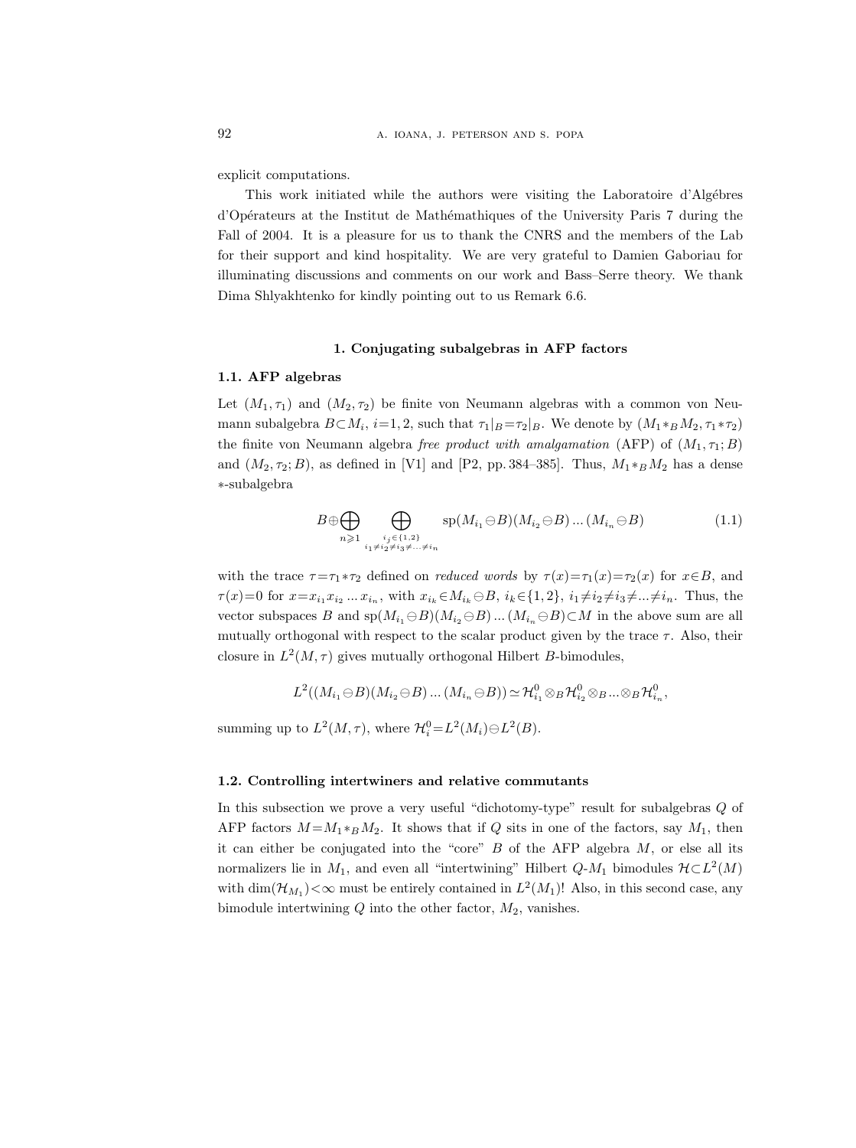explicit computations.

This work initiated while the authors were visiting the Laboratoire d'Algébres d'Opérateurs at the Institut de Mathémathiques of the University Paris 7 during the Fall of 2004. It is a pleasure for us to thank the CNRS and the members of the Lab for their support and kind hospitality. We are very grateful to Damien Gaboriau for illuminating discussions and comments on our work and Bass–Serre theory. We thank Dima Shlyakhtenko for kindly pointing out to us Remark 6.6.

## 1. Conjugating subalgebras in AFP factors

# 1.1. AFP algebras

Let  $(M_1, \tau_1)$  and  $(M_2, \tau_2)$  be finite von Neumann algebras with a common von Neumann subalgebra  $B \subset M_i$ ,  $i=1,2$ , such that  $\tau_1|_B = \tau_2|_B$ . We denote by  $(M_1 *_B M_2, \tau_1 *_\tau_2)$ the finite von Neumann algebra free product with amalgamation (AFP) of  $(M_1, \tau_1; B)$ and  $(M_2, \tau_2; B)$ , as defined in [V1] and [P2, pp. 384–385]. Thus,  $M_1 *_B M_2$  has a dense ∗-subalgebra

$$
B \oplus \bigoplus_{n \geq 1} \bigoplus_{\substack{i_j \in \{1,2\} \\ i_1 \neq i_2 \neq i_3 \neq \ldots \neq i_n}} sp(M_{i_1} \ominus B)(M_{i_2} \ominus B) \ldots (M_{i_n} \ominus B)
$$
(1.1)

with the trace  $\tau = \tau_1 * \tau_2$  defined on *reduced words* by  $\tau(x) = \tau_1(x) = \tau_2(x)$  for  $x \in B$ , and  $\tau(x)=0$  for  $x=x_{i_1}x_{i_2}...x_{i_n}$ , with  $x_{i_k} \in M_{i_k} \ominus B$ ,  $i_k \in \{1,2\}$ ,  $i_1 \neq i_2 \neq i_3 \neq ... \neq i_n$ . Thus, the vector subspaces B and  $sp(M_{i_1} \ominus B)(M_{i_2} \ominus B) \dots (M_{i_n} \ominus B) \subset M$  in the above sum are all mutually orthogonal with respect to the scalar product given by the trace  $\tau$ . Also, their closure in  $L^2(M, \tau)$  gives mutually orthogonal Hilbert B-bimodules,

$$
L^2((M_{i_1}\ominus B)(M_{i_2}\ominus B)\dots(M_{i_n}\ominus B))\simeq \mathcal{H}^0_{i_1}\otimes_B\mathcal{H}^0_{i_2}\otimes_B\dots\otimes_B\mathcal{H}^0_{i_n},
$$

summing up to  $L^2(M, \tau)$ , where  $\mathcal{H}_i^0 = L^2(M_i) \ominus L^2(B)$ .

#### 1.2. Controlling intertwiners and relative commutants

In this subsection we prove a very useful "dichotomy-type" result for subalgebras Q of AFP factors  $M = M_1 *_{B} M_2$ . It shows that if Q sits in one of the factors, say  $M_1$ , then it can either be conjugated into the "core"  $B$  of the AFP algebra  $M$ , or else all its normalizers lie in  $M_1$ , and even all "intertwining" Hilbert  $Q$ - $M_1$  bimodules  $\mathcal{H} \subset L^2(M)$ with  $\dim(\mathcal{H}_{M_1})<\infty$  must be entirely contained in  $L^2(M_1)!$  Also, in this second case, any bimodule intertwining  $Q$  into the other factor,  $M_2$ , vanishes.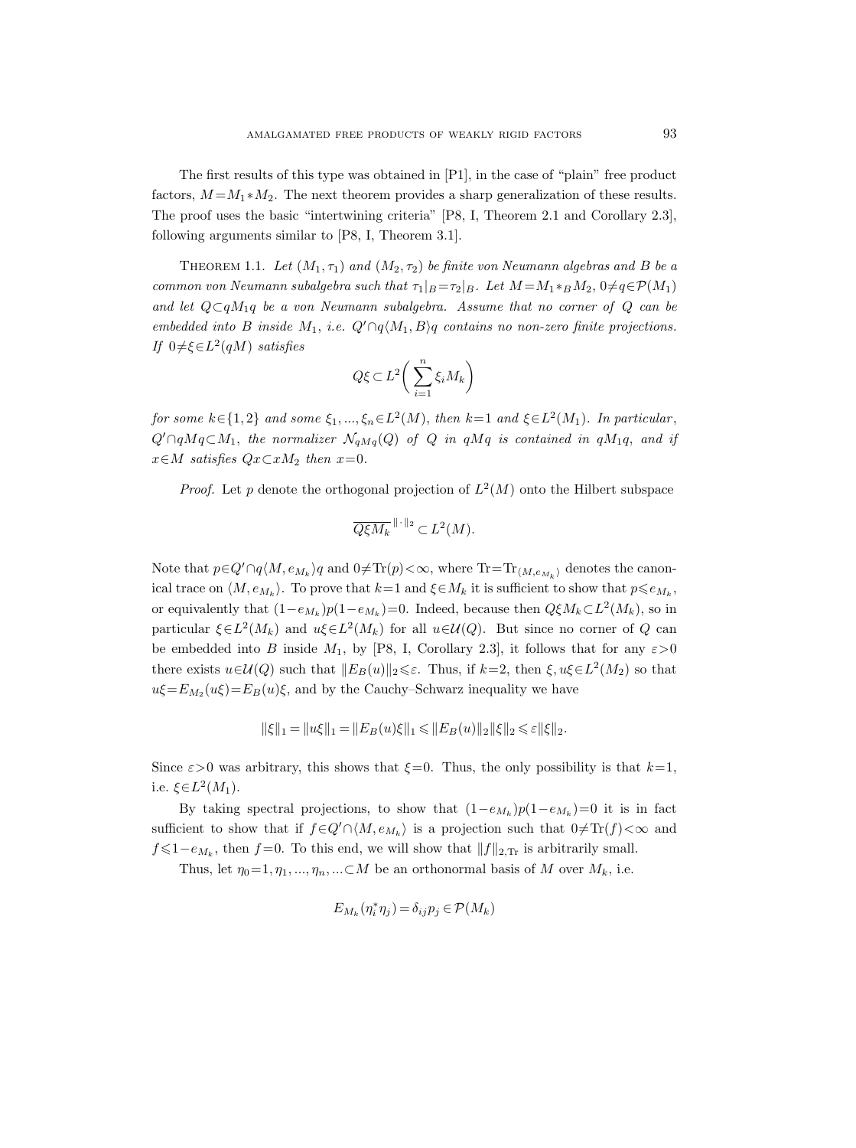The first results of this type was obtained in [P1], in the case of "plain" free product factors,  $M = M_1 * M_2$ . The next theorem provides a sharp generalization of these results. The proof uses the basic "intertwining criteria" [P8, I, Theorem 2.1 and Corollary 2.3], following arguments similar to [P8, I, Theorem 3.1].

THEOREM 1.1. Let  $(M_1, \tau_1)$  and  $(M_2, \tau_2)$  be finite von Neumann algebras and B be a common von Neumann subalgebra such that  $\tau_1|_{B} = \tau_2|_{B}$ . Let  $M = M_1 *_B M_2$ ,  $0 \neq q \in \mathcal{P}(M_1)$ and let  $Q\subset qM_1q$  be a von Neumann subalgebra. Assume that no corner of Q can be embedded into B inside M<sub>1</sub>, i.e.  $Q' \cap q \langle M_1, B \rangle q$  contains no non-zero finite projections. If  $0 \neq \xi \in L^2(qM)$  satisfies

$$
Q\xi \subset L^2\bigg(\sum_{i=1}^n \xi_i M_k\bigg)
$$

for some  $k \in \{1,2\}$  and some  $\xi_1, ..., \xi_n \in L^2(M)$ , then  $k=1$  and  $\xi \in L^2(M_1)$ . In particular,  $Q' \cap qMq \subset M_1$ , the normalizer  $\mathcal{N}_{qMq}(Q)$  of Q in qMq is contained in qM<sub>1</sub>q, and if  $x \in M$  satisfies  $Qx \subset xM_2$  then  $x=0$ .

*Proof.* Let p denote the orthogonal projection of  $L^2(M)$  onto the Hilbert subspace

$$
\overline{Q\xi M_k}^{\|\cdot\|_2} \subset L^2(M).
$$

Note that  $p \in Q' \cap q \langle M, e_{M_k} \rangle q$  and  $0 \neq \text{Tr}(p) < \infty$ , where  $\text{Tr} = \text{Tr}_{\langle M, e_{M_k} \rangle}$  denotes the canonical trace on  $\langle M, e_{M_k} \rangle$ . To prove that  $k=1$  and  $\xi \in M_k$  it is sufficient to show that  $p \leq e_{M_k}$ , or equivalently that  $(1-e_{M_k})p(1-e_{M_k})=0$ . Indeed, because then  $Q\xi M_k\subset L^2(M_k)$ , so in particular  $\xi \in L^2(M_k)$  and  $u\xi \in L^2(M_k)$  for all  $u \in \mathcal{U}(Q)$ . But since no corner of Q can be embedded into B inside  $M_1$ , by [P8, I, Corollary 2.3], it follows that for any  $\varepsilon > 0$ there exists  $u \in \mathcal{U}(Q)$  such that  $||E_B(u)||_2 \leq \varepsilon$ . Thus, if  $k=2$ , then  $\xi, u\xi \in L^2(M_2)$  so that  $u\xi = E_{M_2}(u\xi) = E_B(u)\xi$ , and by the Cauchy–Schwarz inequality we have

$$
\|\xi\|_1 = \|u\xi\|_1 = \|E_B(u)\xi\|_1 \le \|E_B(u)\|_2 \|\xi\|_2 \le \varepsilon \|\xi\|_2.
$$

Since  $\varepsilon > 0$  was arbitrary, this shows that  $\xi = 0$ . Thus, the only possibility is that  $k=1$ , i.e.  $\xi \in L^2(M_1)$ .

By taking spectral projections, to show that  $(1-e_{M_k})p(1-e_{M_k})=0$  it is in fact sufficient to show that if  $f \in Q' \cap \langle M, e_{M_k} \rangle$  is a projection such that  $0 \neq \text{Tr}(f) < \infty$  and  $f \leq 1-e_{M_k}$ , then  $f=0$ . To this end, we will show that  $||f||_{2,\text{Tr}}$  is arbitrarily small.

Thus, let  $\eta_0=1, \eta_1, ..., \eta_n, ... \subset M$  be an orthonormal basis of M over  $M_k$ , i.e.

$$
E_{M_k}(\eta_i^*\eta_j)=\delta_{ij}p_j\in\mathcal{P}(M_k)
$$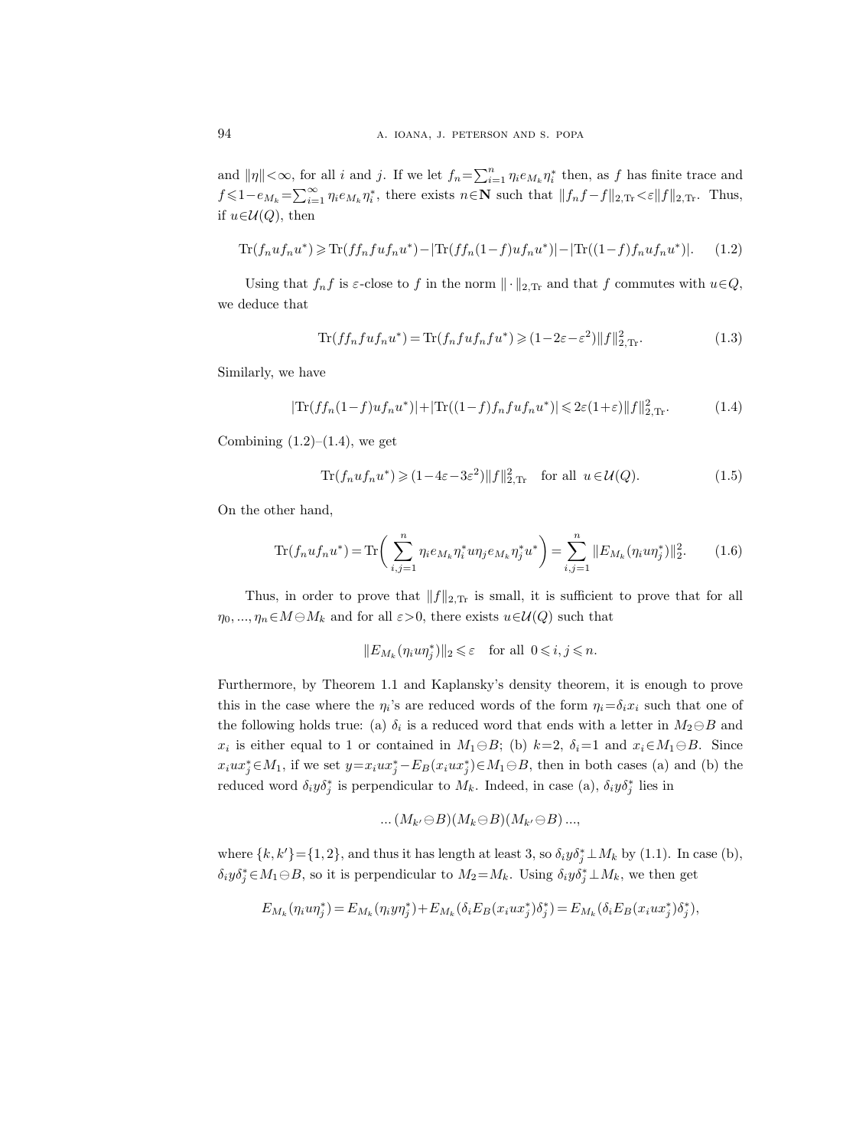and  $\|\eta\| < \infty$ , for all i and j. If we let  $f_n = \sum_{i=1}^n \eta_i e_{M_k} \eta_i^*$  then, as f has finite trace and  $f \leq 1 - e_{M_k} = \sum_{i=1}^{\infty} \eta_i e_{M_k} \eta_i^*$ , there exists  $n \in \mathbb{N}$  such that  $||f_n f - f||_{2,\text{Tr}} < \varepsilon ||f||_{2,\text{Tr}}$ . Thus, if  $u \in \mathcal{U}(Q)$ , then

$$
\text{Tr}(f_nuf_nu^*) \geq \text{Tr}(ff_nfuf_nu^*) - |\text{Tr}(ff_n(1-f)uf_nu^*)| - |\text{Tr}((1-f)f_nuf_nu^*)|.
$$
 (1.2)

Using that  $f_n f$  is  $\varepsilon$ -close to f in the norm  $\|\cdot\|_{2,\text{Tr}}$  and that f commutes with  $u \in Q$ , we deduce that

$$
\text{Tr}(f f_n f u f_n u^*) = \text{Tr}(f_n f u f_n f u^*) \geq (1 - 2\varepsilon - \varepsilon^2) ||f||_{2,\text{Tr}}^2.
$$
\n(1.3)

Similarly, we have

$$
|\text{Tr}(ff_n(1-f)uf_nu^*)| + |\text{Tr}((1-f)ff_nfuf_nu^*)| \leq 2\varepsilon(1+\varepsilon)\|f\|_{2,\text{Tr}}^2.
$$
 (1.4)

Combining  $(1.2)$ – $(1.4)$ , we get

$$
\text{Tr}(f_n u f_n u^*) \geq (1 - 4\varepsilon - 3\varepsilon^2) \|f\|_{2,\text{Tr}}^2 \quad \text{for all } u \in \mathcal{U}(Q). \tag{1.5}
$$

On the other hand,

$$
\text{Tr}(f_n u f_n u^*) = \text{Tr}\bigg(\sum_{i,j=1}^n \eta_i e_{M_k} \eta_i^* u \eta_j e_{M_k} \eta_j^* u^*\bigg) = \sum_{i,j=1}^n \|E_{M_k}(\eta_i u \eta_j^*)\|_2^2. \tag{1.6}
$$

Thus, in order to prove that  $||f||_{2,\text{Tr}}$  is small, it is sufficient to prove that for all  $\eta_0, ..., \eta_n \in M \ominus M_k$  and for all  $\varepsilon > 0$ , there exists  $u \in \mathcal{U}(Q)$  such that

$$
||E_{M_k}(\eta_i u \eta_j^*)||_2 \leqslant \varepsilon \quad \text{for all } 0 \leqslant i, j \leqslant n.
$$

Furthermore, by Theorem 1.1 and Kaplansky's density theorem, it is enough to prove this in the case where the  $\eta_i$ 's are reduced words of the form  $\eta_i = \delta_i x_i$  such that one of the following holds true: (a)  $\delta_i$  is a reduced word that ends with a letter in  $M_2 \ominus B$  and  $x_i$  is either equal to 1 or contained in  $M_1 \ominus B$ ; (b)  $k=2$ ,  $\delta_i=1$  and  $x_i \in M_1 \ominus B$ . Since  $x_iux_j^* \in M_1$ , if we set  $y=x_iux_j^* - E_B(x_iux_j^*) \in M_1 \ominus B$ , then in both cases (a) and (b) the reduced word  $\delta_i y \delta_j^*$  is perpendicular to  $M_k$ . Indeed, in case (a),  $\delta_i y \delta_j^*$  lies in

$$
\dots (M_{k'}\ominus B)(M_k \ominus B)(M_{k'}\ominus B)\dots,
$$

where  $\{k, k'\} = \{1, 2\}$ , and thus it has length at least 3, so  $\delta_i y \delta_j^* \perp M_k$  by (1.1). In case (b),  $\delta_i y \delta_j^* \in M_1 \ominus B$ , so it is perpendicular to  $M_2 = M_k$ . Using  $\delta_i y \delta_j^* \perp M_k$ , we then get

$$
E_{M_k}(\eta_i u \eta_j^*) = E_{M_k}(\eta_i y \eta_j^*) + E_{M_k}(\delta_i E_B(x_i u x_j^*) \delta_j^*) = E_{M_k}(\delta_i E_B(x_i u x_j^*) \delta_j^*),
$$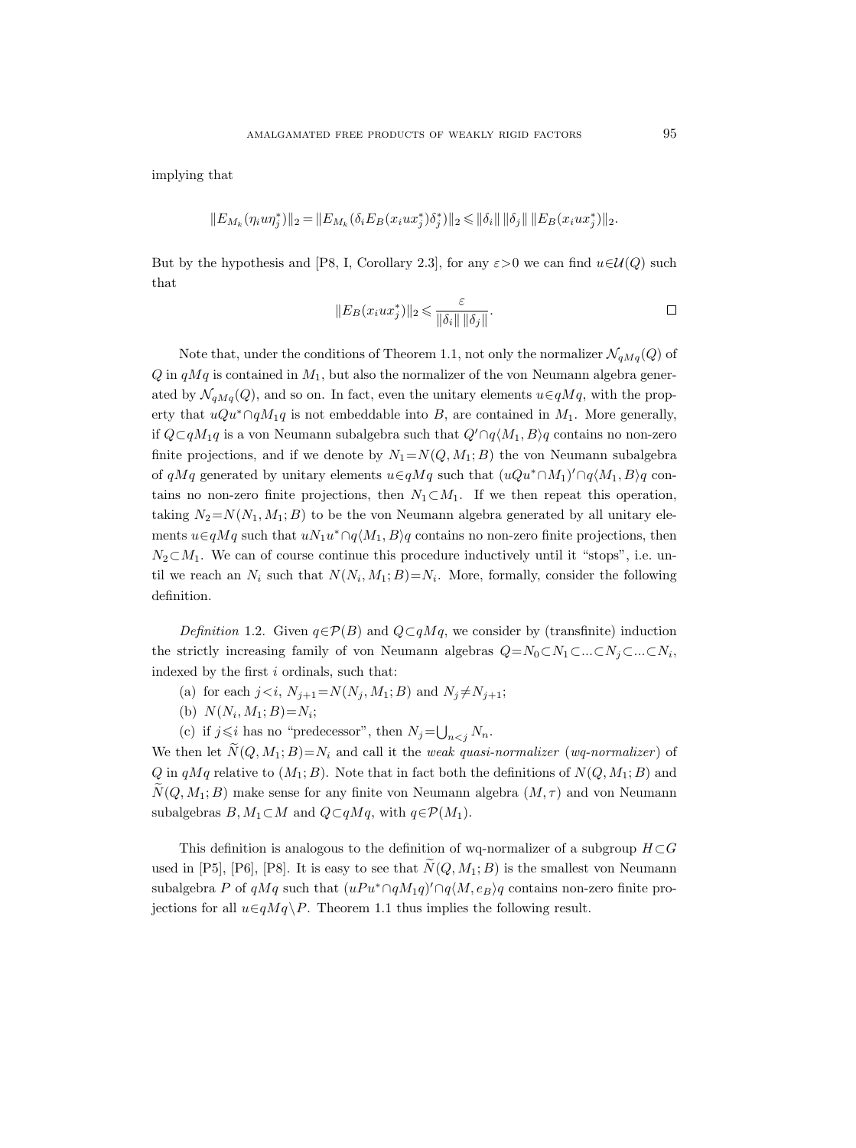implying that

$$
||E_{M_k}(\eta_i u \eta_j^*)||_2 = ||E_{M_k}(\delta_i E_B(x_i u x_j^*) \delta_j^*)||_2 \le ||\delta_i|| \, ||\delta_j|| \, ||E_B(x_i u x_j^*)||_2.
$$

But by the hypothesis and [P8, I, Corollary 2.3], for any  $\varepsilon > 0$  we can find  $u \in U(Q)$  such that

$$
||E_B(x_iux_j^*)||_2 \leq \frac{\varepsilon}{||\delta_i|| ||\delta_j||}.
$$

Note that, under the conditions of Theorem 1.1, not only the normalizer  $\mathcal{N}_{qMq}(Q)$  of  $Q$  in  $qMq$  is contained in  $M_1$ , but also the normalizer of the von Neumann algebra generated by  $\mathcal{N}_{qM q}(Q)$ , and so on. In fact, even the unitary elements  $u \in qMq$ , with the property that  $uQu^*\cap qM_1q$  is not embeddable into B, are contained in  $M_1$ . More generally, if  $Q\subset qM_1q$  is a von Neumann subalgebra such that  $Q'\cap q\langle M_1, B\rangle q$  contains no non-zero finite projections, and if we denote by  $N_1 = N(Q, M_1; B)$  the von Neumann subalgebra of  $qMq$  generated by unitary elements  $u \in qMq$  such that  $(uQu^*\cap M_1)' \cap q\langle M_1, B \rangle q$  contains no non-zero finite projections, then  $N_1 \subset M_1$ . If we then repeat this operation, taking  $N_2 = N(N_1, M_1; B)$  to be the von Neumann algebra generated by all unitary elements  $u \in qMq$  such that  $u \mathcal{N}_1 u^* \cap q\langle M_1, B \rangle q$  contains no non-zero finite projections, then  $N_2 \subset M_1$ . We can of course continue this procedure inductively until it "stops", i.e. until we reach an  $N_i$  such that  $N(N_i, M_1; B) = N_i$ . More, formally, consider the following definition.

Definition 1.2. Given  $q \in \mathcal{P}(B)$  and  $Q \subset qMq$ , we consider by (transfinite) induction the strictly increasing family of von Neumann algebras  $Q = N_0 \subset N_1 \subset ... \subset N_j \subset ... \subset N_i$ , indexed by the first  $i$  ordinals, such that:

- (a) for each  $j \lt i$ ,  $N_{j+1} = N(N_j, M_1; B)$  and  $N_j \neq N_{j+1}$ ;
- (b)  $N(N_i, M_1; B) = N_i;$
- (c) if  $j \leq i$  has no "predecessor", then  $N_j = \bigcup_{n < j} N_n$ .

We then let  $N(Q, M_1; B)=N_i$  and call it the *weak quasi-normalizer* (*wq-normalizer*) of  $Q$  in  $qMq$  relative to  $(M_1; B)$ . Note that in fact both the definitions of  $N(Q, M_1; B)$  and  $\widetilde{N}(Q, M_1; B)$  make sense for any finite von Neumann algebra  $(M, \tau)$  and von Neumann subalgebras  $B, M_1 \subset M$  and  $Q \subset qMq$ , with  $q \in \mathcal{P}(M_1)$ .

This definition is analogous to the definition of wq-normalizer of a subgroup  $H\subset G$ used in [P5], [P6], [P8]. It is easy to see that  $\widetilde{N}(Q, M_1; B)$  is the smallest von Neumann subalgebra P of  $qMq$  such that  $(uPu^* \cap qM_1q)' \cap q\langle M, e_B \rangle q$  contains non-zero finite projections for all  $u \in qMq \backslash P$ . Theorem 1.1 thus implies the following result.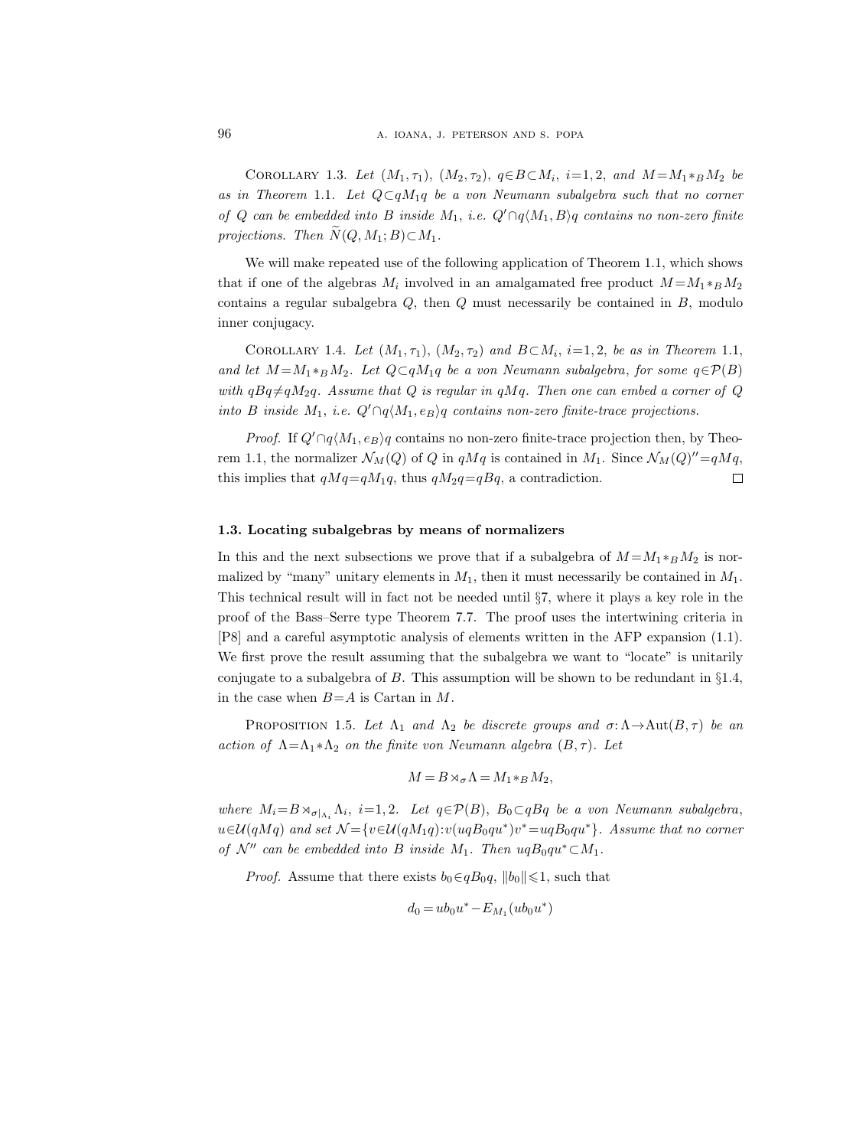COROLLARY 1.3. Let  $(M_1, \tau_1), (M_2, \tau_2), q \in B \subset M_i$ ,  $i = 1, 2$ , and  $M = M_1 *_B M_2$  be as in Theorem 1.1. Let  $Q \subset qM_1q$  be a von Neumann subalgebra such that no corner of Q can be embedded into B inside  $M_1$ , i.e.  $Q' \cap q\langle M_1, B \rangle q$  contains no non-zero finite projections. Then  $N(Q, M_1; B) \subset M_1$ .

We will make repeated use of the following application of Theorem 1.1, which shows that if one of the algebras  $M_i$  involved in an amalgamated free product  $M = M_1 *_{B} M_2$ contains a regular subalgebra  $Q$ , then  $Q$  must necessarily be contained in  $B$ , modulo inner conjugacy.

COROLLARY 1.4. Let  $(M_1, \tau_1), (M_2, \tau_2)$  and  $B \subset M_i$ , i=1,2, be as in Theorem 1.1, and let  $M = M_1 *_{B} M_2$ . Let  $Q \subset qM_1q$  be a von Neumann subalgebra, for some  $q \in \mathcal{P}(B)$ with  $qBq \neq qM_2q$ . Assume that Q is regular in  $qMq$ . Then one can embed a corner of Q into B inside M<sub>1</sub>, i.e.  $Q' \cap q\langle M_1, e_B \rangle q$  contains non-zero finite-trace projections.

*Proof.* If  $Q' \cap q\langle M_1, e_B \rangle q$  contains no non-zero finite-trace projection then, by Theorem 1.1, the normalizer  $\mathcal{N}_M(Q)$  of Q in  $qMq$  is contained in  $M_1$ . Since  $\mathcal{N}_M(Q)''=qMq$ , this implies that  $qMq=qM_1q$ , thus  $qM_2q=qBq$ , a contradiction.  $\Box$ 

#### 1.3. Locating subalgebras by means of normalizers

In this and the next subsections we prove that if a subalgebra of  $M = M_1 *_{B} M_2$  is normalized by "many" unitary elements in  $M_1$ , then it must necessarily be contained in  $M_1$ . This technical result will in fact not be needed until §7, where it plays a key role in the proof of the Bass–Serre type Theorem 7.7. The proof uses the intertwining criteria in [P8] and a careful asymptotic analysis of elements written in the AFP expansion (1.1). We first prove the result assuming that the subalgebra we want to "locate" is unitarily conjugate to a subalgebra of  $B$ . This assumption will be shown to be redundant in  $\S 1.4$ , in the case when  $B = A$  is Cartan in M.

PROPOSITION 1.5. Let  $\Lambda_1$  and  $\Lambda_2$  be discrete groups and  $\sigma: \Lambda \to \text{Aut}(B, \tau)$  be an action of  $\Lambda = \Lambda_1 * \Lambda_2$  on the finite von Neumann algebra  $(B, \tau)$ . Let

$$
M=B\rtimes_\sigma\Lambda=M_1*_BM_2,
$$

where  $M_i = B \rtimes_{\sigma|_{\Lambda_i}} \Lambda_i$ ,  $i = 1, 2$ . Let  $q \in \mathcal{P}(B)$ ,  $B_0 \subset qBq$  be a von Neumann subalgebra,  $u \in \mathcal{U}(qMq)$  and set  $\mathcal{N} = \{v \in \mathcal{U}(qM_1q): v(uqB_0qu^*)v^* = uqB_0qu^*\}.$  Assume that no corner of  $\mathcal{N}''$  can be embedded into B inside  $M_1$ . Then  $uqB_0qu^*\subset M_1$ .

*Proof.* Assume that there exists  $b_0 \in qB_0q$ ,  $||b_0|| \leq 1$ , such that

$$
d_0 = ub_0 u^* - E_{M_1}(ub_0 u^*)
$$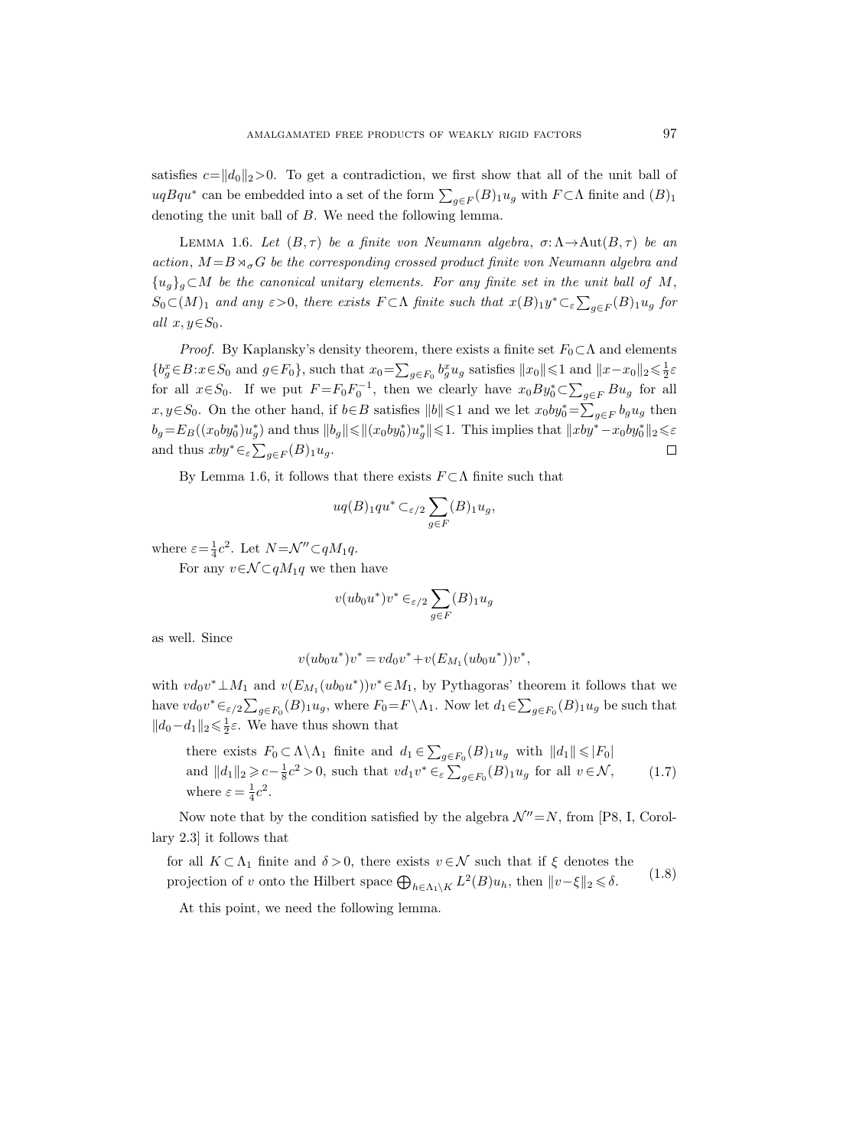satisfies  $c=\|d_0\|_2>0$ . To get a contradiction, we first show that all of the unit ball of  $uqBqu^*$  can be embedded into a set of the form  $\sum_{g \in F}(B)_1 u_g$  with  $F \subset \Lambda$  finite and  $(B)_1$ denoting the unit ball of B. We need the following lemma.

LEMMA 1.6. Let  $(B, \tau)$  be a finite von Neumann algebra,  $\sigma: \Lambda \to \text{Aut}(B, \tau)$  be an action,  $M = B \rtimes_{\sigma} G$  be the corresponding crossed product finite von Neumann algebra and  ${u_g}_g \subset M$  be the canonical unitary elements. For any finite set in the unit ball of M,  $S_0 \subset (M)_1$  and any  $\varepsilon > 0$ , there exists  $F \subset \Lambda$  finite such that  $x(B)_1 y^* \subset_{\varepsilon} \sum_{g \in F} (B)_1 u_g$  for all  $x, y \in S_0$ .

*Proof.* By Kaplansky's density theorem, there exists a finite set  $F_0 \subset \Lambda$  and elements  ${b_g^x \in B : x \in S_0 \text{ and } g \in F_0},$  such that  $x_0 = \sum_{g \in F_0} b_g^x u_g$  satisfies  $||x_0|| \le 1$  and  $||x - x_0||_2 \le \frac{1}{2}\varepsilon$ for all  $x \in S_0$ . If we put  $F = F_0 F_0^{-1}$ , then we clearly have  $x_0 By_0^* \subset \sum_{g \in F} Bu_g$  for all  $x, y \in S_0$ . On the other hand, if  $b \in B$  satisfies  $||b|| \leq 1$  and we let  $x_0by_0^* = \sum_{g \in F} b_g u_g$  then  $b_g = E_B((x_0by_0^*)u_g^*)$  and thus  $||b_g|| \le ||(x_0by_0^*)u_g^*|| \le 1$ . This implies that  $||xby^* - x_0by_0^*||_2 \le \varepsilon$ and thus  $xby^* \in_{\varepsilon} \sum_{g \in F} (B)_1 u_g$ .  $\Box$ 

By Lemma 1.6, it follows that there exists  $F \subset \Lambda$  finite such that

$$
uq(B)_{1}qu^* \subset_{\varepsilon/2} \sum_{g \in F} (B)_{1}u_g,
$$

where  $\varepsilon = \frac{1}{4}c^2$ . Let  $N = \mathcal{N}'' \subset qM_1q$ .

For any  $v \in \mathcal{N} \subset qM_1q$  we then have

$$
v(ub_0u^*)v^* \in \epsilon/2} \sum_{g \in F} (B)_1 u_g
$$

as well. Since

$$
v(ub_0u^*)v^* = vd_0v^* + v(E_{M_1}(ub_0u^*))v^*,
$$

with  $vd_0v^* \perp M_1$  and  $v(E_{M_1}(ub_0u^*))v^* \in M_1$ , by Pythagoras' theorem it follows that we have  $vd_0v^* \in_{\varepsilon/2} \sum_{g \in F_0}(B) \cdot u_g$ , where  $F_0 = F \setminus \Lambda_1$ . Now let  $d_1 \in \sum_{g \in F_0}(B) \cdot u_g$  be such that  $||d_0 - d_1||_2 \le \frac{1}{2} \varepsilon$ . We have thus shown that

there exists  $F_0 \subset \Lambda \backslash \Lambda_1$  finite and  $d_1 \in \sum_{g \in F_0} (B)_1 u_g$  with  $||d_1|| \leq F_0$ and  $||d_1||_2 \geqslant c - \frac{1}{8}c^2 > 0$ , such that  $vd_1v^* \in_{\varepsilon} \sum_{g \in F_0}(B)_{1}u_g$  for all  $v \in \mathcal{N}$ , where  $\varepsilon = \frac{1}{4}c^2$ . (1.7)

Now note that by the condition satisfied by the algebra  $\mathcal{N}''=N$ , from [P8, I, Corollary 2.3] it follows that

for all  $K \subset \Lambda_1$  finite and  $\delta > 0$ , there exists  $v \in \mathcal{N}$  such that if  $\xi$  denotes the projection of v onto the Hilbert space  $\bigoplus_{h \in \Lambda_1 \backslash K} L^2(B)u_h$ , then  $||v-\xi||_2 \leq \delta$ . (1.8)

At this point, we need the following lemma.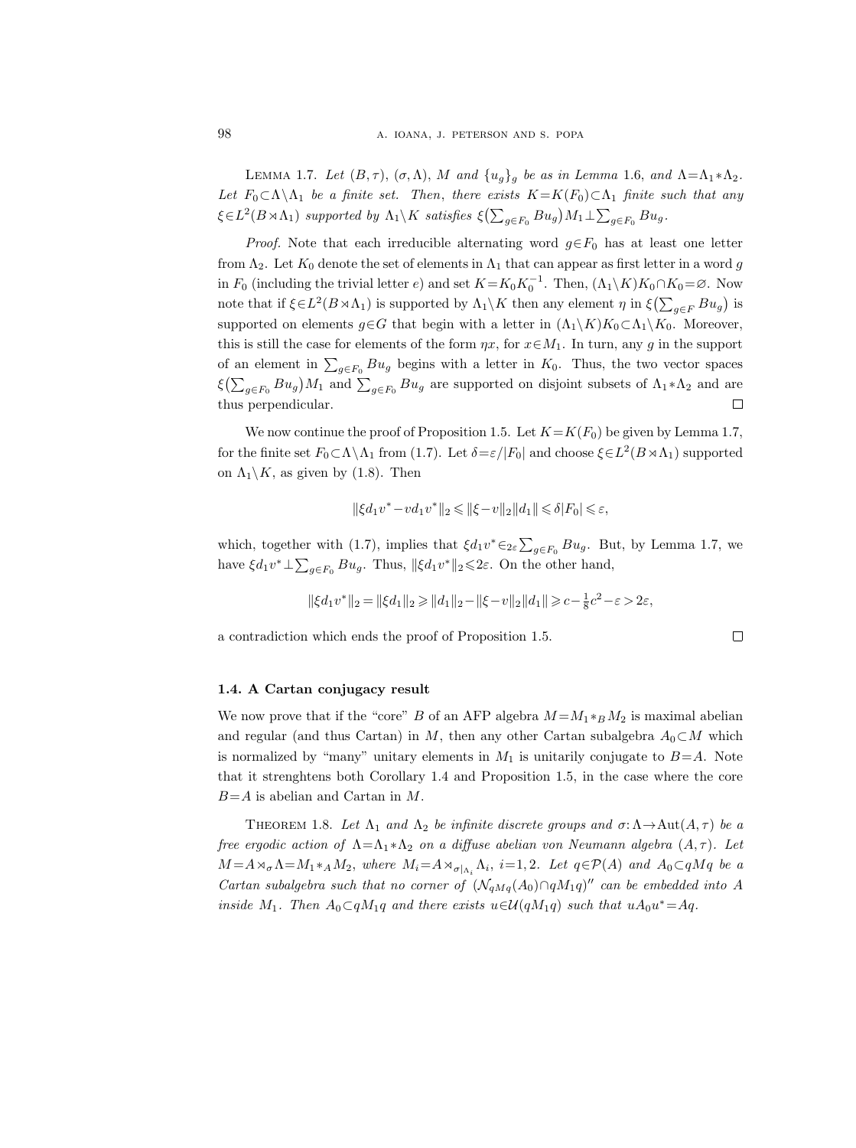LEMMA 1.7. Let  $(B, \tau)$ ,  $(\sigma, \Lambda)$ , M and  $\{u_q\}_q$  be as in Lemma 1.6, and  $\Lambda = \Lambda_1 * \Lambda_2$ . Let  $F_0 \subset \Lambda \backslash \Lambda_1$  be a finite set. Then, there exists  $K=K(F_0) \subset \Lambda_1$  finite such that any  $\xi \in L^2(B \rtimes \Lambda_1)$  supported by  $\Lambda_1 \backslash K$  satisfies  $\xi \left( \sum_{g \in F_0} B u_g \right) M_1 \perp \sum_{g \in F_0} B u_g$ .

*Proof.* Note that each irreducible alternating word  $g \in F_0$  has at least one letter from  $\Lambda_2$ . Let  $K_0$  denote the set of elements in  $\Lambda_1$  that can appear as first letter in a word g in  $F_0$  (including the trivial letter  $e$ ) and set  $K = K_0 K_0^{-1}$ . Then,  $(\Lambda_1 \backslash K)K_0 \cap K_0 = \emptyset$ . Now note that if  $\xi \in L^2(B \rtimes \Lambda_1)$  is supported by  $\Lambda_1 \backslash K$  then any element  $\eta$  in  $\xi(\sum_{g \in F} Bu_g)$  is supported on elements  $g \in G$  that begin with a letter in  $(\Lambda_1 \backslash K)K_0 \subset \Lambda_1 \backslash K_0$ . Moreover, this is still the case for elements of the form  $\eta x$ , for  $x \in M_1$ . In turn, any g in the support of an element in  $\sum_{g \in F_0} Bu_g$  begins with a letter in  $K_0$ . Thus, the two vector spaces  $\xi(\sum_{g\in F_0}Bu_g)M_1$  and  $\sum_{g\in F_0}Bu_g$  are supported on disjoint subsets of  $\Lambda_1*\Lambda_2$  and are thus perpendicular.  $\Box$ 

We now continue the proof of Proposition 1.5. Let  $K=K(F_0)$  be given by Lemma 1.7, for the finite set  $F_0 \subset \Lambda \setminus \Lambda_1$  from (1.7). Let  $\delta = \varepsilon / |F_0|$  and choose  $\xi \in L^2(B \rtimes \Lambda_1)$  supported on  $\Lambda_1 \backslash K$ , as given by (1.8). Then

$$
\|\xi d_1 v^*-v d_1 v^*\|_2\leqslant \|\xi-v\|_2\|d_1\|\leqslant \delta|F_0|\leqslant \varepsilon,
$$

which, together with (1.7), implies that  $\xi d_1v^* \in_{2\varepsilon} \sum_{g \in F_0} Bu_g$ . But, by Lemma 1.7, we have  $\xi d_1 v^* \perp \sum_{g \in F_0} B u_g$ . Thus,  $\|\xi d_1 v^*\|_2 \leq 2\varepsilon$ . On the other hand,

$$
\|\xi d_1 v^*\|_2 = \|\xi d_1\|_2 \geq \|d_1\|_2 - \|\xi - v\|_2 \|d_1\| \geqslant c - \tfrac{1}{8} c^2 - \varepsilon > 2\varepsilon,
$$

 $\Box$ 

a contradiction which ends the proof of Proposition 1.5.

## 1.4. A Cartan conjugacy result

We now prove that if the "core" B of an AFP algebra  $M = M_1 *_{B} M_2$  is maximal abelian and regular (and thus Cartan) in M, then any other Cartan subalgebra  $A_0 \subset M$  which is normalized by "many" unitary elements in  $M_1$  is unitarily conjugate to  $B=A$ . Note that it strenghtens both Corollary 1.4 and Proposition 1.5, in the case where the core  $B=A$  is abelian and Cartan in M.

THEOREM 1.8. Let  $\Lambda_1$  and  $\Lambda_2$  be infinite discrete groups and  $\sigma: \Lambda \to \text{Aut}(A, \tau)$  be a free ergodic action of  $\Lambda = \Lambda_1 * \Lambda_2$  on a diffuse abelian von Neumann algebra  $(A, \tau)$ . Let  $M = A \rtimes_{\sigma} \Lambda = M_1 *_{A} M_2$ , where  $M_i = A \rtimes_{\sigma|_{\Lambda_i}} \Lambda_i$ ,  $i = 1, 2$ . Let  $q \in \mathcal{P}(A)$  and  $A_0 \subset qMq$  be a Cartan subalgebra such that no corner of  $(\mathcal{N}_{qMq}(A_0) \cap qM_1q)''$  can be embedded into A inside M<sub>1</sub>. Then  $A_0 \subset qM_1q$  and there exists  $u \in \mathcal{U}(qM_1q)$  such that  $uA_0u^* = Aq$ .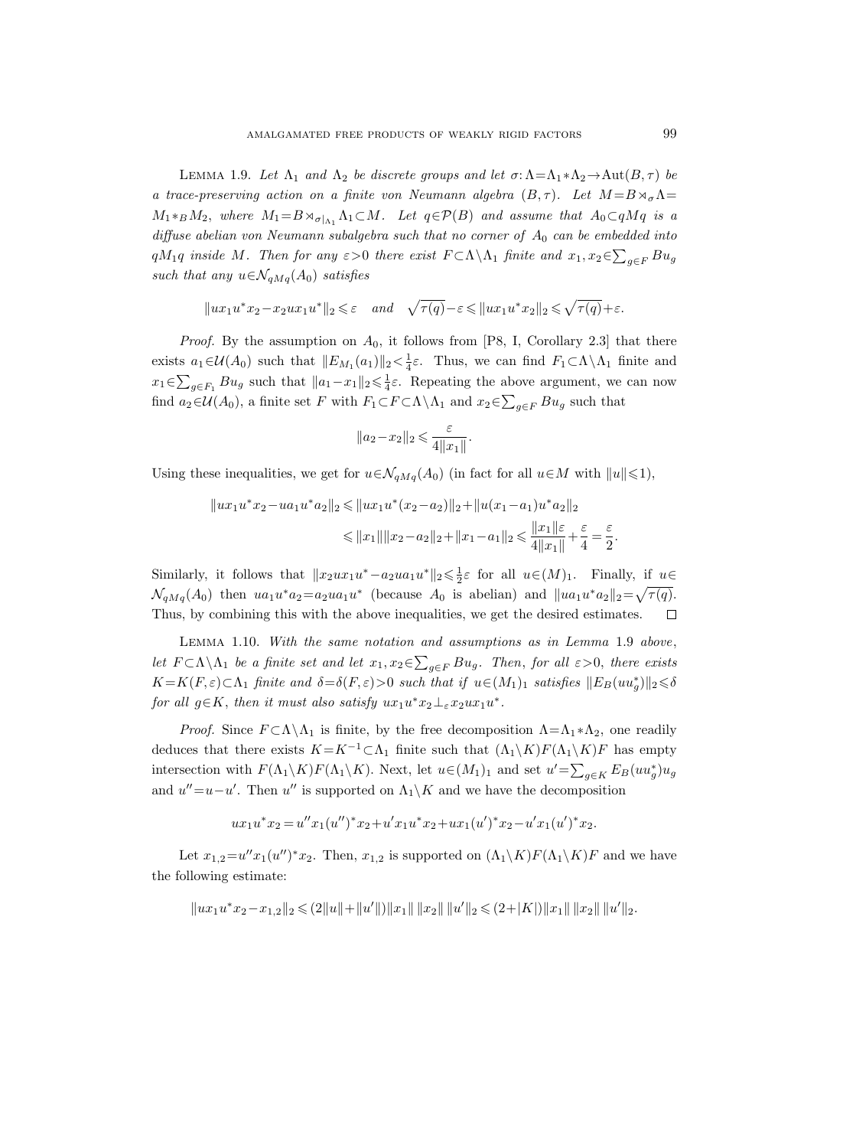LEMMA 1.9. Let  $\Lambda_1$  and  $\Lambda_2$  be discrete groups and let  $\sigma: \Lambda = \Lambda_1 * \Lambda_2 \to \text{Aut}(B, \tau)$  be a trace-preserving action on a finite von Neumann algebra  $(B, \tau)$ . Let  $M = B \rtimes_{\sigma} \Lambda =$  $M_1*_BM_2$ , where  $M_1 = B \rtimes_{\sigma|\Lambda_1} \Lambda_1 \subset M$ . Let  $q \in \mathcal{P}(B)$  and assume that  $A_0 \subset qMq$  is a diffuse abelian von Neumann subalgebra such that no corner of  $A_0$  can be embedded into  $qM_1q$  inside  $M$ . Then for any  $\varepsilon > 0$  there exist  $F \subset \Lambda \backslash \Lambda_1$  finite and  $x_1, x_2 \in \sum_{g \in F} Bu_g$ such that any  $u \in \mathcal{N}_{qMq}(A_0)$  satisfies

$$
||ux_1u^*x_2 - x_2ux_1u^*||_2 \le \varepsilon
$$
 and  $\sqrt{\tau(q)} - \varepsilon \le ||ux_1u^*x_2||_2 \le \sqrt{\tau(q)} + \varepsilon$ .

*Proof.* By the assumption on  $A_0$ , it follows from [P8, I, Corollary 2.3] that there exists  $a_1 \in \mathcal{U}(A_0)$  such that  $||E_{M_1}(a_1)||_2 < \frac{1}{4}\varepsilon$ . Thus, we can find  $F_1 \subset \Lambda \setminus \Lambda_1$  finite and  $x_1 \in \sum_{g \in F_1} B u_g$  such that  $||a_1 - x_1||_2 \leq \frac{1}{4} \varepsilon$ . Repeating the above argument, we can now find  $a_2 \in \mathcal{U}(A_0)$ , a finite set F with  $F_1 \subset F \subset \Lambda \setminus \Lambda_1$  and  $x_2 \in \sum_{g \in F} B u_g$  such that

$$
||a_2-x_2||_2 \leqslant \frac{\varepsilon}{4||x_1||}.
$$

Using these inequalities, we get for  $u \in \mathcal{N}_{qMq}(A_0)$  (in fact for all  $u \in M$  with  $||u|| \leq 1$ ),

$$
||ux_1u^*x_2 - ua_1u^*a_2||_2 \le ||ux_1u^*(x_2 - a_2)||_2 + ||u(x_1 - a_1)u^*a_2||_2
$$
  

$$
\le ||x_1|| ||x_2 - a_2||_2 + ||x_1 - a_1||_2 \le \frac{||x_1||\varepsilon}{4||x_1||} + \frac{\varepsilon}{4} = \frac{\varepsilon}{2}.
$$

Similarly, it follows that  $||x_2ux_1u^* - a_2ua_1u^*||_2 \le \frac{1}{2}\varepsilon$  for all  $u \in (M)_1$ . Finally, if  $u \in$  $\mathcal{N}_{qMq}(A_0)$  then  $ua_1u^*a_2=a_2ua_1u^*$  (because  $A_0$  is abelian) and  $||ua_1u^*a_2||_2=\sqrt{\tau(q)}$ . Thus, by combining this with the above inequalities, we get the desired estimates.  $\Box$ 

Lemma 1.10. With the same notation and assumptions as in Lemma 1.9 above, let  $F \subset \Lambda \backslash \Lambda_1$  be a finite set and let  $x_1, x_2 \in \sum_{g \in F} Bu_g$ . Then, for all  $\varepsilon > 0$ , there exists  $K=K(F,\varepsilon)\subset\Lambda_1$  finite and  $\delta=\delta(F,\varepsilon)>0$  such that if  $u\in(M_1)_1$  satisfies  $||E_B(uu_g^*)||_2\leqslant\delta$ for all  $g \in K$ , then it must also satisfy  $ux_1u^*x_2 \perp_{\varepsilon} x_2ux_1u^*$ .

*Proof.* Since  $F \subset \Lambda \backslash \Lambda_1$  is finite, by the free decomposition  $\Lambda = \Lambda_1 * \Lambda_2$ , one readily deduces that there exists  $K=K^{-1}\subset\Lambda_1$  finite such that  $(\Lambda_1\backslash K)F(\Lambda_1\backslash K)F$  has empty intersection with  $F(\Lambda_1 \backslash K)F(\Lambda_1 \backslash K)$ . Next, let  $u \in (M_1)_1$  and set  $u' = \sum_{g \in K} E_B(uu_g^*)u_g$ and  $u''=u-u'$ . Then u'' is supported on  $\Lambda_1\backslash K$  and we have the decomposition

$$
ux_1u^*x_2 = u''x_1(u'')^*x_2 + u'x_1u^*x_2 + ux_1(u')^*x_2 - u'x_1(u')^*x_2.
$$

Let  $x_{1,2} = u'' x_1 (u'')^* x_2$ . Then,  $x_{1,2}$  is supported on  $(\Lambda_1 \backslash K) F (\Lambda_1 \backslash K) F$  and we have the following estimate:

$$
||ux_1u^*x_2 - x_{1,2}||_2 \leqslant (2||u|| + ||u'||) ||x_1|| ||x_2|| ||u'||_2 \leqslant (2+|K|) ||x_1|| ||x_2|| ||u'||_2.
$$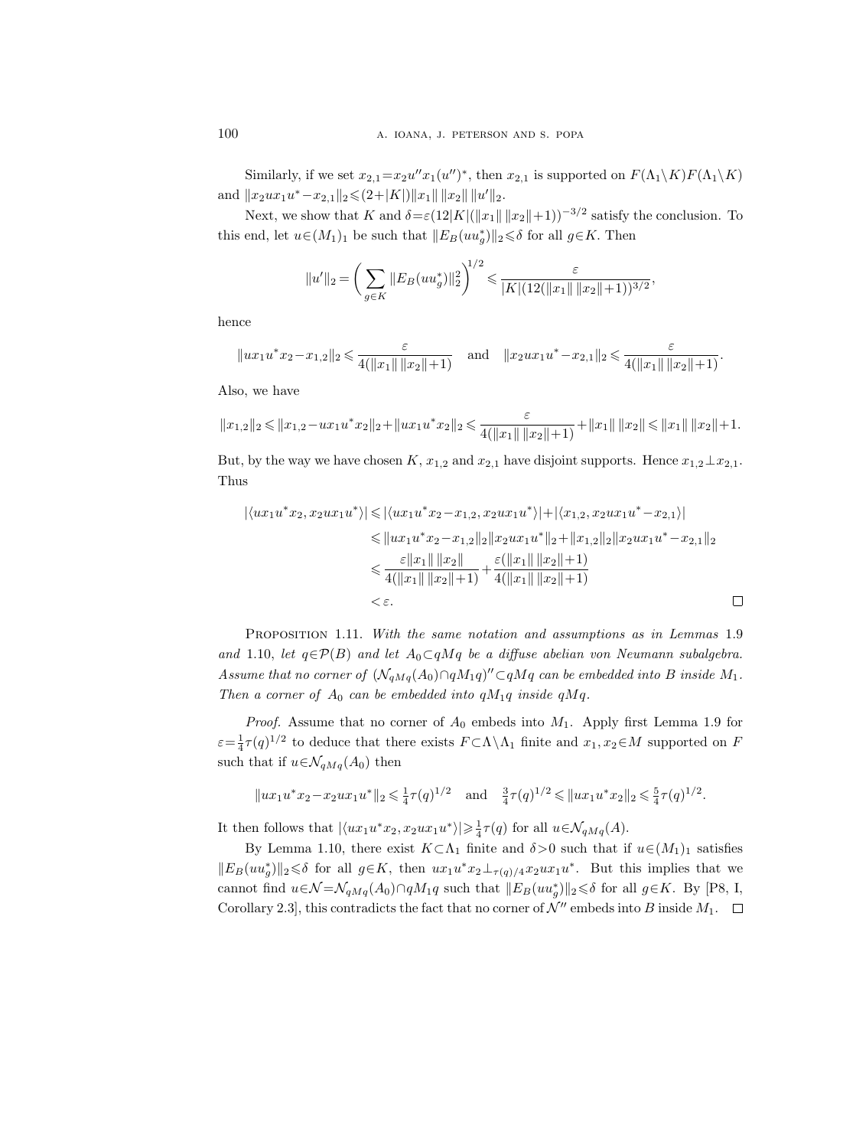Similarly, if we set  $x_{2,1} = x_2 u'' x_1(u'')^*$ , then  $x_{2,1}$  is supported on  $F(\Lambda_1 \backslash K)F(\Lambda_1 \backslash K)$ and  $||x_2ux_1u^*-x_{2,1}||_2 \leq (2+|K|) ||x_1|| \, ||x_2|| \, ||u'||_2.$ 

Next, we show that K and  $\delta = \varepsilon (12|K|(\|x_1\| \|x_2\|+1))^{-3/2}$  satisfy the conclusion. To this end, let  $u \in (M_1)_1$  be such that  $||E_B(uu_g^*)||_2 \le \delta$  for all  $g \in K$ . Then

$$
||u'||_2 = \left(\sum_{g \in K} ||E_B(uu_g^*)||_2^2\right)^{1/2} \leq \frac{\varepsilon}{|K|(12(||x_1|| \, ||x_2||+1))^{3/2}},
$$

hence

$$
||ux_1u^*x_2-x_{1,2}||_2 \le \frac{\varepsilon}{4(||x_1|| \, ||x_2||+1)}
$$
 and  $||x_2ux_1u^*-x_{2,1}||_2 \le \frac{\varepsilon}{4(||x_1|| \, ||x_2||+1)}$ .

Also, we have

$$
||x_{1,2}||_2 \le ||x_{1,2} - ux_1u^*x_2||_2 + ||ux_1u^*x_2||_2 \le \frac{\varepsilon}{4(||x_1|| \, ||x_2|| + 1)} + ||x_1|| \, ||x_2|| \le ||x_1|| \, ||x_2|| + 1.
$$

But, by the way we have chosen K,  $x_{1,2}$  and  $x_{2,1}$  have disjoint supports. Hence  $x_{1,2} \perp x_{2,1}$ . Thus

$$
|\langle ux_1u^*x_2, x_2ux_1u^* \rangle| \le |\langle ux_1u^*x_2 - x_{1,2}, x_2ux_1u^* \rangle| + |\langle x_{1,2}, x_2ux_1u^* - x_{2,1} \rangle|
$$
  
\n
$$
\le ||ux_1u^*x_2 - x_{1,2}||_2||x_2ux_1u^*||_2 + ||x_{1,2}||_2||x_2ux_1u^* - x_{2,1}||_2
$$
  
\n
$$
\le \frac{\varepsilon ||x_1|| ||x_2||}{4(||x_1|| ||x_2|| + 1)} + \frac{\varepsilon (||x_1|| ||x_2|| + 1)}{4(||x_1|| ||x_2|| + 1)}
$$
  
\n
$$
< \varepsilon.
$$

PROPOSITION 1.11. With the same notation and assumptions as in Lemmas 1.9 and 1.10, let  $q \in \mathcal{P}(B)$  and let  $A_0 \subset qMq$  be a diffuse abelian von Neumann subalgebra. Assume that no corner of  $(\mathcal{N}_{qMq}(A_0) \cap qM_1q)'' \subset qMq$  can be embedded into B inside  $M_1$ . Then a corner of  $A_0$  can be embedded into  $qM_1q$  inside  $qMq$ .

*Proof.* Assume that no corner of  $A_0$  embeds into  $M_1$ . Apply first Lemma 1.9 for  $\varepsilon = \frac{1}{4}\tau(q)^{1/2}$  to deduce that there exists  $F \subset \Lambda \setminus \Lambda_1$  finite and  $x_1, x_2 \in M$  supported on F such that if  $u \in \mathcal{N}_{qMq}(A_0)$  then

$$
||ux_1u^*x_2 - x_2ux_1u^*||_2 \le \frac{1}{4}\tau(q)^{1/2}
$$
 and  $\frac{3}{4}\tau(q)^{1/2} \le ||ux_1u^*x_2||_2 \le \frac{5}{4}\tau(q)^{1/2}$ .

It then follows that  $|\langle ux_1u^*x_2, x_2ux_1u^* \rangle| \geq \frac{1}{4}\tau(q)$  for all  $u \in \mathcal{N}_{qMq}(A)$ .

By Lemma 1.10, there exist  $K \subset \Lambda_1$  finite and  $\delta > 0$  such that if  $u \in (M_1)_1$  satisfies  $||E_B(uu_g^*)||_2 \leq \delta$  for all  $g \in K$ , then  $ux_1u^*x_2 \perp_{\tau(q)/4} x_2ux_1u^*$ . But this implies that we cannot find  $u \in \mathcal{N} = \mathcal{N}_{qMq}(A_0) \cap qM_1q$  such that  $||E_B(uu_j^*)||_2 \leq \delta$  for all  $g \in K$ . By [P8, I, Corollary 2.3, this contradicts the fact that no corner of  $\mathcal{N}''$  embeds into B inside  $M_1$ .  $\Box$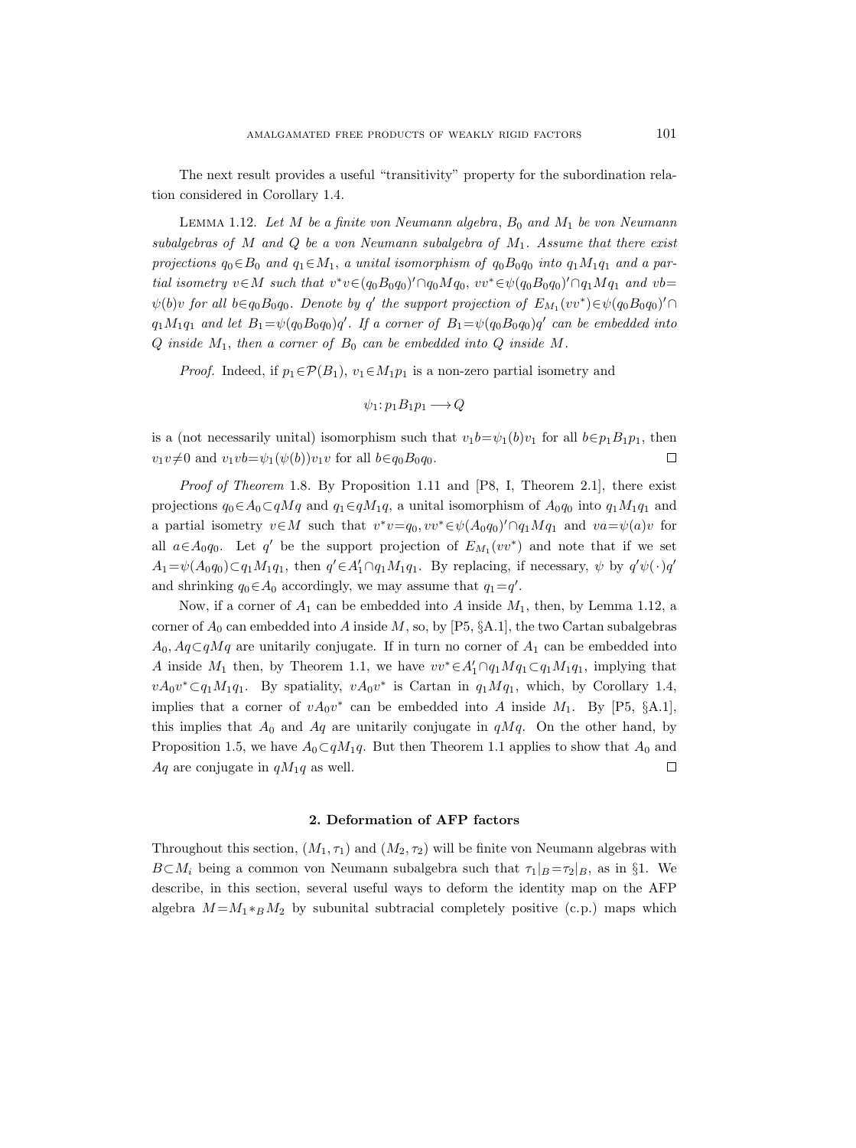The next result provides a useful "transitivity" property for the subordination relation considered in Corollary 1.4.

LEMMA 1.12. Let M be a finite von Neumann algebra,  $B_0$  and  $M_1$  be von Neumann subalgebras of M and Q be a von Neumann subalgebra of  $M_1$ . Assume that there exist projections  $q_0 \in B_0$  and  $q_1 \in M_1$ , a unital isomorphism of  $q_0B_0q_0$  into  $q_1M_1q_1$  and a partial isometry  $v \in M$  such that  $v^*v \in (q_0B_0q_0)' \cap q_0Mq_0$ ,  $vv^* \in \psi(q_0B_0q_0)' \cap q_1Mq_1$  and  $vb =$  $\psi(b)v$  for all  $b \in q_0B_0q_0$ . Denote by q' the support projection of  $E_{M_1}(vv^*) \in \psi(q_0B_0q_0)' \cap$  $q_1M_1q_1$  and let  $B_1 = \psi(q_0B_0q_0)q'$ . If a corner of  $B_1 = \psi(q_0B_0q_0)q'$  can be embedded into  $Q$  inside  $M_1$ , then a corner of  $B_0$  can be embedded into  $Q$  inside  $M$ .

*Proof.* Indeed, if  $p_1 \in \mathcal{P}(B_1)$ ,  $v_1 \in M_1p_1$  is a non-zero partial isometry and

$$
\psi_1: p_1B_1p_1 \longrightarrow Q
$$

is a (not necessarily unital) isomorphism such that  $v_1b=\psi_1(b)v_1$  for all  $b\in p_1B_1p_1$ , then  $v_1v \neq 0$  and  $v_1vb=\psi_1(\psi(b))v_1v$  for all  $b \in q_0B_0q_0$ .  $\Box$ 

*Proof of Theorem* 1.8. By Proposition 1.11 and  $[PS, I, Theorem 2.1]$ , there exist projections  $q_0 \in A_0 \subset qMq$  and  $q_1 \in qM_1q$ , a unital isomorphism of  $A_0q_0$  into  $q_1M_1q_1$  and a partial isometry  $v \in M$  such that  $v^*v=q_0, vv^* \in \psi(A_0q_0)' \cap q_1Mq_1$  and  $va=\psi(a)v$  for all  $a \in A_0 q_0$ . Let q' be the support projection of  $E_{M_1}(vv^*)$  and note that if we set  $A_1 = \psi(A_0 q_0) \subset q_1 M_1 q_1$ , then  $q' \in A'_1 \cap q_1 M_1 q_1$ . By replacing, if necessary,  $\psi$  by  $q' \psi(\cdot) q'$ and shrinking  $q_0 \in A_0$  accordingly, we may assume that  $q_1 = q'$ .

Now, if a corner of  $A_1$  can be embedded into A inside  $M_1$ , then, by Lemma 1.12, a corner of  $A_0$  can embedded into A inside M, so, by [P5, §A.1], the two Cartan subalgebras  $A_0, A_q \subset qMq$  are unitarily conjugate. If in turn no corner of  $A_1$  can be embedded into A inside  $M_1$  then, by Theorem 1.1, we have  $vv^* \in A'_1 \cap q_1 M q_1 \subset q_1 M_1 q_1$ , implying that  $vA_0v^*\subset q_1M_1q_1$ . By spatiality,  $vA_0v^*$  is Cartan in  $q_1Mq_1$ , which, by Corollary 1.4, implies that a corner of  $vA_0v^*$  can be embedded into A inside  $M_1$ . By [P5, §A.1], this implies that  $A_0$  and  $A_q$  are unitarily conjugate in  $qMq$ . On the other hand, by Proposition 1.5, we have  $A_0 \subset qM_1q$ . But then Theorem 1.1 applies to show that  $A_0$  and  $Aq$  are conjugate in  $qM_1q$  as well.  $\Box$ 

#### 2. Deformation of AFP factors

Throughout this section,  $(M_1, \tau_1)$  and  $(M_2, \tau_2)$  will be finite von Neumann algebras with  $B\subset M_i$  being a common von Neumann subalgebra such that  $\tau_1|_B = \tau_2|_B$ , as in §1. We describe, in this section, several useful ways to deform the identity map on the AFP algebra  $M = M_1 *_{B} M_2$  by subunital subtracial completely positive (c.p.) maps which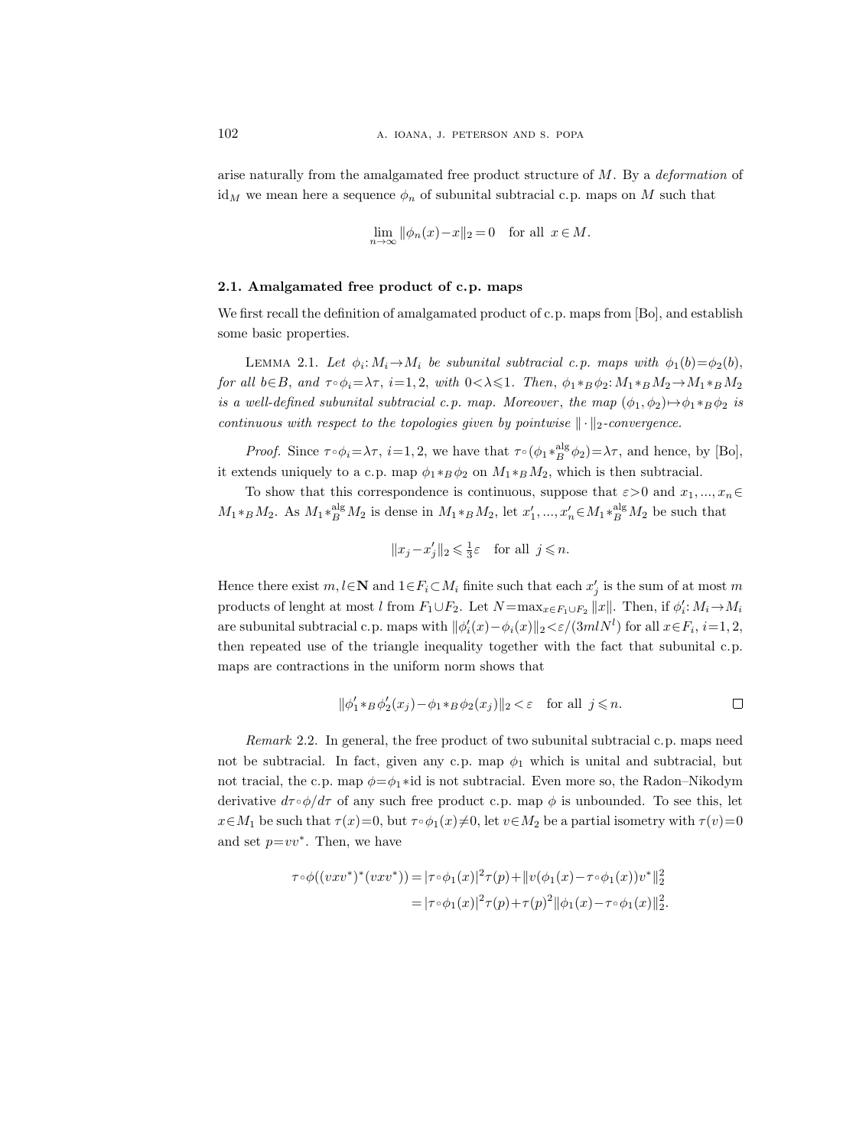arise naturally from the amalgamated free product structure of M. By a deformation of  $id_M$  we mean here a sequence  $\phi_n$  of subunital subtracial c.p. maps on M such that

$$
\lim_{n \to \infty} \|\phi_n(x) - x\|_2 = 0 \quad \text{for all } x \in M.
$$

#### 2.1. Amalgamated free product of c.p. maps

We first recall the definition of amalgamated product of c.p. maps from [Bo], and establish some basic properties.

LEMMA 2.1. Let  $\phi_i: M_i \to M_i$  be subunital subtracial c.p. maps with  $\phi_1(b) = \phi_2(b)$ , for all  $b \in B$ , and  $\tau \circ \phi_i = \lambda \tau$ ,  $i = 1, 2$ , with  $0 < \lambda \leq 1$ . Then,  $\phi_1 *_{B} \phi_2 : M_1 *_{B} M_2 \to M_1 *_{B} M_2$ is a well-defined subunital subtracial c.p. map. Moreover, the map  $(\phi_1, \phi_2) \mapsto \phi_1 * B \phi_2$  is continuous with respect to the topologies given by pointwise  $\|\cdot\|_2$ -convergence.

Proof. Since  $\tau \circ \phi_i = \lambda \tau$ ,  $i = 1, 2$ , we have that  $\tau \circ (\phi_1 *_{B}^{\text{alg}} \phi_2) = \lambda \tau$ , and hence, by [Bo], it extends uniquely to a c.p. map  $\phi_1 *_{B} \phi_2$  on  $M_1 *_{B} M_2$ , which is then subtracial.

To show that this correspondence is continuous, suppose that  $\varepsilon > 0$  and  $x_1, ..., x_n \in$  $M_1 *_{B} M_2$ . As  $M_1 *_{B}^{\text{alg}} M_2$  is dense in  $M_1 *_{B} M_2$ , let  $x'_1, ..., x'_n \in M_1 *_{B}^{\text{alg}} M_2$  be such that

$$
||x_j - x'_j||_2 \leqslant \frac{1}{3}\varepsilon \quad \text{for all} \ \ j \leqslant n.
$$

Hence there exist  $m, l \in \mathbb{N}$  and  $1 \in F_i \subset M_i$  finite such that each  $x'_j$  is the sum of at most m products of lenght at most l from  $F_1 \cup F_2$ . Let  $N = \max_{x \in F_1 \cup F_2} ||x||$ . Then, if  $\phi'_i : M_i \to M_i$ are subunital subtracial c.p. maps with  $\|\phi_i'(x) - \phi_i(x)\|_2 < \varepsilon/(3mlN^l)$  for all  $x \in F_i$ ,  $i = 1, 2$ , then repeated use of the triangle inequality together with the fact that subunital c.p. maps are contractions in the uniform norm shows that

$$
\|\phi_1' *_{B} \phi_2'(x_j) - \phi_1 *_{B} \phi_2(x_j)\|_2 < \varepsilon \quad \text{for all } j \le n.
$$

Remark 2.2. In general, the free product of two subunital subtracial c.p. maps need not be subtracial. In fact, given any c.p. map  $\phi_1$  which is unital and subtracial, but not tracial, the c.p. map  $\phi = \phi_1 * id$  is not subtracial. Even more so, the Radon–Nikodym derivative  $d\tau \circ \phi/d\tau$  of any such free product c.p. map  $\phi$  is unbounded. To see this, let  $x \in M_1$  be such that  $\tau(x)=0$ , but  $\tau \circ \phi_1(x) \neq 0$ , let  $v \in M_2$  be a partial isometry with  $\tau(v)=0$ and set  $p=vv^*$ . Then, we have

$$
\tau \circ \phi((vxv^*)^*(vxv^*)) = |\tau \circ \phi_1(x)|^2 \tau(p) + ||v(\phi_1(x) - \tau \circ \phi_1(x))v^*||_2^2
$$
  
=  $|\tau \circ \phi_1(x)|^2 \tau(p) + \tau(p)^2 ||\phi_1(x) - \tau \circ \phi_1(x)||_2^2$ .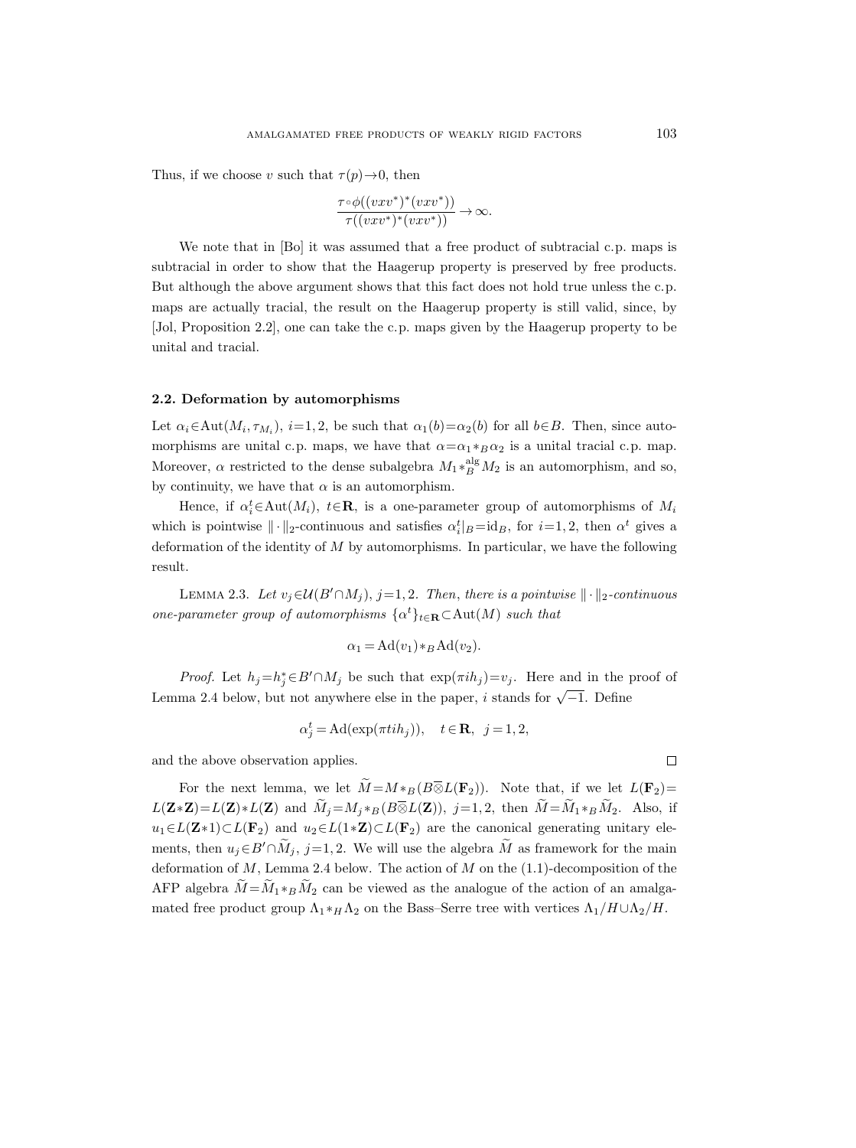Thus, if we choose v such that  $\tau(p) \rightarrow 0$ , then

$$
\frac{\tau \circ \phi((vxv^*)^*(vxv^*))}{\tau((vxv^*)^*(vxv^*))} \to \infty.
$$

We note that in [Bo] it was assumed that a free product of subtracial c.p. maps is subtracial in order to show that the Haagerup property is preserved by free products. But although the above argument shows that this fact does not hold true unless the c.p. maps are actually tracial, the result on the Haagerup property is still valid, since, by [Jol, Proposition 2.2], one can take the c.p. maps given by the Haagerup property to be unital and tracial.

#### 2.2. Deformation by automorphisms

Let  $\alpha_i \in \text{Aut}(M_i, \tau_{M_i}), i=1, 2$ , be such that  $\alpha_1(b)=\alpha_2(b)$  for all  $b \in B$ . Then, since automorphisms are unital c.p. maps, we have that  $\alpha = \alpha_1 * B \alpha_2$  is a unital tracial c.p. map. Moreover,  $\alpha$  restricted to the dense subalgebra  $M_1 *_{B}^{\text{alg}} M_2$  is an automorphism, and so, by continuity, we have that  $\alpha$  is an automorphism.

Hence, if  $\alpha_i^t \in \text{Aut}(M_i)$ ,  $t \in \mathbb{R}$ , is a one-parameter group of automorphisms of  $M_i$ which is pointwise  $\|\cdot\|_2$ -continuous and satisfies  $\alpha_i^t|_B = id_B$ , for  $i=1, 2$ , then  $\alpha^t$  gives a deformation of the identity of  $M$  by automorphisms. In particular, we have the following result.

LEMMA 2.3. Let  $v_j \in \mathcal{U}(B' \cap M_j)$ , j=1, 2. Then, there is a pointwise  $\|\cdot\|_2$ -continuous one-parameter group of automorphisms  $\{\alpha^t\}_{t\in \mathbf{R}} \subset \text{Aut}(M)$  such that

$$
\alpha_1 = \operatorname{Ad}(v_1) *_{B} \operatorname{Ad}(v_2).
$$

*Proof.* Let  $h_j = h_j^* \in B' \cap M_j$  be such that  $\exp(\pi i h_j) = v_j$ . Here and in the proof of Lemma 2.4 below, but not anywhere else in the paper, i stands for  $\sqrt{-1}$ . Define

$$
\alpha_j^t = \mathrm{Ad}(\exp(\pi t i h_j)), \quad t \in \mathbf{R}, \ \ j = 1, 2,
$$

and the above observation applies.

For the next lemma, we let  $\widetilde{M} = M *_{B}(B \overline{\otimes} L(\mathbf{F}_2))$ . Note that, if we let  $L(\mathbf{F}_2) =$  $L(\mathbf{Z}*\mathbf{Z})=L(\mathbf{Z})*L(\mathbf{Z})$  and  $\widetilde{M}_j=M_j*_B(B\overline{\otimes}L(\mathbf{Z})), j=1,2$ , then  $\widetilde{M}=\widetilde{M}_1*_B\widetilde{M}_2$ . Also, if  $u_1 \in L(\mathbf{Z} * 1) \subset L(\mathbf{F}_2)$  and  $u_2 \in L(1*\mathbf{Z}) \subset L(\mathbf{F}_2)$  are the canonical generating unitary elements, then  $u_i \in B' \cap \widetilde{M}_i$ , j=1,2. We will use the algebra  $\widetilde{M}$  as framework for the main deformation of  $M$ , Lemma 2.4 below. The action of  $M$  on the  $(1.1)$ -decomposition of the AFP algebra  $\widetilde{M} = \widetilde{M}_1 *_{\widetilde{B}} \widetilde{M}_2$  can be viewed as the analogue of the action of an amalgamated free product group  $\Lambda_1 *_{H} \Lambda_2$  on the Bass–Serre tree with vertices  $\Lambda_1/H \cup \Lambda_2/H$ .

 $\Box$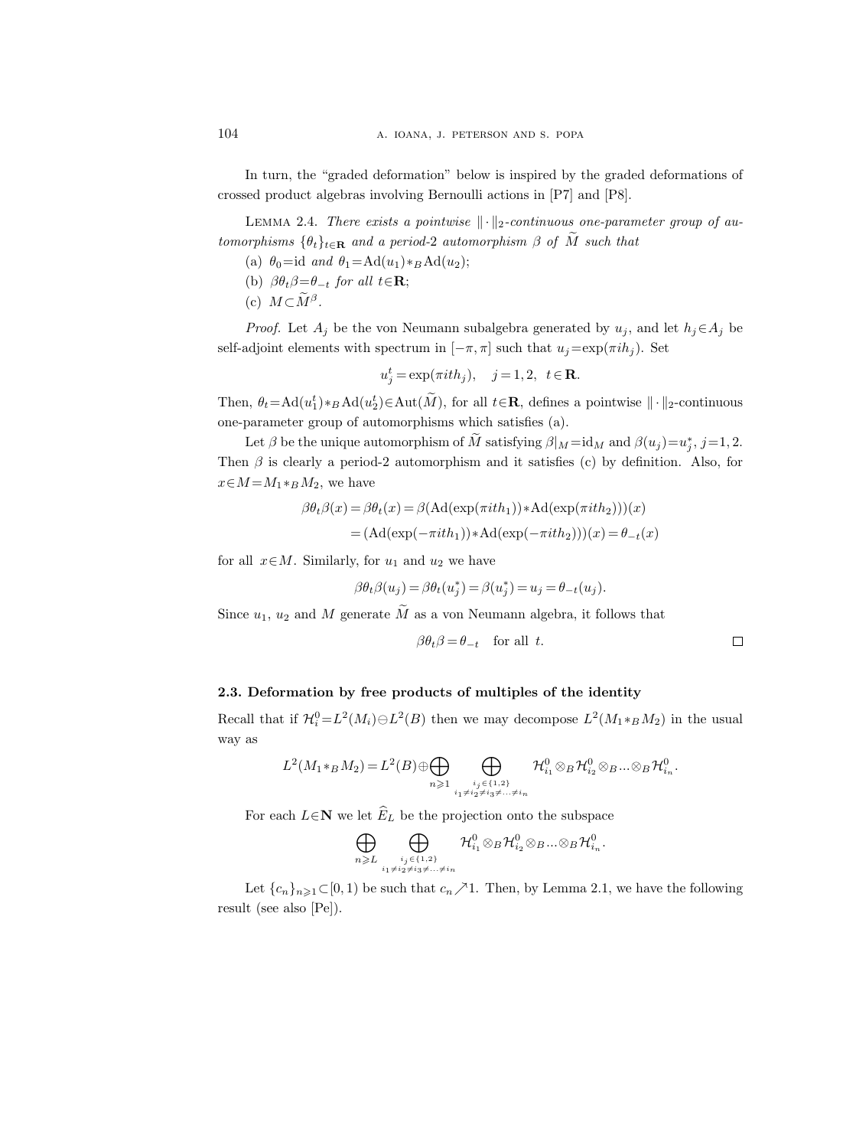In turn, the "graded deformation" below is inspired by the graded deformations of crossed product algebras involving Bernoulli actions in [P7] and [P8].

LEMMA 2.4. There exists a pointwise  $\|\cdot\|_2$ -continuous one-parameter group of automorphisms  $\{\theta_t\}_{t\in\mathbf{R}}$  and a period-2 automorphism  $\beta$  of  $\tilde{M}$  such that

(a)  $\theta_0 = id$  and  $\theta_1 = \text{Ad}(u_1) *_{\text{B}} \text{Ad}(u_2);$ 

- (b)  $\beta \theta_t \beta = \theta_{-t}$  for all  $t \in \mathbf{R}$ ;
- (c)  $M \subset M^{\beta}$ .

*Proof.* Let  $A_j$  be the von Neumann subalgebra generated by  $u_j$ , and let  $h_j \in A_j$  be self-adjoint elements with spectrum in  $[-\pi, \pi]$  such that  $u_i = \exp(\pi i h_i)$ . Set

$$
u_j^t = \exp(\pi i t h_j), \quad j = 1, 2, \ t \in \mathbf{R}.
$$

Then,  $\theta_t = \text{Ad}(u_1^t) *_{B} \text{Ad}(u_2^t) \in \text{Aut}(\tilde{M})$ , for all  $t \in \mathbb{R}$ , defines a pointwise  $\| \cdot \|_2$ -continuous one-parameter group of automorphisms which satisfies (a).

Let  $\beta$  be the unique automorphism of  $\tilde{M}$  satisfying  $\beta|_M = id_M$  and  $\beta(u_j) = u_j^*$ ,  $j = 1, 2$ . Then  $\beta$  is clearly a period-2 automorphism and it satisfies (c) by definition. Also, for  $x \in M = M_1 *_{B} M_2$ , we have

$$
\beta \theta_t \beta(x) = \beta \theta_t(x) = \beta(\text{Ad}(\exp(\pi i t h_1)) * \text{Ad}(\exp(\pi i t h_2)))(x)
$$
  
=  $(\text{Ad}(\exp(-\pi i t h_1)) * \text{Ad}(\exp(-\pi i t h_2)))(x) = \theta_{-t}(x)$ 

for all  $x \in M$ . Similarly, for  $u_1$  and  $u_2$  we have

$$
\beta \theta_t \beta(u_j) = \beta \theta_t(u_j^*) = \beta(u_j^*) = u_j = \theta_{-t}(u_j).
$$

Since  $u_1, u_2$  and M generate M as a von Neumann algebra, it follows that

$$
\beta \theta_t \beta = \theta_{-t} \quad \text{for all } t. \qquad \qquad \Box
$$

# 2.3. Deformation by free products of multiples of the identity

Recall that if  $\mathcal{H}^0_i = L^2(M_i) \ominus L^2(B)$  then we may decompose  $L^2(M_1 *_{B} M_2)$  in the usual way as

$$
L^2(M_1 *_B M_2) = L^2(B) \oplus \bigoplus_{n \geqslant 1} \bigoplus_{\substack{i_j \in \{1,2\} \\ i_1 \neq i_2 \neq i_3 \neq \ldots \neq i_n}} \mathcal{H}^0_{i_1} \otimes_B \mathcal{H}^0_{i_2} \otimes_B \ldots \otimes_B \mathcal{H}^0_{i_n}.
$$

For each  $L \in \mathbb{N}$  we let  $\widehat{E}_L$  be the projection onto the subspace

$$
\bigoplus_{n\geqslant L}\bigoplus_{\stackrel{i_j\in\{1,2\}}{_{i_1\neq i_2\neq i_3\neq\ldots\neq i_n}}} \mathcal{H}^0_{i_1}\otimes_B\mathcal{H}^0_{i_2}\otimes_B\ldots\otimes_B\mathcal{H}^0_{i_n}.
$$

Let  ${c_n}_{n\geq 1} \subset [0, 1)$  be such that  $c_n \nearrow 1$ . Then, by Lemma 2.1, we have the following result (see also [Pe]).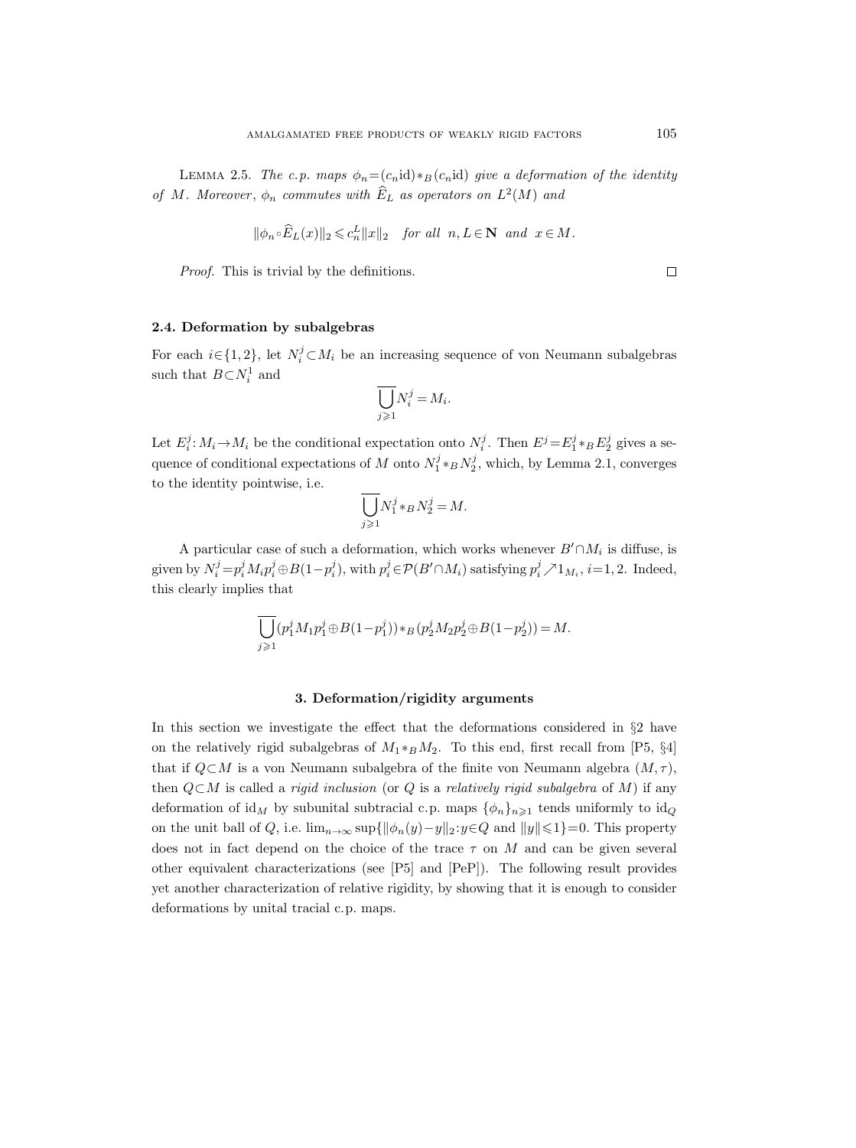LEMMA 2.5. The c.p. maps  $\phi_n = (c_n \text{id}) *_B (c_n \text{id})$  give a deformation of the identity of M. Moreover,  $\phi_n$  commutes with  $E_L$  as operators on  $L^2(M)$  and

$$
\|\phi_n \circ \widehat{E}_L(x)\|_2 \leqslant c_n^L \|x\|_2 \quad \text{for all} \ \ n, L \in \mathbf{N} \ \text{and} \ \ x \in M.
$$

Proof. This is trivial by the definitions.

2.4. Deformation by subalgebras

For each  $i \in \{1, 2\}$ , let  $N_i^j \subset M_i$  be an increasing sequence of von Neumann subalgebras such that  $B \subset N_i^1$  and

$$
\overline{\bigcup_{j\geqslant 1}} N_i^j = M_i.
$$

Let  $E_i^j: M_i \to M_i$  be the conditional expectation onto  $N_i^j$ . Then  $E^j = E_1^j * _B E_2^j$  gives a sequence of conditional expectations of M onto  $N_1^j *_B N_2^j$ , which, by Lemma 2.1, converges to the identity pointwise, i.e.

$$
\overline{\bigcup}_{j\geqslant 1} N_1^j \ast_B N_2^j = M.
$$

A particular case of such a deformation, which works whenever  $B' \cap M_i$  is diffuse, is given by  $N_i^j = p_i^j M_i p_i^j \oplus B(1-p_i^j)$ , with  $p_i^j \in \mathcal{P}(B' \cap M_i)$  satisfying  $p_i^j \nearrow 1_{M_i}$ ,  $i=1,2$ . Indeed, this clearly implies that

$$
\overline{\bigcup_{j\geqslant 1}}(p_1^jM_1p_1^j\oplus B(1-p_1^j))*_B(p_2^jM_2p_2^j\oplus B(1-p_2^j))=M.
$$

#### 3. Deformation/rigidity arguments

In this section we investigate the effect that the deformations considered in §2 have on the relatively rigid subalgebras of  $M_1 *_{B} M_2$ . To this end, first recall from [P5, §4] that if  $Q\subset M$  is a von Neumann subalgebra of the finite von Neumann algebra  $(M, \tau)$ , then  $Q\subset M$  is called a *rigid inclusion* (or Q is a *relatively rigid subalgebra* of M) if any deformation of id<sub>M</sub> by subunital subtracial c.p. maps  $\{\phi_n\}_{n\geq 1}$  tends uniformly to id<sub>Q</sub> on the unit ball of Q, i.e.  $\lim_{n\to\infty} \sup\{\|\phi_n(y)-y\|_2 : y\in Q \text{ and } \|y\|\leq 1\}=0.$  This property does not in fact depend on the choice of the trace  $\tau$  on M and can be given several other equivalent characterizations (see [P5] and [PeP]). The following result provides yet another characterization of relative rigidity, by showing that it is enough to consider deformations by unital tracial c.p. maps.

 $\Box$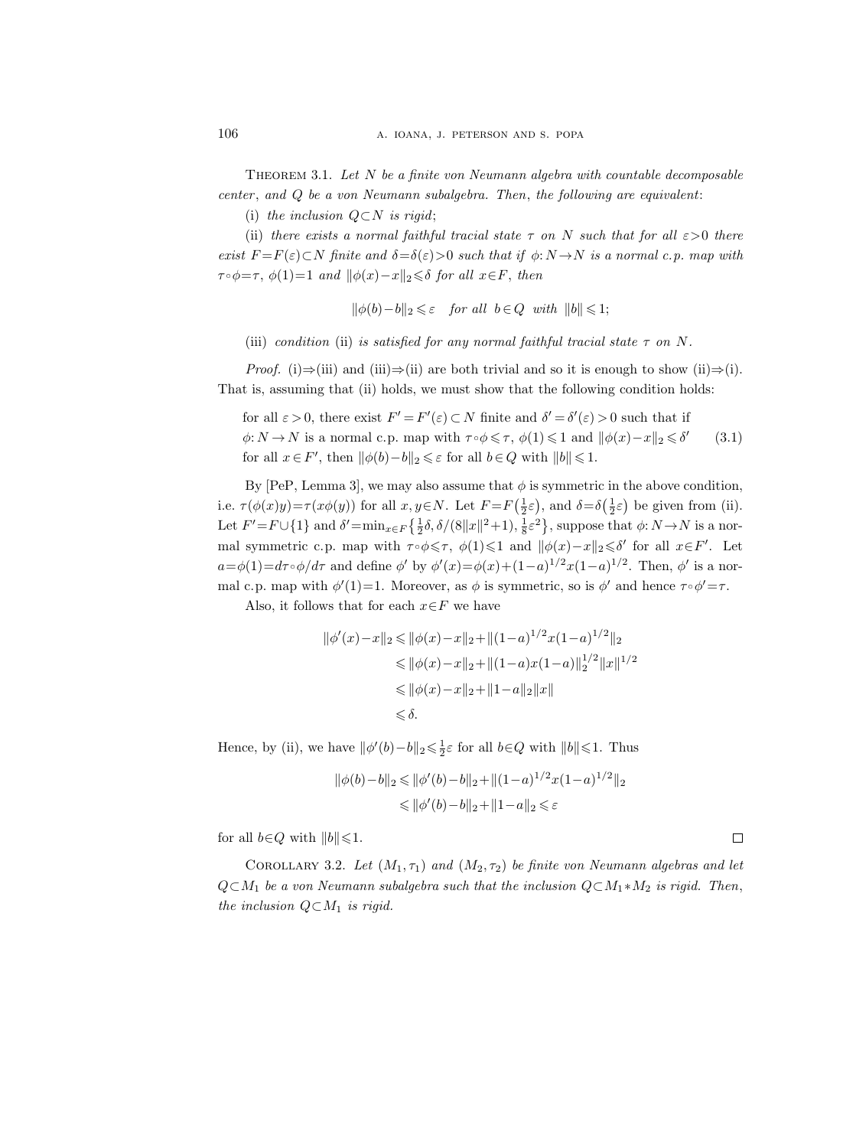THEOREM 3.1. Let  $N$  be a finite von Neumann algebra with countable decomposable  $center, and Q be a von Neumann subalgebra. Then, the following are equivalent:\n $\begin{bmatrix}\n a_{11} & b_{12} \\
c_{21} & c_{22}\n \end{bmatrix}$$ 

(i) the inclusion  $Q\subset N$  is rigid;

(ii) there exists a normal faithful tracial state  $\tau$  on N such that for all  $\varepsilon > 0$  there exist  $F = F(\varepsilon) \subset N$  finite and  $\delta = \delta(\varepsilon) > 0$  such that if  $\phi: N \to N$  is a normal c.p. map with  $\tau \circ \phi = \tau$ ,  $\phi(1)=1$  and  $\|\phi(x)-x\|_2 \leq \delta$  for all  $x \in F$ , then

 $\|\phi(b)-b\|_2 \leqslant \varepsilon$  for all  $b \in Q$  with  $\|b\| \leqslant 1;$ 

(iii) condition (ii) is satisfied for any normal faithful tracial state  $\tau$  on N.

*Proof.* (i)⇒(iii) and (iii)⇒(ii) are both trivial and so it is enough to show (ii)⇒(i). That is, assuming that (ii) holds, we must show that the following condition holds:

for all  $\varepsilon > 0$ , there exist  $F' = F'(\varepsilon) \subset N$  finite and  $\delta' = \delta'(\varepsilon) > 0$  such that if  $\phi: N \to N$  is a normal c.p. map with  $\tau \circ \phi \leq \tau$ ,  $\phi(1) \leq 1$  and  $\|\phi(x)-x\|_2 \leq \delta'$ for all  $x \in F'$ , then  $\|\phi(b)-b\|_2 \leq \varepsilon$  for all  $b \in Q$  with  $\|b\| \leq 1$ . (3.1)

By [PeP, Lemma 3], we may also assume that  $\phi$  is symmetric in the above condition, i.e.  $\tau(\phi(x)y) = \tau(x\phi(y))$  for all  $x, y \in N$ . Let  $F = F(\frac{1}{2}\varepsilon)$ , and  $\delta = \delta(\frac{1}{2}\varepsilon)$  be given from (ii). Let  $F' = F \cup \{1\}$  and  $\delta' = \min_{x \in F} \{\frac{1}{2}\delta, \delta/(8||x||^2+1), \frac{1}{8}\varepsilon^2\}$ , suppose that  $\phi: N \to N$  is a normal symmetric c.p. map with  $\tau \circ \phi \leqslant \tau$ ,  $\phi(1) \leqslant 1$  and  $\|\phi(x)-x\|_2 \leqslant \delta'$  for all  $x \in F'$ . Let  $a = \phi(1) = d\tau \circ \phi/d\tau$  and define  $\phi'$  by  $\phi'(x) = \phi(x) + (1-a)^{1/2}x(1-a)^{1/2}$ . Then,  $\phi'$  is a normal c.p. map with  $\phi'(1)=1$ . Moreover, as  $\phi$  is symmetric, so is  $\phi'$  and hence  $\tau \circ \phi' = \tau$ .

Also, it follows that for each  $x \in F$  we have

$$
\|\phi'(x) - x\|_2 \le \|\phi(x) - x\|_2 + \|(1 - a)^{1/2}x(1 - a)^{1/2}\|_2
$$
  
\n
$$
\le \|\phi(x) - x\|_2 + \|(1 - a)x(1 - a)\|_2^{1/2} \|x\|^{1/2}
$$
  
\n
$$
\le \|\phi(x) - x\|_2 + \|1 - a\|_2 \|x\|
$$
  
\n
$$
\le \delta.
$$

Hence, by (ii), we have  $\|\phi'(b)-b\|_2 \leq \frac{1}{2}\varepsilon$  for all  $b \in Q$  with  $\|b\| \leq 1$ . Thus

$$
\|\phi(b) - b\|_2 \le \|\phi'(b) - b\|_2 + \|(1 - a)^{1/2}x(1 - a)^{1/2}\|_2
$$
  

$$
\le \|\phi'(b) - b\|_2 + \|1 - a\|_2 \le \varepsilon
$$

for all  $b \in Q$  with  $||b|| \leq 1$ .

COROLLARY 3.2. Let  $(M_1, \tau_1)$  and  $(M_2, \tau_2)$  be finite von Neumann algebras and let  $Q\subset M_1$  be a von Neumann subalgebra such that the inclusion  $Q\subset M_1 * M_2$  is rigid. Then, the inclusion  $Q \subset M_1$  is rigid.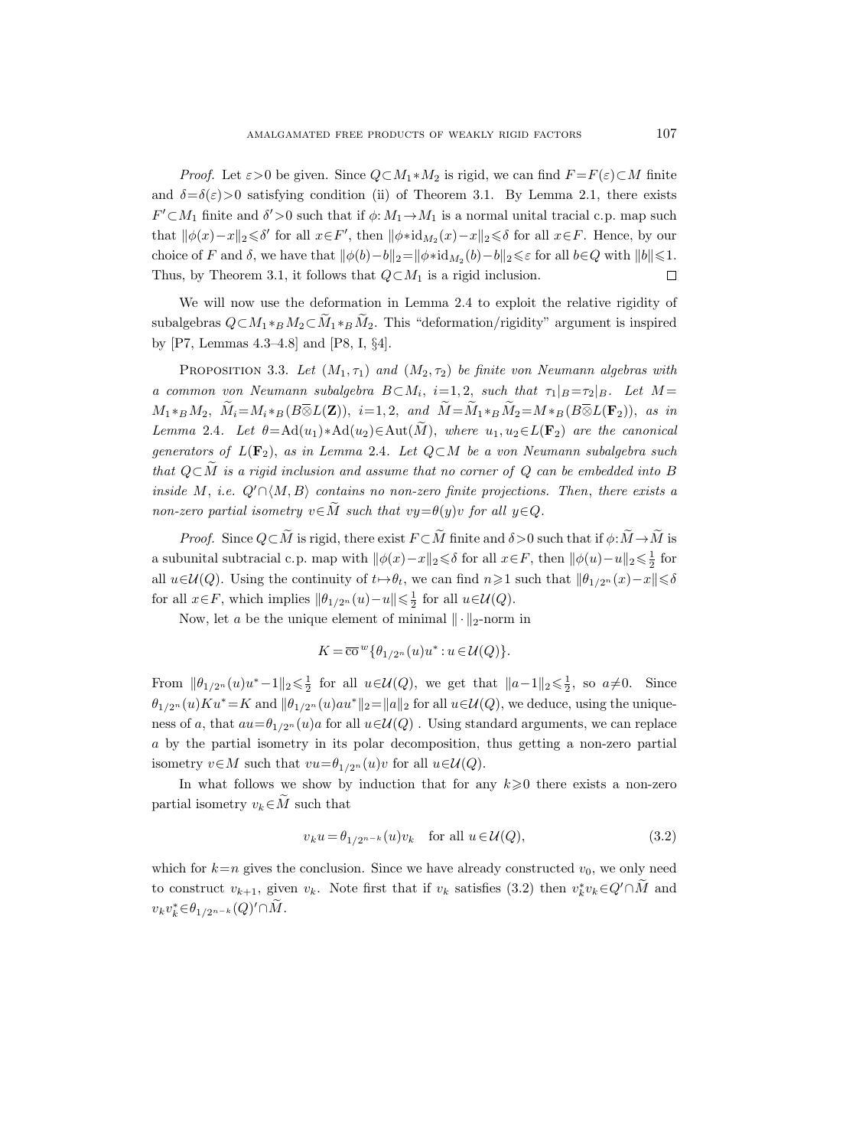*Proof.* Let  $\varepsilon > 0$  be given. Since  $Q \subset M_1 * M_2$  is rigid, we can find  $F = F(\varepsilon) \subset M$  finite and  $\delta = \delta(\varepsilon) > 0$  satisfying condition (ii) of Theorem 3.1. By Lemma 2.1, there exists  $F' \subset M_1$  finite and  $\delta' > 0$  such that if  $\phi: M_1 \to M_1$  is a normal unital tracial c.p. map such that  $\|\phi(x)-x\|_2 \leq \delta'$  for all  $x \in F'$ , then  $\|\phi \cdot id_{M_2}(x)-x\|_2 \leq \delta$  for all  $x \in F$ . Hence, by our choice of F and  $\delta$ , we have that  $\|\phi(b)-b\|_2=\|\phi * id_{M_2}(b)-b\|_2 \leq \varepsilon$  for all  $b \in Q$  with  $\|b\| \leq 1$ . Thus, by Theorem 3.1, it follows that  $Q \subset M_1$  is a rigid inclusion.  $\Box$ 

We will now use the deformation in Lemma 2.4 to exploit the relative rigidity of subalgebras  $Q \subset M_1 *_{B} M_2 \subset M_1 *_{B} M_2$ . This "deformation/rigidity" argument is inspired by [P7, Lemmas 4.3–4.8] and [P8, I, §4].

PROPOSITION 3.3. Let  $(M_1, \tau_1)$  and  $(M_2, \tau_2)$  be finite von Neumann algebras with a common von Neumann subalgebra  $B \subset M_i$ , i=1,2, such that  $\tau_1|_{B} = \tau_2|_{B}$ . Let  $M =$  $M_1*_BM_2$ ,  $\widetilde{M}_i = M_i*_B(B \overline{\otimes} L(\mathbf{Z}))$ ,  $i=1,2$ , and  $\widetilde{M} = \widetilde{M}_1*_B \widetilde{M}_2 = M*_B(B \overline{\otimes} L(\mathbf{F}_2))$ , as in Lemma 2.4. Let  $\theta = \text{Ad}(u_1) * \text{Ad}(u_2) \in \text{Aut}(\widetilde{M})$ , where  $u_1, u_2 \in L(\mathbf{F}_2)$  are the canonical generators of  $L(\mathbf{F}_2)$ , as in Lemma 2.4. Let  $Q \subset M$  be a von Neumann subalgebra such that  $Q \subset M$  is a rigid inclusion and assume that no corner of Q can be embedded into B inside M, i.e.  $Q' \cap \langle M, B \rangle$  contains no non-zero finite projections. Then, there exists a non-zero partial isometry  $v \in M$  such that  $vy = \theta(y)v$  for all  $y \in Q$ .

*Proof.* Since  $Q \subset \widetilde{M}$  is rigid, there exist  $F \subset \widetilde{M}$  finite and  $\delta > 0$  such that if  $\phi : \widetilde{M} \to \widetilde{M}$  is a subunital subtracial c.p. map with  $\|\phi(x)-x\|_2 \leq \delta$  for all  $x \in F$ , then  $\|\phi(u)-u\|_2 \leq \frac{1}{2}$  for all  $u \in \mathcal{U}(Q)$ . Using the continuity of  $t \mapsto \theta_t$ , we can find  $n \geq 1$  such that  $\|\theta_{1/2n} (x) - x\| \leq \delta$ for all  $x \in F$ , which implies  $\|\theta_{1/2^n}(u) - u\| \leq \frac{1}{2}$  for all  $u \in \mathcal{U}(Q)$ .

Now, let a be the unique element of minimal  $\|\cdot\|_2$ -norm in

$$
K = \overline{\textrm{co}}^{\,w} \{ \theta_{1/2^n}(u) u^* : u \in \mathcal{U}(Q) \}.
$$

From  $\|\theta_{1/2^n}(u)u^*-1\|_2 \leq \frac{1}{2}$  for all  $u \in \mathcal{U}(Q)$ , we get that  $\|a-1\|_2 \leq \frac{1}{2}$ , so  $a \neq 0$ . Since  $\theta_{1/2^n}(u)Ku^*=K$  and  $\|\theta_{1/2^n}(u)au^*\|_2=\|a\|_2$  for all  $u\in\mathcal{U}(Q)$ , we deduce, using the uniqueness of a, that  $au=\theta_{1/2n}(u)a$  for all  $u\in\mathcal{U}(Q)$ . Using standard arguments, we can replace a by the partial isometry in its polar decomposition, thus getting a non-zero partial isometry  $v \in M$  such that  $vu = \theta_{1/2^n}(u)v$  for all  $u \in \mathcal{U}(Q)$ .

In what follows we show by induction that for any  $k\geqslant 0$  there exists a non-zero partial isometry  $v_k \in \widetilde{M}$  such that

$$
v_k u = \theta_{1/2^{n-k}}(u)v_k \quad \text{for all } u \in \mathcal{U}(Q), \tag{3.2}
$$

which for  $k=n$  gives the conclusion. Since we have already constructed  $v_0$ , we only need to construct  $v_{k+1}$ , given  $v_k$ . Note first that if  $v_k$  satisfies (3.2) then  $v_k^* v_k \in Q' \cap \tilde{M}$  and  $v_kv_k^* \in \theta_{1/2^{n-k}}(Q)' \cap \tilde{M}.$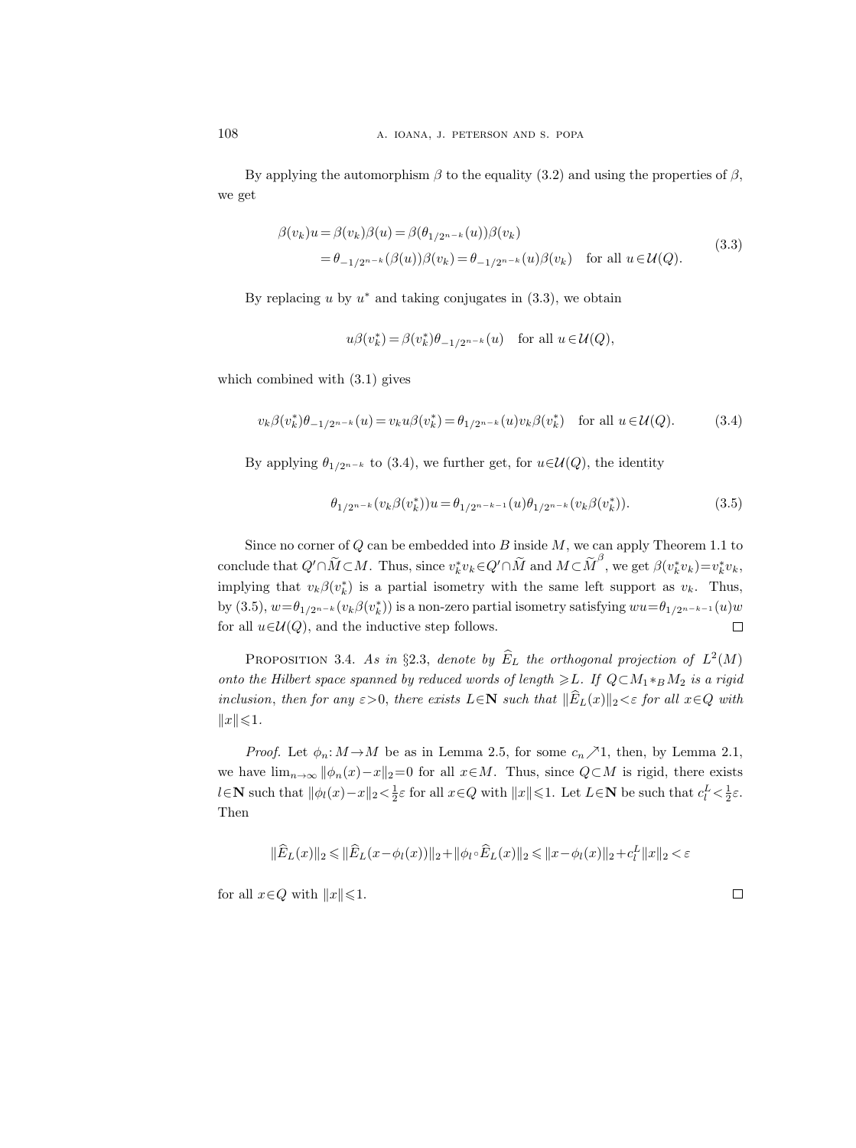By applying the automorphism  $\beta$  to the equality (3.2) and using the properties of  $\beta$ , we get

$$
\beta(v_k)u = \beta(v_k)\beta(u) = \beta(\theta_{1/2^{n-k}}(u))\beta(v_k)
$$
  
=  $\theta_{-1/2^{n-k}}(\beta(u))\beta(v_k) = \theta_{-1/2^{n-k}}(u)\beta(v_k)$  for all  $u \in \mathcal{U}(Q)$ . (3.3)

By replacing  $u$  by  $u^*$  and taking conjugates in  $(3.3)$ , we obtain

$$
u\beta(v_k^*) = \beta(v_k^*)\theta_{-1/2^{n-k}}(u) \quad \text{for all } u \in \mathcal{U}(Q),
$$

which combined with (3.1) gives

$$
v_k \beta(v_k^*) \theta_{-1/2^{n-k}}(u) = v_k u \beta(v_k^*) = \theta_{1/2^{n-k}}(u) v_k \beta(v_k^*) \quad \text{for all } u \in \mathcal{U}(Q). \tag{3.4}
$$

By applying  $\theta_{1/2^{n-k}}$  to (3.4), we further get, for  $u \in \mathcal{U}(Q)$ , the identity

$$
\theta_{1/2^{n-k}}(v_k\beta(v_k^*))u = \theta_{1/2^{n-k-1}}(u)\theta_{1/2^{n-k}}(v_k\beta(v_k^*))
$$
 (3.5)

Since no corner of  $Q$  can be embedded into  $B$  inside  $M$ , we can apply Theorem 1.1 to conclude that  $Q' \cap \widetilde{M} \subset M$ . Thus, since  $v_k^* v_k \in Q' \cap \widetilde{M}$  and  $M \subset \widetilde{M}^{\beta}$ , we get  $\beta(v_k^* v_k) = v_k^* v_k$ , implying that  $v_k \beta(v_k^*)$  is a partial isometry with the same left support as  $v_k$ . Thus, by (3.5),  $w = \theta_{1/2^{n-k}}(v_k \beta(v_k^*))$  is a non-zero partial isometry satisfying  $w u = \theta_{1/2^{n-k-1}}(u)w$ for all  $u \in \mathcal{U}(Q)$ , and the inductive step follows.  $\Box$ 

PROPOSITION 3.4. As in §2.3, denote by  $\widehat{E}_L$  the orthogonal projection of  $L^2(M)$ onto the Hilbert space spanned by reduced words of length  $\geq L$ . If  $Q \subset M_1 *_{B} M_2$  is a rigid inclusion, then for any  $\varepsilon > 0$ , there exists  $L \in \mathbb{N}$  such that  $\|\widehat{E}_L(x)\|_2 < \varepsilon$  for all  $x \in Q$  with  $||x|| \leq 1.$ 

*Proof.* Let  $\phi_n: M \to M$  be as in Lemma 2.5, for some  $c_n \nearrow 1$ , then, by Lemma 2.1, we have  $\lim_{n\to\infty} ||\phi_n(x)-x||_2=0$  for all  $x\in M$ . Thus, since  $Q\subset M$  is rigid, there exists l∈N such that  $||\phi_l(x) - x||_2 < \frac{1}{2}\varepsilon$  for all  $x \in Q$  with  $||x|| \leq 1$ . Let  $L \in \mathbb{N}$  be such that  $c_l^L < \frac{1}{2}\varepsilon$ . Then

$$
\|\widehat{E}_L(x)\|_2\leqslant\|\widehat{E}_L(x-\phi_l(x))\|_2+\|\phi_l\circ\widehat{E}_L(x)\|_2\leqslant\|x-\phi_l(x)\|_2+c_l^L\|x\|_2<\varepsilon
$$

for all  $x \in Q$  with  $||x|| \leq 1$ .

 $\Box$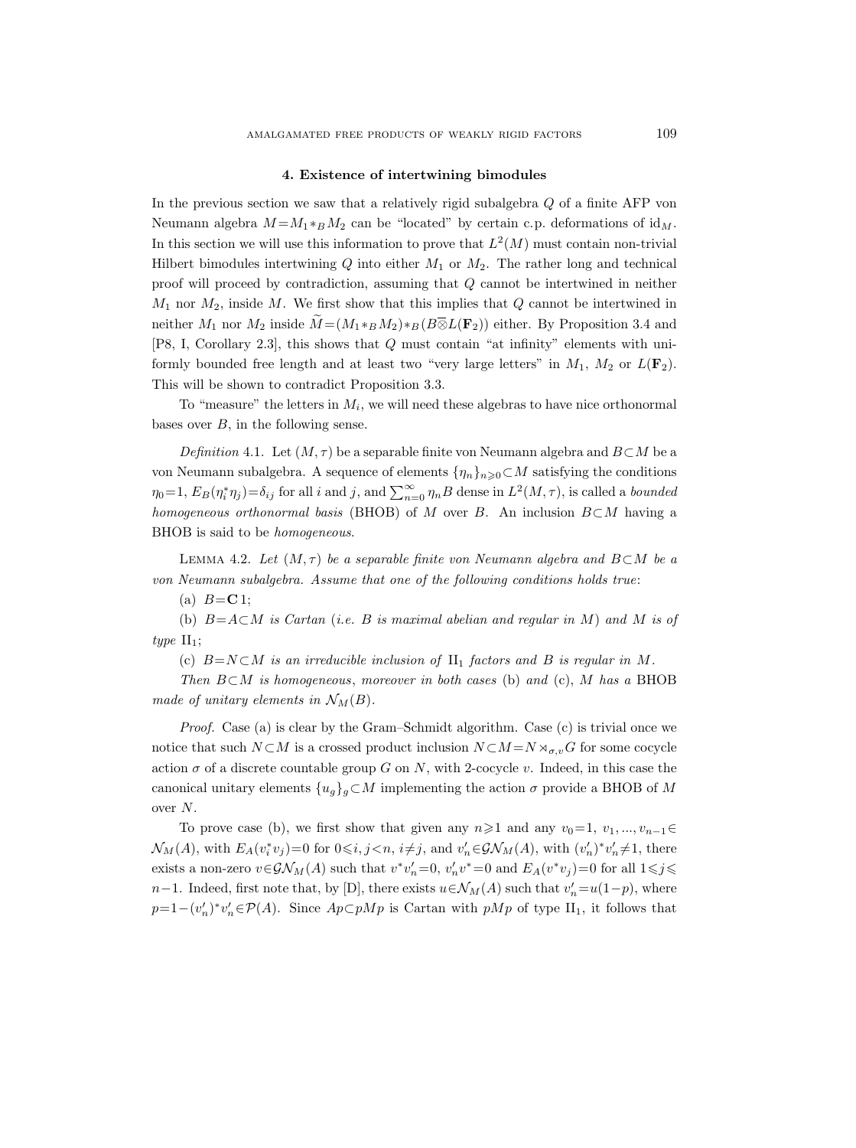# 4. Existence of intertwining bimodules

In the previous section we saw that a relatively rigid subalgebra Q of a finite AFP von Neumann algebra  $M = M_1 *_{\mathcal{B}} M_2$  can be "located" by certain c.p. deformations of id<sub>M</sub>. In this section we will use this information to prove that  $L^2(M)$  must contain non-trivial Hilbert bimodules intertwining  $Q$  into either  $M_1$  or  $M_2$ . The rather long and technical proof will proceed by contradiction, assuming that Q cannot be intertwined in neither  $M_1$  nor  $M_2$ , inside M. We first show that this implies that  $Q$  cannot be intertwined in neither  $M_1$  nor  $M_2$  inside  $\widetilde{M} = (M_1 *_B M_2) *_B (B \overline{\otimes} L(\mathbf{F}_2))$  either. By Proposition 3.4 and [P8, I, Corollary 2.3], this shows that Q must contain "at infinity" elements with uniformly bounded free length and at least two "very large letters" in  $M_1$ ,  $M_2$  or  $L(\mathbf{F}_2)$ . This will be shown to contradict Proposition 3.3.

To "measure" the letters in  $M_i$ , we will need these algebras to have nice orthonormal bases over  $B$ , in the following sense.

Definition 4.1. Let  $(M, \tau)$  be a separable finite von Neumann algebra and  $B\subset M$  be a von Neumann subalgebra. A sequence of elements  $\{\eta_n\}_{n\geq 0} \subset M$  satisfying the conditions  $\eta_0=1$ ,  $E_B(\eta_i^*\eta_j)=\delta_{ij}$  for all i and j, and  $\sum_{n=0}^{\infty}\eta_nB$  dense in  $L^2(M,\tau)$ , is called a bounded homogeneous orthonormal basis (BHOB) of M over B. An inclusion  $B\subset M$  having a BHOB is said to be homogeneous.

LEMMA 4.2. Let  $(M, \tau)$  be a separable finite von Neumann algebra and B⊂M be a von Neumann subalgebra. Assume that one of the following conditions holds true:

(a)  $B = C 1$ ;

(b)  $B=A\subset M$  is Cartan (i.e. B is maximal abelian and regular in M) and M is of type  $II_1$ ;

(c)  $B=N\subset M$  is an irreducible inclusion of  $\text{II}_1$  factors and B is regular in M.

Then  $B\subset M$  is homogeneous, moreover in both cases (b) and (c), M has a BHOB made of unitary elements in  $\mathcal{N}_M(B)$ .

Proof. Case (a) is clear by the Gram–Schmidt algorithm. Case (c) is trivial once we notice that such  $N \subset M$  is a crossed product inclusion  $N \subset M = N \rtimes_{\sigma,v} G$  for some cocycle action  $\sigma$  of a discrete countable group G on N, with 2-cocycle v. Indeed, in this case the canonical unitary elements  $\{u_g\}_g \subset M$  implementing the action  $\sigma$  provide a BHOB of M over N.

To prove case (b), we first show that given any  $n\geq 1$  and any  $v_0=1, v_1, ..., v_{n-1} \in$  $\mathcal{N}_M(A)$ , with  $E_A(v_i^* v_j)=0$  for  $0 \le i, j < n, i \ne j$ , and  $v'_n \in \mathcal{GN}_M(A)$ , with  $(v'_n)^* v'_n \ne 1$ , there exists a non-zero  $v \in \mathcal{GN}_M(A)$  such that  $v^*v'_n = 0$ ,  $v'_n v^* = 0$  and  $E_A(v^*v_j) = 0$  for all  $1 \leq j \leq$ n−1. Indeed, first note that, by [D], there exists  $u \in \mathcal{N}_M(A)$  such that  $v'_n = u(1-p)$ , where  $p=1-(v'_n)^*v'_n\in\mathcal{P}(A)$ . Since  $Ap\subset pMp$  is Cartan with  $pMp$  of type II<sub>1</sub>, it follows that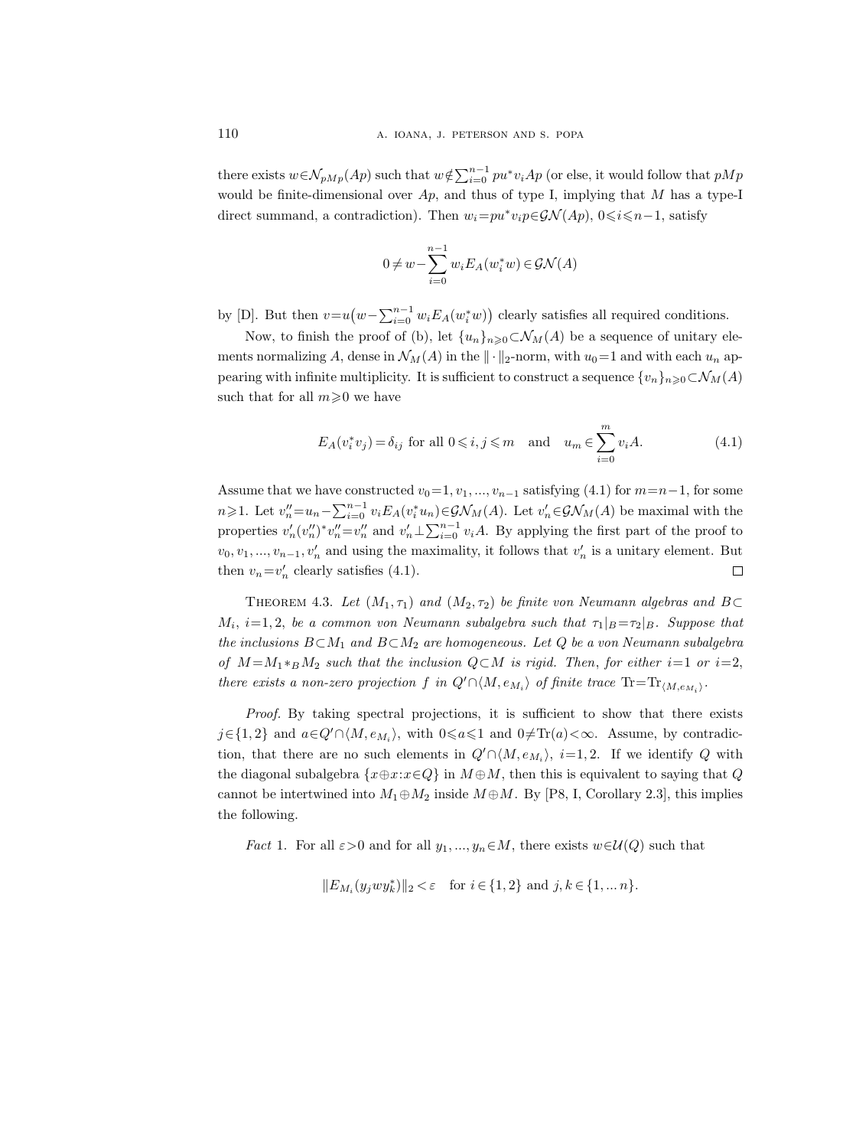there exists  $w \in \mathcal{N}_{pMp}(Ap)$  such that  $w \notin \sum_{i=0}^{n-1} pu^*v_iAp$  (or else, it would follow that  $pMp$ would be finite-dimensional over  $Ap$ , and thus of type I, implying that M has a type-I direct summand, a contradiction). Then  $w_i = pu^*v_i p \in \mathcal{GN}(Ap)$ ,  $0 \leq i \leq n-1$ , satisfy

$$
0 \neq w - \sum_{i=0}^{n-1} w_i E_A(w_i^* w) \in \mathcal{GN}(A)
$$

by [D]. But then  $v=u(w-\sum_{i=0}^{n-1} w_i E_A(w_i^*w))$  clearly satisfies all required conditions.

Now, to finish the proof of (b), let  $\{u_n\}_{n\geq 0} \subset \mathcal{N}_M(A)$  be a sequence of unitary elements normalizing A, dense in  $\mathcal{N}_M(A)$  in the  $\|\cdot\|_2$ -norm, with  $u_0=1$  and with each  $u_n$  appearing with infinite multiplicity. It is sufficient to construct a sequence  $\{v_n\}_{n\geq 0}\subset \mathcal{N}_M(A)$ such that for all  $m \geqslant 0$  we have

$$
E_A(v_i^*v_j) = \delta_{ij} \text{ for all } 0 \leqslant i, j \leqslant m \quad \text{and} \quad u_m \in \sum_{i=0}^m v_i A. \tag{4.1}
$$

Assume that we have constructed  $v_0=1, v_1, ..., v_{n-1}$  satisfying (4.1) for  $m=n-1$ , for some  $n \geq 1$ . Let  $v''_n = u_n - \sum_{i=0}^{n-1} v_i E_A(v_i^* u_n) \in \mathcal{GN}_M(A)$ . Let  $v'_n \in \mathcal{GN}_M(A)$  be maximal with the properties  $v'_n(v''_n)^*v''_n=v''_n$  and  $v'_n\perp\sum_{i=0}^{n-1}v_iA$ . By applying the first part of the proof to  $v_0, v_1, ..., v_{n-1}, v'_n$  and using the maximality, it follows that  $v'_n$  is a unitary element. But then  $v_n = v'_n$  clearly satisfies (4.1).  $\Box$ 

THEOREM 4.3. Let  $(M_1, \tau_1)$  and  $(M_2, \tau_2)$  be finite von Neumann algebras and B⊂  $M_i$ ,  $i=1,2$ , be a common von Neumann subalgebra such that  $\tau_1|_B = \tau_2|_B$ . Suppose that the inclusions  $B \subset M_1$  and  $B \subset M_2$  are homogeneous. Let Q be a von Neumann subalgebra of  $M = M_1 *_{B} M_2$  such that the inclusion  $Q \subset M$  is rigid. Then, for either i=1 or i=2, there exists a non-zero projection f in  $Q' \cap \langle M, e_{M_i} \rangle$  of finite trace  $\text{Tr} = \text{Tr}_{\langle M, e_{M_i} \rangle}$ .

Proof. By taking spectral projections, it is sufficient to show that there exists  $j \in \{1, 2\}$  and  $a \in Q' \cap \langle M, e_{M_i} \rangle$ , with  $0 \le a \le 1$  and  $0 \ne \text{Tr}(a) < \infty$ . Assume, by contradiction, that there are no such elements in  $Q' \cap \langle M, e_{M_i} \rangle$ , i=1,2. If we identify Q with the diagonal subalgebra  $\{x \oplus x : x \in Q\}$  in  $M \oplus M$ , then this is equivalent to saying that Q cannot be intertwined into  $M_1 \oplus M_2$  inside  $M \oplus M$ . By [P8, I, Corollary 2.3], this implies the following.

*Fact* 1. For all  $\varepsilon > 0$  and for all  $y_1, ..., y_n \in M$ , there exists  $w \in \mathcal{U}(Q)$  such that

$$
||E_{M_i}(y_j w y_k^*)||_2 < \varepsilon \quad \text{for } i \in \{1,2\} \text{ and } j,k \in \{1, \dots n\}.
$$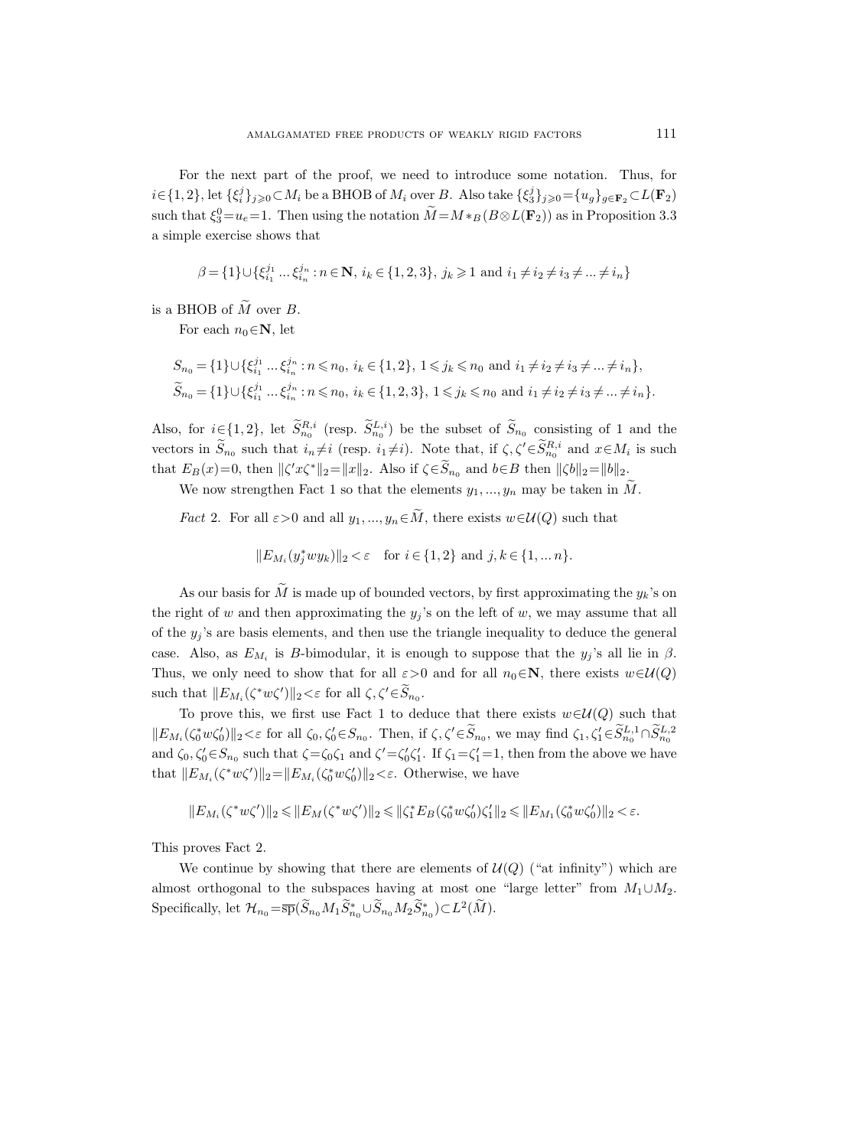For the next part of the proof, we need to introduce some notation. Thus, for  $i \in \{1,2\}, \text{let } \{\xi_i^j\}_{j\geqslant 0} \subset M_i \text{ be a BHOB of } M_i \text{ over } B. \text{ Also take } \{\xi_3^j\}_{j\geqslant 0} = \{u_g\}_{g \in \mathbf{F}_2} \subset L(\mathbf{F}_2)$ such that  $\xi_3^0=u_e=1$ . Then using the notation  $M=M\ast_B(B\otimes L(\mathbf{F}_2))$  as in Proposition 3.3 a simple exercise shows that

$$
\beta = \{1\} \cup \{\xi_{i_1}^{j_1} \dots \xi_{i_n}^{j_n} : n \in \mathbb{N}, i_k \in \{1, 2, 3\}, j_k \ge 1 \text{ and } i_1 \ne i_2 \ne i_3 \ne \dots \ne i_n\}
$$

is a BHOB of  $\tilde{M}$  over  $B$ .

For each  $n_0 \in \mathbb{N}$ , let

$$
S_{n_0} = \{1\} \cup \{\xi_{i_1}^{j_1} \dots \xi_{i_n}^{j_n} : n \le n_0, \ i_k \in \{1, 2\}, \ 1 \le j_k \le n_0 \text{ and } i_1 \ne i_2 \ne i_3 \ne \dots \ne i_n\},\
$$
  

$$
\widetilde{S}_{n_0} = \{1\} \cup \{\xi_{i_1}^{j_1} \dots \xi_{i_n}^{j_n} : n \le n_0, \ i_k \in \{1, 2, 3\}, \ 1 \le j_k \le n_0 \text{ and } i_1 \ne i_2 \ne i_3 \ne \dots \ne i_n\}.
$$

Also, for  $i \in \{1,2\}$ , let  $\tilde{S}_{n_0}^{R,i}$  (resp.  $\tilde{S}_{n_0}^{L,i}$ ) be the subset of  $\tilde{S}_{n_0}$  consisting of 1 and the vectors in  $S_{n_0}$  such that  $i_n \neq i$  (resp.  $i_1 \neq i$ ). Note that, if  $\zeta, \zeta' \in S_{n_0}^{R,i}$  and  $x \in M_i$  is such that  $E_B(x)=0$ , then  $\|\zeta' x \zeta^*\|_2 = \|x\|_2$ . Also if  $\zeta \in \widetilde{S}_{n_0}$  and  $b \in B$  then  $\|\zeta b\|_2 = \|b\|_2$ .

We now strengthen Fact 1 so that the elements  $y_1, ..., y_n$  may be taken in  $\tilde{M}$ .

*Fact* 2. For all  $\varepsilon > 0$  and all  $y_1, ..., y_n \in \tilde{M}$ , there exists  $w \in \mathcal{U}(Q)$  such that

$$
||E_{M_i}(y_j^*wy_k)||_2 < \varepsilon \quad \text{for } i \in \{1,2\} \text{ and } j,k \in \{1,\dots n\}.
$$

As our basis for  $\tilde{M}$  is made up of bounded vectors, by first approximating the  $y_k$ 's on the right of w and then approximating the  $y_j$ 's on the left of w, we may assume that all of the  $y_j$ 's are basis elements, and then use the triangle inequality to deduce the general case. Also, as  $E_{M_i}$  is *B*-bimodular, it is enough to suppose that the  $y_j$ 's all lie in  $\beta$ . Thus, we only need to show that for all  $\varepsilon > 0$  and for all  $n_0 \in \mathbb{N}$ , there exists  $w \in \mathcal{U}(Q)$ such that  $||E_{M_i}(\zeta^* w \zeta')||_2 < \varepsilon$  for all  $\zeta, \zeta' \in \widetilde{S}_{n_0}$ .

To prove this, we first use Fact 1 to deduce that there exists  $w \in \mathcal{U}(Q)$  such that  $||E_{M_i}(\zeta_0^* w \zeta_0')||_2 < \varepsilon$  for all  $\zeta_0, \zeta_0' \in S_{n_0}$ . Then, if  $\zeta, \zeta' \in \widetilde{S}_{n_0}$ , we may find  $\zeta_1, \zeta_1' \in \widetilde{S}_{n_0}^{L,1} \cap \widetilde{S}_{n_0}^{L,2}$ and  $\zeta_0, \zeta_0' \in S_{n_0}$  such that  $\zeta = \zeta_0 \zeta_1$  and  $\zeta' = \zeta_0' \zeta_1'$ . If  $\zeta_1 = \zeta_1' = 1$ , then from the above we have that  $||E_{M_i}(\zeta^* w \zeta')||_2 = ||E_{M_i}(\zeta_0^* w \zeta'_0)||_2 < \varepsilon$ . Otherwise, we have

$$
||E_{M_i}(\zeta^* w \zeta')||_2 \leq ||E_M(\zeta^* w \zeta')||_2 \leq ||\zeta_1^* E_B(\zeta_0^* w \zeta_0') \zeta_1'||_2 \leq ||E_{M_1}(\zeta_0^* w \zeta_0')||_2 < \varepsilon.
$$

This proves Fact 2.

We continue by showing that there are elements of  $\mathcal{U}(Q)$  ("at infinity") which are almost orthogonal to the subspaces having at most one "large letter" from  $M_1 \cup M_2$ . Specifically, let  $\mathcal{H}_{n_0} = \overline{\text{sp}}(\widetilde{S}_{n_0} M_1 \widetilde{S}_{n_0}^* \cup \widetilde{S}_{n_0} M_2 \widetilde{S}_{n_0}^*) \subset L^2(\widetilde{M}).$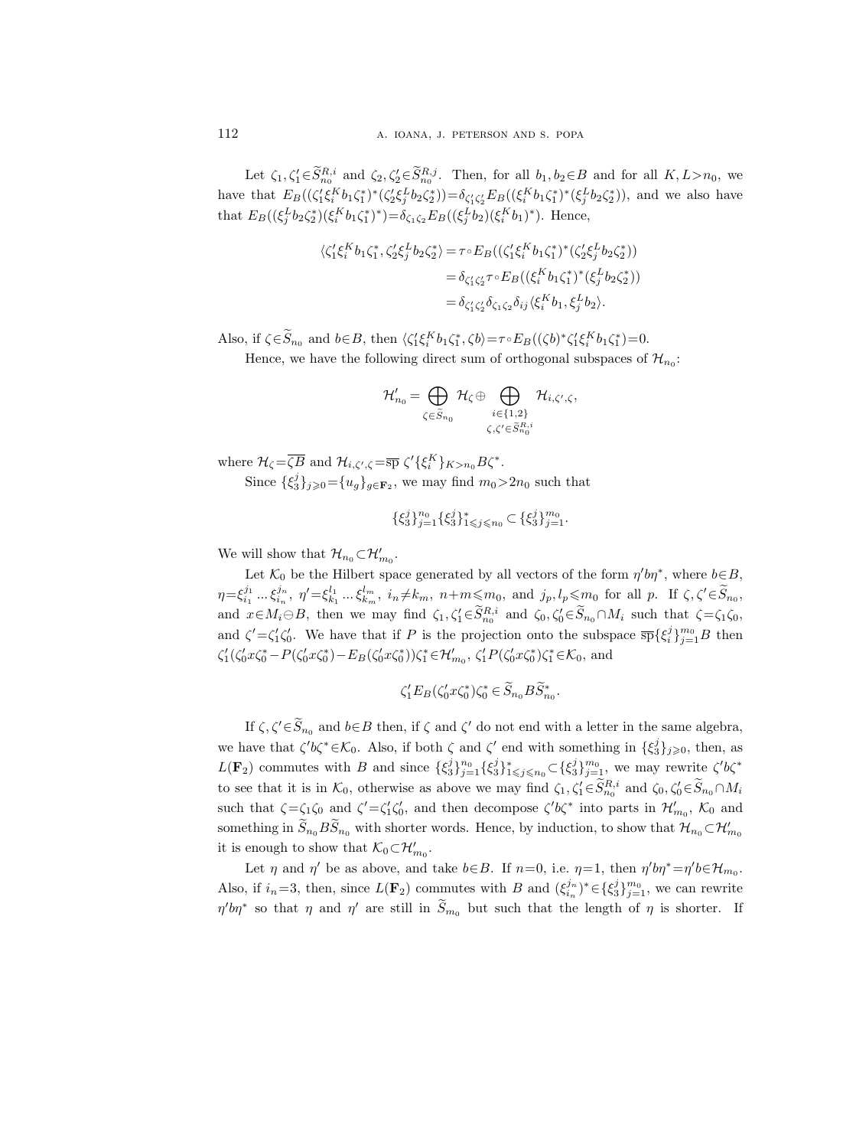Let  $\zeta_1, \zeta_1 \in S_{n_0}^{R,i}$  and  $\zeta_2, \zeta_2 \in S_{n_0}^{R,j}$ . Then, for all  $b_1, b_2 \in B$  and for all  $K, L > n_0$ , we have that  $E_B((\zeta_1'\xi_1^Kb_1\zeta_1^*)^*(\zeta_2'\xi_2^Lb_2\zeta_2^*))=\delta_{\zeta_1'\zeta_2'}E_B((\xi_1^Kb_1\zeta_1^*)^*(\xi_2^Lb_2\zeta_2^*)$ , and we also have that  $E_B((\xi_j^L b_2 \zeta_2^*)(\xi_i^K b_1 \zeta_1^*)^*) = \delta_{\zeta_1 \zeta_2} E_B((\xi_j^L b_2)(\xi_i^K b_1)^*)$ . Hence,

$$
\begin{split} \langle \zeta_1' \xi_i^K b_1 \zeta_1^*, \zeta_2' \xi_j^L b_2 \zeta_2^* \rangle &= \tau \circ E_B \big( (\zeta_1' \xi_i^K b_1 \zeta_1^*)^* (\zeta_2' \xi_j^L b_2 \zeta_2^*) \big) \\ &= \delta_{\zeta_1' \zeta_2'} \tau \circ E_B \big( (\xi_i^K b_1 \zeta_1^*)^* (\xi_j^L b_2 \zeta_2^*) \big) \\ &= \delta_{\zeta_1' \zeta_2'} \delta_{\zeta_1 \zeta_2} \delta_{ij} \langle \xi_i^K b_1, \xi_j^L b_2 \rangle. \end{split}
$$

Also, if  $\zeta \in \widetilde{S}_{n_0}$  and  $b \in B$ , then  $\langle \zeta_1' \xi_i^K b_1 \zeta_1^*, \zeta b \rangle = \tau \circ E_B((\zeta b)^* \zeta_1' \xi_i^K b_1 \zeta_1^*) = 0$ .

Hence, we have the following direct sum of orthogonal subspaces of  $\mathcal{H}_{n_0}$ :

$$
\mathcal{H}_{n_0}' = \bigoplus_{\zeta \in \widetilde{S}_{n_0}} \mathcal{H}_{\zeta} \oplus \bigoplus_{\substack{i \in \{1,2\} \\ \zeta, \zeta' \in \widetilde{S}_{n_0}^{R,i}}} \mathcal{H}_{i,\zeta',\zeta},
$$

where  $\mathcal{H}_{\zeta} = \overline{\zeta B}$  and  $\mathcal{H}_{i,\zeta',\zeta} = \overline{\text{sp}} \; \zeta' {\{\xi_i^K\}}_{K>n_0} B \zeta^*.$ Since  $\{\xi_3^j\}_{j\geqslant 0} = \{u_g\}_{g\in \mathbf{F}_2}$ , we may find  $m_0 > 2n_0$  such that

$$
\{\xi_3^j\}_{j=1}^{n_0} \{\xi_3^j\}_{1 \leq j \leq n_0}^* \subset \{\xi_3^j\}_{j=1}^{m_0}.
$$

We will show that  $\mathcal{H}_{n_0} \subset \mathcal{H}'_{m_0}$ .

Let  $\mathcal{K}_0$  be the Hilbert space generated by all vectors of the form  $\eta' b\eta^*$ , where  $b \in B$ ,  $\eta = \xi_{i_1}^{j_1} \dots \xi_{i_n}^{j_n}, \; \eta' = \xi_{k_1}^{l_1} \dots \xi_{k_m}^{l_m}, \; i_n \neq k_m, \; n+m \leq m_0, \text{ and } j_p, l_p \leq m_0 \text{ for all } p. \; \text{ If } \zeta, \zeta' \in \widetilde{S}_{n_0},$ and  $x \in M_i \ominus B$ , then we may find  $\zeta_1, \zeta_1' \in \widetilde{S}_{n_0}^{R,i}$  and  $\zeta_0, \zeta_0' \in \widetilde{S}_{n_0} \cap M_i$  such that  $\zeta = \zeta_1 \zeta_0$ , and  $\zeta' = \zeta_1' \zeta_0'$ . We have that if P is the projection onto the subspace  $\overline{sp} {\{\xi_i^j\}}_{j=1}^{m_0} B$  then  $\zeta_1'(\zeta_0' x \zeta_0^* - P(\zeta_0' x \zeta_0^*) - E_B(\zeta_0' x \zeta_0^*)) \zeta_1^* \in \mathcal{H}_{m_0}', \zeta_1' P(\zeta_0' x \zeta_0^*) \zeta_1^* \in \mathcal{K}_0$ , and

$$
\zeta_1'E_B(\zeta_0'x\zeta_0^*)\zeta_0^* \in \widetilde{S}_{n_0}B\widetilde{S}_{n_0}^*.
$$

If  $\zeta$ ,  $\zeta' \in S_{n_0}$  and  $b \in B$  then, if  $\zeta$  and  $\zeta'$  do not end with a letter in the same algebra, we have that  $\zeta' b \zeta^* \in \mathcal{K}_0$ . Also, if both  $\zeta$  and  $\zeta'$  end with something in  $\{\xi_3^j\}_{j\geqslant 0}$ , then, as  $L(\mathbf{F}_2)$  commutes with B and since  $\{\xi_3^j\}_{j=1}^{n_0} \{\xi_3^j\}_{1\leq j\leq n_0}^* \subset \{\xi_3^j\}_{j=1}^{m_0}$ , we may rewrite  $\zeta' b \zeta^*$ to see that it is in  $\mathcal{K}_0$ , otherwise as above we may find  $\zeta_1, \zeta_1' \in \widetilde{S}_{n_0}^{R,i}$  and  $\zeta_0, \zeta_0' \in \widetilde{S}_{n_0} \cap M_i$ such that  $\zeta = \zeta_1 \zeta_0$  and  $\zeta' = \zeta_1' \zeta_0'$ , and then decompose  $\zeta' b \zeta^*$  into parts in  $\mathcal{H}'_{m_0}$ ,  $\mathcal{K}_0$  and something in  $S_{n_0} B S_{n_0}$  with shorter words. Hence, by induction, to show that  $\mathcal{H}_{n_0} \subset \mathcal{H}'_{m_0}$ it is enough to show that  $\mathcal{K}_0 \subset \mathcal{H}'_{m_0}$ .

Let  $\eta$  and  $\eta'$  be as above, and take  $b \in B$ . If  $n=0$ , i.e.  $\eta=1$ , then  $\eta' b\eta^* = \eta' b \in \mathcal{H}_{m_0}$ . Also, if  $i_n=3$ , then, since  $L(\mathbf{F}_2)$  commutes with B and  $(\xi_{i_n}^{j_n})^* \in {\{\xi_{3}^{j}\}}_{j=1}^{m_0}$ , we can rewrite  $\eta' b \eta^*$  so that  $\eta$  and  $\eta'$  are still in  $\widetilde{S}_{m_0}$  but such that the length of  $\eta$  is shorter. If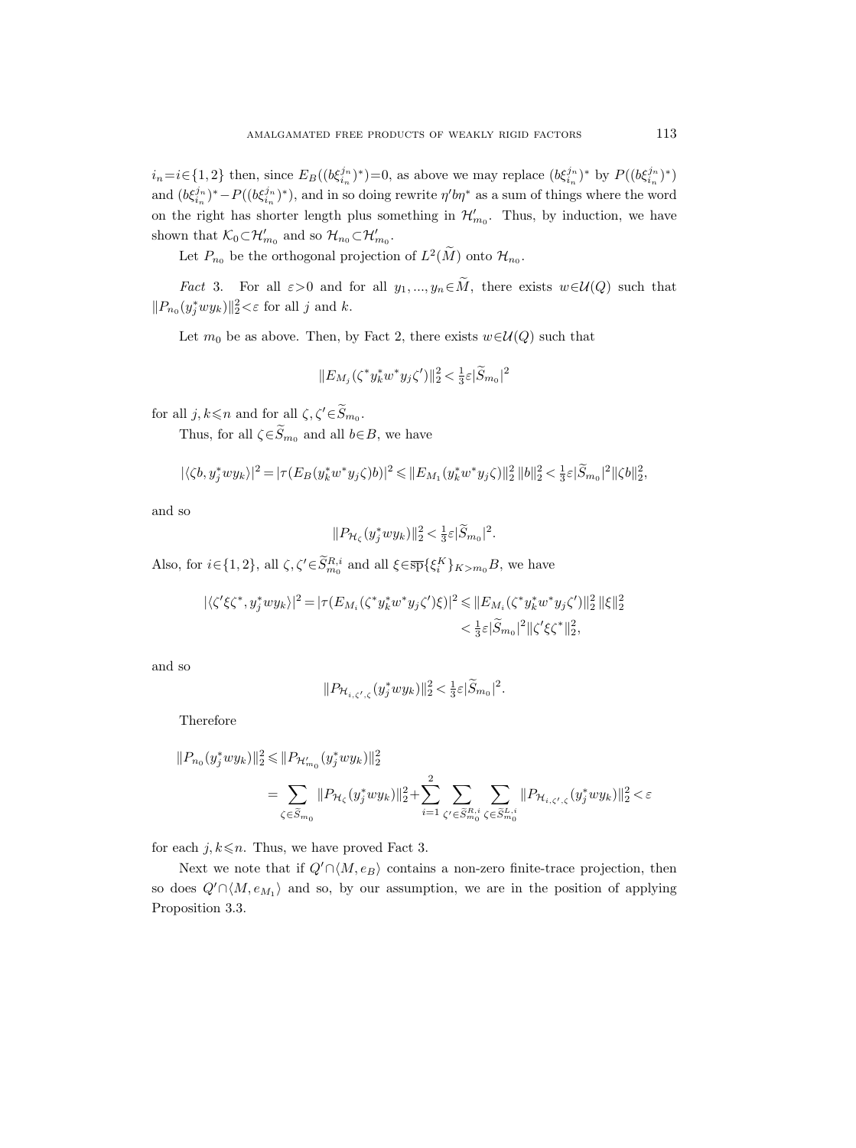$i_n = i \in \{1, 2\}$  then, since  $E_B((b \xi_{i_n}^{j_n})^*)=0$ , as above we may replace  $(b \xi_{i_n}^{j_n})^*$  by  $P((b \xi_{i_n}^{j_n})^*)$ and  $(b\xi_{i_n}^{j_n})^* - P((b\xi_{i_n}^{j_n})^*)$ , and in so doing rewrite  $\eta' b\eta^*$  as a sum of things where the word on the right has shorter length plus something in  $\mathcal{H}'_{m_0}$ . Thus, by induction, we have shown that  $\mathcal{K}_0 \subset \mathcal{H}'_{m_0}$  and so  $\mathcal{H}_{n_0} \subset \mathcal{H}'_{m_0}$ .

Let  $P_{n_0}$  be the orthogonal projection of  $L^2(M)$  onto  $\mathcal{H}_{n_0}$ .

*Fact* 3. For all  $\varepsilon > 0$  and for all  $y_1, ..., y_n \in \tilde{M}$ , there exists  $w \in \mathcal{U}(Q)$  such that  $||P_{n_0}(y_j^*wy_k)||_2^2 < \varepsilon$  for all j and k.

Let  $m_0$  be as above. Then, by Fact 2, there exists  $w \in \mathcal{U}(Q)$  such that

$$
||E_{M_j}(\zeta^* y_k^* w^* y_j \zeta')||_2^2 < \frac{1}{3} \varepsilon |\widetilde{S}_{m_0}|^2
$$

for all  $j, k \leq n$  and for all  $\zeta, \zeta' \in \widetilde{S}_{m_0}$ .

Thus, for all  $\zeta \in \widetilde{S}_{m_0}$  and all  $b \in B$ , we have

$$
|\langle \zeta b, y_j^* w y_k \rangle|^2 = |\tau (E_B(y_k^* w^* y_j \zeta)b)|^2 \leq ||E_{M_1}(y_k^* w^* y_j \zeta)||_2^2 ||b||_2^2 < \frac{1}{3} \varepsilon |\widetilde{S}_{m_0}|^2 ||\zeta b||_2^2,
$$

and so

$$
||P_{\mathcal{H}_{\zeta}}(y_j^* w y_k)||_2^2 < \frac{1}{3}\varepsilon |\widetilde{S}_{m_0}|^2.
$$

Also, for  $i \in \{1, 2\}$ , all  $\zeta, \zeta' \in \widetilde{S}_{m_0}^{R,i}$  and all  $\xi \in \overline{\text{sp}}\{\xi_i^K\}_{K>m_0} B$ , we have

$$
\begin{aligned} |\langle \zeta' \xi \zeta^*, y_j^* w y_k \rangle|^2 &= |\tau (E_{M_i}(\zeta^* y_k^* w^* y_j \zeta') \xi)|^2 \le \| E_{M_i}(\zeta^* y_k^* w^* y_j \zeta') \|_2^2 \, \|\xi\|_2^2 \\ &< \frac{1}{3} \varepsilon |\widetilde{S}_{m_0}|^2 \, \|\zeta' \xi \zeta^* \|_2^2, \end{aligned}
$$

and so

$$
||P_{\mathcal{H}_{i,\zeta',\zeta}}(y_j^*wy_k)||_2^2 < \frac{1}{3}\varepsilon |\widetilde{S}_{m_0}|^2.
$$

Therefore

$$
||P_{n_0}(y_j^* w y_k)||_2^2 \le ||P_{\mathcal{H}'_{m_0}}(y_j^* w y_k)||_2^2
$$
  
= 
$$
\sum_{\zeta \in \widetilde{S}_{m_0}} ||P_{\mathcal{H}_{\zeta}}(y_j^* w y_k)||_2^2 + \sum_{i=1}^2 \sum_{\zeta' \in \widetilde{S}_{m_0}^{R,i}} \sum_{\zeta \in \widetilde{S}_{m_0}^{L,i}} ||P_{\mathcal{H}_{i,\zeta',\zeta}}(y_j^* w y_k)||_2^2 < \varepsilon
$$

for each  $j, k \leq n$ . Thus, we have proved Fact 3.

Next we note that if  $Q' \cap \langle M, e_B \rangle$  contains a non-zero finite-trace projection, then so does  $Q' \cap \langle M, e_{M_1} \rangle$  and so, by our assumption, we are in the position of applying Proposition 3.3.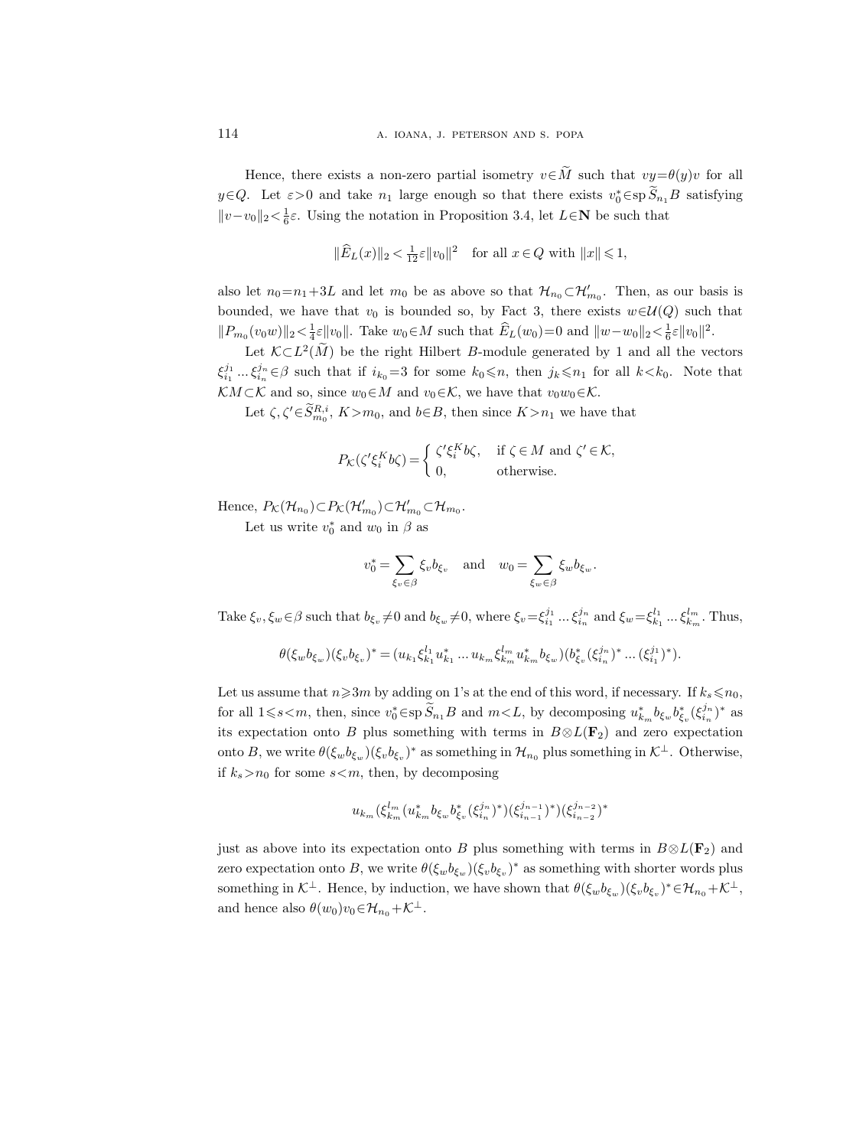Hence, there exists a non-zero partial isometry  $v \in \tilde{M}$  such that  $vy = \theta(y)v$  for all  $y \in Q$ . Let  $\varepsilon > 0$  and take  $n_1$  large enough so that there exists  $v_0^* \in sp S_{n_1}B$  satisfying  $||v-v_0||_2 < \frac{1}{6}\varepsilon$ . Using the notation in Proposition 3.4, let  $L \in \mathbb{N}$  be such that

$$
\|\widehat{E}_L(x)\|_2 < \frac{1}{12}\varepsilon \|v_0\|^2 \quad \text{for all } x \in Q \text{ with } \|x\| \leq 1,
$$

also let  $n_0=n_1+3L$  and let  $m_0$  be as above so that  $\mathcal{H}_{n_0}\subset \mathcal{H}'_{m_0}$ . Then, as our basis is bounded, we have that  $v_0$  is bounded so, by Fact 3, there exists  $w \in \mathcal{U}(Q)$  such that  $||P_{m_0}(v_0w)||_2 < \frac{1}{4}\varepsilon ||v_0||$ . Take  $w_0 \in M$  such that  $\hat{E}_L(w_0) = 0$  and  $||w - w_0||_2 < \frac{1}{6}\varepsilon ||v_0||^2$ .

Let  $\mathcal{K} \subset L^2(M)$  be the right Hilbert B-module generated by 1 and all the vectors  $\xi_{i_1}^{j_1} \dots \xi_{i_n}^{j_n} \in \beta$  such that if  $i_{k_0} = 3$  for some  $k_0 \leq n$ , then  $j_k \leq n_1$  for all  $k < k_0$ . Note that KM ⊂ K and so, since  $w_0 \in M$  and  $v_0 \in \mathcal{K}$ , we have that  $v_0w_0 \in \mathcal{K}$ .

Let  $\zeta, \zeta' \in S_{m_0}^{R,i}, K > m_0$ , and  $b \in B$ , then since  $K > n_1$  we have that

$$
P_{\mathcal{K}}(\zeta'\xi_i^K b\zeta) = \begin{cases} \zeta'\xi_i^K b\zeta, & \text{if } \zeta \in M \text{ and } \zeta' \in \mathcal{K}, \\ 0, & \text{otherwise.} \end{cases}
$$

Hence,  $P_{\mathcal{K}}(\mathcal{H}_{n_0}) \subset P_{\mathcal{K}}(\mathcal{H}'_{m_0}) \subset \mathcal{H}'_{m_0} \subset \mathcal{H}_{m_0}$ .

Let us write  $v_0^*$  and  $w_0$  in  $\beta$  as

$$
v_0^* = \sum_{\xi_v \in \beta} \xi_v b_{\xi_v}
$$
 and  $w_0 = \sum_{\xi_w \in \beta} \xi_w b_{\xi_w}$ .

Take  $\xi_v, \xi_w \in \beta$  such that  $b_{\xi_v} \neq 0$  and  $b_{\xi_w} \neq 0$ , where  $\xi_v = \xi_{i_1}^{j_1} \dots \xi_{i_n}^{j_n}$  and  $\xi_w = \xi_{k_1}^{l_1} \dots \xi_{k_m}^{l_m}$ . Thus,

$$
\theta(\xi_w b_{\xi_w})(\xi_v b_{\xi_v})^* \!=\! (u_{k_1}\xi_{k_1}^{l_1}u_{k_1}^*\ldots u_{k_m}\xi_{k_m}^{l_m}u_{k_m}^*b_{\xi_w})(b_{\xi_v}^*(\xi_{i_n}^{j_n})^*\ldots (\xi_{i_1}^{j_1})^*).
$$

Let us assume that  $n\geqslant3m$  by adding on 1's at the end of this word, if necessary. If  $k_s\leqslant n_0$ , for all  $1\leqslant s\leqslant m$ , then, since  $v_0^*\in {\rm sp}\, \widetilde{S}_{n_1}B$  and  $m\lt L$ , by decomposing  $u_{k_m}^*b_{\xi_w}b_{\xi_v}^*(\xi_{i_n}^{j_n})^*$  as its expectation onto B plus something with terms in  $B \otimes L(\mathbf{F}_2)$  and zero expectation onto B, we write  $\theta(\xi_w b_{\xi_w})(\xi_v b_{\xi_v})^*$  as something in  $\mathcal{H}_{n_0}$  plus something in  $\mathcal{K}^{\perp}$ . Otherwise, if  $k_s > n_0$  for some  $s < m$ , then, by decomposing

$$
u_{k_m}(\xi_{k_m}^{l_m}(u_{k_m}^*b_{\xi_w} b_{\xi_v}^*(\xi_{i_n}^{j_n})^*)(\xi_{i_{n-1}}^{j_{n-1}})^*)(\xi_{i_{n-2}}^{j_{n-2}})^*
$$

just as above into its expectation onto B plus something with terms in  $B \otimes L(\mathbf{F}_2)$  and zero expectation onto B, we write  $\theta(\xi_w b_{\xi_w})(\xi_v b_{\xi_v})^*$  as something with shorter words plus something in  $\mathcal{K}^{\perp}$ . Hence, by induction, we have shown that  $\theta(\xi_w b_{\xi_w})(\xi_v b_{\xi_v})^* \in \mathcal{H}_{n_0} + \mathcal{K}^{\perp}$ , and hence also  $\theta(w_0)v_0 \in \mathcal{H}_{n_0} + \mathcal{K}^{\perp}$ .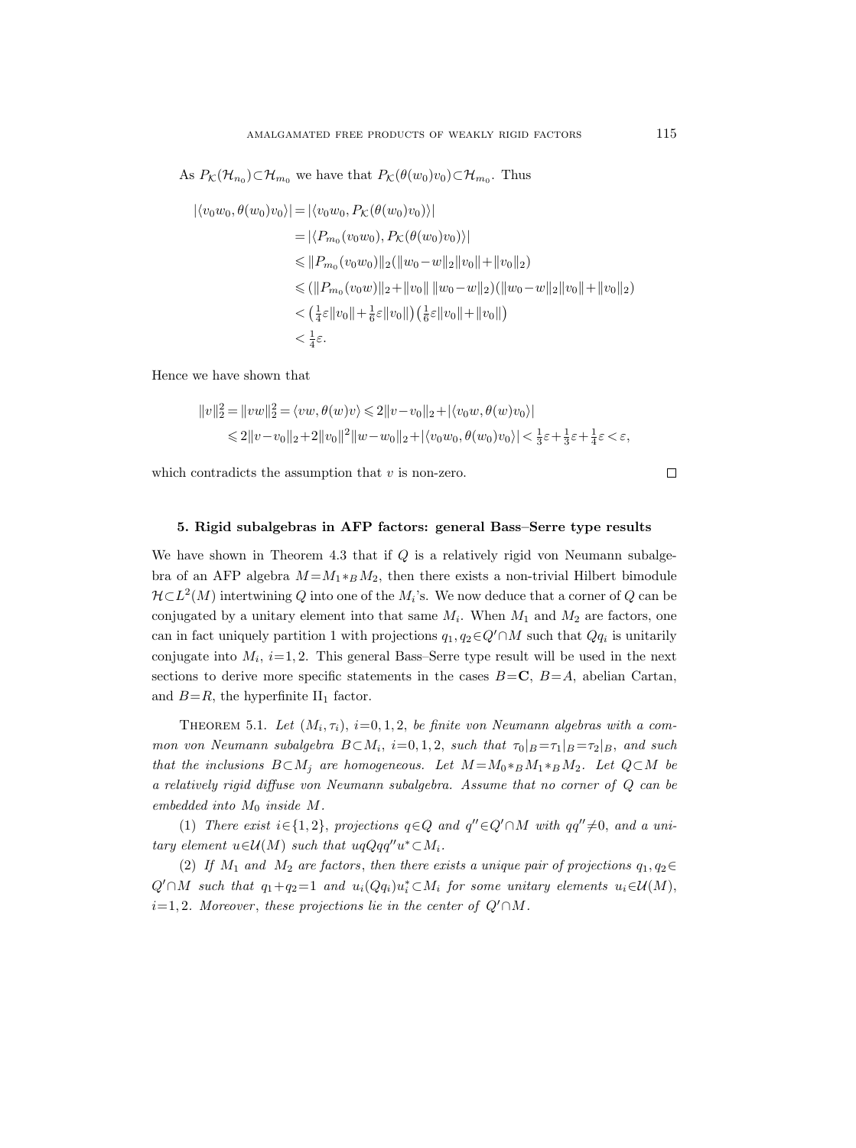As  $P_{\mathcal{K}}(\mathcal{H}_{n_0}) \subset \mathcal{H}_{m_0}$  we have that  $P_{\mathcal{K}}(\theta(w_0)v_0) \subset \mathcal{H}_{m_0}$ . Thus

$$
|\langle v_0 w_0, \theta(w_0) v_0 \rangle| = |\langle v_0 w_0, P_{\mathcal{K}}(\theta(w_0) v_0) \rangle|
$$
  
\n
$$
= |\langle P_{m_0}(v_0 w_0), P_{\mathcal{K}}(\theta(w_0) v_0) \rangle|
$$
  
\n
$$
\leq ||P_{m_0}(v_0 w_0)||_2(||w_0 - w||_2 ||v_0|| + ||v_0||_2)
$$
  
\n
$$
\leq (||P_{m_0}(v_0 w)||_2 + ||v_0|| ||w_0 - w||_2)(||w_0 - w||_2 ||v_0|| + ||v_0||_2)
$$
  
\n
$$
< (\frac{1}{4} \varepsilon ||v_0|| + \frac{1}{6} \varepsilon ||v_0||) (\frac{1}{6} \varepsilon ||v_0|| + ||v_0||)
$$
  
\n
$$
< \frac{1}{4} \varepsilon.
$$

Hence we have shown that

$$
||v||_2^2 = ||vw||_2^2 = \langle vw, \theta(w)v \rangle \le 2||v - v_0||_2 + |\langle v_0w, \theta(w)v_0 \rangle|
$$
  

$$
\le 2||v - v_0||_2 + 2||v_0||^2 ||w - w_0||_2 + |\langle v_0w_0, \theta(w_0)v_0 \rangle| < \frac{1}{3}\varepsilon + \frac{1}{3}\varepsilon + \frac{1}{4}\varepsilon < \varepsilon,
$$

which contradicts the assumption that  $v$  is non-zero.

 $\Box$ 

# 5. Rigid subalgebras in AFP factors: general Bass–Serre type results

We have shown in Theorem 4.3 that if  $Q$  is a relatively rigid von Neumann subalgebra of an AFP algebra  $M = M_1 *_{B} M_2$ , then there exists a non-trivial Hilbert bimodule  $\mathcal{H} \subset L^2(M)$  intertwining Q into one of the  $M_i$ 's. We now deduce that a corner of Q can be conjugated by a unitary element into that same  $M_i$ . When  $M_1$  and  $M_2$  are factors, one can in fact uniquely partition 1 with projections  $q_1, q_2 \in Q' \cap M$  such that  $Qq_i$  is unitarily conjugate into  $M_i$ ,  $i=1,2$ . This general Bass–Serre type result will be used in the next sections to derive more specific statements in the cases  $B=C$ ,  $B=A$ , abelian Cartan, and  $B=R$ , the hyperfinite  $II_1$  factor.

THEOREM 5.1. Let  $(M_i, \tau_i)$ , i=0, 1, 2, be finite von Neumann algebras with a common von Neumann subalgebra  $B \subset M_i$ , i=0, 1, 2, such that  $\tau_0|_{B} = \tau_1|_{B} = \tau_2|_{B}$ , and such that the inclusions  $B \subset M_j$  are homogeneous. Let  $M = M_0 *_B M_1 *_B M_2$ . Let  $Q \subset M$  be a relatively rigid diffuse von Neumann subalgebra. Assume that no corner of Q can be embedded into  $M_0$  inside  $M$ .

(1) There exist  $i \in \{1,2\}$ , projections  $q \in Q$  and  $q'' \in Q' \cap M$  with  $qq'' \neq 0$ , and a unitary element  $u \in \mathcal{U}(M)$  such that  $uqQqq''u^* \subset M_i$ .

(2) If  $M_1$  and  $M_2$  are factors, then there exists a unique pair of projections  $q_1, q_2 \in$  $Q' \cap M$  such that  $q_1+q_2=1$  and  $u_i(Qq_i)u_i^* \subset M_i$  for some unitary elements  $u_i \in \mathcal{U}(M)$ ,  $i=1, 2$ . Moreover, these projections lie in the center of  $Q' \cap M$ .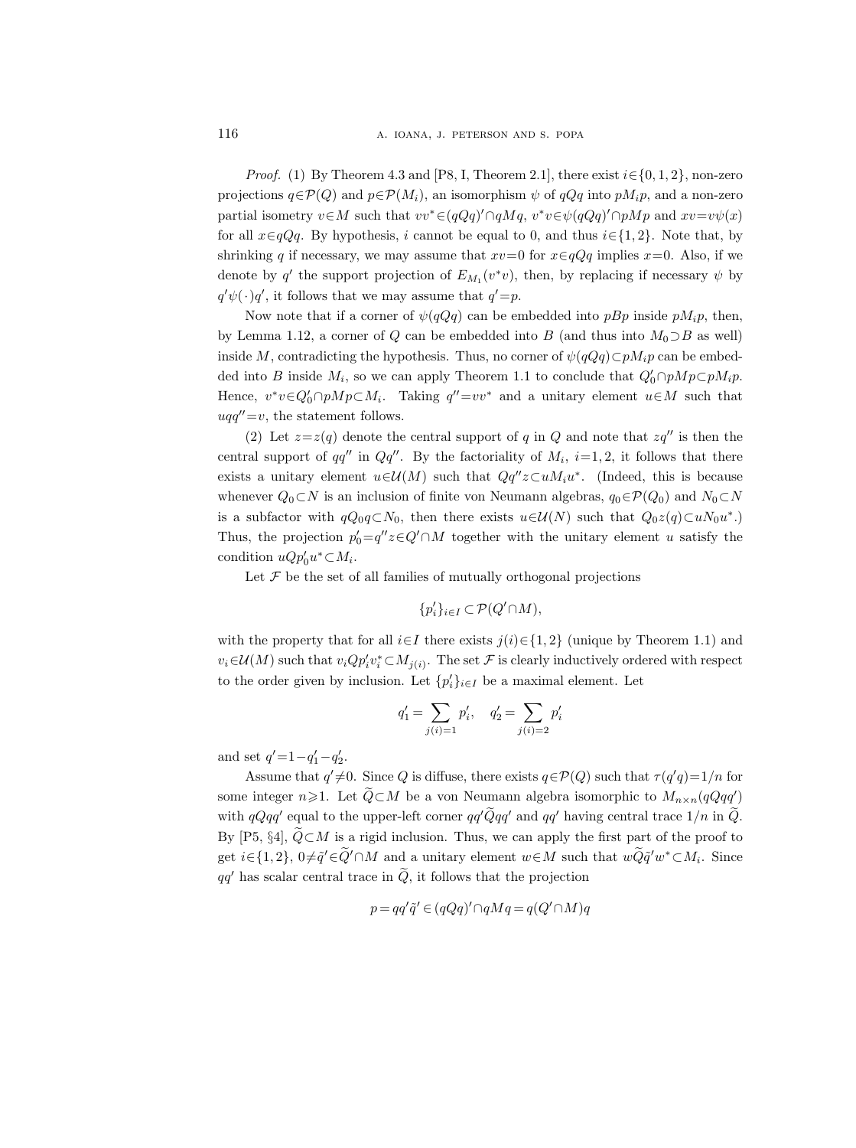*Proof.* (1) By Theorem 4.3 and [P8, I, Theorem 2.1], there exist  $i \in \{0, 1, 2\}$ , non-zero projections  $q \in \mathcal{P}(Q)$  and  $p \in \mathcal{P}(M_i)$ , an isomorphism  $\psi$  of  $qQq$  into  $pM_i p$ , and a non-zero partial isometry  $v \in M$  such that  $vv^* \in (qQq)' \cap qMq$ ,  $v^*v \in \psi(qQq)' \cap pMp$  and  $xv = v\psi(x)$ for all  $x \in \mathbb{Q}Qq$ . By hypothesis, i cannot be equal to 0, and thus  $i \in \{1, 2\}$ . Note that, by shrinking q if necessary, we may assume that  $xv=0$  for  $x \in qQq$  implies  $x=0$ . Also, if we denote by q' the support projection of  $E_{M_1}(v^*v)$ , then, by replacing if necessary  $\psi$  by  $q'\psi(\cdot)q'$ , it follows that we may assume that  $q' = p$ .

Now note that if a corner of  $\psi(qQq)$  can be embedded into pBp inside p $M_i$ p, then, by Lemma 1.12, a corner of Q can be embedded into B (and thus into  $M_0 \supset B$  as well) inside M, contradicting the hypothesis. Thus, no corner of  $\psi(q\bar{Q}q)\subset pM_ip$  can be embedded into B inside  $M_i$ , so we can apply Theorem 1.1 to conclude that  $Q'_0 \cap pMp \subset pM_i p$ . Hence,  $v^*v \in Q'_0 \cap pMp \subset M_i$ . Taking  $q'' = vv^*$  and a unitary element  $u \in M$  such that  $uqq''=v$ , the statement follows.

(2) Let  $z=z(q)$  denote the central support of q in Q and note that  $zq''$  is then the central support of  $qq''$  in  $Qq''$ . By the factoriality of  $M_i$ ,  $i=1, 2$ , it follows that there exists a unitary element  $u \in \mathcal{U}(M)$  such that  $Qq''z \subset uM_iu^*$ . (Indeed, this is because whenever  $Q_0 \subset N$  is an inclusion of finite von Neumann algebras,  $q_0 \in \mathcal{P}(Q_0)$  and  $N_0 \subset N$ is a subfactor with  $qQ_0q\subset N_0$ , then there exists  $u\in\mathcal{U}(N)$  such that  $Q_0z(q)\subset uN_0u^*$ .) Thus, the projection  $p'_0 = q''z \in Q' \cap M$  together with the unitary element u satisfy the condition  $uQp'_0u^*\subset M_i$ .

Let  $\mathcal F$  be the set of all families of mutually orthogonal projections

$$
\{p_i'\}_{i\in I}\subset \mathcal{P}(Q'\!\cap\!M),
$$

with the property that for all  $i \in I$  there exists  $j(i) \in \{1, 2\}$  (unique by Theorem 1.1) and  $v_i \in \mathcal{U}(M)$  such that  $v_i Q p'_i v^*_i \subset M_{j(i)}$ . The set  $\mathcal F$  is clearly inductively ordered with respect to the order given by inclusion. Let  $\{p_i'\}_{i\in I}$  be a maximal element. Let

$$
q'_1 = \sum_{j(i) = 1} p'_i, \quad q'_2 = \sum_{j(i) = 2} p'_i
$$

and set  $q' = 1 - q'_1 - q'_2$ .

Assume that  $q' \neq 0$ . Since Q is diffuse, there exists  $q \in \mathcal{P}(Q)$  such that  $\tau(q'q) = 1/n$  for some integer  $n \geq 1$ . Let  $\widetilde{Q} \subset M$  be a von Neumann algebra isomorphic to  $M_{n \times n}(qQqq')$ with  $qQqq'$  equal to the upper-left corner  $qq'Qqq'$  and  $qq'$  having central trace  $1/n$  in  $\ddot{Q}$ . By [P5, §4],  $\tilde{Q} \subset M$  is a rigid inclusion. Thus, we can apply the first part of the proof to get  $i \in \{1,2\}$ ,  $0 \neq \tilde{q}' \in \tilde{Q}' \cap M$  and a unitary element  $w \in M$  such that  $w\tilde{Q}\tilde{q}'w^* \subset M_i$ . Since  $qq'$  has scalar central trace in  $\ddot{Q}$ , it follows that the projection

$$
p = qq'\tilde{q}' \in (qQq)' \cap qMq = q(Q' \cap M)q
$$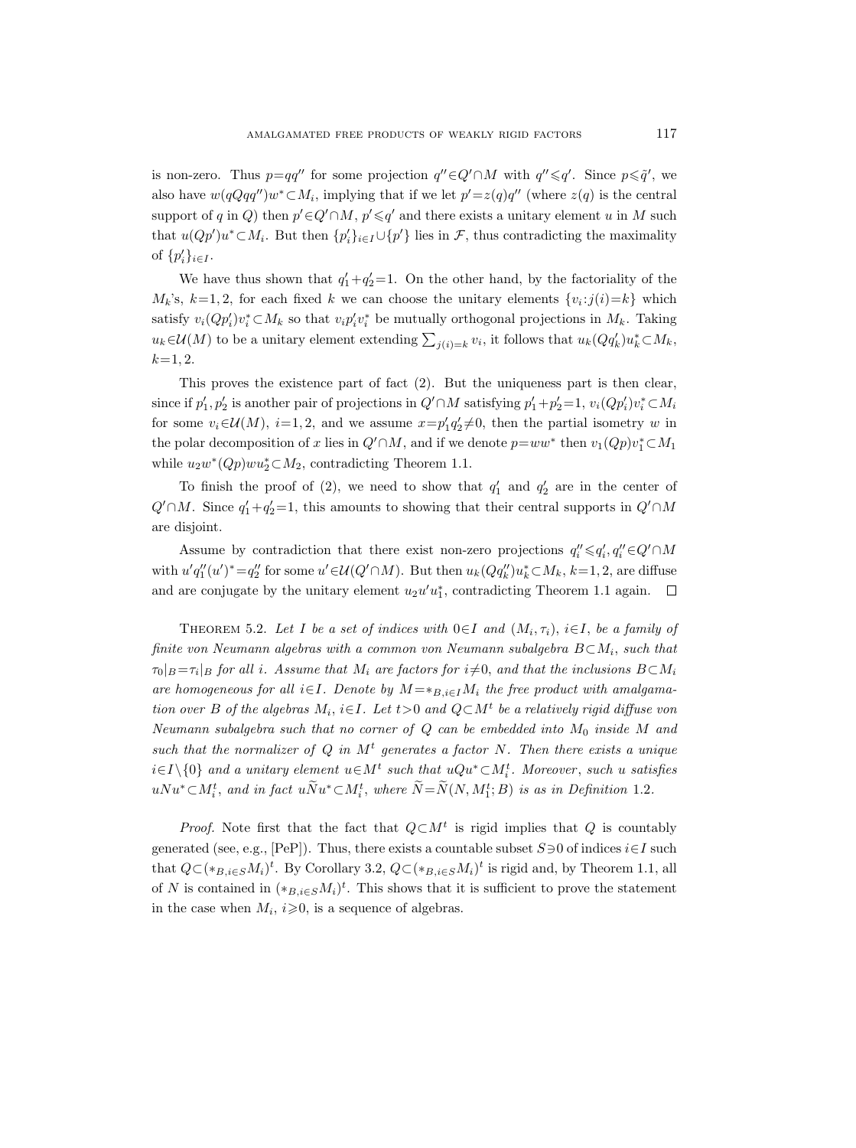is non-zero. Thus  $p=qq''$  for some projection  $q'' \in Q' \cap M$  with  $q'' \leq q'$ . Since  $p \leq q'$ , we also have  $w(qQqq'')w^*\subset M_i$ , implying that if we let  $p'=z(q)q''$  (where  $z(q)$  is the central support of q in Q) then  $p' \in Q' \cap M$ ,  $p' \leq q'$  and there exists a unitary element u in M such that  $u(Qp')u^*\subset M_i$ . But then  $\{p'_i\}_{i\in I}\cup \{p'\}\$ lies in  $\mathcal{F}$ , thus contradicting the maximality of  $\{p'_i\}_{i\in I}$ .

We have thus shown that  $q'_1+q'_2=1$ . On the other hand, by the factoriality of the  $M_k$ 's,  $k=1,2$ , for each fixed k we can choose the unitary elements  $\{v_i : j(i)=k\}$  which satisfy  $v_i(Qp'_i)v_i^* \subset M_k$  so that  $v_i p'_i v_i^*$  be mutually orthogonal projections in  $M_k$ . Taking  $u_k \in \mathcal{U}(M)$  to be a unitary element extending  $\sum_{j(i)=k} v_i$ , it follows that  $u_k(Qq'_k)u_k^* \subset M_k$ ,  $k=1, 2.$ 

This proves the existence part of fact (2). But the uniqueness part is then clear, since if  $p'_1, p'_2$  is another pair of projections in  $Q' \cap M$  satisfying  $p'_1 + p'_2 = 1$ ,  $v_i(Qp'_i)v_i^* \subset M_i$ for some  $v_i \in \mathcal{U}(M)$ ,  $i=1, 2$ , and we assume  $x = p'_1 q'_2 \neq 0$ , then the partial isometry w in the polar decomposition of x lies in  $Q' \cap M$ , and if we denote  $p=ww^*$  then  $v_1(Qp)v_1^* \subset M_1$ while  $u_2w^*(Qp)wu_2^*\subset M_2$ , contradicting Theorem 1.1.

To finish the proof of (2), we need to show that  $q'_1$  and  $q'_2$  are in the center of  $Q' \cap M$ . Since  $q'_1 + q'_2 = 1$ , this amounts to showing that their central supports in  $Q' \cap M$ are disjoint.

Assume by contradiction that there exist non-zero projections  $q''_i \leq q'_i, q''_i \in Q' \cap M$ with  $u'q''_1(u')^* = q''_2$  for some  $u' \in \mathcal{U}(Q' \cap M)$ . But then  $u_k(Qq''_k)u^*_k \subset M_k$ ,  $k=1,2$ , are diffuse and are conjugate by the unitary element  $u_2u'u_1^*$ , contradicting Theorem 1.1 again.

THEOREM 5.2. Let I be a set of indices with  $0 \in I$  and  $(M_i, \tau_i)$ ,  $i \in I$ , be a family of finite von Neumann algebras with a common von Neumann subalgebra  $B\!\subset\! M_i,$  such that  $\tau_0|_B\!=\!\tau_i|_B$  for all i. Assume that  $M_i$  are factors for  $i{\neq}0,$  and that the inclusions  $B{\subset}M_i$ are homogeneous for all i∈I. Denote by  $M = *_{B,i \in I} M_i$  the free product with amalgamation over B of the algebras  $M_i$ ,  $i \in I$ . Let  $t > 0$  and  $Q \subset M^t$  be a relatively rigid diffuse von Neumann subalgebra such that no corner of  $Q$  can be embedded into  $M_0$  inside M and such that the normalizer of  $Q$  in  $M<sup>t</sup>$  generates a factor N. Then there exists a unique  $i \in I \setminus \{0\}$  and a unitary element  $u \in M^t$  such that  $uQu^* \subset M_i^t$ . Moreover, such  $u$  satisfies  $uNu^* \subset M_i^t$ , and in fact  $uNu^* \subset M_i^t$ , where  $N = N(N, M_1^t; B)$  is as in Definition 1.2.

*Proof.* Note first that the fact that  $Q \subset M^t$  is rigid implies that Q is countably generated (see, e.g., [PeP]). Thus, there exists a countable subset  $S\exists 0$  of indices  $i\in I$  such that  $Q\subset (\ast_{B,i\in S}M_i)^t$ . By Corollary 3.2,  $Q\subset (\ast_{B,i\in S}M_i)^t$  is rigid and, by Theorem 1.1, all of N is contained in  $(*_{B,i\in S}M_i)^t$ . This shows that it is sufficient to prove the statement in the case when  $M_i$ ,  $i \geqslant 0$ , is a sequence of algebras.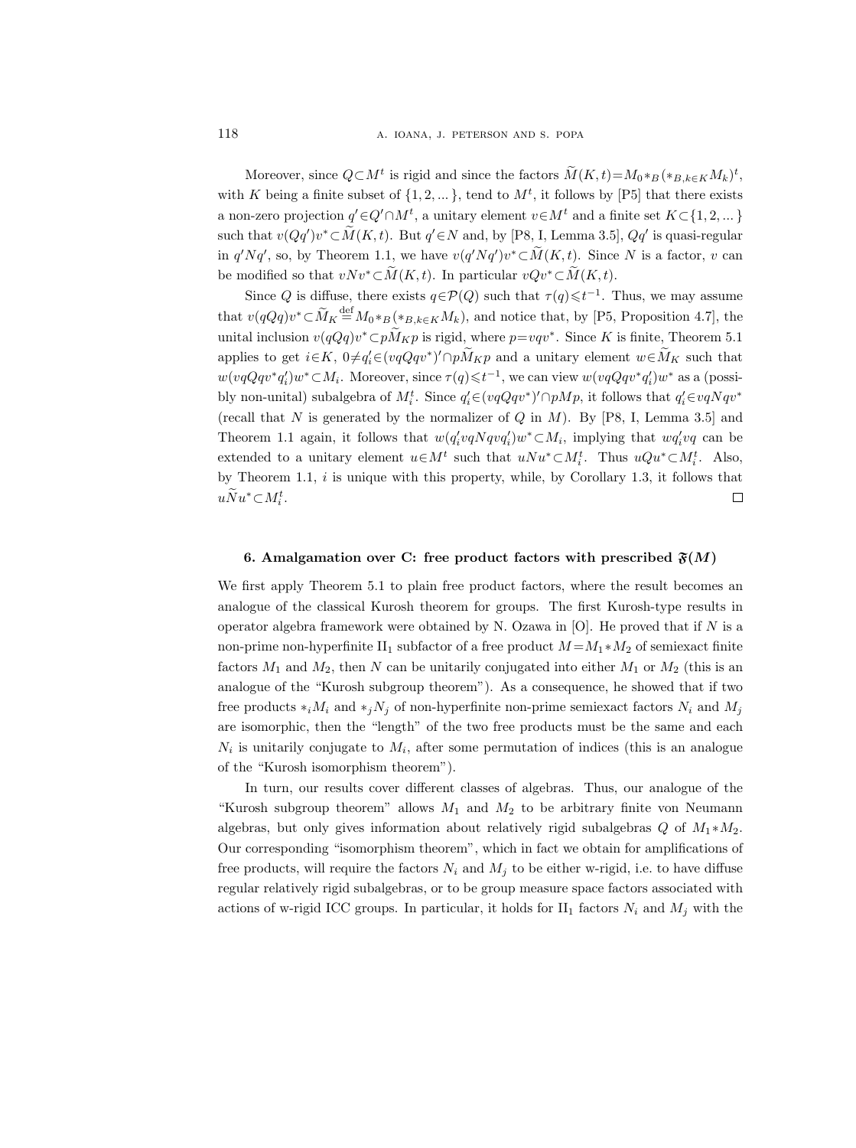Moreover, since  $Q \subset M^t$  is rigid and since the factors  $M(K,t) = M_0 * B ( * B, k \in K M_k )^t$ , with K being a finite subset of  $\{1, 2, ...\}$ , tend to  $M<sup>t</sup>$ , it follows by [P5] that there exists a non-zero projection  $q' \in Q' \cap M^t$ , a unitary element  $v \in M^t$  and a finite set  $K \subset \{1, 2, ...\}$ such that  $v(Qq')v^*\subset M(K,t)$ . But  $q'\in N$  and, by [P8, I, Lemma 3.5],  $Qq'$  is quasi-regular in  $q'Nq'$ , so, by Theorem 1.1, we have  $v(q'Nq')v^* \subset M(K, t)$ . Since N is a factor, v can be modified so that  $vNv^*\subset \overline{M}(K,t)$ . In particular  $vQv^*\subset \widetilde{M}(K,t)$ .

Since Q is diffuse, there exists  $q \in \mathcal{P}(Q)$  such that  $\tau(q) \leq t^{-1}$ . Thus, we may assume that  $v(qQq)v^* \subset \widetilde{M}_K \stackrel{\text{def}}{=} M_0 *_{B}({}_*B, k \in K M_k)$ , and notice that, by [P5, Proposition 4.7], the unital inclusion  $v(qQq)v^* \subset pM_Kp$  is rigid, where  $p= vqv^*$ . Since K is finite, Theorem 5.1 applies to get  $i \in K$ ,  $0 \neq q'_i \in (vqQqv^*)' \cap pM_Kp$  and a unitary element  $w \in M_K$  such that  $w(vqQqv^*q'_i)w^*\subset M_i$ . Moreover, since  $\tau(q)\leqslant t^{-1}$ , we can view  $w(vqQqv^*q'_i)w^*$  as a (possibly non-unital) subalgebra of  $M_i^t$ . Since  $q_i' \in (vqQqv^*)' \cap pMp$ , it follows that  $q_i' \in vqNqv^*$ (recall that N is generated by the normalizer of  $Q$  in  $M$ ). By [P8, I, Lemma 3.5] and Theorem 1.1 again, it follows that  $w(q'_i v q N q v q'_i) w^* \subset M_i$ , implying that  $w q'_i v q$  can be extended to a unitary element  $u \in M^t$  such that  $uNu^* \subset M_i^t$ . Thus  $uQu^* \subset M_i^t$ . Also, by Theorem 1.1,  $i$  is unique with this property, while, by Corollary 1.3, it follows that  $u\ddot{N}u^*\subset M_i^t.$  $\Box$ 

#### 6. Amalgamation over C: free product factors with prescribed  $\mathfrak{F}(M)$

We first apply Theorem 5.1 to plain free product factors, where the result becomes an analogue of the classical Kurosh theorem for groups. The first Kurosh-type results in operator algebra framework were obtained by N. Ozawa in  $[O]$ . He proved that if N is a non-prime non-hyperfinite II<sub>1</sub> subfactor of a free product  $M = M_1 * M_2$  of semiexact finite factors  $M_1$  and  $M_2$ , then N can be unitarily conjugated into either  $M_1$  or  $M_2$  (this is an analogue of the "Kurosh subgroup theorem"). As a consequence, he showed that if two free products  $*_iM_i$  and  $*_jN_j$  of non-hyperfinite non-prime semiexact factors  $N_i$  and  $M_j$ are isomorphic, then the "length" of the two free products must be the same and each  $N_i$  is unitarily conjugate to  $M_i$ , after some permutation of indices (this is an analogue of the "Kurosh isomorphism theorem").

In turn, our results cover different classes of algebras. Thus, our analogue of the "Kurosh subgroup theorem" allows  $M_1$  and  $M_2$  to be arbitrary finite von Neumann algebras, but only gives information about relatively rigid subalgebras  $Q$  of  $M_1 * M_2$ . Our corresponding "isomorphism theorem", which in fact we obtain for amplifications of free products, will require the factors  $N_i$  and  $M_j$  to be either w-rigid, i.e. to have diffuse regular relatively rigid subalgebras, or to be group measure space factors associated with actions of w-rigid ICC groups. In particular, it holds for  $II_1$  factors  $N_i$  and  $M_j$  with the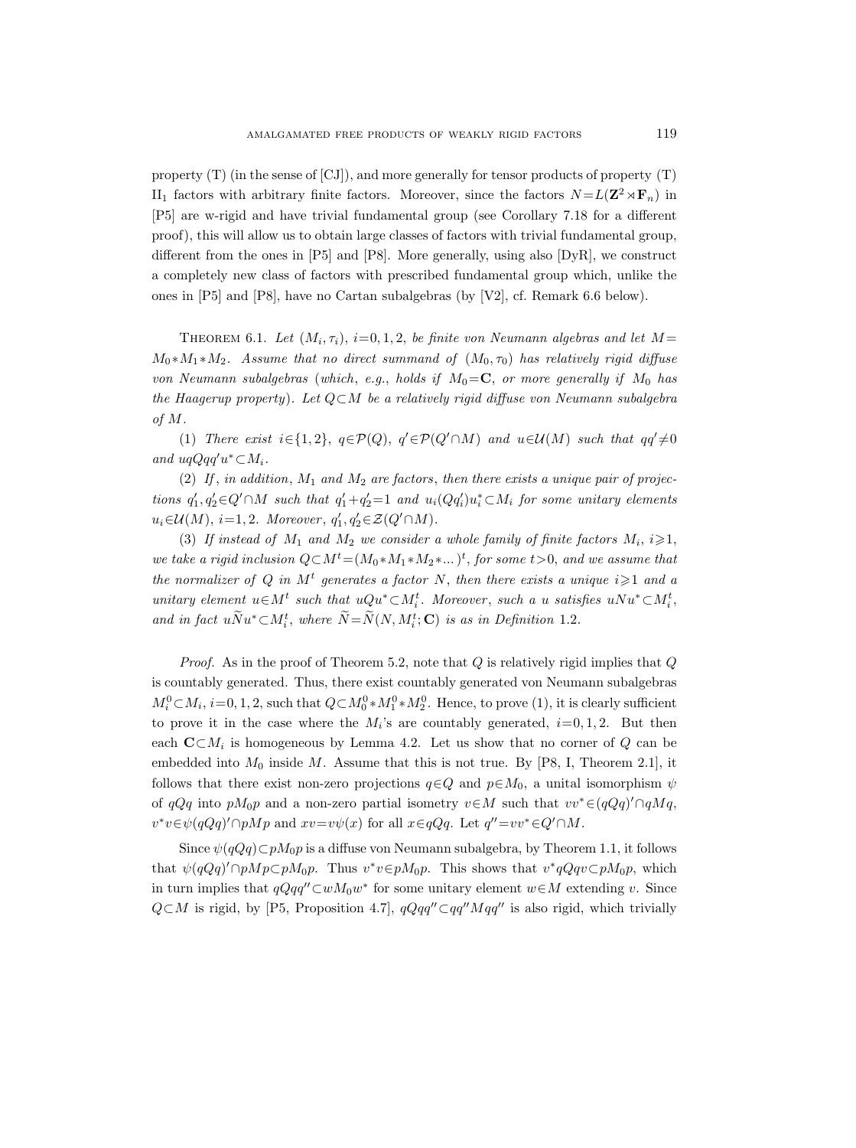property (T) (in the sense of [CJ]), and more generally for tensor products of property (T) II<sub>1</sub> factors with arbitrary finite factors. Moreover, since the factors  $N = L(\mathbf{Z}^2 \rtimes \mathbf{F}_n)$  in [P5] are w-rigid and have trivial fundamental group (see Corollary 7.18 for a different proof), this will allow us to obtain large classes of factors with trivial fundamental group, different from the ones in [P5] and [P8]. More generally, using also [DyR], we construct a completely new class of factors with prescribed fundamental group which, unlike the ones in [P5] and [P8], have no Cartan subalgebras (by [V2], cf. Remark 6.6 below).

THEOREM 6.1. Let  $(M_i, \tau_i)$ ,  $i=0,1,2$ , be finite von Neumann algebras and let  $M =$  $M_0 * M_1 * M_2$ . Assume that no direct summand of  $(M_0, \tau_0)$  has relatively rigid diffuse von Neumann subalgebras (which, e.g., holds if  $M_0 = \mathbb{C}$ , or more generally if  $M_0$  has the Haagerup property). Let Q⊂M be a relatively rigid diffuse von Neumann subalgebra of M.

(1) There exist  $i \in \{1,2\}$ ,  $q \in \mathcal{P}(Q)$ ,  $q' \in \mathcal{P}(Q' \cap M)$  and  $u \in \mathcal{U}(M)$  such that  $qq' \neq 0$ and  $uqQqq'u^*\subset M_i$ .

(2) If, in addition,  $M_1$  and  $M_2$  are factors, then there exists a unique pair of projections  $q'_1, q'_2 \in Q' \cap M$  such that  $q'_1 + q'_2 = 1$  and  $u_i(Qq'_i)u_i^* \subset M_i$  for some unitary elements  $u_i \in \mathcal{U}(M)$ ,  $i=1,2$ . Moreover,  $q'_1, q'_2 \in \mathcal{Z}(Q' \cap M)$ .

(3) If instead of  $M_1$  and  $M_2$  we consider a whole family of finite factors  $M_i$ ,  $i \geq 1$ , we take a rigid inclusion  $Q \subset M^t = (M_0 * M_1 * M_2 * ... )^t$ , for some  $t > 0$ , and we assume that the normalizer of Q in M<sup>t</sup> generates a factor N, then there exists a unique  $i \geq 1$  and a unitary element  $u \in M^t$  such that  $uQu^* \subset M_i^t$ . Moreover, such a u satisfies  $uNu^* \subset M_i^t$ , and in fact  $u\dot{N}u^*\subset M_i^t$ , where  $\dot{N}=\dot{N}(N, M_i^t; \mathbf{C})$  is as in Definition 1.2.

*Proof.* As in the proof of Theorem 5.2, note that  $Q$  is relatively rigid implies that  $Q$ is countably generated. Thus, there exist countably generated von Neumann subalgebras  $M_i^0 \subset M_i$ ,  $i=0,1,2$ , such that  $Q \subset M_0^0 * M_1^0 * M_2^0$ . Hence, to prove (1), it is clearly sufficient to prove it in the case where the  $M_i$ 's are countably generated,  $i=0, 1, 2$ . But then each  $\mathbf{C}\subset M_i$  is homogeneous by Lemma 4.2. Let us show that no corner of Q can be embedded into  $M_0$  inside M. Assume that this is not true. By [P8, I, Theorem 2.1], it follows that there exist non-zero projections  $q \in Q$  and  $p \in M_0$ , a unital isomorphism  $\psi$ of  $qQq$  into  $pM_0p$  and a non-zero partial isometry  $v \in M$  such that  $vv^* \in (qQq)' \cap qMq$ ,  $v^*v \in \psi(qQq)' \cap pMp$  and  $xv = v\psi(x)$  for all  $x \in qQq$ . Let  $q'' = vv^* \in Q' \cap M$ .

Since  $\psi(qQq) \subset pM_0p$  is a diffuse von Neumann subalgebra, by Theorem 1.1, it follows that  $\psi(qQq)' \cap pMp \subset pM_0p$ . Thus  $v^*v \in pM_0p$ . This shows that  $v^*qQqv \subset pM_0p$ , which in turn implies that  $qQqq''\text{\textless}\omega M_0w^*$  for some unitary element  $w\text{\textless}\mathcal{M}$  extending v. Since  $Q\subset M$  is rigid, by [P5, Proposition 4.7],  $qQqq''\subset qq''Mqq''$  is also rigid, which trivially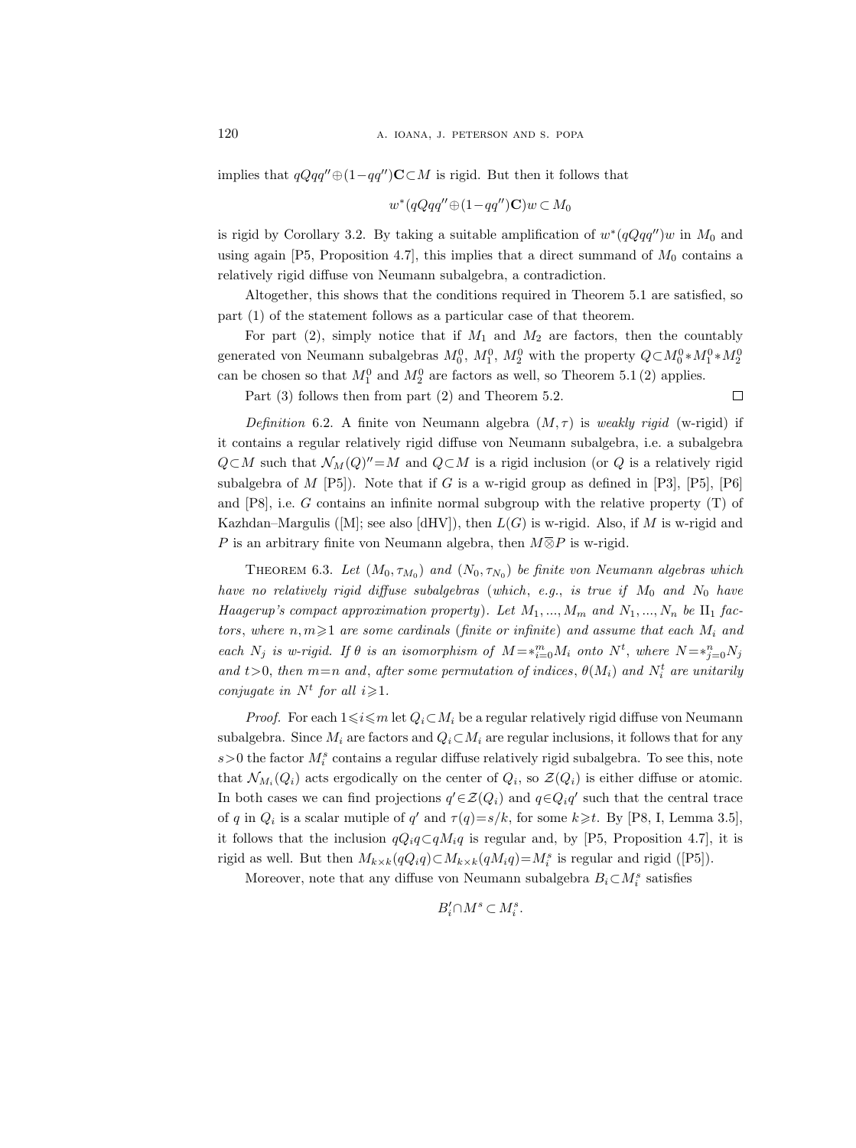implies that  $qQqq'' \oplus (1-qq'')\mathbf{C}\subset M$  is rigid. But then it follows that

$$
w^*(qQqq''\oplus (1-qq'')\mathbf{C})w\subset M_0
$$

is rigid by Corollary 3.2. By taking a suitable amplification of  $w^*(qQqq'')w$  in  $M_0$  and using again [P5, Proposition 4.7], this implies that a direct summand of  $M_0$  contains a relatively rigid diffuse von Neumann subalgebra, a contradiction.

Altogether, this shows that the conditions required in Theorem 5.1 are satisfied, so part (1) of the statement follows as a particular case of that theorem.

For part (2), simply notice that if  $M_1$  and  $M_2$  are factors, then the countably generated von Neumann subalgebras  $M_0^0$ ,  $M_1^0$ ,  $M_2^0$  with the property  $Q \subset M_0^0 * M_1^0 * M_2^0$ can be chosen so that  $M_1^0$  and  $M_2^0$  are factors as well, so Theorem 5.1 (2) applies.

 $\Box$ 

Part (3) follows then from part (2) and Theorem 5.2.

Definition 6.2. A finite von Neumann algebra  $(M, \tau)$  is weakly rigid (w-rigid) if it contains a regular relatively rigid diffuse von Neumann subalgebra, i.e. a subalgebra  $Q \subset M$  such that  $\mathcal{N}_M(Q)'' = M$  and  $Q \subset M$  is a rigid inclusion (or Q is a relatively rigid subalgebra of M [P5]). Note that if G is a w-rigid group as defined in [P3], [P5], [P6] and [P8], i.e. G contains an infinite normal subgroup with the relative property (T) of Kazhdan–Margulis ([M]; see also [dHV]), then  $L(G)$  is w-rigid. Also, if M is w-rigid and P is an arbitrary finite von Neumann algebra, then  $M\overline{\otimes}P$  is w-rigid.

THEOREM 6.3. Let  $(M_0, \tau_{M_0})$  and  $(N_0, \tau_{N_0})$  be finite von Neumann algebras which have no relatively rigid diffuse subalgebras (which, e.g., is true if  $M_0$  and  $N_0$  have Haagerup's compact approximation property). Let  $M_1, ..., M_m$  and  $N_1, ..., N_n$  be  $\text{II}_1$  factors, where  $n, m \geqslant 1$  are some cardinals (finite or infinite) and assume that each  $M_i$  and each  $N_j$  is w-rigid. If  $\theta$  is an isomorphism of  $M = *_{i=0}^m M_i$  onto  $N^t$ , where  $N = *_{j=0}^n N_j$ and  $t>0$ , then  $m=n$  and, after some permutation of indices,  $\theta(M_i)$  and  $N_i^t$  are unitarily conjugate in  $N^t$  for all  $i \geqslant 1$ .

*Proof.* For each  $1 \leq i \leq m$  let  $Q_i \subset M_i$  be a regular relatively rigid diffuse von Neumann subalgebra. Since  $M_i$  are factors and  $Q_i \subset M_i$  are regular inclusions, it follows that for any  $s > 0$  the factor  $M_i^s$  contains a regular diffuse relatively rigid subalgebra. To see this, note that  $\mathcal{N}_{M_i}(Q_i)$  acts ergodically on the center of  $Q_i$ , so  $\mathcal{Z}(Q_i)$  is either diffuse or atomic. In both cases we can find projections  $q' \in \mathcal{Z}(Q_i)$  and  $q \in Q_i q'$  such that the central trace of q in  $Q_i$  is a scalar mutiple of q' and  $\tau(q)=s/k$ , for some  $k\geq t$ . By [P8, I, Lemma 3.5], it follows that the inclusion  $qQ_iq\subset qM_iq$  is regular and, by [P5, Proposition 4.7], it is rigid as well. But then  $M_{k\times k}(qQ_iq)\subset M_{k\times k}(qM_iq)=M_i^s$  is regular and rigid ([P5]).

Moreover, note that any diffuse von Neumann subalgebra  $B_i \subset M_i^s$  satisfies

$$
B_i' \!\cap\! M^s \subset M_i^s.
$$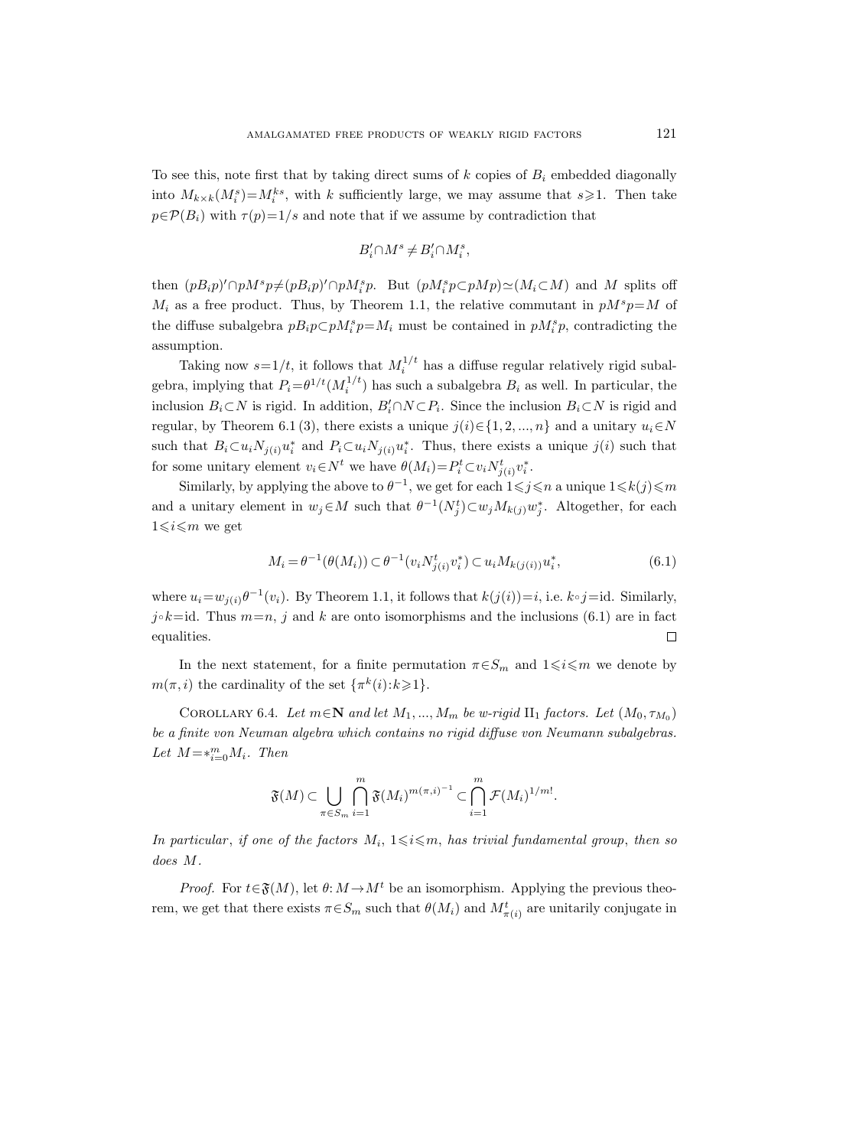To see this, note first that by taking direct sums of  $k$  copies of  $B_i$  embedded diagonally into  $M_{k\times k}(M_i^s) = M_i^{ks}$ , with k sufficiently large, we may assume that  $s \geq 1$ . Then take  $p \in \mathcal{P}(B_i)$  with  $\tau(p)=1/s$  and note that if we assume by contradiction that

$$
B_i' \cap M^s \neq B_i' \cap M_i^s,
$$

then  $(pB_i p)' \cap pM^s p \neq (pB_i p)' \cap pM^s_i p$ . But  $(pM^s_i p \subset pMp) \simeq (M_i \subset M)$  and M splits off  $M_i$  as a free product. Thus, by Theorem 1.1, the relative commutant in  $pM^s p=M$  of the diffuse subalgebra  $pB_i p \subset pM_i^s p = M_i$  must be contained in  $pM_i^s p$ , contradicting the assumption.

Taking now  $s=1/t$ , it follows that  $M_i^{1/t}$  has a diffuse regular relatively rigid subalgebra, implying that  $P_i = \theta^{1/t} (M_i^{1/t})$  has such a subalgebra  $B_i$  as well. In particular, the inclusion  $B_i \subset N$  is rigid. In addition,  $B_i' \cap N \subset P_i$ . Since the inclusion  $B_i \subset N$  is rigid and regular, by Theorem 6.1 (3), there exists a unique  $j(i) \in \{1, 2, ..., n\}$  and a unitary  $u_i \in N$ such that  $B_i \subset u_i N_{j(i)} u_i^*$  and  $P_i \subset u_i N_{j(i)} u_i^*$ . Thus, there exists a unique  $j(i)$  such that for some unitary element  $v_i \in N^t$  we have  $\theta(M_i) = P_i^t \subset v_i N_{j(i)}^t v_i^*$ .

Similarly, by applying the above to  $\theta^{-1}$ , we get for each  $1 \leq j \leq n$  a unique  $1 \leq k(j) \leq m$ and a unitary element in  $w_j \in M$  such that  $\theta^{-1}(N_j^t) \subset w_j M_{k(j)} w_j^*$ . Altogether, for each  $1 \leq i \leq m$  we get

$$
M_i = \theta^{-1}(\theta(M_i)) \subset \theta^{-1}(v_i N_{j(i)}^t v_i^*) \subset u_i M_{k(j(i))} u_i^*,
$$
\n(6.1)

where  $u_i = w_{j(i)}\theta^{-1}(v_i)$ . By Theorem 1.1, it follows that  $k(j(i)) = i$ , i.e.  $k \circ j = id$ . Similarly,  $j \circ k = id$ . Thus  $m=n$ , j and k are onto isomorphisms and the inclusions (6.1) are in fact equalities.  $\Box$ 

In the next statement, for a finite permutation  $\pi \in S_m$  and  $1 \leq i \leq m$  we denote by  $m(\pi, i)$  the cardinality of the set  $\{\pi^k(i): k \geq 1\}.$ 

COROLLARY 6.4. Let  $m \in \mathbb{N}$  and let  $M_1, ..., M_m$  be w-rigid  $\Pi_1$  factors. Let  $(M_0, \tau_{M_0})$ be a finite von Neuman algebra which contains no rigid diffuse von Neumann subalgebras. Let  $M = *_{i=0}^m M_i$ . Then

$$
\mathfrak{F}(M) \subset \bigcup_{\pi \in S_m} \bigcap_{i=1}^m \mathfrak{F}(M_i)^{m(\pi,i)^{-1}} \subset \bigcap_{i=1}^m \mathcal{F}(M_i)^{1/m!}.
$$

In particular, if one of the factors  $M_i$ ,  $1 \leq i \leq m$ , has trivial fundamental group, then so does M.

*Proof.* For  $t \in \mathfrak{F}(M)$ , let  $\theta: M \to M^t$  be an isomorphism. Applying the previous theorem, we get that there exists  $\pi \in S_m$  such that  $\theta(M_i)$  and  $M^t_{\pi(i)}$  are unitarily conjugate in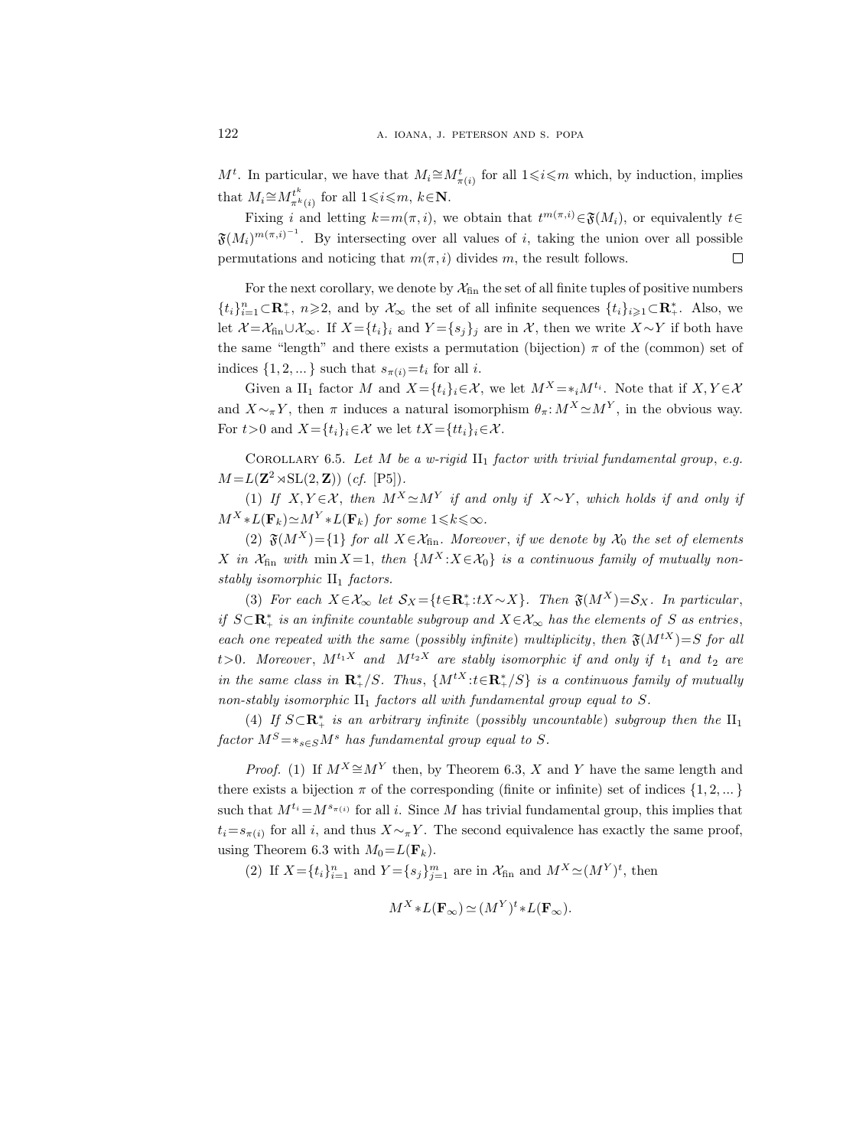$M^t$ . In particular, we have that  $M_i \cong M_{\pi(i)}^t$  for all  $1 \leq i \leq m$  which, by induction, implies that  $M_i \cong M_{\pi^k}^{t^k}$  $\tau^t_{\pi^k(i)}$  for all  $1 \leqslant i \leqslant m, k \in \mathbb{N}$ .

Fixing i and letting  $k = m(\pi, i)$ , we obtain that  $t^{m(\pi, i)} \in \mathfrak{F}(M_i)$ , or equivalently  $t \in$  $\mathfrak{F}(M_i)^{m(\pi,i)^{-1}}$ . By intersecting over all values of i, taking the union over all possible permutations and noticing that  $m(\pi, i)$  divides m, the result follows.  $\Box$ 

For the next corollary, we denote by  $\mathcal{X}_{fin}$  the set of all finite tuples of positive numbers  $\{t_i\}_{i=1}^n\subset\mathbb{R}_+^*$ ,  $n\geqslant 2$ , and by  $\mathcal{X}_{\infty}$  the set of all infinite sequences  $\{t_i\}_{i\geqslant 1}\subset\mathbb{R}_+^*$ . Also, we let  $\mathcal{X} = \mathcal{X}_{fin} \cup \mathcal{X}_{\infty}$ . If  $X = \{t_i\}_i$  and  $Y = \{s_j\}_j$  are in  $\mathcal{X}$ , then we write  $X \sim Y$  if both have the same "length" and there exists a permutation (bijection)  $\pi$  of the (common) set of indices  $\{1, 2, ...\}$  such that  $s_{\pi(i)}=t_i$  for all *i*.

Given a  $II_1$  factor M and  $X = \{t_i\}_i \in \mathcal{X}$ , we let  $M^X = *_i M^{t_i}$ . Note that if  $X, Y \in \mathcal{X}$ and  $X \sim_\pi Y$ , then  $\pi$  induces a natural isomorphism  $\theta_\pi : M^X \simeq M^Y$ , in the obvious way. For  $t>0$  and  $X=\{t_i\}_i\in\mathcal{X}$  we let  $tX=\{tt_i\}_i\in\mathcal{X}$ .

COROLLARY 6.5. Let M be a w-rigid  $\text{II}_1$  factor with trivial fundamental group, e.g.  $M = L(\mathbf{Z}^2 \rtimes SL(2, \mathbf{Z}))$  (cf. [P5]).

(1) If  $X, Y \in \mathcal{X}$ , then  $M^X \simeq M^Y$  if and only if  $X \sim Y$ , which holds if and only if  $M^{X} * L(\mathbf{F}_k) \simeq M^{Y} * L(\mathbf{F}_k)$  for some  $1 \leq k \leq \infty$ .

(2)  $\mathfrak{F}(M^X) = \{1\}$  for all  $X \in \mathcal{X}_{fin}$ . Moreover, if we denote by  $\mathcal{X}_0$  the set of elements X in  $\mathcal{X}_{fin}$  with min  $X=1$ , then  $\{M^X : X \in \mathcal{X}_0\}$  is a continuous family of mutually nonstably isomorphic  $II_1$  factors.

(3) For each  $X \in \mathcal{X}_{\infty}$  let  $\mathcal{S}_X = \{t \in \mathbb{R}_+^*: tX \sim X\}$ . Then  $\mathfrak{F}(M^X) = \mathcal{S}_X$ . In particular, if  $S \subset \mathbf{R}_{+}^{*}$  is an infinite countable subgroup and  $X \in \mathcal{X}_{\infty}$  has the elements of S as entries, each one repeated with the same (possibly infinite) multiplicity, then  $\mathfrak{F}(M^{tX})=S$  for all t>0. Moreover,  $M^{t_1 X}$  and  $M^{t_2 X}$  are stably isomorphic if and only if  $t_1$  and  $t_2$  are in the same class in  $\mathbf{R}^*_+/S$ . Thus,  $\{M^{tX}: t \in \mathbf{R}^*_+/S\}$  is a continuous family of mutually non-stably isomorphic  $II_1$  factors all with fundamental group equal to S.

(4) If  $S \subset \mathbb{R}_+^*$  is an arbitrary infinite (possibly uncountable) subgroup then the  $II_1$ factor  $M^S = *_{s \in S} M^s$  has fundamental group equal to S.

*Proof.* (1) If  $M^X \cong M^Y$  then, by Theorem 6.3, X and Y have the same length and there exists a bijection  $\pi$  of the corresponding (finite or infinite) set of indices  $\{1, 2, ...\}$ such that  $M^{t_i} = M^{s_{\pi(i)}}$  for all i. Since M has trivial fundamental group, this implies that  $t_i = s_{\pi(i)}$  for all i, and thus  $X \sim_{\pi} Y$ . The second equivalence has exactly the same proof, using Theorem 6.3 with  $M_0 = L(\mathbf{F}_k)$ .

(2) If  $X = \{t_i\}_{i=1}^n$  and  $Y = \{s_j\}_{j=1}^m$  are in  $\mathcal{X}_{fin}$  and  $M^X \simeq (M^Y)^t$ , then

$$
M^X \ast L(\mathbf{F}_{\infty}) \simeq (M^Y)^t \ast L(\mathbf{F}_{\infty}).
$$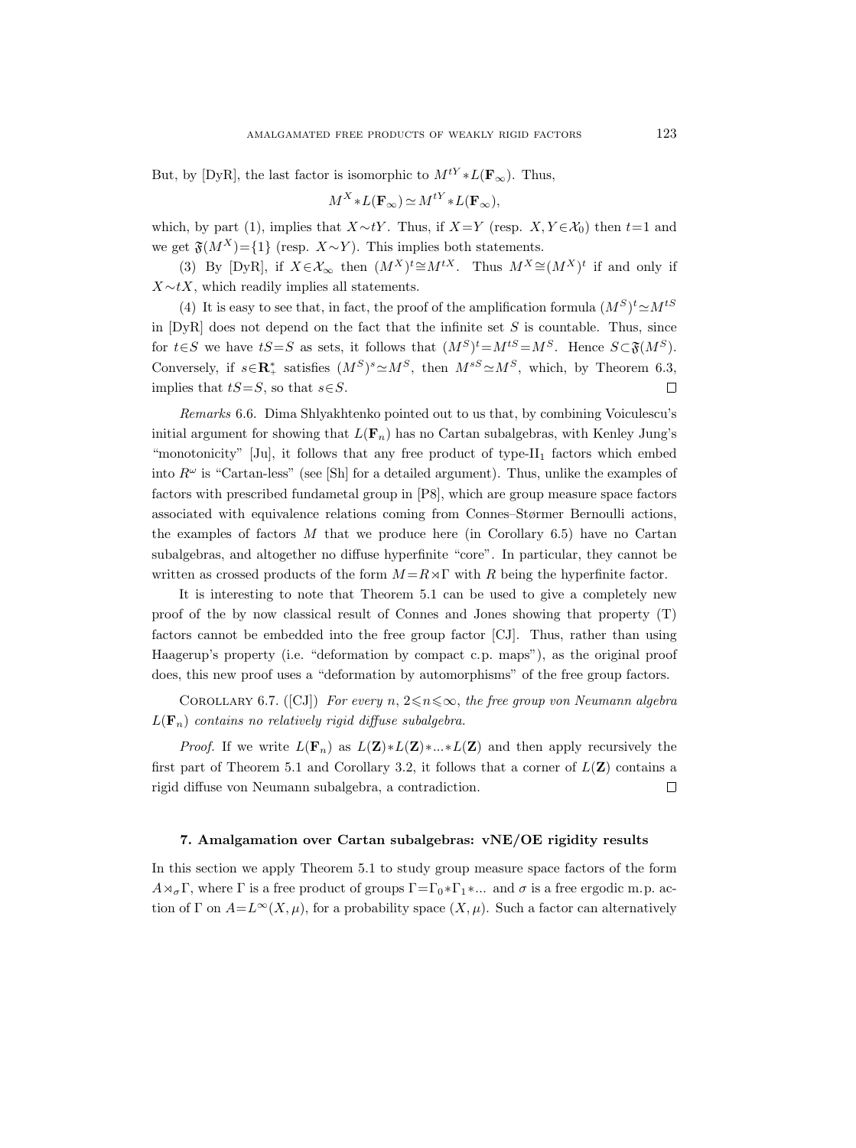But, by [DyR], the last factor is isomorphic to  $M^{tY} * L(\mathbf{F}_{\infty})$ . Thus,

$$
M^X \ast L(\mathbf{F}_{\infty}) \simeq M^{tY} \ast L(\mathbf{F}_{\infty}),
$$

which, by part (1), implies that  $X \sim tY$ . Thus, if  $X=Y$  (resp.  $X, Y \in \mathcal{X}_0$ ) then  $t=1$  and we get  $\mathfrak{F}(M^X)$ ={1} (resp.  $X \sim Y$ ). This implies both statements.

(3) By [DyR], if  $X \in \mathcal{X}_{\infty}$  then  $(M^X)^t \cong M^{tX}$ . Thus  $M^X \cong (M^X)^t$  if and only if  $X \sim tX$ , which readily implies all statements.

(4) It is easy to see that, in fact, the proof of the amplification formula  $(M^S)^t \simeq M^{tS}$ in  $[DyR]$  does not depend on the fact that the infinite set S is countable. Thus, since for  $t \in S$  we have  $tS = S$  as sets, it follows that  $(M^S)^t = M^{tS} = M^S$ . Hence  $S \subset \mathfrak{F}(M^S)$ . Conversely, if  $s \in \mathbb{R}_+^*$  satisfies  $(M^S)^s \simeq M^S$ , then  $M^{sS} \simeq M^S$ , which, by Theorem 6.3, implies that  $tS=S$ , so that  $s\in S$ .  $\Box$ 

Remarks 6.6. Dima Shlyakhtenko pointed out to us that, by combining Voiculescu's initial argument for showing that  $L(\mathbf{F}_n)$  has no Cartan subalgebras, with Kenley Jung's "monotonicity"  $[Ju]$ , it follows that any free product of type- $II_1$  factors which embed into  $R^{\omega}$  is "Cartan-less" (see [Sh] for a detailed argument). Thus, unlike the examples of factors with prescribed fundametal group in [P8], which are group measure space factors associated with equivalence relations coming from Connes–Størmer Bernoulli actions, the examples of factors  $M$  that we produce here (in Corollary 6.5) have no Cartan subalgebras, and altogether no diffuse hyperfinite "core". In particular, they cannot be written as crossed products of the form  $M = R \rtimes \Gamma$  with R being the hyperfinite factor.

It is interesting to note that Theorem 5.1 can be used to give a completely new proof of the by now classical result of Connes and Jones showing that property (T) factors cannot be embedded into the free group factor [CJ]. Thus, rather than using Haagerup's property (i.e. "deformation by compact c.p. maps"), as the original proof does, this new proof uses a "deformation by automorphisms" of the free group factors.

COROLLARY 6.7. ([CJ]) For every n,  $2 \le n \le \infty$ , the free group von Neumann algebra  $L(\mathbf{F}_n)$  contains no relatively rigid diffuse subalgebra.

*Proof.* If we write  $L(\mathbf{F}_n)$  as  $L(\mathbf{Z}) * L(\mathbf{Z}) * ... * L(\mathbf{Z})$  and then apply recursively the first part of Theorem 5.1 and Corollary 3.2, it follows that a corner of  $L(\mathbf{Z})$  contains a  $\Box$ rigid diffuse von Neumann subalgebra, a contradiction.

#### 7. Amalgamation over Cartan subalgebras: vNE/OE rigidity results

In this section we apply Theorem 5.1 to study group measure space factors of the form  $A \rtimes_{\sigma} \Gamma$ , where  $\Gamma$  is a free product of groups  $\Gamma = \Gamma_0 * \Gamma_1 * ...$  and  $\sigma$  is a free ergodic m.p. action of Γ on  $A=L^{\infty}(X,\mu)$ , for a probability space  $(X,\mu)$ . Such a factor can alternatively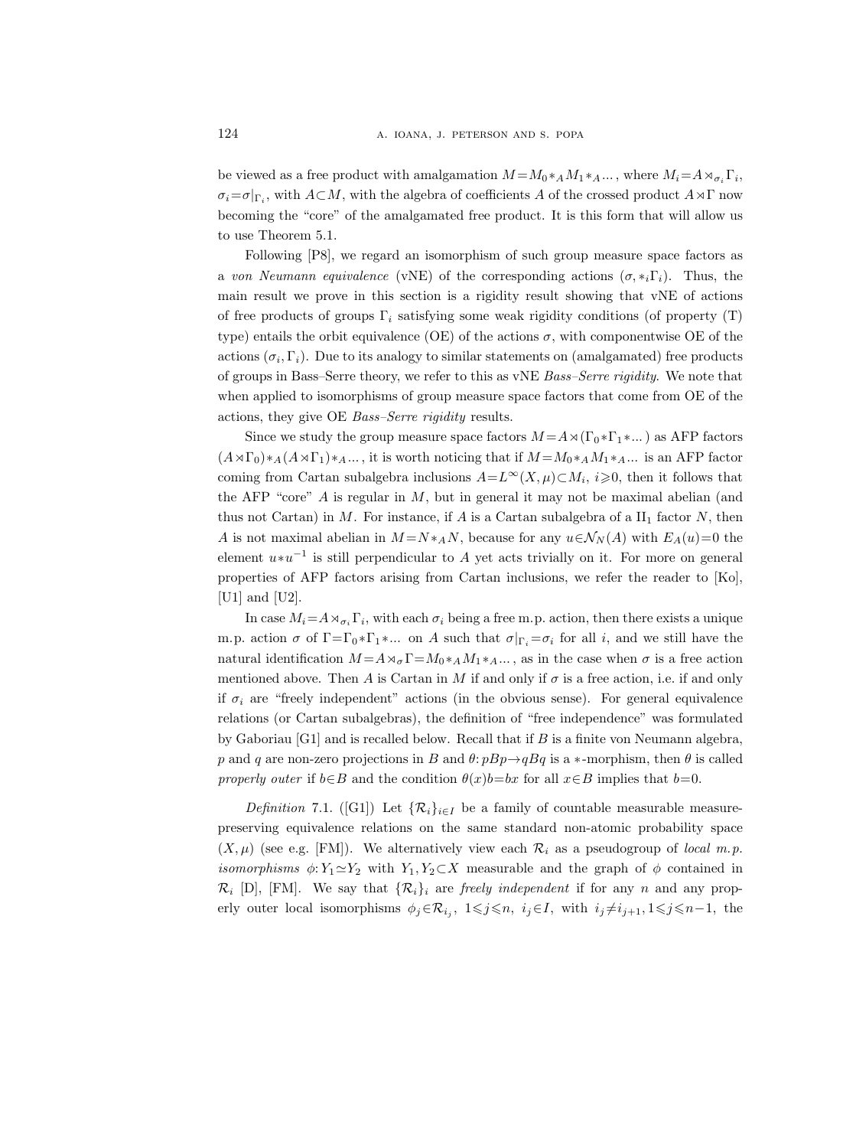be viewed as a free product with amalgamation  $M = M_0 *_{A} M_1 *_{A} ...$ , where  $M_i = A *_{\sigma_i} \Gamma_i$ ,  $\sigma_i = \sigma|_{\Gamma_i}$ , with  $A \subset M$ , with the algebra of coefficients A of the crossed product  $A \rtimes \Gamma$  now becoming the "core" of the amalgamated free product. It is this form that will allow us to use Theorem 5.1.

Following [P8], we regard an isomorphism of such group measure space factors as a von Neumann equivalence (vNE) of the corresponding actions  $(\sigma, *_i \Gamma_i)$ . Thus, the main result we prove in this section is a rigidity result showing that vNE of actions of free products of groups  $\Gamma_i$  satisfying some weak rigidity conditions (of property (T) type) entails the orbit equivalence (OE) of the actions  $\sigma$ , with componentwise OE of the actions  $(\sigma_i, \Gamma_i)$ . Due to its analogy to similar statements on (amalgamated) free products of groups in Bass–Serre theory, we refer to this as vNE Bass–Serre rigidity. We note that when applied to isomorphisms of group measure space factors that come from OE of the actions, they give OE Bass–Serre rigidity results.

Since we study the group measure space factors  $M = A \rtimes (\Gamma_0 * \Gamma_1 * ...)$  as AFP factors  $(A\rtimes\Gamma_0)*A (A\rtimes\Gamma_1)*A \ldots$ , it is worth noticing that if  $M=M_0*_{A}M_1*_{A} \ldots$  is an AFP factor coming from Cartan subalgebra inclusions  $A = L^{\infty}(X, \mu) \subset M_i$ ,  $i \geq 0$ , then it follows that the AFP "core" A is regular in  $M$ , but in general it may not be maximal abelian (and thus not Cartan) in M. For instance, if A is a Cartan subalgebra of a  $II_1$  factor N, then A is not maximal abelian in  $M = N *_{A} N$ , because for any  $u \in \mathcal{N}_{N}(A)$  with  $E_{A}(u) = 0$  the element  $u * u^{-1}$  is still perpendicular to A yet acts trivially on it. For more on general properties of AFP factors arising from Cartan inclusions, we refer the reader to [Ko], [U1] and [U2].

In case  $M_i = A \rtimes_{\sigma_i} \Gamma_i$ , with each  $\sigma_i$  being a free m.p. action, then there exists a unique m.p. action  $\sigma$  of  $\Gamma = \Gamma_0 * \Gamma_1 * ...$  on A such that  $\sigma|_{\Gamma_i} = \sigma_i$  for all i, and we still have the natural identification  $M = A \rtimes_{\sigma} \Gamma = M_0 *_{A} M_1 *_{A} ...$ , as in the case when  $\sigma$  is a free action mentioned above. Then A is Cartan in M if and only if  $\sigma$  is a free action, i.e. if and only if  $\sigma_i$  are "freely independent" actions (in the obvious sense). For general equivalence relations (or Cartan subalgebras), the definition of "free independence" was formulated by Gaboriau [G1] and is recalled below. Recall that if B is a finite von Neumann algebra, p and q are non-zero projections in B and  $\theta$ :  $pBp \rightarrow qBq$  is a ∗-morphism, then  $\theta$  is called properly outer if  $b \in B$  and the condition  $\theta(x)b = bx$  for all  $x \in B$  implies that  $b = 0$ .

Definition 7.1. ([G1]) Let  $\{R_i\}_{i\in I}$  be a family of countable measurable measurepreserving equivalence relations on the same standard non-atomic probability space  $(X, \mu)$  (see e.g. [FM]). We alternatively view each  $\mathcal{R}_i$  as a pseudogroup of local m.p. isomorphisms  $\phi: Y_1 \simeq Y_2$  with  $Y_1, Y_2 \subset X$  measurable and the graph of  $\phi$  contained in  $\mathcal{R}_i$  [D], [FM]. We say that  $\{\mathcal{R}_i\}_i$  are *freely independent* if for any n and any properly outer local isomorphisms  $\phi_j \in \mathcal{R}_{i_j}$ ,  $1 \leqslant j \leqslant n$ ,  $i_j \in I$ , with  $i_j \neq i_{j+1}$ ,  $1 \leqslant j \leqslant n-1$ , the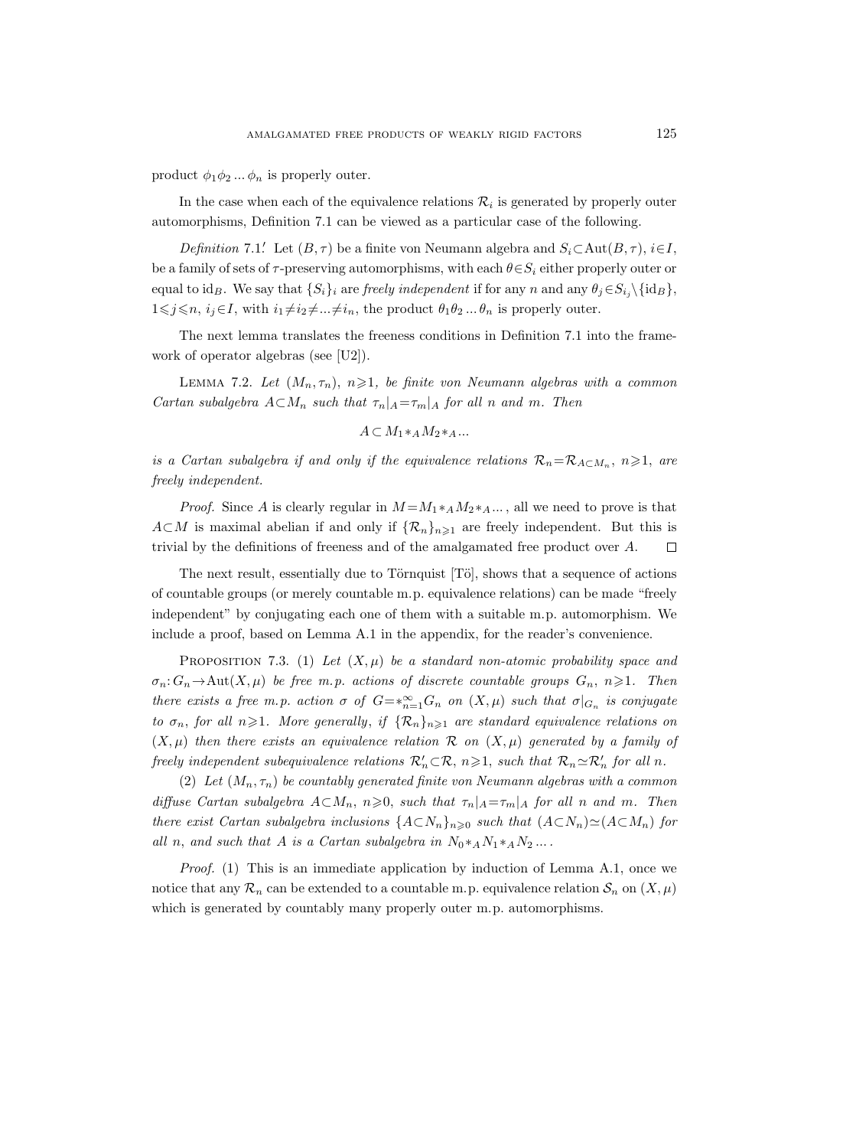product  $\phi_1 \phi_2 ... \phi_n$  is properly outer.

In the case when each of the equivalence relations  $\mathcal{R}_i$  is generated by properly outer automorphisms, Definition 7.1 can be viewed as a particular case of the following.

Definition 7.1. Let  $(B, \tau)$  be a finite von Neumann algebra and  $S_i \subset \text{Aut}(B, \tau)$ , i $\in I$ , be a family of sets of  $\tau$ -preserving automorphisms, with each  $\theta \in S_i$  either properly outer or equal to id<sub>B</sub>. We say that  $\{S_i\}_i$  are freely independent if for any n and any  $\theta_j \in S_{i_j} \setminus \{id_B\}$ ,  $1\leq j\leq n, i_j\in I$ , with  $i_1\neq i_2\neq...\neq i_n$ , the product  $\theta_1\theta_2...\theta_n$  is properly outer.

The next lemma translates the freeness conditions in Definition 7.1 into the framework of operator algebras (see [U2]).

LEMMA 7.2. Let  $(M_n, \tau_n)$ ,  $n \geq 1$ , be finite von Neumann algebras with a common Cartan subalgebra  $A \subset M_n$  such that  $\tau_n|_A = \tau_m|_A$  for all n and m. Then

$$
A \subset M_1 *_{A} M_2 *_{A} \dots
$$

is a Cartan subalgebra if and only if the equivalence relations  $\mathcal{R}_n = \mathcal{R}_{A \subset M_n}$ ,  $n \geq 1$ , are freely independent.

*Proof.* Since A is clearly regular in  $M = M_1 *_{A} M_2 *_{A} ...$ , all we need to prove is that  $A\subset M$  is maximal abelian if and only if  $\{\mathcal{R}_n\}_{n\geq 1}$  are freely independent. But this is trivial by the definitions of freeness and of the amalgamated free product over A.  $\Box$ 

The next result, essentially due to Törnquist  $[T\ddot{o}]$ , shows that a sequence of actions of countable groups (or merely countable m.p. equivalence relations) can be made "freely independent" by conjugating each one of them with a suitable m.p. automorphism. We include a proof, based on Lemma A.1 in the appendix, for the reader's convenience.

PROPOSITION 7.3. (1) Let  $(X, \mu)$  be a standard non-atomic probability space and  $\sigma_n: G_n \to \text{Aut}(X, \mu)$  be free m.p. actions of discrete countable groups  $G_n$ ,  $n \geq 1$ . Then there exists a free m.p. action  $\sigma$  of  $G = *_{n=1}^{\infty} G_n$  on  $(X,\mu)$  such that  $\sigma|_{G_n}$  is conjugate to  $\sigma_n$ , for all  $n\geqslant 1$ . More generally, if  $\{\mathcal{R}_n\}_{n\geqslant 1}$  are standard equivalence relations on  $(X,\mu)$  then there exists an equivalence relation R on  $(X,\mu)$  generated by a family of freely independent subequivalence relations  $\mathcal{R}'_n \subset \mathcal{R}$ ,  $n \geq 1$ , such that  $\mathcal{R}_n \simeq \mathcal{R}'_n$  for all n.

(2) Let  $(M_n, \tau_n)$  be countably generated finite von Neumann algebras with a common diffuse Cartan subalgebra  $A \subset M_n$ ,  $n \geq 0$ , such that  $\tau_n|_A = \tau_m|_A$  for all n and m. Then there exist Cartan subalgebra inclusions  ${A \subset N_n}_{n \geq 0}$  such that  $(A \subset N_n) \simeq (A \subset M_n)$  for all n, and such that A is a Cartan subalgebra in  $N_0 *_{A} N_1 *_{A} N_2 ...$ 

*Proof.* (1) This is an immediate application by induction of Lemma A.1, once we notice that any  $\mathcal{R}_n$  can be extended to a countable m.p. equivalence relation  $\mathcal{S}_n$  on  $(X,\mu)$ which is generated by countably many properly outer m.p. automorphisms.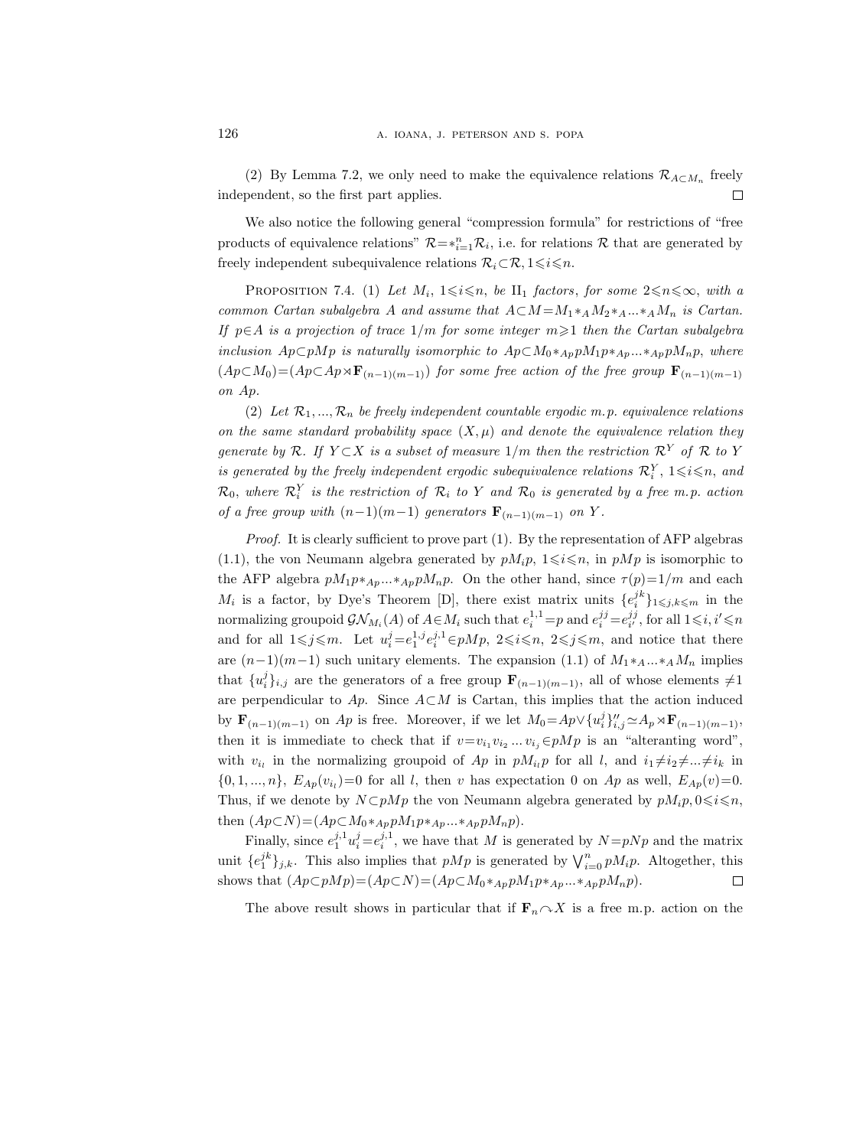(2) By Lemma 7.2, we only need to make the equivalence relations  $\mathcal{R}_{A\subset M_n}$  freely independent, so the first part applies.  $\Box$ 

We also notice the following general "compression formula" for restrictions of "free products of equivalence relations"  $\mathcal{R} = *_{i=1}^n \mathcal{R}_i$ , i.e. for relations  $\mathcal{R}$  that are generated by freely independent subequivalence relations  $\mathcal{R}_i \subset \mathcal{R}, 1 \leq i \leq n$ .

PROPOSITION 7.4. (1) Let  $M_i$ ,  $1 \leq i \leq n$ , be  $\Pi_1$  factors, for some  $2 \leq n \leq \infty$ , with a common Cartan subalgebra A and assume that  $A \subset M = M_1 *_{A} M_2 *_{A} ... *_{A} M_n$  is Cartan. If  $p \in A$  is a projection of trace  $1/m$  for some integer  $m \geq 1$  then the Cartan subalgebra inclusion  $A_p\subset pMp$  is naturally isomorphic to  $A_p\subset M_0*_{Ap}pM_1p*_{Ap}...*_{Ap}pM_np$ , where  $(Ap\subset M_0)=(Ap\subset Ap\rtimes\mathbf{F}_{(n-1)(m-1)})$  for some free action of the free group  $\mathbf{F}_{(n-1)(m-1)}$ on Ap.

(2) Let  $\mathcal{R}_1, ..., \mathcal{R}_n$  be freely independent countable ergodic m.p. equivalence relations on the same standard probability space  $(X, \mu)$  and denote the equivalence relation they generate by R. If  $Y \subset X$  is a subset of measure  $1/m$  then the restriction  $\mathcal{R}^Y$  of R to Y is generated by the freely independent ergodic subequivalence relations  $\mathcal{R}_i^Y$ ,  $1 \leq i \leq n$ , and  $\mathcal{R}_0$ , where  $\mathcal{R}_i^Y$  is the restriction of  $\mathcal{R}_i$  to Y and  $\mathcal{R}_0$  is generated by a free m.p. action of a free group with  $(n-1)(m-1)$  generators  $\mathbf{F}_{(n-1)(m-1)}$  on Y.

Proof. It is clearly sufficient to prove part (1). By the representation of AFP algebras (1.1), the von Neumann algebra generated by  $pM_i p$ ,  $1 \leq i \leq n$ , in  $pMp$  is isomorphic to the AFP algebra  $pM_1p *_{Ap}...*_{Ap}pM_np$ . On the other hand, since  $\tau(p)=1/m$  and each  $M_i$  is a factor, by Dye's Theorem [D], there exist matrix units  $\{e_i^{jk}\}_{1\leqslant j,k\leqslant m}$  in the normalizing groupoid  $\mathcal{GN}_{M_i}(A)$  of  $A \in M_i$  such that  $e_i^{1,1} = p$  and  $e_i^{jj} = e_{i'}^{jj}$ , for all  $1 \leq i, i' \leq n$ and for all  $1 \leq j \leq m$ . Let  $u_i^j = e_1^{1,j} e_i^{j,1} \in pMp$ ,  $2 \leq i \leq n$ ,  $2 \leq j \leq m$ , and notice that there are  $(n-1)(m-1)$  such unitary elements. The expansion (1.1) of  $M_1 *_{A} ... *_{A} M_n$  implies that  $\{u_i^j\}_{i,j}$  are the generators of a free group  $\mathbf{F}_{(n-1)(m-1)}$ , all of whose elements  $\neq 1$ are perpendicular to Ap. Since  $A\subset M$  is Cartan, this implies that the action induced by  $\mathbf{F}_{(n-1)(m-1)}$  on Ap is free. Moreover, if we let  $M_0 = Ap \vee \{u_i^j\}_{i,j}^{\prime\prime} \simeq A_p \rtimes \mathbf{F}_{(n-1)(m-1)}$ , then it is immediate to check that if  $v=v_{i_1}v_{i_2}...v_{i_j} \in pMp$  is an "alteranting word", with  $v_{i_l}$  in the normalizing groupoid of Ap in  $pM_{i_l}p$  for all l, and  $i_1\neq i_2\neq...\neq i_k$  in  $\{0, 1, ..., n\}, E_{Ap}(v_{i_l}) = 0$  for all l, then v has expectation 0 on Ap as well,  $E_{Ap}(v) = 0$ . Thus, if we denote by  $N \subset pMp$  the von Neumann algebra generated by  $pM_i p, 0 \leq i \leq n$ , then  $(Ap\subset N)=(Ap\subset M_0*_{Ap}pM_1p*_{Ap}...*_{Ap}pM_np).$ 

Finally, since  $e_1^{j,1}u_i^j=e_i^{j,1}$ , we have that M is generated by  $N=pNp$  and the matrix unit  $\{e_1^{jk}\}_{j,k}$ . This also implies that  $pMp$  is generated by  $\bigvee_{i=0}^n pM_ip$ . Altogether, this shows that  $(Ap\subset pMp)=(Ap\subset N)=(Ap\subset M_0*_{Ap}pM_1p*_{Ap}...*_{Ap}pM_np).$ □

The above result shows in particular that if  $\mathbf{F}_n \cap X$  is a free m.p. action on the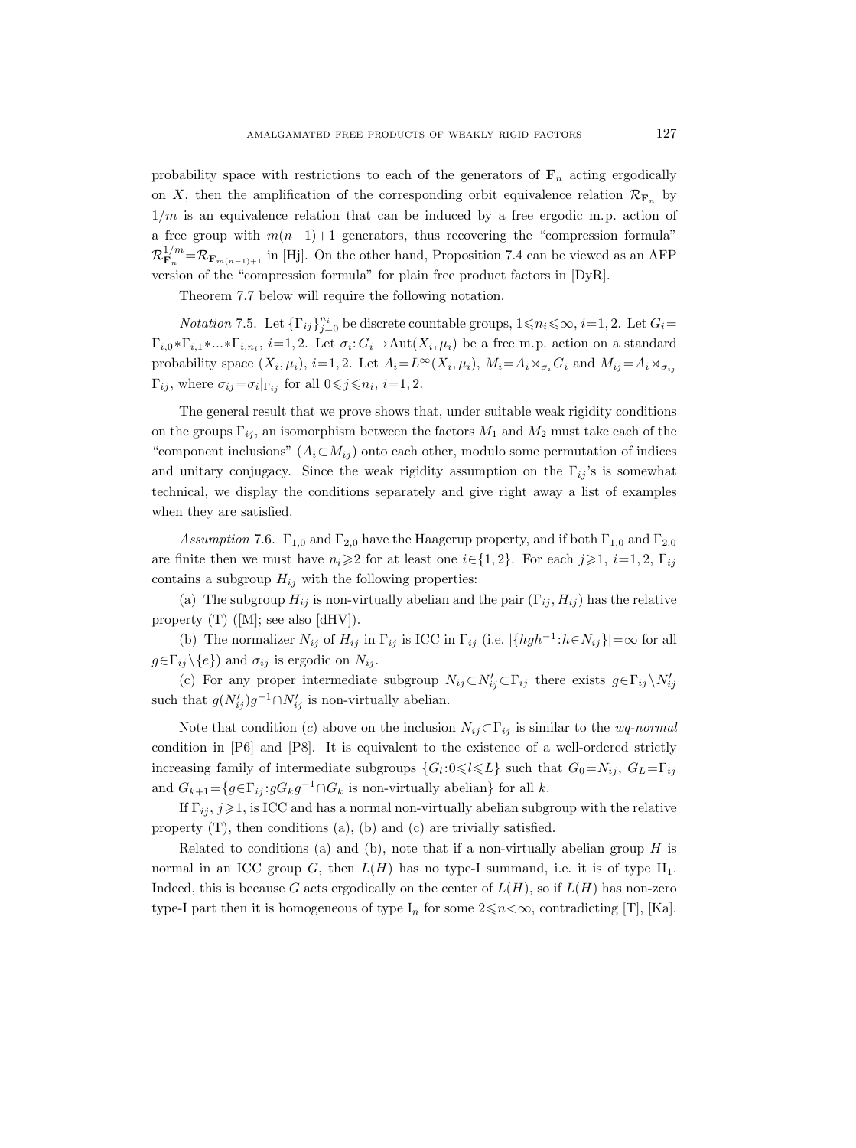probability space with restrictions to each of the generators of  $\mathbf{F}_n$  acting ergodically on X, then the amplification of the corresponding orbit equivalence relation  $\mathcal{R}_{\mathbf{F}_n}$  by  $1/m$  is an equivalence relation that can be induced by a free ergodic m.p. action of a free group with  $m(n-1)+1$  generators, thus recovering the "compression formula"  $\mathcal{R}^{1/m}_{\mathbf{F}_n}$  $F_{\mathbf{F}_n}^{1/m} = \mathcal{R}_{\mathbf{F}_{m(n-1)+1}}$  in [Hj]. On the other hand, Proposition 7.4 can be viewed as an AFP version of the "compression formula" for plain free product factors in [DyR].

Theorem 7.7 below will require the following notation.

*Notation* 7.5. Let  $\{\Gamma_{ij}\}_{j=0}^{n_i}$  be discrete countable groups,  $1 \leq n_i \leq \infty$ ,  $i=1,2$ . Let  $G_i =$  $\Gamma_{i,0} * \Gamma_{i,1} * ... * \Gamma_{i,n_i}$ ,  $i=1,2$ . Let  $\sigma_i: G_i \to \text{Aut}(X_i,\mu_i)$  be a free m.p. action on a standard probability space  $(X_i, \mu_i)$ ,  $i=1, 2$ . Let  $A_i = L^{\infty}(X_i, \mu_i)$ ,  $M_i = A_i \rtimes_{\sigma_i} G_i$  and  $M_{ij} = A_i \rtimes_{\sigma_{ij}} G_i$  $\Gamma_{ij}$ , where  $\sigma_{ij} = \sigma_i|_{\Gamma_{ij}}$  for all  $0 \leq j \leq n_i$ ,  $i = 1, 2$ .

The general result that we prove shows that, under suitable weak rigidity conditions on the groups  $\Gamma_{ij}$ , an isomorphism between the factors  $M_1$  and  $M_2$  must take each of the "component inclusions"  $(A_i \subset M_{ij})$  onto each other, modulo some permutation of indices and unitary conjugacy. Since the weak rigidity assumption on the  $\Gamma_{ij}$ 's is somewhat technical, we display the conditions separately and give right away a list of examples when they are satisfied.

Assumption 7.6.  $\Gamma_{1,0}$  and  $\Gamma_{2,0}$  have the Haagerup property, and if both  $\Gamma_{1,0}$  and  $\Gamma_{2,0}$ are finite then we must have  $n_i\geq 2$  for at least one  $i\in\{1,2\}$ . For each  $j\geqslant 1$ ,  $i=1,2$ ,  $\Gamma_{ij}$ contains a subgroup  $H_{ij}$  with the following properties:

(a) The subgroup  $H_{ij}$  is non-virtually abelian and the pair  $(\Gamma_{ij}, H_{ij})$  has the relative property  $(T)$  ([M]; see also [dHV]).

(b) The normalizer  $N_{ij}$  of  $H_{ij}$  in  $\Gamma_{ij}$  is ICC in  $\Gamma_{ij}$  (i.e.  $|\{hgh^{-1}:h\in N_{ij}\}|=\infty$  for all  $g \in \Gamma_{ij} \backslash \{e\}$  and  $\sigma_{ij}$  is ergodic on  $N_{ij}$ .

(c) For any proper intermediate subgroup  $N_{ij} \subset N'_{ij} \subset \Gamma_{ij}$  there exists  $g \in \Gamma_{ij} \setminus N'_{ij}$ such that  $g(N'_{ij})g^{-1}\cap N'_{ij}$  is non-virtually abelian.

Note that condition (c) above on the inclusion  $N_{ij} \subset \Gamma_{ij}$  is similar to the *wq-normal* condition in [P6] and [P8]. It is equivalent to the existence of a well-ordered strictly increasing family of intermediate subgroups  $\{G_l: 0 \leq l \leq L\}$  such that  $G_0 = N_{ij}$ ,  $G_L = \Gamma_{ij}$ and  $G_{k+1} = \{ g \in \Gamma_{ij} : gG_k g^{-1} \cap G_k \text{ is non-virtually abelian} \}$  for all k.

If  $\Gamma_{ij}$ ,  $j\geqslant1$ , is ICC and has a normal non-virtually abelian subgroup with the relative property  $(T)$ , then conditions  $(a)$ ,  $(b)$  and  $(c)$  are trivially satisfied.

Related to conditions (a) and (b), note that if a non-virtually abelian group  $H$  is normal in an ICC group G, then  $L(H)$  has no type-I summand, i.e. it is of type  $II_1$ . Indeed, this is because G acts ergodically on the center of  $L(H)$ , so if  $L(H)$  has non-zero type-I part then it is homogeneous of type  $I_n$  for some  $2 \le n < \infty$ , contradicting [T], [Ka].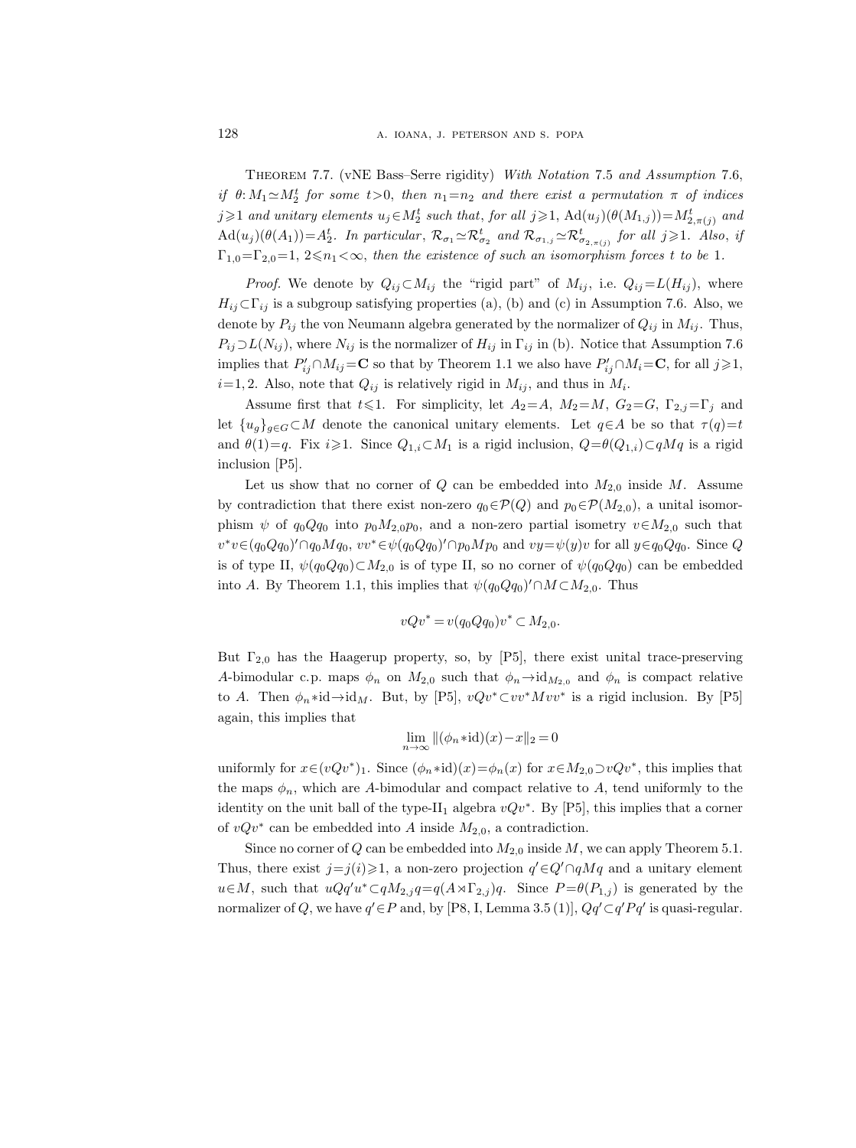Theorem 7.7. (vNE Bass–Serre rigidity) With Notation 7.5 and Assumption 7.6, if  $\theta: M_1 \simeq M_2^t$  for some  $t > 0$ , then  $n_1 = n_2$  and there exist a permutation  $\pi$  of indices j $\geqslant$ 1 and unitary elements  $u_j \in M_2^t$  such that, for all  $j \geqslant 1$ ,  $\mathrm{Ad}(u_j)(\theta(M_{1,j})) = M_{2,\pi(j)}^t$  and  $\operatorname{Ad}(u_j)(\theta(A_1)) = A_2^t$ . In particular,  $\mathcal{R}_{\sigma_1} \simeq \mathcal{R}_{\sigma_2}^t$  and  $\mathcal{R}_{\sigma_{1,j}} \simeq \mathcal{R}_{\sigma_{2,\pi(j)}}^t$  for all  $j \geqslant 1$ . Also, if  $\Gamma_{1,0}=\Gamma_{2,0}=1, 2\leq n_1<\infty$ , then the existence of such an isomorphism forces t to be 1.

*Proof.* We denote by  $Q_{ij} \subset M_{ij}$  the "rigid part" of  $M_{ij}$ , i.e.  $Q_{ij} = L(H_{ij})$ , where  $H_{ij}\subset\Gamma_{ij}$  is a subgroup satisfying properties (a), (b) and (c) in Assumption 7.6. Also, we denote by  $P_{ij}$  the von Neumann algebra generated by the normalizer of  $Q_{ij}$  in  $M_{ij}$ . Thus,  $P_{ij}\supset L(N_{ij})$ , where  $N_{ij}$  is the normalizer of  $H_{ij}$  in  $\Gamma_{ij}$  in (b). Notice that Assumption 7.6 implies that  $P'_{ij} \cap M_{ij} = \mathbf{C}$  so that by Theorem 1.1 we also have  $P'_{ij} \cap M_i = \mathbf{C}$ , for all  $j \geqslant 1$ ,  $i=1, 2$ . Also, note that  $Q_{ij}$  is relatively rigid in  $M_{ij}$ , and thus in  $M_i$ .

Assume first that  $t \leq 1$ . For simplicity, let  $A_2 = A$ ,  $M_2 = M$ ,  $G_2 = G$ ,  $\Gamma_{2,j} = \Gamma_j$  and let  $\{u_g\}_{g\in G}\subset M$  denote the canonical unitary elements. Let  $q\in A$  be so that  $\tau(q)=t$ and  $\theta(1)=q$ . Fix  $i\geq 1$ . Since  $Q_{1,i}\subset M_1$  is a rigid inclusion,  $Q=\theta(Q_{1,i})\subset qMq$  is a rigid inclusion [P5].

Let us show that no corner of Q can be embedded into  $M_{2,0}$  inside M. Assume by contradiction that there exist non-zero  $q_0 \in \mathcal{P}(Q)$  and  $p_0 \in \mathcal{P}(M_{2,0})$ , a unital isomorphism  $\psi$  of  $q_0Qq_0$  into  $p_0M_2,0p_0$ , and a non-zero partial isometry  $v\in M_{2,0}$  such that  $v^*v \in (q_0Qq_0)' \cap q_0Mq_0, vv^* \in \psi(q_0Qq_0)' \cap p_0Mp_0$  and  $vy = \psi(y)v$  for all  $y \in q_0Qq_0$ . Since Q is of type II,  $\psi(q_0Qq_0)\subset M_{2,0}$  is of type II, so no corner of  $\psi(q_0Qq_0)$  can be embedded into A. By Theorem 1.1, this implies that  $\psi(q_0Qq_0)' \cap M \subset M_{2,0}$ . Thus

$$
vQv^* = v(q_0QQ_0)v^* \subset M_{2,0}.
$$

But  $\Gamma_{2,0}$  has the Haagerup property, so, by [P5], there exist unital trace-preserving A-bimodular c.p. maps  $\phi_n$  on  $M_{2,0}$  such that  $\phi_n \rightarrow id_{M_{2,0}}$  and  $\phi_n$  is compact relative to A. Then  $\phi_n * id \rightarrow id_M$ . But, by [P5],  $vQv^* \subset vv^*Mvv^*$  is a rigid inclusion. By [P5] again, this implies that

$$
\lim_{n \to \infty} \|(\phi_n * \mathrm{id})(x) - x\|_2 = 0
$$

uniformly for  $x \in (vQv^*)_1$ . Since  $(\phi_n * id)(x) = \phi_n(x)$  for  $x \in M_{2,0} \supset vQv^*$ , this implies that the maps  $\phi_n$ , which are A-bimodular and compact relative to A, tend uniformly to the identity on the unit ball of the type-II<sub>1</sub> algebra  $vQv^*$ . By [P5], this implies that a corner of  $vQv^*$  can be embedded into A inside  $M_{2,0}$ , a contradiction.

Since no corner of Q can be embedded into  $M_{2,0}$  inside M, we can apply Theorem 5.1. Thus, there exist  $j=j(i) \geq 1$ , a non-zero projection  $q' \in Q' \cap qMq$  and a unitary element  $u \in M$ , such that  $uQq'u^* \subset qM_{2,j}q = q(A \rtimes \Gamma_{2,j})q$ . Since  $P = \theta(P_{1,j})$  is generated by the normalizer of Q, we have  $q' \in P$  and, by [P8, I, Lemma 3.5 (1)],  $Qq' \subset q'Pq'$  is quasi-regular.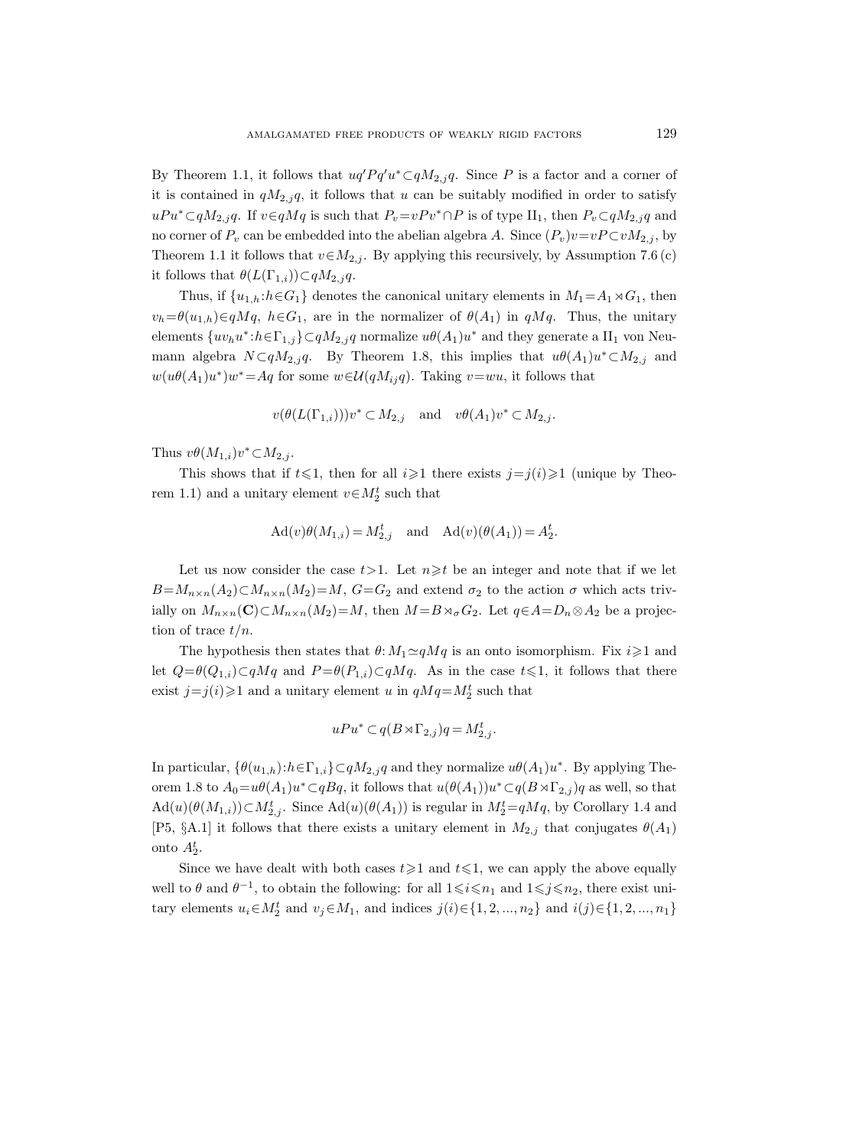By Theorem 1.1, it follows that  $uq'Pq'u^* \subset qM_{2,j}q$ . Since P is a factor and a corner of it is contained in  $qM_{2,j}q$ , it follows that u can be suitably modified in order to satisfy  $uPu^* \subset qM_{2,j}q$ . If  $v \in qMq$  is such that  $P_v = vPv^* \cap P$  is of type II<sub>1</sub>, then  $P_v \subset qM_{2,j}q$  and no corner of  $P_v$  can be embedded into the abelian algebra A. Since  $(P_v)v=vP\subset vM_{2,j}$ , by Theorem 1.1 it follows that  $v \in M_{2,i}$ . By applying this recursively, by Assumption 7.6 (c) it follows that  $\theta(L(\Gamma_{1,i}))\subset qM_{2,j}q$ .

Thus, if  $\{u_{1,h}: h \in G_1\}$  denotes the canonical unitary elements in  $M_1 = A_1 \rtimes G_1$ , then  $v_h = \theta(u_{1,h}) \in qMq, h \in G_1$ , are in the normalizer of  $\theta(A_1)$  in  $qMq$ . Thus, the unitary elements  $\{uv_hu^*:h \in \Gamma_{1,j}\}\subset qM_{2,j}q$  normalize  $u\theta(A_1)u^*$  and they generate a  $II_1$  von Neumann algebra  $N \subset qM_{2,j}q$ . By Theorem 1.8, this implies that  $u\theta(A_1)u^* \subset M_{2,j}$  and  $w(u\theta(A_1)u^*)w^* = Aq$  for some  $w \in \mathcal{U}(qM_{ij}q)$ . Taking  $v=wu$ , it follows that

$$
v(\theta(L(\Gamma_{1,i})))v^*\subset M_{2,j}\quad\text{and}\quad v\theta(A_1)v^*\subset M_{2,j}.
$$

Thus  $v\theta(M_{1,i})v^*\subset M_{2,j}$ .

This shows that if  $t \leq 1$ , then for all  $i \geq 1$  there exists  $j=j(i)\geq 1$  (unique by Theorem 1.1) and a unitary element  $v \in M_2^t$  such that

$$
\mathrm{Ad}(v)\theta(M_{1,i}) = M_{2,j}^t \quad \text{and} \quad \mathrm{Ad}(v)(\theta(A_1)) = A_2^t.
$$

Let us now consider the case  $t>1$ . Let  $n\geq t$  be an integer and note that if we let  $B=M_{n\times n}(A_2)\subset M_{n\times n}(M_2)=M$ ,  $G=G_2$  and extend  $\sigma_2$  to the action  $\sigma$  which acts trivially on  $M_{n\times n}(\mathbf{C})\subset M_{n\times n}(M_2)=M$ , then  $M=B\rtimes_{\sigma}G_2$ . Let  $q\in A=D_n\otimes A_2$  be a projection of trace  $t/n$ .

The hypothesis then states that  $\theta: M_1 \simeq qMq$  is an onto isomorphism. Fix  $i \geq 1$  and let  $Q=\theta(Q_{1,i})\subset qMq$  and  $P=\theta(P_{1,i})\subset qMq$ . As in the case  $t\leq 1$ , it follows that there exist  $j = j(i) \geq 1$  and a unitary element u in  $qMq = M_2^t$  such that

$$
uPu^* \subset q(B \rtimes \Gamma_{2,j})q = M_{2,j}^t.
$$

In particular,  $\{\theta(u_{1,h}): h \in \Gamma_{1,i}\} \subset qM_{2,j}q$  and they normalize  $u\theta(A_1)u^*$ . By applying Theorem 1.8 to  $A_0=u\theta(A_1)u^*\subset qBq$ , it follows that  $u(\theta(A_1))u^*\subset q(B\rtimes \Gamma_{2,j})q$  as well, so that  $\text{Ad}(u)(\theta(M_{1,i})) \subset M_{2,j}^t$ . Since  $\text{Ad}(u)(\theta(A_1))$  is regular in  $M_2^t = qMq$ , by Corollary 1.4 and [P5, §A.1] it follows that there exists a unitary element in  $M_{2,j}$  that conjugates  $\theta(A_1)$ onto  $A_2^t$ .

Since we have dealt with both cases  $t \geq 1$  and  $t \leq 1$ , we can apply the above equally well to  $\theta$  and  $\theta^{-1}$ , to obtain the following: for all  $1 \leq i \leq n_1$  and  $1 \leq j \leq n_2$ , there exist unitary elements  $u_i \in M_2^t$  and  $v_j \in M_1$ , and indices  $j(i) \in \{1, 2, ..., n_2\}$  and  $i(j) \in \{1, 2, ..., n_1\}$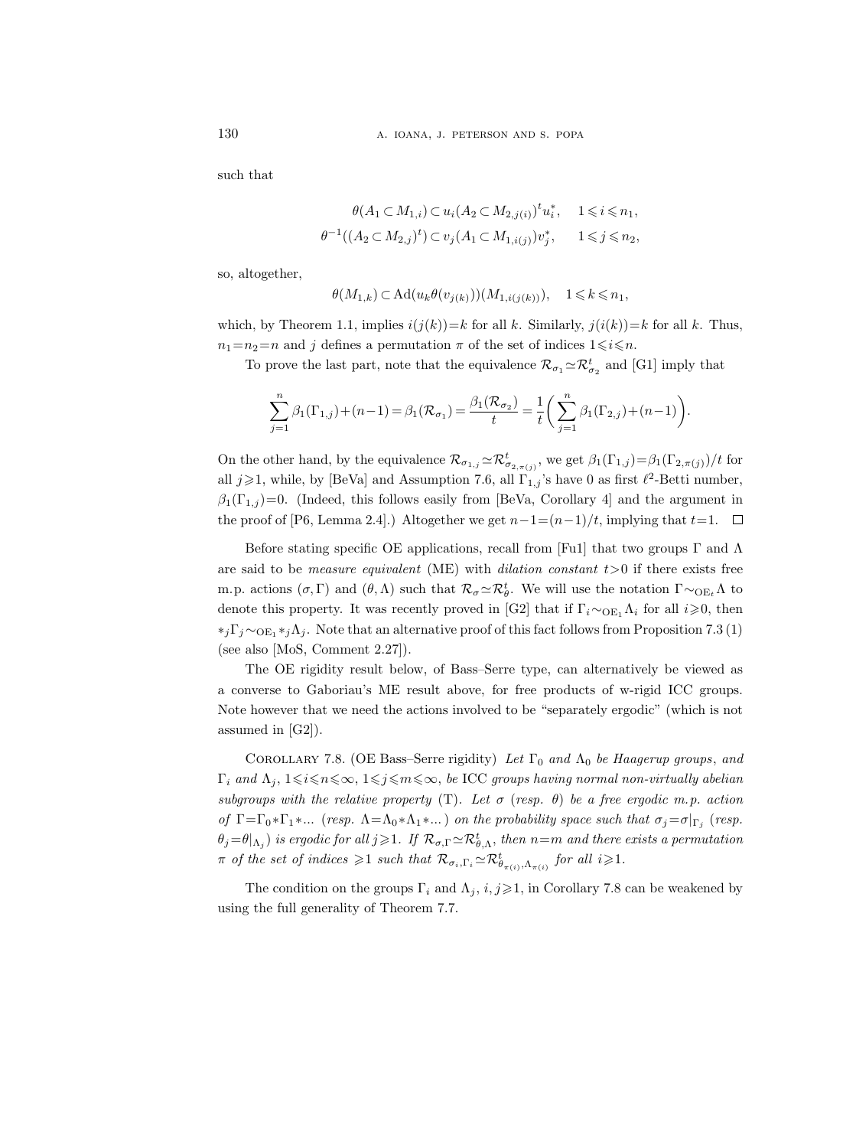such that

$$
\theta(A_1 \subset M_{1,i}) \subset u_i(A_2 \subset M_{2,j(i)})^t u_i^*, \quad 1 \le i \le n_1,
$$
  

$$
\theta^{-1}((A_2 \subset M_{2,j})^t) \subset v_j(A_1 \subset M_{1,i(j)})v_j^*, \quad 1 \le j \le n_2,
$$

so, altogether,

$$
\theta(M_{1,k}) \subset \mathrm{Ad}(u_k \theta(v_{j(k)}))(M_{1,i(j(k))}), \quad 1 \leq k \leq n_1,
$$

which, by Theorem 1.1, implies  $i(j(k))=k$  for all k. Similarly,  $j(i(k))=k$  for all k. Thus,  $n_1=n_2=n$  and j defines a permutation  $\pi$  of the set of indices  $1\leq i\leq n$ .

To prove the last part, note that the equivalence  $\mathcal{R}_{\sigma_1} \simeq \mathcal{R}_{\sigma_2}^t$  and [G1] imply that

$$
\sum_{j=1}^{n} \beta_1(\Gamma_{1,j}) + (n-1) = \beta_1(\mathcal{R}_{\sigma_1}) = \frac{\beta_1(\mathcal{R}_{\sigma_2})}{t} = \frac{1}{t} \bigg( \sum_{j=1}^{n} \beta_1(\Gamma_{2,j}) + (n-1) \bigg).
$$

On the other hand, by the equivalence  $\mathcal{R}_{\sigma_{1,j}} \simeq \mathcal{R}_{\sigma_{2,\pi(j)}}^t$ , we get  $\beta_1(\Gamma_{1,j}) = \beta_1(\Gamma_{2,\pi(j)})/t$  for all  $j \geqslant 1$ , while, by [BeVa] and Assumption 7.6, all  $\Gamma_{1,j}$ 's have 0 as first  $\ell^2$ -Betti number,  $\beta_1(\Gamma_{1,j})=0.$  (Indeed, this follows easily from [BeVa, Corollary 4] and the argument in the proof of [P6, Lemma 2.4].) Altogether we get  $n-1=(n-1)/t$ , implying that  $t=1$ .  $\Box$ 

Before stating specific OE applications, recall from [Fu1] that two groups  $\Gamma$  and  $\Lambda$ are said to be *measure equivalent* (ME) with *dilation constant*  $t > 0$  if there exists free m.p. actions  $(\sigma, \Gamma)$  and  $(\theta, \Lambda)$  such that  $\mathcal{R}_{\sigma} \simeq \mathcal{R}_{\theta}^{t}$ . We will use the notation  $\Gamma \sim_{\text{OE}_{t}} \Lambda$  to denote this property. It was recently proved in [G2] that if  $\Gamma_i \sim_{\text{OE}_1} \Lambda_i$  for all  $i \geqslant 0$ , then  $*_i\Gamma_i \sim_{\text{OE}_1} *_{i}\Lambda_i$ . Note that an alternative proof of this fact follows from Proposition 7.3 (1) (see also [MoS, Comment 2.27]).

The OE rigidity result below, of Bass–Serre type, can alternatively be viewed as a converse to Gaboriau's ME result above, for free products of w-rigid ICC groups. Note however that we need the actions involved to be "separately ergodic" (which is not assumed in [G2]).

COROLLARY 7.8. (OE Bass–Serre rigidity) Let  $\Gamma_0$  and  $\Lambda_0$  be Haagerup groups, and  $\Gamma_i$  and  $\Lambda_j$ ,  $1\leqslant i\leqslant n\leqslant\infty$ ,  $1\leqslant j\leqslant m\leqslant\infty$ , be ICC groups having normal non-virtually abelian subgroups with the relative property (T). Let  $\sigma$  (resp.  $\theta$ ) be a free ergodic m.p. action of  $\Gamma = \Gamma_0 * \Gamma_1 * ...$  (resp.  $\Lambda = \Lambda_0 * \Lambda_1 * ...$ ) on the probability space such that  $\sigma_j = \sigma|_{\Gamma_j}$  (resp.  $\theta_j = \theta|_{\Lambda_j}$ ) is ergodic for all  $j \geqslant 1$ . If  $\mathcal{R}_{\sigma, \Gamma} \simeq \mathcal{R}^t_{\theta, \Lambda}$ , then  $n=m$  and there exists a permutation  $\pi$  of the set of indices  $\geqslant 1$  such that  $\mathcal{R}_{\sigma_i,\Gamma_i} \simeq \mathcal{R}_{\theta_{\pi(i)},\Lambda_{\pi(i)}}^t$  for all  $i \geqslant 1$ .

The condition on the groups  $\Gamma_i$  and  $\Lambda_j$ ,  $i, j \geq 1$ , in Corollary 7.8 can be weakened by using the full generality of Theorem 7.7.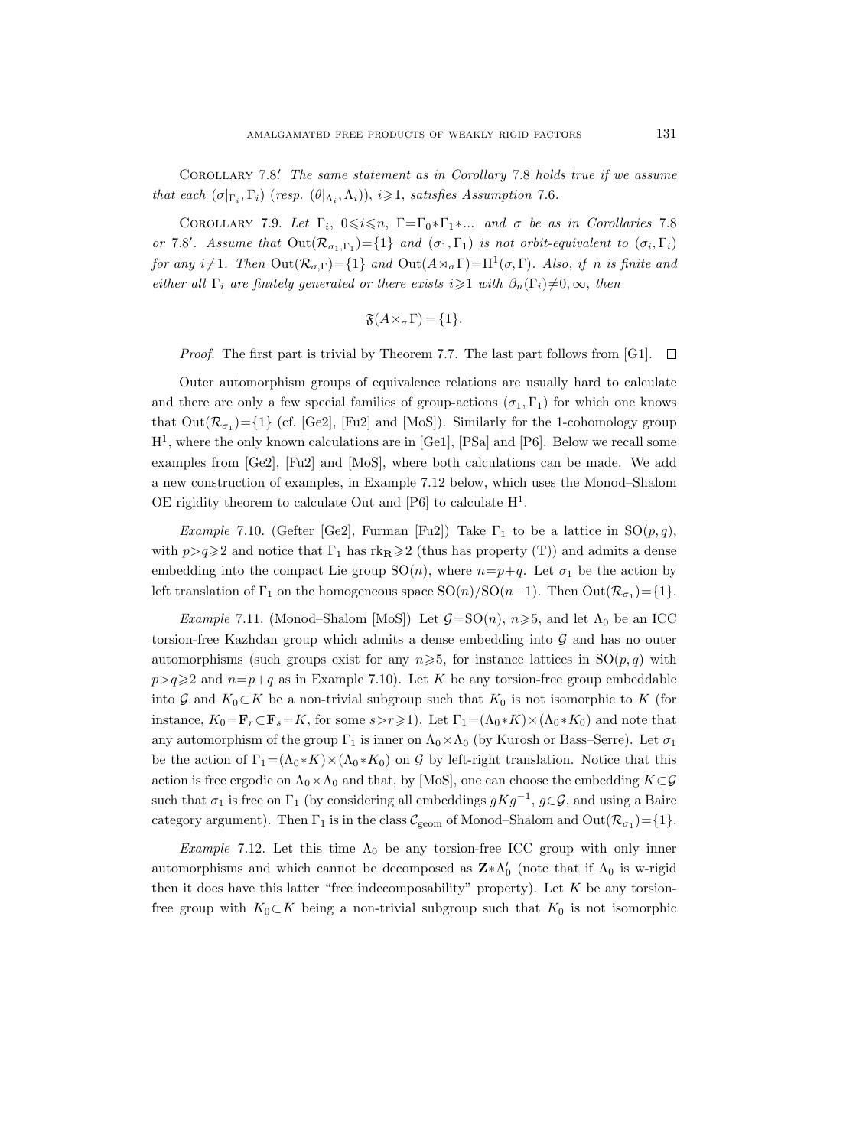COROLLARY 7.8. The same statement as in Corollary 7.8 holds true if we assume that each  $(\sigma|_{\Gamma_i}, \Gamma_i)$  (resp.  $(\theta|_{\Lambda_i}, \Lambda_i)$ ),  $i \geqslant 1$ , satisfies Assumption 7.6.

COROLLARY 7.9. Let  $\Gamma_i$ ,  $0 \leq i \leq n$ ,  $\Gamma = \Gamma_0 * \Gamma_1 * ...$  and  $\sigma$  be as in Corollaries 7.8 or 7.8'. Assume that  $Out(R_{\sigma_1,\Gamma_1}) = \{1\}$  and  $(\sigma_1,\Gamma_1)$  is not orbit-equivalent to  $(\sigma_i,\Gamma_i)$ for any  $i\neq 1$ . Then  $Out(R_{\sigma,\Gamma}) = \{1\}$  and  $Out(A \rtimes_{\sigma} \Gamma) = H^1(\sigma,\Gamma)$ . Also, if n is finite and either all  $\Gamma_i$  are finitely generated or there exists  $i\geq 1$  with  $\beta_n(\Gamma_i)\neq 0,\infty$ , then

$$
\mathfrak{F}(A \rtimes_{\sigma} \Gamma) = \{1\}.
$$

Proof. The first part is trivial by Theorem 7.7. The last part follows from [G1].  $\Box$ 

Outer automorphism groups of equivalence relations are usually hard to calculate and there are only a few special families of group-actions  $(\sigma_1, \Gamma_1)$  for which one knows that  $Out(\mathcal{R}_{\sigma_1}) = \{1\}$  (cf. [Ge2], [Fu2] and [MoS]). Similarly for the 1-cohomology group H<sup>1</sup> , where the only known calculations are in [Ge1], [PSa] and [P6]. Below we recall some examples from [Ge2], [Fu2] and [MoS], where both calculations can be made. We add a new construction of examples, in Example 7.12 below, which uses the Monod–Shalom OE rigidity theorem to calculate Out and  $[P6]$  to calculate  $H<sup>1</sup>$ .

Example 7.10. (Gefter [Ge2], Furman [Fu2]) Take  $\Gamma_1$  to be a lattice in  $SO(p,q)$ , with  $p>q\geqslant 2$  and notice that  $\Gamma_1$  has  $rk_{\mathbf{R}}\geqslant 2$  (thus has property (T)) and admits a dense embedding into the compact Lie group  $SO(n)$ , where  $n=p+q$ . Let  $\sigma_1$  be the action by left translation of  $\Gamma_1$  on the homogeneous space  $SO(n)/SO(n-1)$ . Then  $Out(\mathcal{R}_{\sigma_1}) = \{1\}$ .

*Example* 7.11. (Monod–Shalom [MoS]) Let  $\mathcal{G} = SO(n), n \geq 5$ , and let  $\Lambda_0$  be an ICC torsion-free Kazhdan group which admits a dense embedding into  $G$  and has no outer automorphisms (such groups exist for any  $n\geqslant 5$ , for instance lattices in  $SO(p,q)$  with  $p>q\geqslant 2$  and  $n=p+q$  as in Example 7.10). Let K be any torsion-free group embeddable into G and  $K_0\subset K$  be a non-trivial subgroup such that  $K_0$  is not isomorphic to K (for instance,  $K_0 = \mathbf{F}_r \subset \mathbf{F}_s = K$ , for some  $s > r \geq 1$ ). Let  $\Gamma_1 = (\Lambda_0 * K) \times (\Lambda_0 * K_0)$  and note that any automorphism of the group  $\Gamma_1$  is inner on  $\Lambda_0 \times \Lambda_0$  (by Kurosh or Bass–Serre). Let  $\sigma_1$ be the action of  $\Gamma_1=(\Lambda_0 * K) \times (\Lambda_0 * K_0)$  on G by left-right translation. Notice that this action is free ergodic on  $\Lambda_0 \times \Lambda_0$  and that, by [MoS], one can choose the embedding  $K\subset\mathcal{G}$ such that  $\sigma_1$  is free on  $\Gamma_1$  (by considering all embeddings  $gKg^{-1}$ ,  $g\in\mathcal{G}$ , and using a Baire category argument). Then  $\Gamma_1$  is in the class  $\mathcal{C}_{\text{geom}}$  of Monod–Shalom and  $\text{Out}(\mathcal{R}_{\sigma_1}) = \{1\}.$ 

Example 7.12. Let this time  $\Lambda_0$  be any torsion-free ICC group with only inner automorphisms and which cannot be decomposed as  $\mathbf{Z} * \Lambda'_0$  (note that if  $\Lambda_0$  is w-rigid then it does have this latter "free indecomposability" property). Let  $K$  be any torsionfree group with  $K_0\subset K$  being a non-trivial subgroup such that  $K_0$  is not isomorphic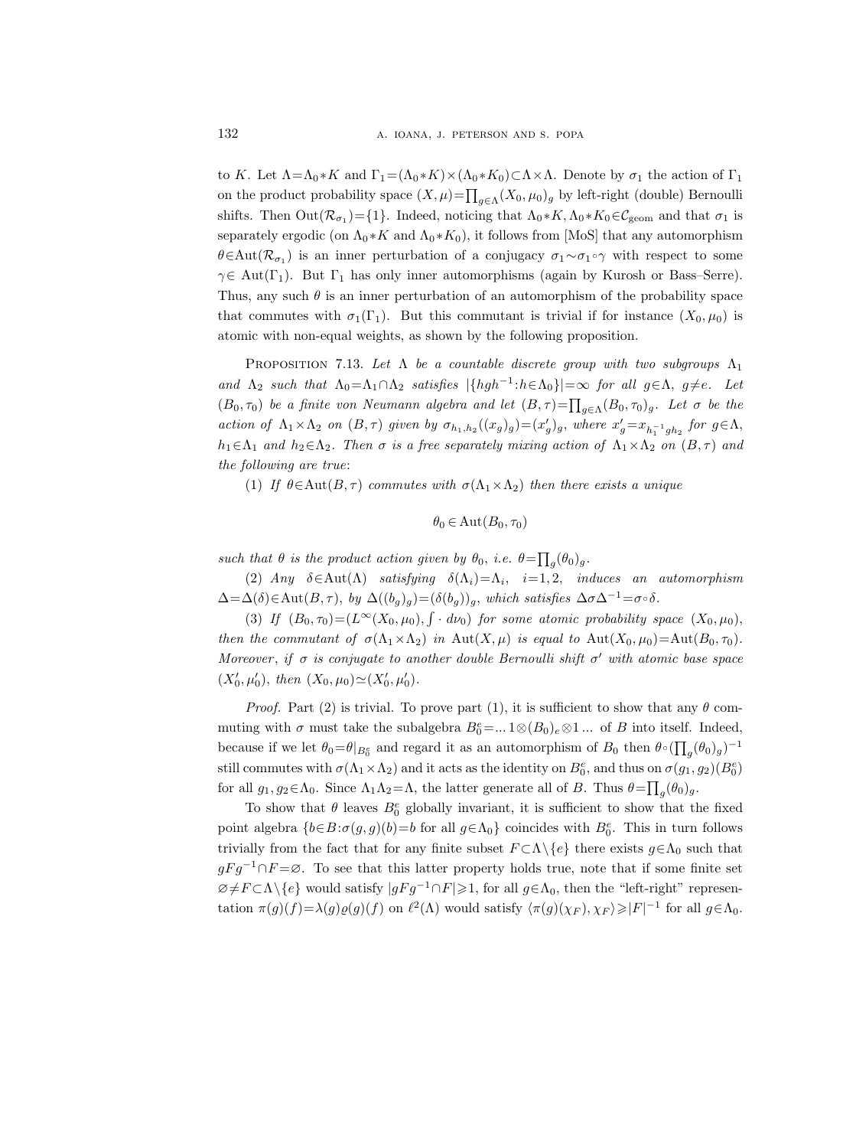to K. Let  $\Lambda = \Lambda_0 * K$  and  $\Gamma_1 = (\Lambda_0 * K) \times (\Lambda_0 * K_0) \subset \Lambda \times \Lambda$ . Denote by  $\sigma_1$  the action of  $\Gamma_1$ on the product probability space  $(X, \mu) = \prod_{g \in \Lambda} (X_0, \mu_0)_g$  by left-right (double) Bernoulli shifts. Then  $Out(\mathcal{R}_{\sigma_1}) = \{1\}$ . Indeed, noticing that  $\Lambda_0 * K$ ,  $\Lambda_0 * K_0 \in \mathcal{C}_{\text{geom}}$  and that  $\sigma_1$  is separately ergodic (on  $\Lambda_0 * K$  and  $\Lambda_0 * K_0$ ), it follows from [MoS] that any automorphism θ∈Aut $(\mathcal{R}_{\sigma_1})$  is an inner perturbation of a conjugacy  $\sigma_1 \sim \sigma_1 \circ \gamma$  with respect to some  $\gamma \in Aut(\Gamma_1)$ . But  $\Gamma_1$  has only inner automorphisms (again by Kurosh or Bass–Serre). Thus, any such  $\theta$  is an inner perturbation of an automorphism of the probability space that commutes with  $\sigma_1(\Gamma_1)$ . But this commutant is trivial if for instance  $(X_0, \mu_0)$  is atomic with non-equal weights, as shown by the following proposition.

PROPOSITION 7.13. Let  $\Lambda$  be a countable discrete group with two subgroups  $\Lambda_1$ and  $\Lambda_2$  such that  $\Lambda_0 = \Lambda_1 \cap \Lambda_2$  satisfies  $|\{hgh^{-1}: h \in \Lambda_0\}| = \infty$  for all  $g \in \Lambda$ ,  $g \neq e$ . Let  $(B_0, \tau_0)$  be a finite von Neumann algebra and let  $(B, \tau) = \prod_{g \in \Lambda} (B_0, \tau_0)_g$ . Let  $\sigma$  be the action of  $\Lambda_1 \times \Lambda_2$  on  $(B, \tau)$  given by  $\sigma_{h_1, h_2}((x_g)_g) = (x'_g)_g$ , where  $x'_g = x_{h_1^{-1}gh_2}$  for  $g \in \Lambda$ ,  $h_1 \in \Lambda_1$  and  $h_2 \in \Lambda_2$ . Then  $\sigma$  is a free separately mixing action of  $\Lambda_1 \times \Lambda_2$  on  $(B, \tau)$  and the following are true:

(1) If  $\theta \in \text{Aut}(B, \tau)$  commutes with  $\sigma(\Lambda_1 \times \Lambda_2)$  then there exists a unique

$$
\theta_0 \in \mathrm{Aut}(B_0,\tau_0)
$$

such that  $\theta$  is the product action given by  $\theta_0$ , i.e.  $\theta = \prod_g (\theta_0)_g$ .

(2) Any  $\delta \in \text{Aut}(\Lambda)$  satisfying  $\delta(\Lambda_i) = \Lambda_i$ ,  $i = 1, 2$ , induces an automorphism  $\Delta = \Delta(\delta) \in \text{Aut}(B, \tau)$ , by  $\Delta((b_g)_g) = (\delta(b_g))_g$ , which satisfies  $\Delta \sigma \Delta^{-1} = \sigma \circ \delta$ .

(3) If  $(B_0, \tau_0) = (L^{\infty}(X_0, \mu_0), \int \cdot dv_0)$  for some atomic probability space  $(X_0, \mu_0)$ , then the commutant of  $\sigma(\Lambda_1 \times \Lambda_2)$  in Aut $(X, \mu)$  is equal to Aut $(X_0, \mu_0)$ =Aut $(B_0, \tau_0)$ . Moreover, if  $\sigma$  is conjugate to another double Bernoulli shift  $\sigma'$  with atomic base space  $(X'_0, \mu'_0), \text{ then } (X_0, \mu_0) \simeq (X'_0, \mu'_0).$ 

*Proof.* Part (2) is trivial. To prove part (1), it is sufficient to show that any  $\theta$  commuting with  $\sigma$  must take the subalgebra  $B_0^e = \dots 1 \otimes (B_0)_e \otimes 1 \dots$  of B into itself. Indeed, because if we let  $\theta_0 = \theta|_{B_0^e}$  and regard it as an automorphism of  $B_0$  then  $\theta \circ (\prod_g (\theta_0)_g)^{-1}$ still commutes with  $\sigma(\Lambda_1 \times \Lambda_2)$  and it acts as the identity on  $B_0^e$ , and thus on  $\sigma(g_1, g_2)(B_0^e)$ for all  $g_1, g_2 \in \Lambda_0$ . Since  $\Lambda_1 \Lambda_2 = \Lambda$ , the latter generate all of B. Thus  $\theta = \prod_g (\theta_0)_g$ .

To show that  $\theta$  leaves  $B_0^e$  globally invariant, it is sufficient to show that the fixed point algebra  ${b \in B : \sigma(g, g)(b) = b \text{ for all } g \in \Lambda_0}$  coincides with  $B_0^e$ . This in turn follows trivially from the fact that for any finite subset  $F \subset \Lambda \setminus \{e\}$  there exists  $g \in \Lambda_0$  such that  $gFg^{-1}\cap F=\varnothing$ . To see that this latter property holds true, note that if some finite set  $\varnothing \neq F \subset \Lambda \setminus \{e\}$  would satisfy  $|gFg^{-1} \cap F| \geq 1$ , for all  $g \in \Lambda_0$ , then the "left-right" representation  $\pi(g)(f) = \lambda(g)\varrho(g)(f)$  on  $\ell^2(\Lambda)$  would satisfy  $\langle \pi(g)(\chi_F), \chi_F \rangle \geq |F|^{-1}$  for all  $g \in \Lambda_0$ .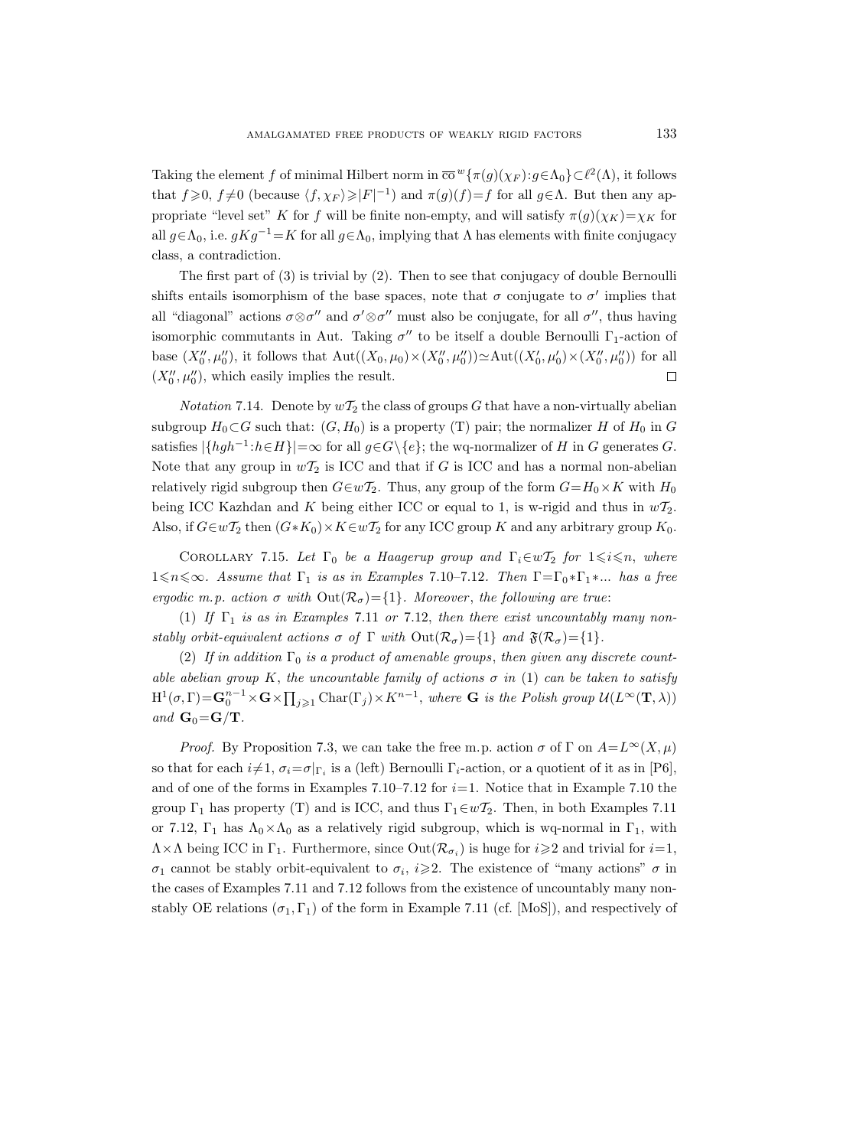Taking the element f of minimal Hilbert norm in  $\overline{co}^w\{\pi(g)(\chi_F): g \in \Lambda_0\} \subset \ell^2(\Lambda)$ , it follows that  $f \geqslant 0$ ,  $f \neq 0$  (because  $\langle f, \chi_F \rangle \geqslant |F|^{-1}$ ) and  $\pi(g)(f) = f$  for all  $g \in \Lambda$ . But then any appropriate "level set" K for f will be finite non-empty, and will satisfy  $\pi(g)(\chi_K)=\chi_K$  for all  $g \in \Lambda_0$ , i.e.  $gKg^{-1} = K$  for all  $g \in \Lambda_0$ , implying that  $\Lambda$  has elements with finite conjugacy class, a contradiction.

The first part of (3) is trivial by (2). Then to see that conjugacy of double Bernoulli shifts entails isomorphism of the base spaces, note that  $\sigma$  conjugate to  $\sigma'$  implies that all "diagonal" actions  $\sigma \otimes \sigma''$  and  $\sigma' \otimes \sigma''$  must also be conjugate, for all  $\sigma''$ , thus having isomorphic commutants in Aut. Taking  $\sigma''$  to be itself a double Bernoulli  $\Gamma_1$ -action of base  $(X''_0, \mu''_0)$ , it follows that  $Aut((X_0, \mu_0) \times (X''_0, \mu''_0)) \simeq Aut((X'_0, \mu'_0) \times (X''_0, \mu''_0))$  for all  $(X_0'', \mu_0'')$ , which easily implies the result.  $\Box$ 

*Notation* 7.14. Denote by  $w\mathcal{T}_2$  the class of groups G that have a non-virtually abelian subgroup  $H_0 \subset G$  such that:  $(G, H_0)$  is a property (T) pair; the normalizer H of  $H_0$  in G satisfies  $|\{hgh^{-1}:h\in H\}|=\infty$  for all  $g\in G\backslash\{e\}$ ; the wq-normalizer of H in G generates G. Note that any group in  $w\mathcal{T}_2$  is ICC and that if G is ICC and has a normal non-abelian relatively rigid subgroup then  $G \in \mathcal{U}_2$ . Thus, any group of the form  $G = H_0 \times K$  with  $H_0$ being ICC Kazhdan and K being either ICC or equal to 1, is w-rigid and thus in  $wT_2$ . Also, if  $G \in w\mathcal{T}_2$  then  $(G*K_0) \times K \in w\mathcal{T}_2$  for any ICC group K and any arbitrary group  $K_0$ .

COROLLARY 7.15. Let  $\Gamma_0$  be a Haagerup group and  $\Gamma_i \in w \mathcal{T}_2$  for  $1 \leq i \leq n$ , where  $1\leq n\leq \infty$ . Assume that  $\Gamma_1$  is as in Examples 7.10–7.12. Then  $\Gamma=\Gamma_0*\Gamma_1*\dots$  has a free ergodic m.p. action  $\sigma$  with  $Out(\mathcal{R}_{\sigma}) = \{1\}$ . Moreover, the following are true:

(1) If  $\Gamma_1$  is as in Examples 7.11 or 7.12, then there exist uncountably many nonstably orbit-equivalent actions  $\sigma$  of  $\Gamma$  with  $Out(\mathcal{R}_{\sigma}) = \{1\}$  and  $\mathfrak{F}(\mathcal{R}_{\sigma}) = \{1\}.$ 

(2) If in addition  $\Gamma_0$  is a product of amenable groups, then given any discrete countable abelian group K, the uncountable family of actions  $\sigma$  in (1) can be taken to satisfy  $H^1(\sigma,\Gamma) = \mathbf{G}_0^{n-1} \times \mathbf{G} \times \prod_{j\geqslant 1} \text{Char}(\Gamma_j) \times K^{n-1}$ , where **G** is the Polish group  $\mathcal{U}(L^{\infty}(\mathbf{T},\lambda))$ and  $\mathbf{G}_0 = \mathbf{G}/\mathbf{T}$ .

*Proof.* By Proposition 7.3, we can take the free m.p. action  $\sigma$  of  $\Gamma$  on  $A=L^{\infty}(X,\mu)$ so that for each  $i\neq 1$ ,  $\sigma_i=\sigma|_{\Gamma_i}$  is a (left) Bernoulli  $\Gamma_i$ -action, or a quotient of it as in [P6], and of one of the forms in Examples 7.10–7.12 for  $i=1$ . Notice that in Example 7.10 the group  $\Gamma_1$  has property (T) and is ICC, and thus  $\Gamma_1 \in \omega \mathcal{T}_2$ . Then, in both Examples 7.11 or 7.12,  $\Gamma_1$  has  $\Lambda_0 \times \Lambda_0$  as a relatively rigid subgroup, which is wq-normal in  $\Gamma_1$ , with  $\Lambda \times \Lambda$  being ICC in  $\Gamma_1$ . Furthermore, since  $\text{Out}(\mathcal{R}_{\sigma_i})$  is huge for  $i \geq 2$  and trivial for  $i = 1$ ,  $\sigma_1$  cannot be stably orbit-equivalent to  $\sigma_i$ ,  $i \geq 2$ . The existence of "many actions"  $\sigma$  in the cases of Examples 7.11 and 7.12 follows from the existence of uncountably many nonstably OE relations  $(\sigma_1, \Gamma_1)$  of the form in Example 7.11 (cf. [MoS]), and respectively of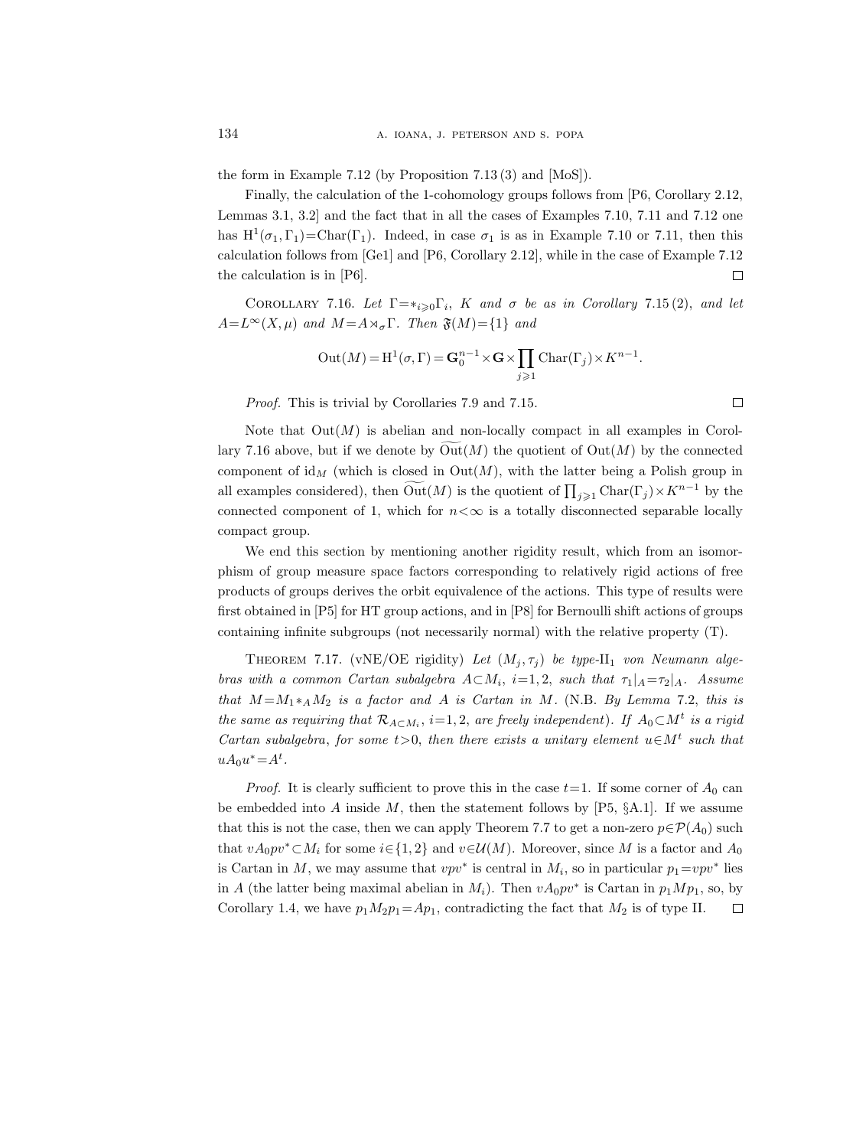the form in Example 7.12 (by Proposition 7.13 (3) and [MoS]).

Finally, the calculation of the 1-cohomology groups follows from [P6, Corollary 2.12, Lemmas 3.1, 3.2] and the fact that in all the cases of Examples 7.10, 7.11 and 7.12 one has  $H^1(\sigma_1, \Gamma_1) = \text{Char}(\Gamma_1)$ . Indeed, in case  $\sigma_1$  is as in Example 7.10 or 7.11, then this calculation follows from [Ge1] and [P6, Corollary 2.12], while in the case of Example 7.12 the calculation is in [P6].  $\Box$ 

COROLLARY 7.16. Let  $\Gamma = *_{i \geq 0} \Gamma_i$ , K and  $\sigma$  be as in Corollary 7.15(2), and let  $A=L^{\infty}(X,\mu)$  and  $M=A\rtimes_{\sigma}\Gamma$ . Then  $\mathfrak{F}(M)=\{1\}$  and

$$
Out(M) = H^{1}(\sigma, \Gamma) = \mathbf{G}_{0}^{n-1} \times \mathbf{G} \times \prod_{j \geqslant 1} \text{Char}(\Gamma_{j}) \times K^{n-1}.
$$

Proof. This is trivial by Corollaries 7.9 and 7.15.

Note that  $Out(M)$  is abelian and non-locally compact in all examples in Corollary 7.16 above, but if we denote by  $\mathrm{Out}(M)$  the quotient of  $\mathrm{Out}(M)$  by the connected component of  $\mathrm{id}_M$  (which is closed in  $\mathrm{Out}(M)$ , with the latter being a Polish group in all examples considered), then  $Out(M)$  is the quotient of  $\prod_{j\geqslant 1}$  Char( $\Gamma_j$ ) ×  $K^{n-1}$  by the connected component of 1, which for  $n < \infty$  is a totally disconnected separable locally compact group.

We end this section by mentioning another rigidity result, which from an isomorphism of group measure space factors corresponding to relatively rigid actions of free products of groups derives the orbit equivalence of the actions. This type of results were first obtained in [P5] for HT group actions, and in [P8] for Bernoulli shift actions of groups containing infinite subgroups (not necessarily normal) with the relative property (T).

THEOREM 7.17. (vNE/OE rigidity) Let  $(M_j, \tau_j)$  be type-II<sub>1</sub> von Neumann algebras with a common Cartan subalgebra  $A \subset M_i$ ,  $i=1,2$ , such that  $\tau_1|_A = \tau_2|_A$ . Assume that  $M = M_1 *_{A} M_2$  is a factor and A is Cartan in M. (N.B. By Lemma 7.2, this is the same as requiring that  $\mathcal{R}_{A\subset M_i}$ , i=1,2, are freely independent). If  $A_0\subset M^t$  is a rigid Cartan subalgebra, for some  $t > 0$ , then there exists a unitary element  $u \in M^t$  such that  $uA_0u^* = A^t$ .

*Proof.* It is clearly sufficient to prove this in the case  $t=1$ . If some corner of  $A_0$  can be embedded into A inside M, then the statement follows by  $[P5, §A.1]$ . If we assume that this is not the case, then we can apply Theorem 7.7 to get a non-zero  $p \in \mathcal{P}(A_0)$  such that  $vA_0pv^* \subset M_i$  for some  $i \in \{1,2\}$  and  $v \in \mathcal{U}(M)$ . Moreover, since M is a factor and  $A_0$ is Cartan in M, we may assume that  $vpv^*$  is central in  $M_i$ , so in particular  $p_1=vpv^*$  lies in A (the latter being maximal abelian in  $M_i$ ). Then  $vA_0pv^*$  is Cartan in  $p_1Mp_1$ , so, by Corollary 1.4, we have  $p_1M_2p_1 = Ap_1$ , contradicting the fact that  $M_2$  is of type II.  $\Box$ 

 $\Box$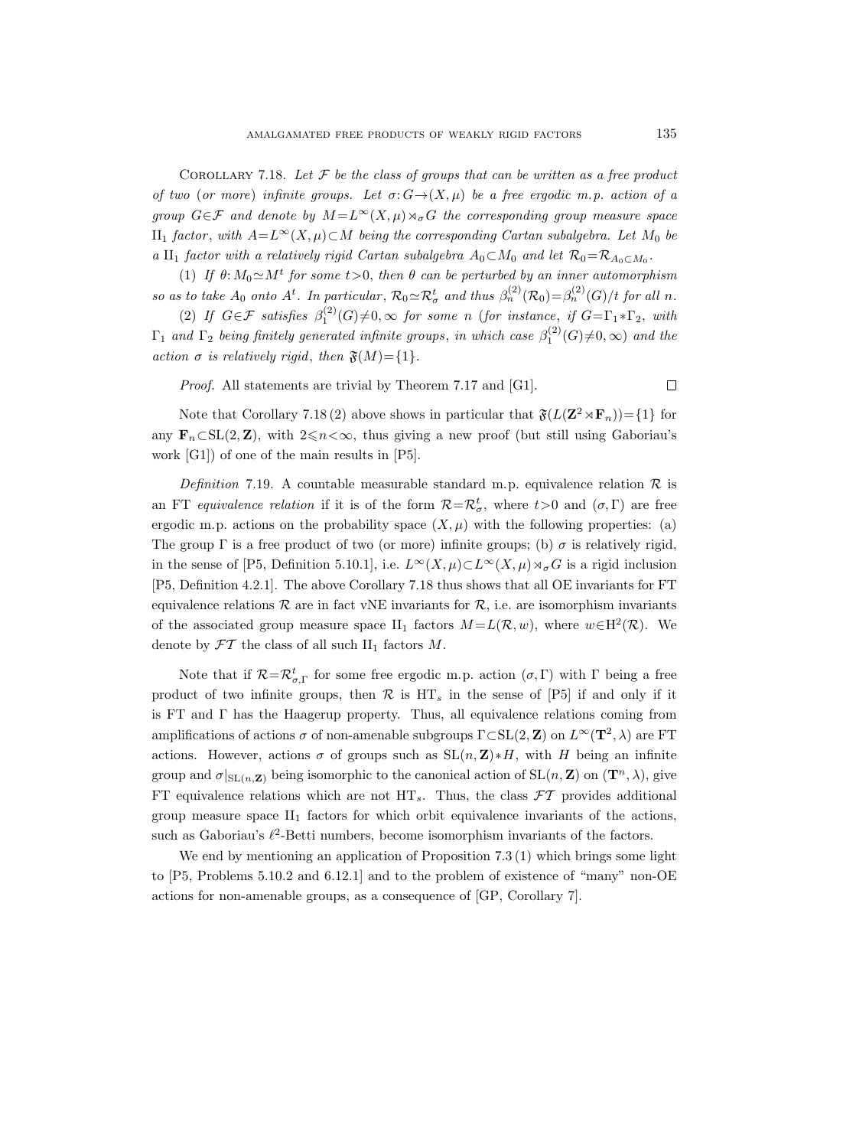COROLLARY 7.18. Let  $\mathcal F$  be the class of groups that can be written as a free product of two (or more) infinite groups. Let  $\sigma: G \rightarrow (X, \mu)$  be a free ergodic m.p. action of a group  $G \in \mathcal{F}$  and denote by  $M = L^{\infty}(X, \mu) \rtimes_{\sigma} G$  the corresponding group measure space II<sub>1</sub> factor, with  $A= L<sup>∞</sup>(X, μ) ⊂ M$  being the corresponding Cartan subalgebra. Let M<sub>0</sub> be a II<sub>1</sub> factor with a relatively rigid Cartan subalgebra  $A_0 \subset M_0$  and let  $\mathcal{R}_0 = \mathcal{R}_{A_0 \subset M_0}$ .

(1) If  $\theta: M_0 \simeq M^t$  for some  $t > 0$ , then  $\theta$  can be perturbed by an inner automorphism so as to take  $A_0$  onto  $A^t$ . In particular,  $\mathcal{R}_0 \simeq \mathcal{R}^t_\sigma$  and thus  $\beta_n^{(2)}(\mathcal{R}_0) = \beta_n^{(2)}(G)/t$  for all n.

(2) If  $G \in \mathcal{F}$  satisfies  $\beta_1^{(2)}(G) \neq 0$ ,  $\infty$  for some n (for instance, if  $G = \Gamma_1 * \Gamma_2$ , with  $\Gamma_1$  and  $\Gamma_2$  being finitely generated infinite groups, in which case  $\beta_1^{(2)}(G) \neq 0, \infty)$  and the action  $\sigma$  is relatively rigid, then  $\mathfrak{F}(M) = \{1\}.$ 

Proof. All statements are trivial by Theorem 7.17 and [G1].

Note that Corollary 7.18 (2) above shows in particular that  $\mathfrak{F}(L(\mathbf{Z}^2 \rtimes \mathbf{F}_n)) = \{1\}$  for any  $\mathbf{F}_n \subset SL(2, \mathbf{Z})$ , with  $2 \leq n < \infty$ , thus giving a new proof (but still using Gaboriau's work [G1]) of one of the main results in [P5].

Definition 7.19. A countable measurable standard m.p. equivalence relation  $\mathcal R$  is an FT equivalence relation if it is of the form  $\mathcal{R} = \mathcal{R}^t_{\sigma}$ , where  $t > 0$  and  $(\sigma, \Gamma)$  are free ergodic m.p. actions on the probability space  $(X, \mu)$  with the following properties: (a) The group  $\Gamma$  is a free product of two (or more) infinite groups; (b)  $\sigma$  is relatively rigid, in the sense of [P5, Definition 5.10.1], i.e.  $L^{\infty}(X,\mu) \subset L^{\infty}(X,\mu) \rtimes_{\sigma} G$  is a rigid inclusion [P5, Definition 4.2.1]. The above Corollary 7.18 thus shows that all OE invariants for FT equivalence relations  $\mathcal R$  are in fact vNE invariants for  $\mathcal R$ , i.e. are isomorphism invariants of the associated group measure space  $II_1$  factors  $M = L(\mathcal{R}, w)$ , where  $w \in H^2(\mathcal{R})$ . We denote by  $\mathcal{F}\mathcal{T}$  the class of all such  $II_1$  factors M.

Note that if  $\mathcal{R}=\mathcal{R}^t_{\sigma,\Gamma}$  for some free ergodic m.p. action  $(\sigma,\Gamma)$  with  $\Gamma$  being a free product of two infinite groups, then  $\mathcal R$  is  $\mathrm{HT}_s$  in the sense of [P5] if and only if it is FT and  $\Gamma$  has the Haagerup property. Thus, all equivalence relations coming from amplifications of actions  $\sigma$  of non-amenable subgroups  $\Gamma \subset SL(2, \mathbb{Z})$  on  $L^{\infty}(\mathbf{T}^2, \lambda)$  are FT actions. However, actions  $\sigma$  of groups such as  $SL(n, \mathbb{Z}) * H$ , with H being an infinite group and  $\sigma|_{\mathrm{SL}(n,\mathbf{Z})}$  being isomorphic to the canonical action of  $\mathrm{SL}(n,\mathbf{Z})$  on  $(\mathbf{T}^n,\lambda)$ , give FT equivalence relations which are not  $HT_s$ . Thus, the class  $\mathcal{FT}$  provides additional group measure space  $II_1$  factors for which orbit equivalence invariants of the actions, such as Gaboriau's  $\ell^2$ -Betti numbers, become isomorphism invariants of the factors.

We end by mentioning an application of Proposition 7.3 (1) which brings some light to [P5, Problems 5.10.2 and 6.12.1] and to the problem of existence of "many" non-OE actions for non-amenable groups, as a consequence of [GP, Corollary 7].

 $\Box$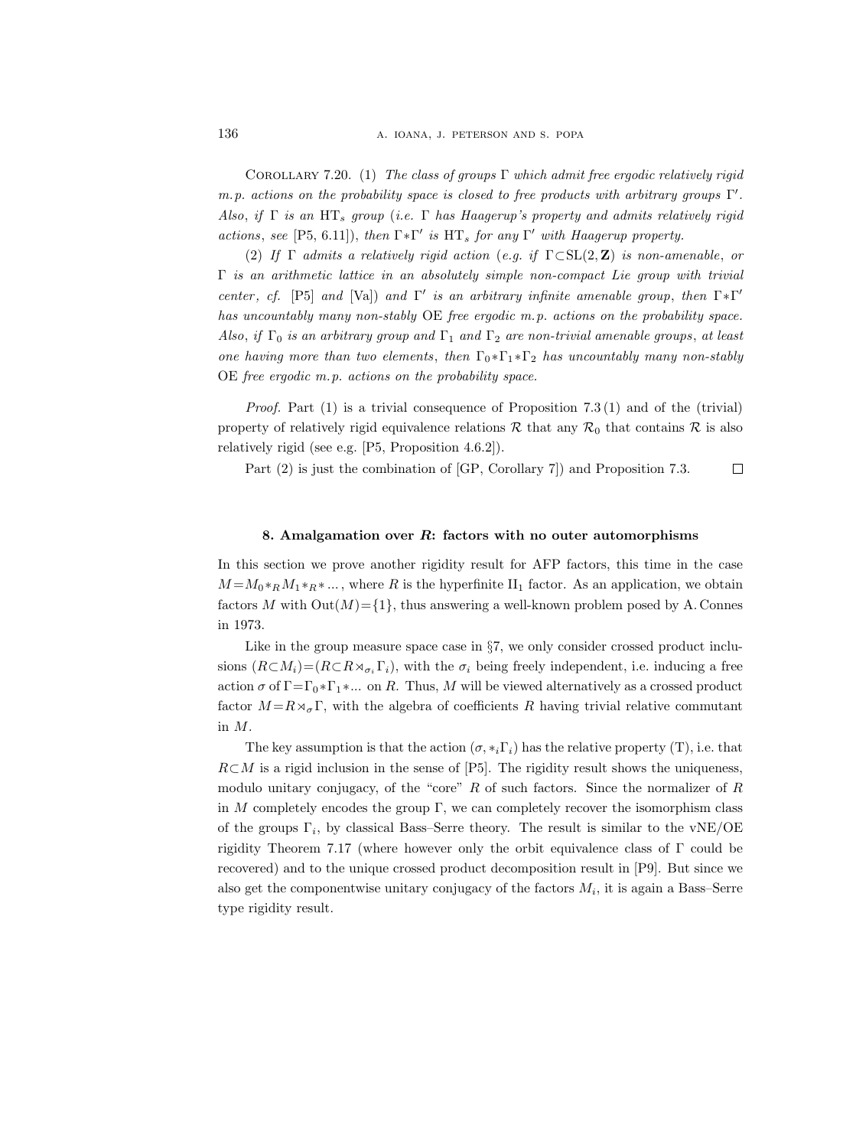COROLLARY 7.20. (1) The class of groups  $\Gamma$  which admit free ergodic relatively rigid m.p. actions on the probability space is closed to free products with arbitrary groups  $\Gamma'$ . Also, if  $\Gamma$  is an HT<sub>s</sub> group (i.e.  $\Gamma$  has Haagerup's property and admits relatively rigid actions, see [P5, 6.11]), then  $\Gamma^* \Gamma'$  is  $\text{HT}_s$  for any  $\Gamma'$  with Haagerup property.

(2) If  $\Gamma$  admits a relatively rigid action (e.g. if  $\Gamma \subset SL(2, \mathbb{Z})$  is non-amenable, or  $\Gamma$  is an arithmetic lattice in an absolutely simple non-compact Lie group with trivial center, cf. [P5] and [Va]) and  $\Gamma'$  is an arbitrary infinite amenable group, then  $\Gamma^* \Gamma'$ has uncountably many non-stably OE free ergodic m.p. actions on the probability space. Also, if  $\Gamma_0$  is an arbitrary group and  $\Gamma_1$  and  $\Gamma_2$  are non-trivial amenable groups, at least one having more than two elements, then  $\Gamma_0 * \Gamma_1 * \Gamma_2$  has uncountably many non-stably OE free ergodic m.p. actions on the probability space.

*Proof.* Part  $(1)$  is a trivial consequence of Proposition 7.3  $(1)$  and of the (trivial) property of relatively rigid equivalence relations  $\mathcal R$  that any  $\mathcal R_0$  that contains  $\mathcal R$  is also relatively rigid (see e.g. [P5, Proposition 4.6.2]).

Part (2) is just the combination of [GP, Corollary 7]) and Proposition 7.3.  $\Box$ 

# 8. Amalgamation over R: factors with no outer automorphisms

In this section we prove another rigidity result for AFP factors, this time in the case  $M = M_0 * R M_1 * R * ...$ , where R is the hyperfinite II<sub>1</sub> factor. As an application, we obtain factors M with  $Out(M) = \{1\}$ , thus answering a well-known problem posed by A. Connes in 1973.

Like in the group measure space case in §7, we only consider crossed product inclusions  $(R\subset M_i)=(R\subset R\rtimes_{\sigma_i}\Gamma_i)$ , with the  $\sigma_i$  being freely independent, i.e. inducing a free action  $\sigma$  of  $\Gamma = \Gamma_0 * \Gamma_1 * ...$  on R. Thus, M will be viewed alternatively as a crossed product factor  $M=R\rtimes_{\sigma}\Gamma$ , with the algebra of coefficients R having trivial relative commutant in M.

The key assumption is that the action  $(\sigma, *_{i}\Gamma_{i})$  has the relative property  $(T)$ , i.e. that  $R\subset M$  is a rigid inclusion in the sense of [P5]. The rigidity result shows the uniqueness, modulo unitary conjugacy, of the "core"  $R$  of such factors. Since the normalizer of  $R$ in  $M$  completely encodes the group  $\Gamma$ , we can completely recover the isomorphism class of the groups  $\Gamma_i$ , by classical Bass–Serre theory. The result is similar to the vNE/OE rigidity Theorem 7.17 (where however only the orbit equivalence class of  $\Gamma$  could be recovered) and to the unique crossed product decomposition result in [P9]. But since we also get the componentwise unitary conjugacy of the factors  $M_i$ , it is again a Bass–Serre type rigidity result.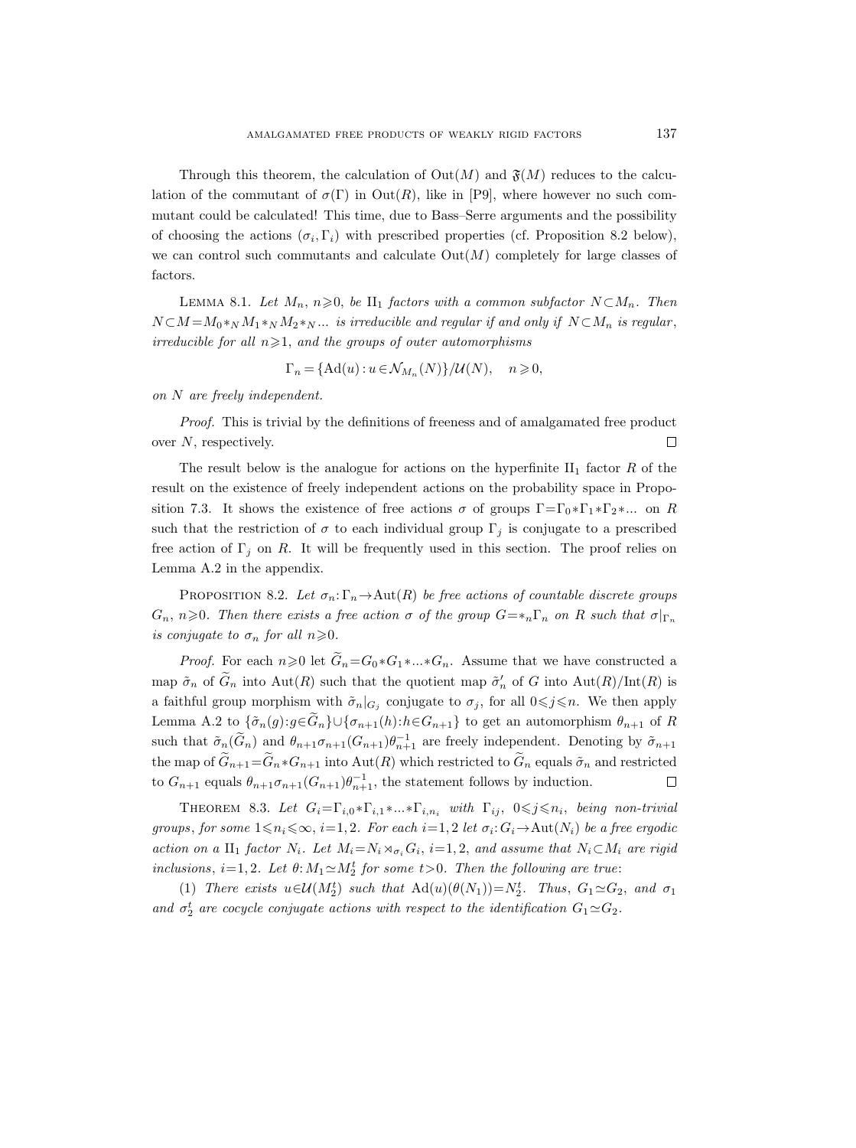Through this theorem, the calculation of  $Out(M)$  and  $\mathfrak{F}(M)$  reduces to the calculation of the commutant of  $\sigma(\Gamma)$  in Out $(R)$ , like in [P9], where however no such commutant could be calculated! This time, due to Bass–Serre arguments and the possibility of choosing the actions  $(\sigma_i, \Gamma_i)$  with prescribed properties (cf. Proposition 8.2 below), we can control such commutants and calculate  $Out(M)$  completely for large classes of factors.

LEMMA 8.1. Let  $M_n$ ,  $n\geqslant 0$ , be  $\text{II}_1$  factors with a common subfactor  $N\subset M_n$ . Then  $N \subset M = M_0 *_{N} M_1 *_{N} M_2 *_{N} \dots$  is irreducible and regular if and only if  $N \subset M_n$  is regular, irreducible for all  $n \geqslant 1$ , and the groups of outer automorphisms

$$
\Gamma_n = \{ \mathrm{Ad}(u) : u \in \mathcal{N}_{M_n}(N) \} / \mathcal{U}(N), \quad n \geqslant 0,
$$

on N are freely independent.

Proof. This is trivial by the definitions of freeness and of amalgamated free product  $\Box$ over N, respectively.

The result below is the analogue for actions on the hyperfinite  $II_1$  factor R of the result on the existence of freely independent actions on the probability space in Proposition 7.3. It shows the existence of free actions  $\sigma$  of groups  $\Gamma = \Gamma_0 * \Gamma_1 * \Gamma_2 * ...$  on R such that the restriction of  $\sigma$  to each individual group  $\Gamma_j$  is conjugate to a prescribed free action of  $\Gamma_j$  on R. It will be frequently used in this section. The proof relies on Lemma A.2 in the appendix.

PROPOSITION 8.2. Let  $\sigma_n: \Gamma_n \to \text{Aut}(R)$  be free actions of countable discrete groups  $G_n$ ,  $n\geqslant 0$ . Then there exists a free action  $\sigma$  of the group  $G=*_n\Gamma_n$  on R such that  $\sigma|_{\Gamma_n}$ is conjugate to  $\sigma_n$  for all  $n \geq 0$ .

*Proof.* For each  $n\geq 0$  let  $\widetilde{G}_n = G_0 * G_1 * ... * G_n$ . Assume that we have constructed a map  $\tilde{\sigma}_n$  of  $\tilde{G}_n$  into  $\text{Aut}(R)$  such that the quotient map  $\tilde{\sigma}'_n$  of G into  $\text{Aut}(R)/\text{Int}(R)$  is a faithful group morphism with  $\tilde{\sigma}_n|_{G_j}$  conjugate to  $\sigma_j$ , for all  $0 \leq j \leq n$ . We then apply Lemma A.2 to  $\{\tilde{\sigma}_n(g):g\in G_n\}\cup \{\sigma_{n+1}(h):h\in G_{n+1}\}\)$  to get an automorphism  $\theta_{n+1}$  of R such that  $\tilde{\sigma}_n(\tilde{G}_n)$  and  $\theta_{n+1}\sigma_{n+1}(G_{n+1})\theta_{n+1}^{-1}$  are freely independent. Denoting by  $\tilde{\sigma}_{n+1}$ the map of  $\tilde{G}_{n+1}=\tilde{G}_n * G_{n+1}$  into  $Aut(R)$  which restricted to  $\tilde{G}_n$  equals  $\tilde{\sigma}_n$  and restricted to  $G_{n+1}$  equals  $\theta_{n+1}\sigma_{n+1}(G_{n+1})\theta_{n+1}^{-1}$ , the statement follows by induction.  $\Box$ 

THEOREM 8.3. Let  $G_i = \Gamma_{i,0} * \Gamma_{i,1} * ... * \Gamma_{i,n_i}$  with  $\Gamma_{ij}$ ,  $0 \leq j \leq n_i$ , being non-trivial groups, for some  $1 \le n_i \le \infty$ ,  $i=1,2$ . For each  $i=1,2$  let  $\sigma_i: G_i \to \text{Aut}(N_i)$  be a free ergodic action on a II<sub>1</sub> factor  $N_i$ . Let  $M_i = N_i \rtimes_{\sigma_i} G_i$ , i=1,2, and assume that  $N_i \subset M_i$  are rigid inclusions,  $i=1,2$ . Let  $\theta: M_1 \simeq M_2^t$  for some  $t>0$ . Then the following are true:

(1) There exists  $u \in \mathcal{U}(M_2^t)$  such that  $\text{Ad}(u)(\theta(N_1)) = N_2^t$ . Thus,  $G_1 \simeq G_2$ , and  $\sigma_1$ and  $\sigma_2^t$  are cocycle conjugate actions with respect to the identification  $G_1 \simeq G_2$ .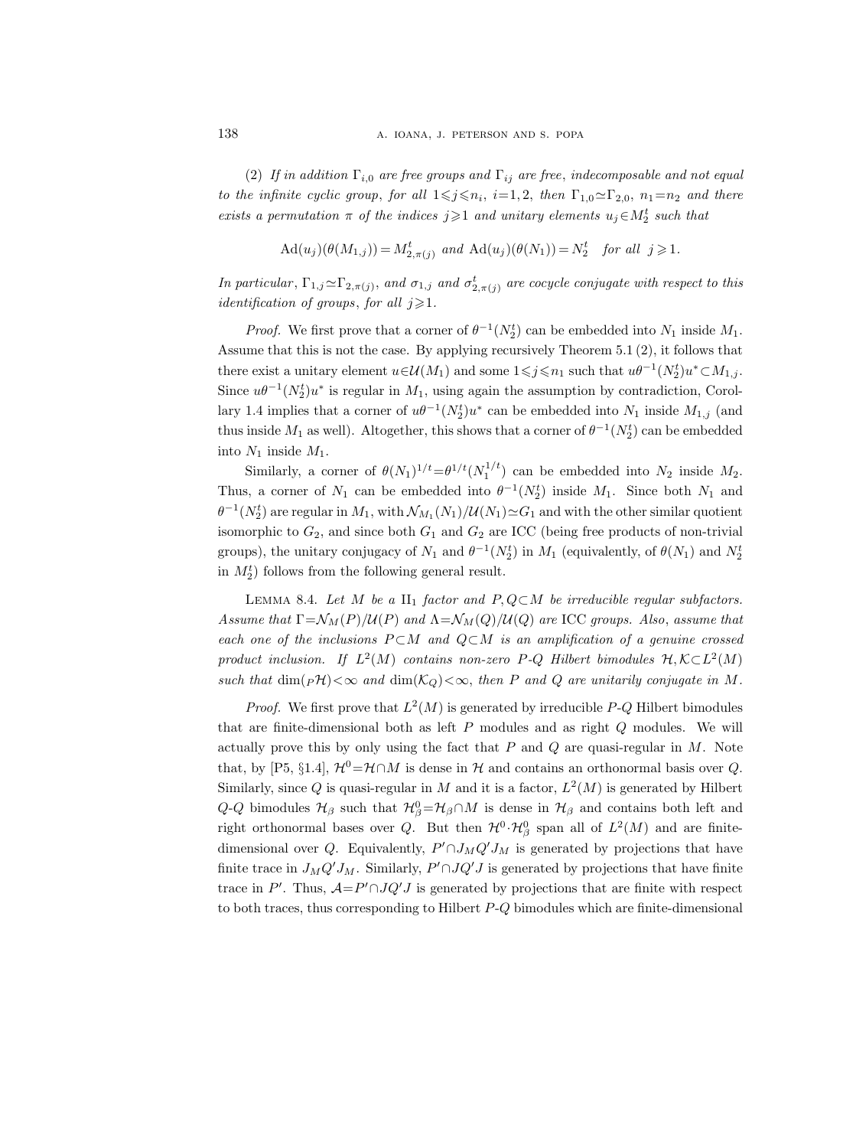(2) If in addition  $\Gamma_{i,0}$  are free groups and  $\Gamma_{ij}$  are free, indecomposable and not equal to the infinite cyclic group, for all  $1 \leq j \leq n_i$ , i=1,2, then  $\Gamma_{1,0} \sim \Gamma_{2,0}$ ,  $n_1=n_2$  and there exists a permutation  $\pi$  of the indices  $j \geq 1$  and unitary elements  $u_j \in M_2^t$  such that

$$
\mathrm{Ad}(u_j)(\theta(M_{1,j})) = M_{2,\pi(j)}^t \text{ and } \mathrm{Ad}(u_j)(\theta(N_1)) = N_2^t \text{ for all } j \geqslant 1.
$$

In particular,  $\Gamma_{1,j} \simeq \Gamma_{2,\pi(j)}$ , and  $\sigma_{1,j}$  and  $\sigma_{2,\pi(j)}^t$  are cocycle conjugate with respect to this *identification of groups, for all*  $j \geq 1$ *.* 

*Proof.* We first prove that a corner of  $\theta^{-1}(N_2^t)$  can be embedded into  $N_1$  inside  $M_1$ . Assume that this is not the case. By applying recursively Theorem 5.1 (2), it follows that there exist a unitary element  $u \in \mathcal{U}(M_1)$  and some  $1 \leq j \leq n_1$  such that  $u\theta^{-1}(N_2^t)u^* \subset M_{1,j}$ . Since  $u\theta^{-1}(N_2^t)u^*$  is regular in  $M_1$ , using again the assumption by contradiction, Corollary 1.4 implies that a corner of  $u\theta^{-1}(N_2^t)u^*$  can be embedded into  $N_1$  inside  $M_{1,j}$  (and thus inside  $M_1$  as well). Altogether, this shows that a corner of  $\theta^{-1}(N_2^t)$  can be embedded into  $N_1$  inside  $M_1$ .

Similarly, a corner of  $\theta(N_1)^{1/t} = \theta^{1/t} (N_1^{1/t})$  can be embedded into  $N_2$  inside  $M_2$ . Thus, a corner of  $N_1$  can be embedded into  $\theta^{-1}(N_2^t)$  inside  $M_1$ . Since both  $N_1$  and  $\theta^{-1}(N_2^t)$  are regular in  $M_1$ , with  $\mathcal{N}_{M_1}(N_1)/\mathcal{U}(N_1) \simeq G_1$  and with the other similar quotient isomorphic to  $G_2$ , and since both  $G_1$  and  $G_2$  are ICC (being free products of non-trivial groups), the unitary conjugacy of  $N_1$  and  $\theta^{-1}(N_2^t)$  in  $M_1$  (equivalently, of  $\theta(N_1)$  and  $N_2^t$ in  $M_2^t$ ) follows from the following general result.

LEMMA 8.4. Let M be a  $II_1$  factor and P,  $Q \subset M$  be irreducible regular subfactors. Assume that  $\Gamma = \mathcal{N}_M(P)/\mathcal{U}(P)$  and  $\Lambda = \mathcal{N}_M(Q)/\mathcal{U}(Q)$  are ICC groups. Also, assume that each one of the inclusions  $P \subset M$  and  $Q \subset M$  is an amplification of a genuine crossed product inclusion. If  $L^2(M)$  contains non-zero P-Q Hilbert bimodules  $\mathcal{H}, \mathcal{K} \subset L^2(M)$ such that  $\dim_{\mathbb{P}}\mathcal{H})<\infty$  and  $\dim(\mathcal{K}_Q)<\infty$ , then P and Q are unitarily conjugate in M.

*Proof.* We first prove that  $L^2(M)$  is generated by irreducible P-Q Hilbert bimodules that are finite-dimensional both as left  $P$  modules and as right  $Q$  modules. We will actually prove this by only using the fact that  $P$  and  $Q$  are quasi-regular in  $M$ . Note that, by [P5, §1.4],  $\mathcal{H}^0=\mathcal{H}\cap M$  is dense in  $\mathcal{H}$  and contains an orthonormal basis over Q. Similarly, since Q is quasi-regular in M and it is a factor,  $L^2(M)$  is generated by Hilbert  $Q$ - $Q$  bimodules  $H_\beta$  such that  $H_\beta^0 = H_\beta \cap M$  is dense in  $H_\beta$  and contains both left and right orthonormal bases over Q. But then  $\mathcal{H}^0 \cdot \mathcal{H}^0_\beta$  span all of  $L^2(M)$  and are finitedimensional over Q. Equivalently,  $P' \cap J_M Q' J_M$  is generated by projections that have finite trace in  $J_M Q' J_M$ . Similarly,  $P' \cap J Q' J$  is generated by projections that have finite trace in P'. Thus,  $A = P' \cap JQ'J$  is generated by projections that are finite with respect to both traces, thus corresponding to Hilbert  $P-Q$  bimodules which are finite-dimensional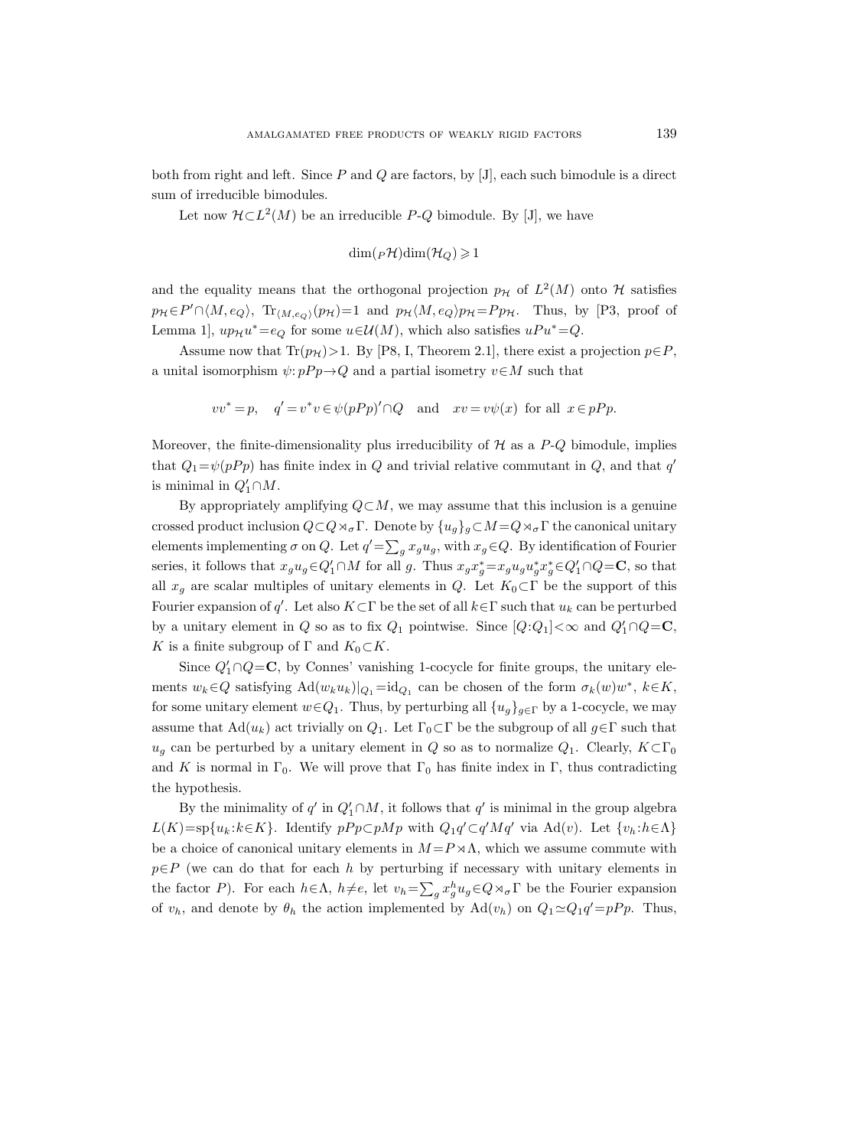both from right and left. Since  $P$  and  $Q$  are factors, by [J], each such bimodule is a direct sum of irreducible bimodules.

Let now  $\mathcal{H} \subset L^2(M)$  be an irreducible P-Q bimodule. By [J], we have

$$
\dim({}_P\mathcal{H})\dim(\mathcal{H}_Q)\geqslant 1
$$

and the equality means that the orthogonal projection  $p<sub>H</sub>$  of  $L<sup>2</sup>(M)$  onto H satisfies  $p_{\mathcal{H}} \in P' \cap \langle M, e_Q \rangle$ ,  $\text{Tr}_{\langle M, e_Q \rangle}(p_{\mathcal{H}})=1$  and  $p_{\mathcal{H}} \langle M, e_Q \rangle p_{\mathcal{H}}=P p_{\mathcal{H}}$ . Thus, by [P3, proof of Lemma 1,  $up_{\mathcal{H}}u^* = e_Q$  for some  $u \in \mathcal{U}(M)$ , which also satisfies  $uPu^* = Q$ .

Assume now that  $\text{Tr}(p_{\mathcal{H}})>1$ . By [P8, I, Theorem 2.1], there exist a projection  $p \in P$ , a unital isomorphism  $\psi: pP p \rightarrow Q$  and a partial isometry  $v \in M$  such that

$$
vv^* = p
$$
,  $q' = v^*v \in \psi(pPp) \cap Q$  and  $xv = v\psi(x)$  for all  $x \in pPp$ .

Moreover, the finite-dimensionality plus irreducibility of  $H$  as a  $P-Q$  bimodule, implies that  $Q_1 = \psi(pP_p)$  has finite index in Q and trivial relative commutant in Q, and that  $q'$ is minimal in  $Q'_1 \cap M$ .

By appropriately amplifying  $Q \subset M$ , we may assume that this inclusion is a genuine crossed product inclusion  $Q \subset Q \rtimes_{\sigma} \Gamma$ . Denote by  $\{u_q\}_q \subset M = Q \rtimes_{\sigma} \Gamma$  the canonical unitary elements implementing  $\sigma$  on Q. Let  $q' = \sum_g x_g u_g$ , with  $x_g \in Q$ . By identification of Fourier series, it follows that  $x_g u_g \in Q'_1 \cap M$  for all g. Thus  $x_g x_g^* = x_g u_g u_g^* x_g^* \in Q'_1 \cap Q = \mathbf{C}$ , so that all  $x_q$  are scalar multiples of unitary elements in Q. Let  $K_0\subset\Gamma$  be the support of this Fourier expansion of q'. Let also  $K\subset\Gamma$  be the set of all  $k\in\Gamma$  such that  $u_k$  can be perturbed by a unitary element in Q so as to fix  $Q_1$  pointwise. Since  $[Q:Q_1] < \infty$  and  $Q'_1 \cap Q = \mathbb{C}$ , K is a finite subgroup of  $\Gamma$  and  $K_0\subset K$ .

Since  $Q'_1 \cap Q = \mathbb{C}$ , by Connes' vanishing 1-cocycle for finite groups, the unitary elements  $w_k \in Q$  satisfying  $\text{Ad}(w_k u_k)|_{Q_1} = \text{id}_{Q_1}$  can be chosen of the form  $\sigma_k(w)w^*$ ,  $k \in K$ , for some unitary element  $w \in Q_1$ . Thus, by perturbing all  $\{u_g\}_{g \in \Gamma}$  by a 1-cocycle, we may assume that  $\text{Ad}(u_k)$  act trivially on  $Q_1$ . Let  $\Gamma_0 \subset \Gamma$  be the subgroup of all  $g \in \Gamma$  such that  $u_q$  can be perturbed by a unitary element in Q so as to normalize  $Q_1$ . Clearly,  $K \subset \Gamma_0$ and K is normal in  $\Gamma_0$ . We will prove that  $\Gamma_0$  has finite index in  $\Gamma$ , thus contradicting the hypothesis.

By the minimality of  $q'$  in  $Q'_1 \cap M$ , it follows that  $q'$  is minimal in the group algebra  $L(K)=sp{u_k:k\in K}$ . Identify  $pPp\subset pMp$  with  $Q_1q'\subset q'Mq'$  via  $Ad(v)$ . Let  ${v_k:h\in \Lambda}$ be a choice of canonical unitary elements in  $M = P \times \Lambda$ , which we assume commute with  $p \in P$  (we can do that for each h by perturbing if necessary with unitary elements in the factor P). For each  $h \in \Lambda$ ,  $h \neq e$ , let  $v_h = \sum_g x_g^h u_g \in Q \rtimes_\sigma \Gamma$  be the Fourier expansion of  $v_h$ , and denote by  $\theta_h$  the action implemented by  $\text{Ad}(v_h)$  on  $Q_1 \simeq Q_1 q' = pPp$ . Thus,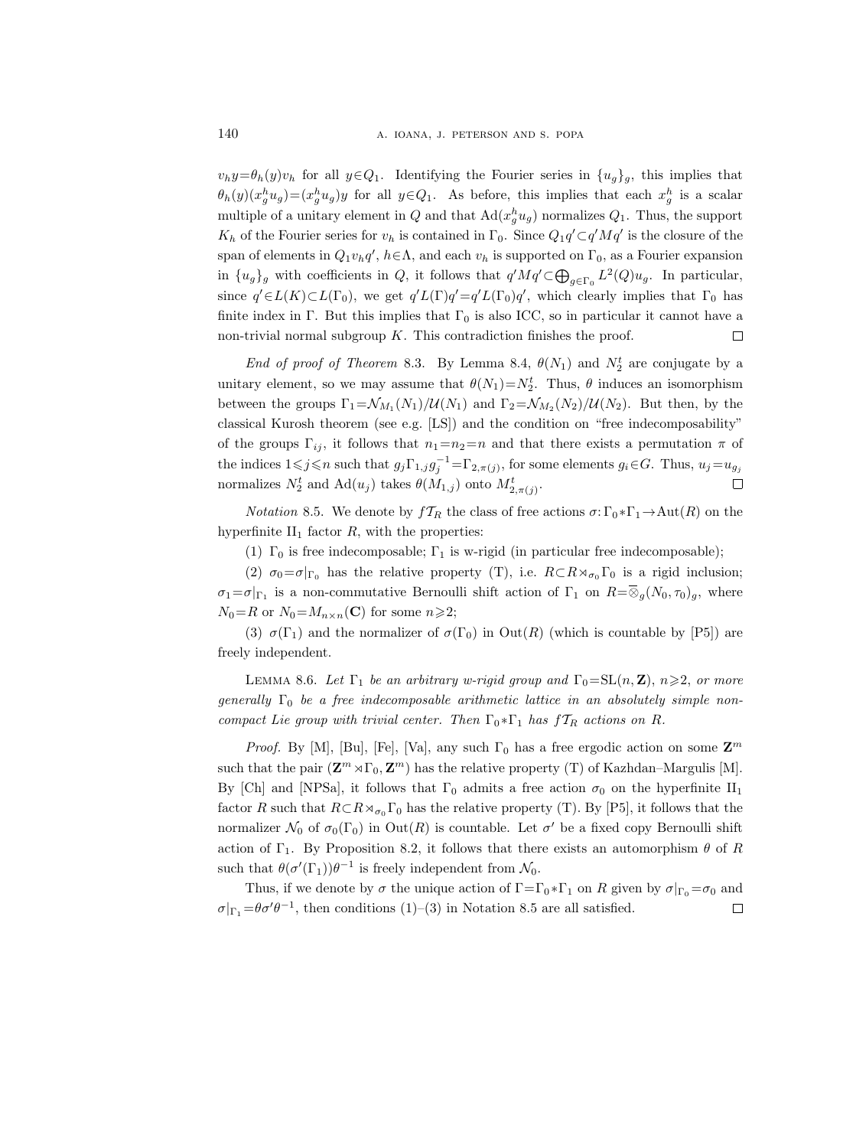$v_h y = \theta_h(y)v_h$  for all  $y \in Q_1$ . Identifying the Fourier series in  $\{u_g\}_g$ , this implies that  $\theta_h(y)(x_g^h u_g) = (x_g^h u_g)y$  for all  $y \in Q_1$ . As before, this implies that each  $x_g^h$  is a scalar multiple of a unitary element in  $Q$  and that  $\text{Ad}(x_g^h u_g)$  normalizes  $Q_1$ . Thus, the support  $K_h$  of the Fourier series for  $v_h$  is contained in  $\Gamma_0$ . Since  $Q_1q' \subset q'Mq'$  is the closure of the span of elements in  $Q_1v_hq'$ ,  $h \in \Lambda$ , and each  $v_h$  is supported on  $\Gamma_0$ , as a Fourier expansion in  $\{u_g\}_g$  with coefficients in Q, it follows that  $q'Mq'\subset \bigoplus_{g\in\Gamma_0} L^2(Q)u_g$ . In particular, since  $q' \in L(K) \subset L(\Gamma_0)$ , we get  $q' L(\Gamma) q' = q' L(\Gamma_0) q'$ , which clearly implies that  $\Gamma_0$  has finite index in Γ. But this implies that  $\Gamma_0$  is also ICC, so in particular it cannot have a non-trivial normal subgroup  $K$ . This contradiction finishes the proof.  $\Box$ 

End of proof of Theorem 8.3. By Lemma 8.4,  $\theta(N_1)$  and  $N_2^t$  are conjugate by a unitary element, so we may assume that  $\theta(N_1)=N_2^t$ . Thus,  $\theta$  induces an isomorphism between the groups  $\Gamma_1 = \mathcal{N}_{M_1}(N_1)/\mathcal{U}(N_1)$  and  $\Gamma_2 = \mathcal{N}_{M_2}(N_2)/\mathcal{U}(N_2)$ . But then, by the classical Kurosh theorem (see e.g. [LS]) and the condition on "free indecomposability" of the groups  $\Gamma_{ij}$ , it follows that  $n_1=n_2=n$  and that there exists a permutation  $\pi$  of the indices  $1 \leq j \leq n$  such that  $g_j \Gamma_{1,j} g_j^{-1} = \Gamma_{2,\pi(j)}$ , for some elements  $g_i \in G$ . Thus,  $u_j = u_{g_j}$ normalizes  $N_2^t$  and  $\operatorname{Ad}(u_j)$  takes  $\theta(M_{1,j})$  onto  $M_{2,\pi(j)}^t$ .  $\Box$ 

*Notation* 8.5. We denote by  $f_{R}$  the class of free actions  $\sigma: \Gamma_0 * \Gamma_1 \to \text{Aut}(R)$  on the hyperfinite  $II_1$  factor  $R$ , with the properties:

(1)  $\Gamma_0$  is free indecomposable;  $\Gamma_1$  is w-rigid (in particular free indecomposable);

(2)  $\sigma_0 = \sigma|_{\Gamma_0}$  has the relative property (T), i.e.  $R \subset R \rtimes_{\sigma_0} \Gamma_0$  is a rigid inclusion;  $\sigma_1 = \sigma|_{\Gamma_1}$  is a non-commutative Bernoulli shift action of  $\Gamma_1$  on  $R = \overline{\otimes}_g(N_0, \tau_0)_g$ , where  $N_0=R$  or  $N_0=M_{n\times n}(\mathbf{C})$  for some  $n\geqslant 2;$ 

(3)  $\sigma(\Gamma_1)$  and the normalizer of  $\sigma(\Gamma_0)$  in  $Out(R)$  (which is countable by [P5]) are freely independent.

LEMMA 8.6. Let  $\Gamma_1$  be an arbitrary w-rigid group and  $\Gamma_0 = SL(n, \mathbf{Z})$ ,  $n \geq 2$ , or more generally  $\Gamma_0$  be a free indecomposable arithmetic lattice in an absolutely simple noncompact Lie group with trivial center. Then  $\Gamma_0 * \Gamma_1$  has  $fT_R$  actions on R.

*Proof.* By [M], [Bu], [Fe], [Va], any such  $\Gamma_0$  has a free ergodic action on some  $\mathbf{Z}^m$ such that the pair  $(\mathbf{Z}^m \rtimes \Gamma_0, \mathbf{Z}^m)$  has the relative property (T) of Kazhdan–Margulis [M]. By [Ch] and [NPSa], it follows that  $\Gamma_0$  admits a free action  $\sigma_0$  on the hyperfinite  $II_1$ factor R such that  $R \subset R \rtimes_{\sigma_0} \Gamma_0$  has the relative property (T). By [P5], it follows that the normalizer  $\mathcal{N}_0$  of  $\sigma_0(\Gamma_0)$  in  $Out(R)$  is countable. Let  $\sigma'$  be a fixed copy Bernoulli shift action of  $\Gamma_1$ . By Proposition 8.2, it follows that there exists an automorphism  $\theta$  of R such that  $\theta(\sigma'(\Gamma_1))\theta^{-1}$  is freely independent from  $\mathcal{N}_0$ .

Thus, if we denote by  $\sigma$  the unique action of  $\Gamma = \Gamma_0 * \Gamma_1$  on R given by  $\sigma|_{\Gamma_0} = \sigma_0$  and  $\sigma|_{\Gamma_1} = \theta \sigma' \theta^{-1}$ , then conditions (1)–(3) in Notation 8.5 are all satisfied.  $\Box$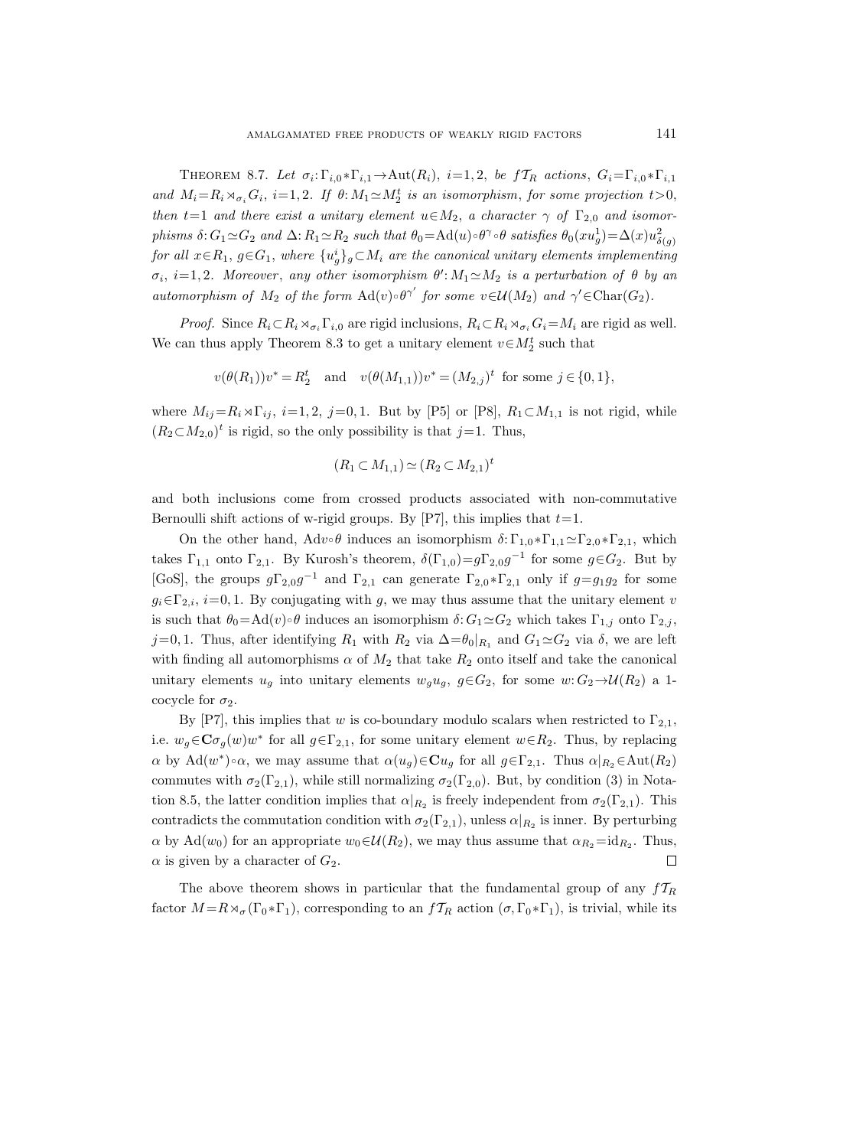THEOREM 8.7. Let  $\sigma_i: \Gamma_{i,0} * \Gamma_{i,1} \to \text{Aut}(R_i)$ ,  $i=1,2$ , be  $f_{R}$  actions,  $G_i = \Gamma_{i,0} * \Gamma_{i,1}$ and  $M_i = R_i \rtimes_{\sigma_i} G_i$ ,  $i = 1, 2$ . If  $\theta: M_1 \simeq M_2^t$  is an isomorphism, for some projection  $t > 0$ , then t=1 and there exist a unitary element  $u \in M_2$ , a character  $\gamma$  of  $\Gamma_{2,0}$  and isomorphisms  $\delta: G_1 \simeq G_2$  and  $\Delta: R_1 \simeq R_2$  such that  $\theta_0 = \mathrm{Ad}(u) \circ \theta^\gamma \circ \theta$  satisfies  $\theta_0(xu_g^1) = \Delta(x)u_{\delta(g)}^2$  ${\it for\ all}\ x\!\in\! R_1,\ g\!\in\! G_1,\ where\ \{u_g^i\}_g\!\subset\! M_i\ are\ the\ canonical\ unitary\ elements\ implementing\$  $\sigma_i$ , i=1,2. Moreover, any other isomorphism  $\theta'$ : $M_1 \simeq M_2$  is a perturbation of  $\theta$  by an automorphism of  $M_2$  of the form  $\text{Ad}(v) \circ \theta^{\gamma'}$  for some  $v \in \mathcal{U}(M_2)$  and  $\gamma' \in \text{Char}(G_2)$ .

*Proof.* Since  $R_i \subset R_i \rtimes_{\sigma_i} \Gamma_{i,0}$  are rigid inclusions,  $R_i \subset R_i \rtimes_{\sigma_i} G_i = M_i$  are rigid as well. We can thus apply Theorem 8.3 to get a unitary element  $v \in M_2^t$  such that

$$
v(\theta(R_1))v^* = R_2^t
$$
 and  $v(\theta(M_{1,1}))v^* = (M_{2,j})^t$  for some  $j \in \{0,1\}$ ,

where  $M_{ij}=R_i\rtimes\Gamma_{ij}$ ,  $i=1, 2, j=0, 1$ . But by [P5] or [P8],  $R_1\subset M_{1,1}$  is not rigid, while  $(R_2\text{ }\subset M_{2,0})^t$  is rigid, so the only possibility is that  $j=1$ . Thus,

$$
(R_1 \subset M_{1,1}) \simeq (R_2 \subset M_{2,1})^t
$$

and both inclusions come from crossed products associated with non-commutative Bernoulli shift actions of w-rigid groups. By [P7], this implies that  $t=1$ .

On the other hand,  $Adv \circ \theta$  induces an isomorphism  $\delta: \Gamma_{1,0} * \Gamma_{1,1} \simeq \Gamma_{2,0} * \Gamma_{2,1}$ , which takes  $\Gamma_{1,1}$  onto  $\Gamma_{2,1}$ . By Kurosh's theorem,  $\delta(\Gamma_{1,0})=g\Gamma_{2,0}g^{-1}$  for some  $g\in G_2$ . But by [GoS], the groups  $g\Gamma_{2,0}g^{-1}$  and  $\Gamma_{2,1}$  can generate  $\Gamma_{2,0}*\Gamma_{2,1}$  only if  $g=g_1g_2$  for some  $g_i \in \Gamma_{2,i}$ ,  $i=0,1$ . By conjugating with g, we may thus assume that the unitary element v is such that  $\theta_0 = \text{Ad}(v) \circ \theta$  induces an isomorphism  $\delta: G_1 \simeq G_2$  which takes  $\Gamma_{1,j}$  onto  $\Gamma_{2,j}$ , j=0, 1. Thus, after identifying  $R_1$  with  $R_2$  via  $\Delta = \theta_0|_{R_1}$  and  $G_1 \simeq G_2$  via  $\delta$ , we are left with finding all automorphisms  $\alpha$  of  $M_2$  that take  $R_2$  onto itself and take the canonical unitary elements  $u_g$  into unitary elements  $w_g u_g$ ,  $g \in G_2$ , for some  $w: G_2 \to \mathcal{U}(R_2)$  a 1cocycle for  $\sigma_2$ .

By [P7], this implies that w is co-boundary modulo scalars when restricted to  $\Gamma_{2,1}$ , i.e.  $w_g \in \mathbf{C}\sigma_g(w)w^*$  for all  $g \in \Gamma_{2,1}$ , for some unitary element  $w \in R_2$ . Thus, by replacing  $\alpha$  by  $\text{Ad}(w^*)\circ\alpha$ , we may assume that  $\alpha(u_g)\in\mathbf{C}u_g$  for all  $g\in\Gamma_{2,1}$ . Thus  $\alpha|_{R_2}\in\text{Aut}(R_2)$ commutes with  $\sigma_2(\Gamma_{2,1})$ , while still normalizing  $\sigma_2(\Gamma_{2,0})$ . But, by condition (3) in Notation 8.5, the latter condition implies that  $\alpha|_{R_2}$  is freely independent from  $\sigma_2(\Gamma_{2,1})$ . This contradicts the commutation condition with  $\sigma_2(\Gamma_{2,1})$ , unless  $\alpha|_{R_2}$  is inner. By perturbing  $\alpha$  by Ad( $w_0$ ) for an appropriate  $w_0 \in \mathcal{U}(R_2)$ , we may thus assume that  $\alpha_{R_2} = id_{R_2}$ . Thus,  $\alpha$  is given by a character of  $G_2$ .  $\Box$ 

The above theorem shows in particular that the fundamental group of any  $f_{R}$ factor  $M = R \rtimes_{\sigma} (\Gamma_0 * \Gamma_1)$ , corresponding to an  $f_{R}$  action  $(\sigma, \Gamma_0 * \Gamma_1)$ , is trivial, while its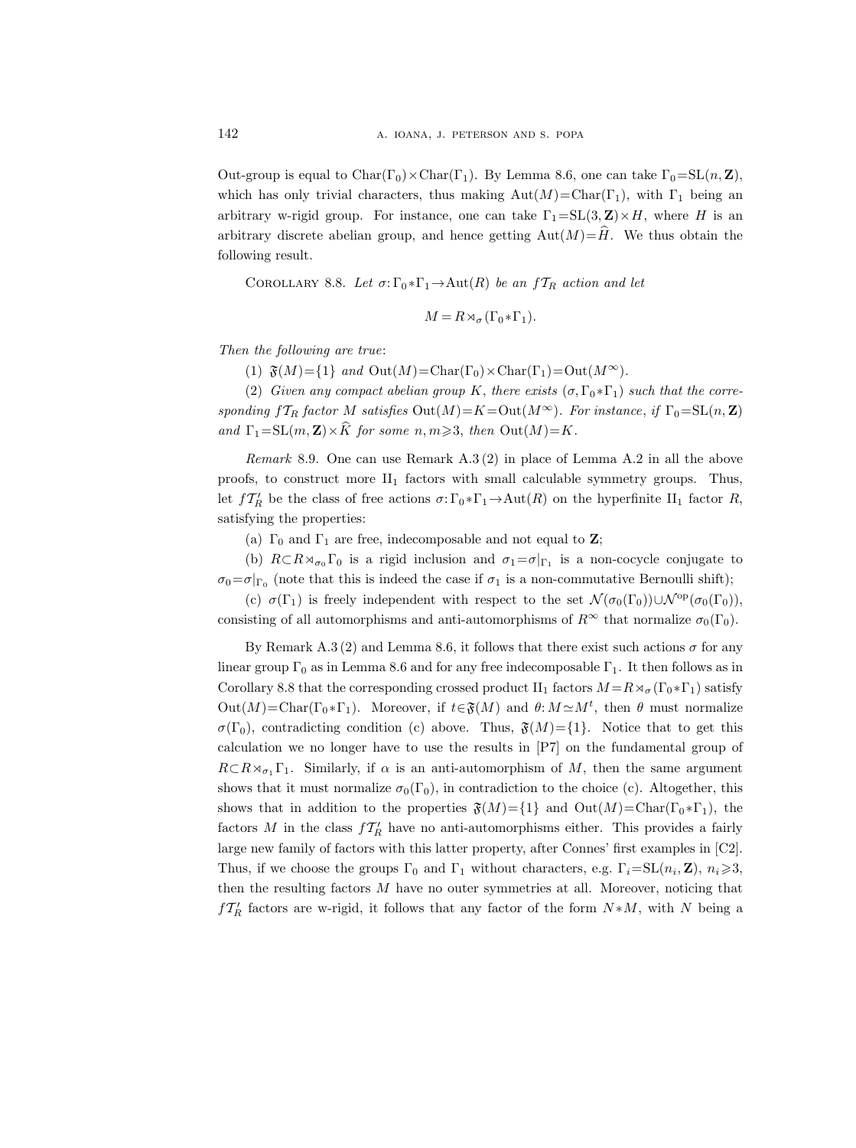Out-group is equal to Char( $\Gamma_0$ ) × Char( $\Gamma_1$ ). By Lemma 8.6, one can take  $\Gamma_0 = SL(n, \mathbf{Z})$ , which has only trivial characters, thus making  $Aut(M)=Char(\Gamma_1)$ , with  $\Gamma_1$  being an arbitrary w-rigid group. For instance, one can take  $\Gamma_1 = SL(3, \mathbb{Z}) \times H$ , where H is an arbitrary discrete abelian group, and hence getting  $Aut(M)=\hat{H}$ . We thus obtain the following result.

COROLLARY 8.8. Let  $\sigma: \Gamma_0 * \Gamma_1 \to \text{Aut}(R)$  be an  $f_{R}$  action and let

$$
M = R \rtimes_{\sigma} (\Gamma_0 * \Gamma_1).
$$

Then the following are true:

(1)  $\mathfrak{F}(M) = \{1\}$  and  $Out(M) = Char(\Gamma_0) \times Char(\Gamma_1) = Out(M^{\infty}).$ 

(2) Given any compact abelian group K, there exists  $(\sigma, \Gamma_0 * \Gamma_1)$  such that the corresponding  $fT_R$  factor M satisfies  $Out(M)=K=Out(M^{\infty})$ . For instance, if  $\Gamma_0=\mathrm{SL}(n, \mathbb{Z})$ and  $\Gamma_1=\text{SL}(m,\mathbf{Z})\times\hat{K}$  for some  $n, m\geqslant 3$ , then  $\text{Out}(M)=K$ .

Remark 8.9. One can use Remark A.3 (2) in place of Lemma A.2 in all the above proofs, to construct more  $II_1$  factors with small calculable symmetry groups. Thus, let  $fT'_R$  be the class of free actions  $\sigma: \Gamma_0 * \Gamma_1 \to \text{Aut}(R)$  on the hyperfinite  $\text{II}_1$  factor R, satisfying the properties:

(a)  $\Gamma_0$  and  $\Gamma_1$  are free, indecomposable and not equal to **Z**;

(b)  $R \subset R \rtimes_{\sigma_0} \Gamma_0$  is a rigid inclusion and  $\sigma_1 = \sigma|_{\Gamma_1}$  is a non-cocycle conjugate to  $\sigma_0 = \sigma|_{\Gamma_0}$  (note that this is indeed the case if  $\sigma_1$  is a non-commutative Bernoulli shift);

(c)  $\sigma(\Gamma_1)$  is freely independent with respect to the set  $\mathcal{N}(\sigma_0(\Gamma_0))\cup\mathcal{N}^{\text{op}}(\sigma_0(\Gamma_0))$ , consisting of all automorphisms and anti-automorphisms of  $R^{\infty}$  that normalize  $\sigma_0(\Gamma_0)$ .

By Remark A.3 (2) and Lemma 8.6, it follows that there exist such actions  $\sigma$  for any linear group  $\Gamma_0$  as in Lemma 8.6 and for any free indecomposable  $\Gamma_1$ . It then follows as in Corollary 8.8 that the corresponding crossed product II<sub>1</sub> factors  $M = R \rtimes_{\sigma} (\Gamma_0 * \Gamma_1)$  satisfy  $Out(M) = Char(\Gamma_0 * \Gamma_1)$ . Moreover, if  $t \in \mathfrak{F}(M)$  and  $\theta: M \simeq M^t$ , then  $\theta$  must normalize  $\sigma(\Gamma_0)$ , contradicting condition (c) above. Thus,  $\mathfrak{F}(M)=\{1\}$ . Notice that to get this calculation we no longer have to use the results in [P7] on the fundamental group of  $R\subset R\rtimes_{\sigma_1}\Gamma_1$ . Similarly, if  $\alpha$  is an anti-automorphism of M, then the same argument shows that it must normalize  $\sigma_0(\Gamma_0)$ , in contradiction to the choice (c). Altogether, this shows that in addition to the properties  $\mathfrak{F}(M)=\{1\}$  and  $\mathrm{Out}(M)=\mathrm{Char}(\Gamma_0*\Gamma_1)$ , the factors M in the class  $fT_R'$  have no anti-automorphisms either. This provides a fairly large new family of factors with this latter property, after Connes' first examples in [C2]. Thus, if we choose the groups  $\Gamma_0$  and  $\Gamma_1$  without characters, e.g.  $\Gamma_i = SL(n_i, \mathbf{Z})$ ,  $n_i \geqslant 3$ , then the resulting factors M have no outer symmetries at all. Moreover, noticing that  $fT_R'$  factors are w-rigid, it follows that any factor of the form  $N*M$ , with N being a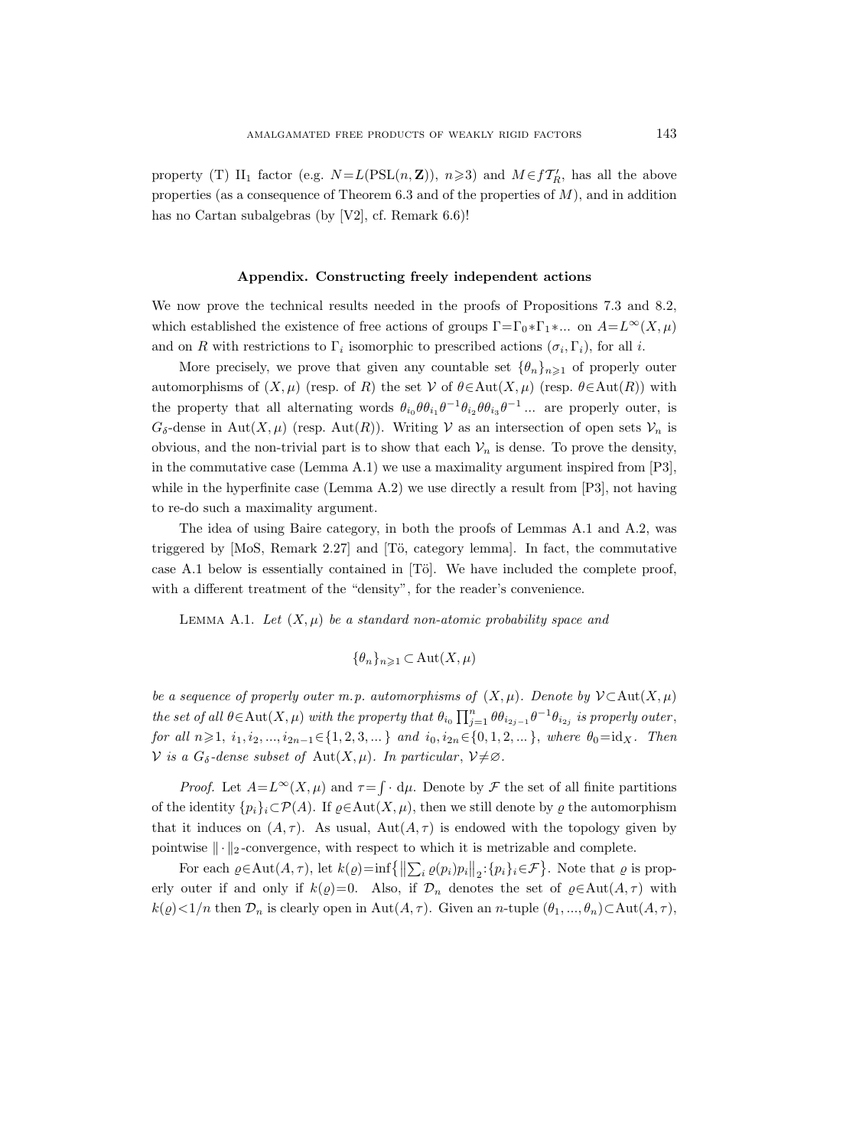property (T) II<sub>1</sub> factor (e.g.  $N = L(PSL(n, \mathbf{Z}))$ ,  $n \geq 3$ ) and  $M \in f\mathcal{T}'_R$ , has all the above properties (as a consequence of Theorem  $6.3$  and of the properties of  $M$ ), and in addition has no Cartan subalgebras (by [V2], cf. Remark 6.6)!

#### Appendix. Constructing freely independent actions

We now prove the technical results needed in the proofs of Propositions 7.3 and 8.2, which established the existence of free actions of groups  $\Gamma = \Gamma_0 * \Gamma_1 * ...$  on  $A = L^{\infty}(X, \mu)$ and on R with restrictions to  $\Gamma_i$  isomorphic to prescribed actions  $(\sigma_i, \Gamma_i)$ , for all i.

More precisely, we prove that given any countable set  $\{\theta_n\}_{n\geq 1}$  of properly outer automorphisms of  $(X, \mu)$  (resp. of R) the set V of  $\theta \in Aut(X, \mu)$  (resp.  $\theta \in Aut(R)$ ) with the property that all alternating words  $\theta_{i_0} \theta \theta_{i_1} \theta^{-1} \theta_{i_2} \theta \theta_{i_3} \theta^{-1} \dots$  are properly outer, is  $G_{\delta}$ -dense in Aut $(X,\mu)$  (resp. Aut $(R)$ ). Writing V as an intersection of open sets  $\mathcal{V}_n$  is obvious, and the non-trivial part is to show that each  $\mathcal{V}_n$  is dense. To prove the density, in the commutative case (Lemma A.1) we use a maximality argument inspired from [P3], while in the hyperfinite case (Lemma A.2) we use directly a result from  $[P3]$ , not having to re-do such a maximality argument.

The idea of using Baire category, in both the proofs of Lemmas A.1 and A.2, was triggered by  $[MoS, Remark 2.27]$  and  $[T\ddot{o}, \text{category lemma}]$ . In fact, the commutative case A.1 below is essentially contained in  $[T\ddot{o}]$ . We have included the complete proof, with a different treatment of the "density", for the reader's convenience.

LEMMA A.1. Let  $(X, \mu)$  be a standard non-atomic probability space and

$$
\{\theta_n\}_{n\geq 1} \subset \text{Aut}(X,\mu)
$$

be a sequence of properly outer m.p. automorphisms of  $(X, \mu)$ . Denote by  $\mathcal{V} \subset \mathrm{Aut}(X, \mu)$ the set of all  $\theta \in Aut(X, \mu)$  with the property that  $\theta_{i_0} \prod_{j=1}^n \theta \theta_{i_{2j-1}} \theta^{-1} \theta_{i_{2j}}$  is properly outer, for all  $n\geq 1$ ,  $i_1, i_2, ..., i_{2n-1} \in \{1, 2, 3, ...\}$  and  $i_0, i_{2n} \in \{0, 1, 2, ...\}$ , where  $\theta_0 = id_X$ . Then V is a  $G_{\delta}$ -dense subset of Aut $(X,\mu)$ . In particular,  $\mathcal{V}\neq\emptyset$ .

*Proof.* Let  $A = L^{\infty}(X, \mu)$  and  $\tau = \int d\mu$ . Denote by  $\mathcal F$  the set of all finite partitions of the identity  $\{p_i\}_i \subset \mathcal{P}(A)$ . If  $\rho \in \text{Aut}(X, \mu)$ , then we still denote by  $\rho$  the automorphism that it induces on  $(A, \tau)$ . As usual,  $Aut(A, \tau)$  is endowed with the topology given by pointwise  $\|\cdot\|_2$ -convergence, with respect to which it is metrizable and complete.

For each  $\varrho \in \text{Aut}(A, \tau)$ , let  $k(\varrho) = \inf \{ ||\sum_i \varrho(p_i)p_i||_2 : \{p_i\}_i \in \mathcal{F} \}$ . Note that  $\varrho$  is properly outer if and only if  $k(\varrho)=0$ . Also, if  $\mathcal{D}_n$  denotes the set of  $\varrho \in \text{Aut}(A, \tau)$  with  $k(\varrho) < 1/n$  then  $\mathcal{D}_n$  is clearly open in Aut $(A, \tau)$ . Given an n-tuple  $(\theta_1, ..., \theta_n) \subset \text{Aut}(A, \tau)$ ,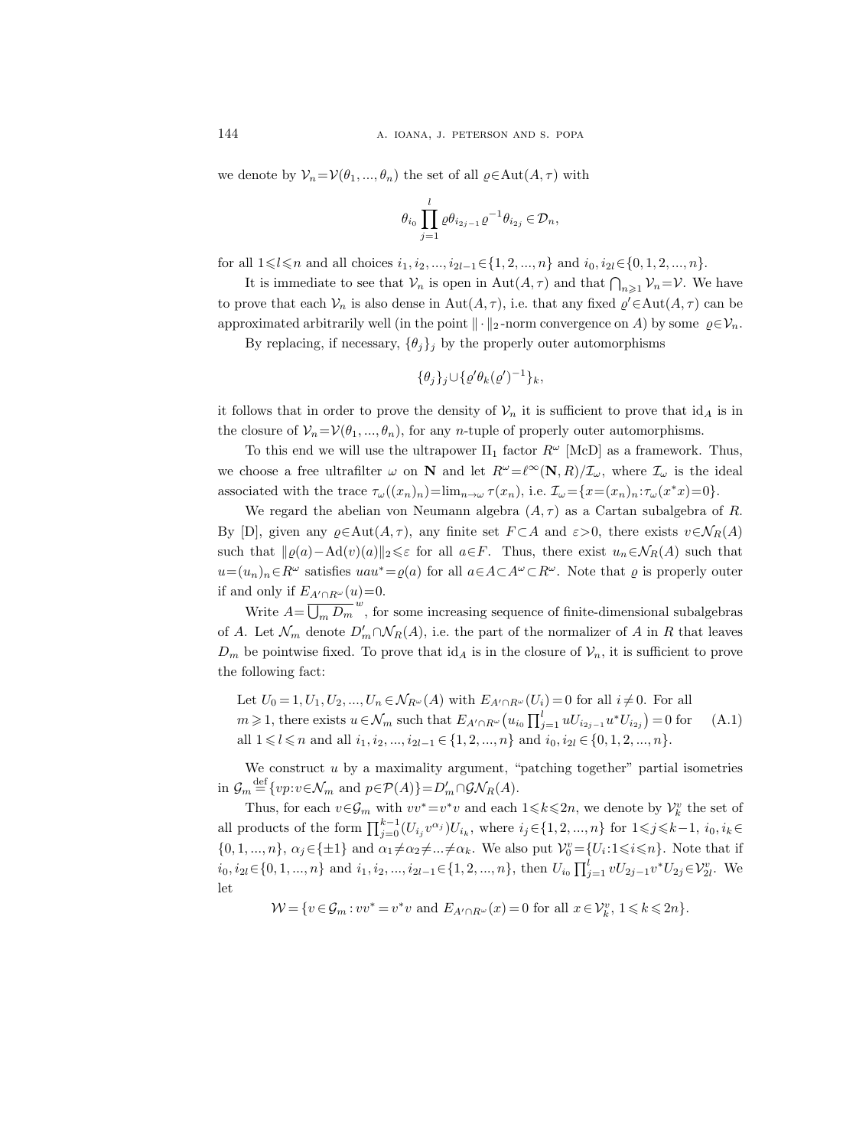we denote by  $\mathcal{V}_n = \mathcal{V}(\theta_1, ..., \theta_n)$  the set of all  $\varrho \in \text{Aut}(A, \tau)$  with

$$
\theta_{i_0} \prod_{j=1}^l \varrho \theta_{i_{2j-1}} \varrho^{-1} \theta_{i_{2j}} \in \mathcal{D}_n,
$$

for all  $1 \leq l \leq n$  and all choices  $i_1, i_2, ..., i_{2l-1} \in \{1, 2, ..., n\}$  and  $i_0, i_{2l} \in \{0, 1, 2, ..., n\}.$ 

It is immediate to see that  $\mathcal{V}_n$  is open in  $\text{Aut}(A, \tau)$  and that  $\bigcap_{n \geq 1} \mathcal{V}_n = \mathcal{V}$ . We have to prove that each  $\mathcal{V}_n$  is also dense in  $\text{Aut}(A, \tau)$ , i.e. that any fixed  $\varrho' \in \text{Aut}(A, \tau)$  can be approximated arbitrarily well (in the point  $\|\cdot\|_2$ -norm convergence on A) by some  $\varrho \in \mathcal{V}_n$ .

By replacing, if necessary,  $\{\theta_j\}_j$  by the properly outer automorphisms

$$
\{\theta_j\}_j\cup\{\varrho'\theta_k(\varrho')^{-1}\}_k,
$$

it follows that in order to prove the density of  $\mathcal{V}_n$  it is sufficient to prove that  $id_A$  is in the closure of  $\mathcal{V}_n = \mathcal{V}(\theta_1, ..., \theta_n)$ , for any *n*-tuple of properly outer automorphisms.

To this end we will use the ultrapower  $II_1$  factor  $R^{\omega}$  [McD] as a framework. Thus, we choose a free ultrafilter  $\omega$  on N and let  $R^{\omega}=\ell^{\infty}(\mathbf{N}, R)/\mathcal{I}_{\omega}$ , where  $\mathcal{I}_{\omega}$  is the ideal associated with the trace  $\tau_\omega((x_n)_n) = \lim_{n \to \omega} \tau(x_n)$ , i.e.  $\mathcal{I}_\omega = \{x = (x_n)_n : \tau_\omega(x^*x) = 0\}.$ 

We regard the abelian von Neumann algebra  $(A, \tau)$  as a Cartan subalgebra of R. By [D], given any  $\varrho \in \text{Aut}(A, \tau)$ , any finite set  $F \subset A$  and  $\varepsilon > 0$ , there exists  $v \in \mathcal{N}_R(A)$ such that  $||\varrho(a)-Ad(v)(a)||_2 \leq \varepsilon$  for all  $a \in F$ . Thus, there exist  $u_n \in \mathcal{N}_R(A)$  such that  $u=(u_n)_n\in R^\omega$  satisfies  $uau^*=g(a)$  for all  $a\in A\subset A^\omega\subset R^\omega$ . Note that  $\varrho$  is properly outer if and only if  $E_{A' \cap R^{\omega}}(u)=0$ .

Write  $A = \overline{\bigcup_m D_m}^w$ , for some increasing sequence of finite-dimensional subalgebras of A. Let  $\mathcal{N}_m$  denote  $D'_m \cap \mathcal{N}_R(A)$ , i.e. the part of the normalizer of A in R that leaves  $D_m$  be pointwise fixed. To prove that  $\mathrm{id}_A$  is in the closure of  $\mathcal{V}_n$ , it is sufficient to prove the following fact:

Let 
$$
U_0 = 1, U_1, U_2, ..., U_n \in \mathcal{N}_{R^{\omega}}(A)
$$
 with  $E_{A' \cap R^{\omega}}(U_i) = 0$  for all  $i \neq 0$ . For all  $m \ge 1$ , there exists  $u \in \mathcal{N}_m$  such that  $E_{A' \cap R^{\omega}}(u_{i_0} \prod_{j=1}^l uU_{i_{2j-1}} u^* U_{i_{2j}}) = 0$  for (A.1) all  $1 \le l \le n$  and all  $i_1, i_2, ..., i_{2l-1} \in \{1, 2, ..., n\}$  and  $i_0, i_{2l} \in \{0, 1, 2, ..., n\}$ .

We construct  $u$  by a maximality argument, "patching together" partial isometries in  $\mathcal{G}_m \stackrel{\text{def}}{=} \{ vp : v \in \mathcal{N}_m \text{ and } p \in \mathcal{P}(A) \} = D'_m \cap \mathcal{GN}_R(A).$ 

Thus, for each  $v \in \mathcal{G}_m$  with  $vv^* = v^*v$  and each  $1 \leq k \leq 2n$ , we denote by  $\mathcal{V}_k^v$  the set of all products of the form  $\prod_{j=0}^{k-1} (U_{i_j} v^{\alpha_j}) U_{i_k}$ , where  $i_j \in \{1, 2, ..., n\}$  for  $1 \leq j \leq k-1$ ,  $i_0, i_k \in$  $\{0,1,...,n\},\ \alpha_j\in\{\pm 1\}$  and  $\alpha_1\neq \alpha_2\neq...\neq \alpha_k$ . We also put  $\mathcal{V}_0^v=\{U_i:1\leqslant i\leqslant n\}$ . Note that if  $i_0, i_{2l} \in \{0, 1, ..., n\}$  and  $i_1, i_2, ..., i_{2l-1} \in \{1, 2, ..., n\}$ , then  $U_{i_0} \prod_{j=1}^{l} vU_{2j-1}v^* U_{2j} \in \mathcal{V}_{2l}^v$ . We let

 $\mathcal{W} = \{v \in \mathcal{G}_m : vv^* = v^*v \text{ and } E_{A' \cap R^\omega}(x) = 0 \text{ for all } x \in \mathcal{V}_k^v, 1 \leq k \leq 2n\}.$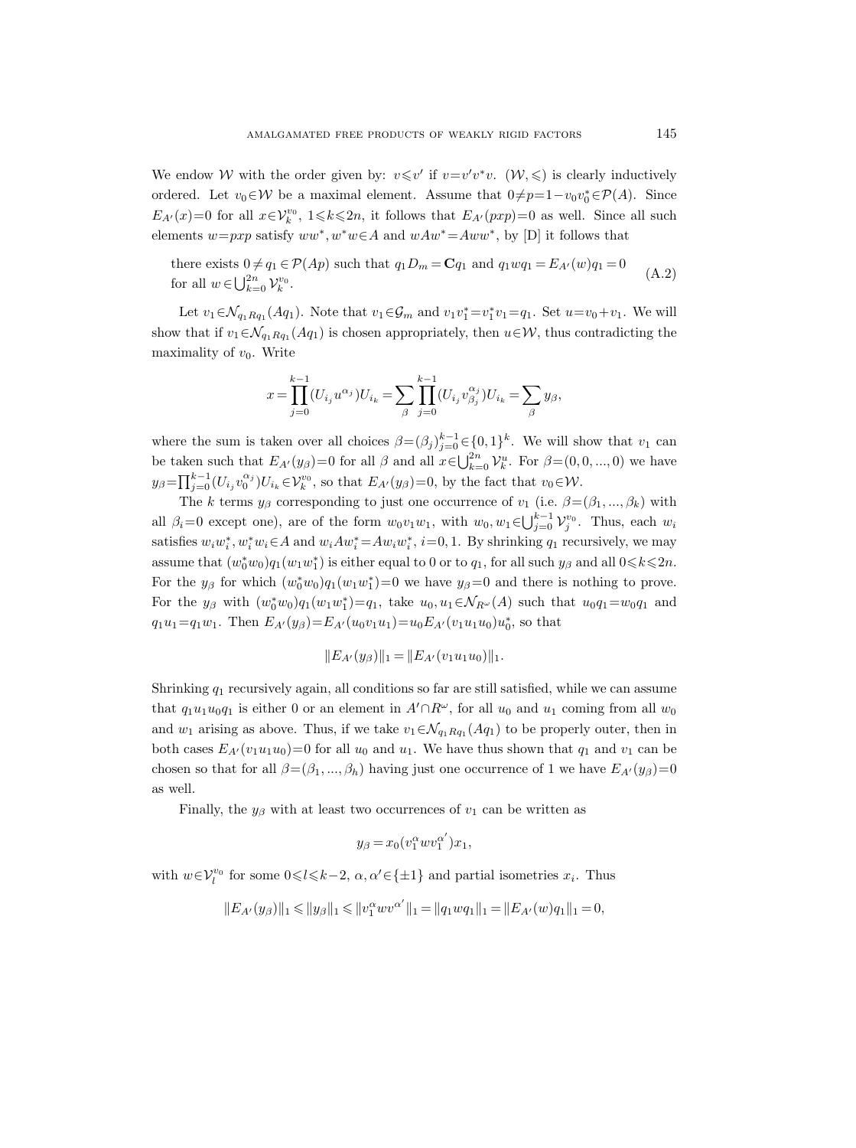We endow W with the order given by:  $v \leq v'$  if  $v = v'v^*v$ .  $(\mathcal{W}, \leqslant)$  is clearly inductively ordered. Let  $v_0 \in \mathcal{W}$  be a maximal element. Assume that  $0 \neq p=1-v_0v_0^* \in \mathcal{P}(A)$ . Since  $E_{A'}(x)=0$  for all  $x \in \mathcal{V}_k^{v_0}$ ,  $1 \leq k \leq 2n$ , it follows that  $E_{A'}(pxp)=0$  as well. Since all such elements  $w=pxp$  satisfy  $ww^*, w^*w \in A$  and  $wAw^* = Aww^*$ , by [D] it follows that

there exists  $0 \neq q_1 \in \mathcal{P}(Ap)$  such that  $q_1D_m = \mathbf{C}q_1$  and  $q_1wq_1 = E_{A'}(w)q_1 = 0$ for all  $w \in \bigcup_{k=0}^{2n} \mathcal{V}_k^{v_0}$ . (A.2)

Let  $v_1 \in \mathcal{N}_{q_1Rq_1}(Aq_1)$ . Note that  $v_1 \in \mathcal{G}_m$  and  $v_1v_1^* = v_1^*v_1 = q_1$ . Set  $u = v_0 + v_1$ . We will show that if  $v_1 \in \mathcal{N}_{q_1Rq_1}(Aq_1)$  is chosen appropriately, then  $u \in \mathcal{W}$ , thus contradicting the maximality of  $v_0$ . Write

$$
x = \prod_{j=0}^{k-1} (U_{i_j} u^{\alpha_j}) U_{i_k} = \sum_{\beta} \prod_{j=0}^{k-1} (U_{i_j} v^{\alpha_j}_{\beta_j}) U_{i_k} = \sum_{\beta} y_{\beta},
$$

where the sum is taken over all choices  $\beta = (\beta_j)_{j=0}^{k-1} \in \{0,1\}^k$ . We will show that  $v_1$  can be taken such that  $E_{A'}(y_\beta)=0$  for all  $\beta$  and all  $x\in\bigcup_{k=0}^{2n}V_k^u$ . For  $\beta=(0,0,...,0)$  we have  $y_{\beta} = \prod_{j=0}^{k-1} (U_{i_j} v_0^{\alpha_j}) U_{i_k} \in \mathcal{V}_k^{v_0}$ , so that  $E_{A'}(y_{\beta}) = 0$ , by the fact that  $v_0 \in \mathcal{W}$ .

The k terms  $y_\beta$  corresponding to just one occurrence of  $v_1$  (i.e.  $\beta = (\beta_1, ..., \beta_k)$  with all  $\beta_i=0$  except one), are of the form  $w_0v_1w_1$ , with  $w_0, w_1 \in \bigcup_{j=0}^{k-1} \mathcal{V}_j^{v_0}$ . Thus, each  $w_i$ satisfies  $w_i w_i^*$ ,  $w_i^* w_i \in A$  and  $w_i A w_i^* = A w_i w_i^*$ ,  $i = 0, 1$ . By shrinking  $q_1$  recursively, we may assume that  $(w_0^*w_0)q_1(w_1w_1^*)$  is either equal to 0 or to  $q_1$ , for all such  $y_\beta$  and all  $0 \le k \le 2n$ . For the  $y_\beta$  for which  $(w_0^*w_0)q_1(w_1w_1^*)=0$  we have  $y_\beta=0$  and there is nothing to prove. For the  $y_\beta$  with  $(w_0^*w_0)q_1(w_1w_1^*)=q_1$ , take  $u_0, u_1 \in \mathcal{N}_{R^{\omega}}(A)$  such that  $u_0q_1=w_0q_1$  and  $q_1u_1 = q_1w_1$ . Then  $E_{A'}(y_\beta) = E_{A'}(u_0v_1u_1) = u_0E_{A'}(v_1u_1u_0)u_0^*$ , so that

$$
||E_{A'}(y_{\beta})||_1 = ||E_{A'}(v_1u_1u_0)||_1.
$$

Shrinking  $q_1$  recursively again, all conditions so far are still satisfied, while we can assume that  $q_1u_1u_0q_1$  is either 0 or an element in  $A' \cap R^\omega$ , for all  $u_0$  and  $u_1$  coming from all  $w_0$ and  $w_1$  arising as above. Thus, if we take  $v_1 \in \mathcal{N}_{q_1Rq_1}(Aq_1)$  to be properly outer, then in both cases  $E_{A}(v_1u_1u_0)=0$  for all  $u_0$  and  $u_1$ . We have thus shown that  $q_1$  and  $v_1$  can be chosen so that for all  $\beta = (\beta_1, ..., \beta_h)$  having just one occurrence of 1 we have  $E_{A}(y_\beta)=0$ as well.

Finally, the  $y_\beta$  with at least two occurrences of  $v_1$  can be written as

$$
y_{\beta}=x_0(v_1^{\alpha}wv_1^{\alpha'})x_1,
$$

with  $w \in \mathcal{V}_l^{v_0}$  for some  $0 \le l \le k-2$ ,  $\alpha, \alpha' \in \{\pm 1\}$  and partial isometries  $x_i$ . Thus

$$
||E_{A'}(y_\beta)||_1 \leq ||y_\beta||_1 \leq ||v_1^\alpha w v^{\alpha'}||_1 = ||q_1wq_1||_1 = ||E_{A'}(w)q_1||_1 = 0,
$$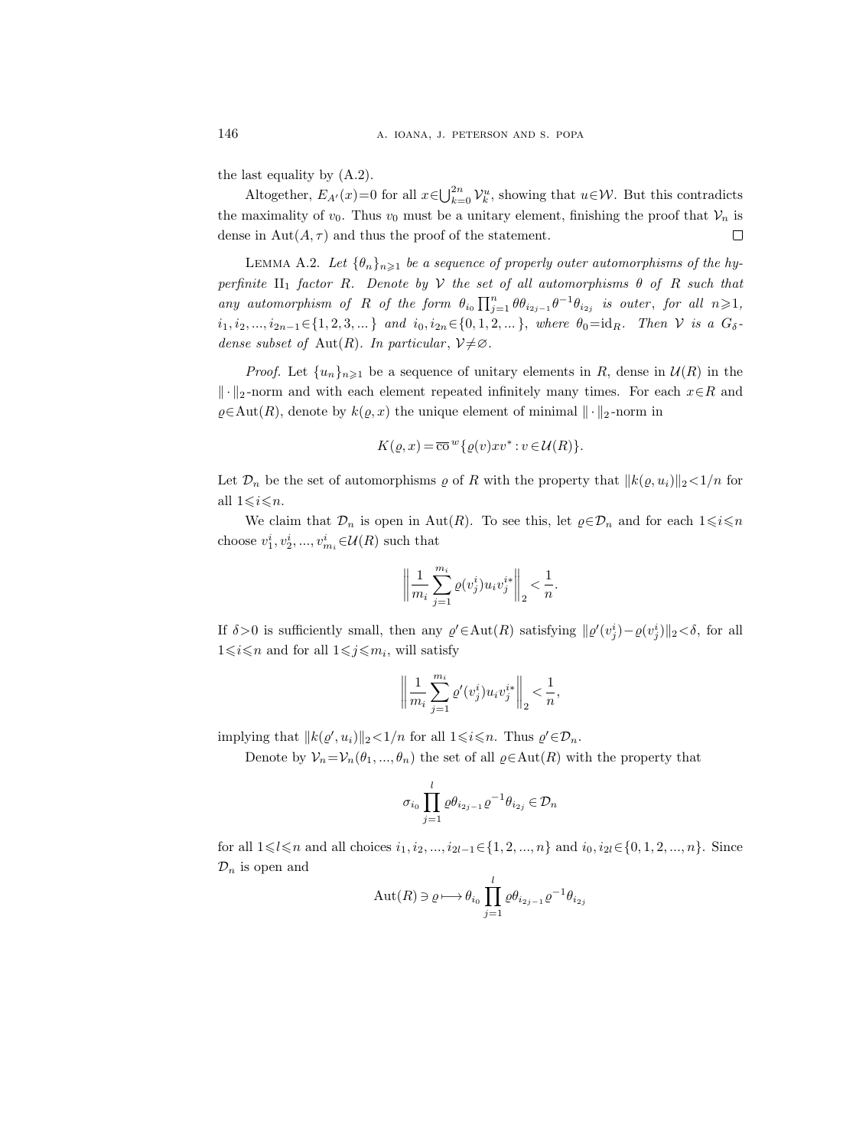the last equality by (A.2).

Altogether,  $E_{A'}(x)=0$  for all  $x \in \bigcup_{k=0}^{2n} \mathcal{V}_k^u$ , showing that  $u \in \mathcal{W}$ . But this contradicts the maximality of  $v_0$ . Thus  $v_0$  must be a unitary element, finishing the proof that  $V_n$  is dense in  $\text{Aut}(A, \tau)$  and thus the proof of the statement.  $\Box$ 

LEMMA A.2. Let  $\{\theta_n\}_{n\geq 1}$  be a sequence of properly outer automorphisms of the hyperfinite  $II_1$  factor R. Denote by V the set of all automorphisms  $\theta$  of R such that any automorphism of R of the form  $\theta_{i_0} \prod_{j=1}^n \theta \theta_{i_{2j-1}} \theta^{-1} \theta_{i_{2j}}$  is outer, for all  $n \geq 1$ ,  $i_1, i_2, ..., i_{2n-1}$ ∈{1, 2, 3, ...} and  $i_0, i_{2n}$ ∈{0, 1, 2, ...}, where  $\theta_0 = id_R$ . Then  $V$  is a  $G_\delta$ dense subset of Aut $(R)$ . In particular,  $\mathcal{V} \neq \emptyset$ .

*Proof.* Let  $\{u_n\}_{n\geq 1}$  be a sequence of unitary elements in R, dense in  $\mathcal{U}(R)$  in the  $\Vert \cdot \Vert_2$ -norm and with each element repeated infinitely many times. For each  $x \in R$  and  $\rho \in \text{Aut}(R)$ , denote by  $k(\rho, x)$  the unique element of minimal  $\|\cdot\|_2$ -norm in

$$
K(\varrho, x) = \overline{\text{co}}^w \{ \varrho(v) x v^* : v \in \mathcal{U}(R) \}.
$$

Let  $\mathcal{D}_n$  be the set of automorphisms  $\varrho$  of R with the property that  $||k(\varrho, u_i)||_2 < 1/n$  for all  $1 \leq i \leq n$ .

We claim that  $\mathcal{D}_n$  is open in Aut(R). To see this, let  $\varrho \in \mathcal{D}_n$  and for each  $1 \leq i \leq n$ choose  $v_1^i, v_2^i, ..., v_{m_i}^i \in \mathcal{U}(R)$  such that

$$
\bigg\|\frac{1}{m_i}\sum_{j=1}^{m_i}\varrho(v_j^i)u_iv_j^{i*}\bigg\|_2<\frac{1}{n}.
$$

If  $\delta > 0$  is sufficiently small, then any  $\varrho' \in Aut(R)$  satisfying  $\|\varrho'(v_j^i) - \varrho(v_j^i)\|_2 < \delta$ , for all  $1 \leq i \leq n$  and for all  $1 \leq j \leq m_i$ , will satisfy

$$
\bigg\|\frac{1}{m_i}\sum_{j=1}^{m_i}\varrho'(v^i_j)u_iv_j^{i*}\bigg\|_2<\frac{1}{n},
$$

implying that  $||k(\varrho', u_i)||_2 < 1/n$  for all  $1 \leq i \leq n$ . Thus  $\varrho' \in \mathcal{D}_n$ .

Denote by  $\mathcal{V}_n = \mathcal{V}_n(\theta_1, ..., \theta_n)$  the set of all  $\varrho \in \text{Aut}(R)$  with the property that

$$
\sigma_{i_0} \prod_{j=1}^l \varrho \theta_{i_{2j-1}} \varrho^{-1} \theta_{i_{2j}} \in \mathcal{D}_n
$$

for all  $1 \leq l \leq n$  and all choices  $i_1, i_2, ..., i_{2l-1} \in \{1, 2, ..., n\}$  and  $i_0, i_{2l} \in \{0, 1, 2, ..., n\}$ . Since  $\mathcal{D}_n$  is open and

$$
Aut(R) \ni \varrho \longmapsto \theta_{i_0} \prod_{j=1}^{l} \varrho \theta_{i_{2j-1}} \varrho^{-1} \theta_{i_{2j}}
$$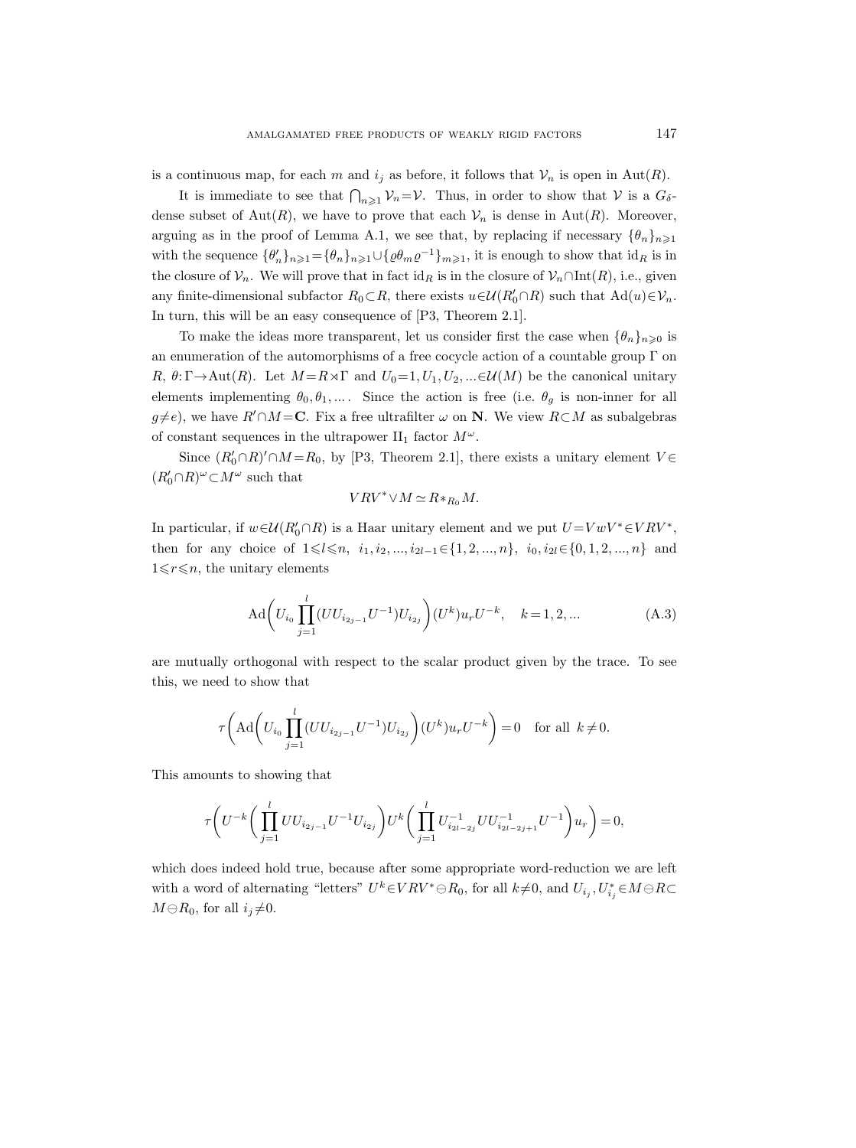is a continuous map, for each m and  $i_j$  as before, it follows that  $\mathcal{V}_n$  is open in Aut(R).

It is immediate to see that  $\bigcap_{n\geqslant1}\mathcal{V}_n=\mathcal{V}$ . Thus, in order to show that  $\mathcal{V}$  is a  $G_{\delta}$ dense subset of  $Aut(R)$ , we have to prove that each  $\mathcal{V}_n$  is dense in  $Aut(R)$ . Moreover, arguing as in the proof of Lemma A.1, we see that, by replacing if necessary  $\{\theta_n\}_{n\geq 1}$ with the sequence  $\{\theta'_n\}_{n\geq 1} = \{\theta_n\}_{n\geq 1} \cup \{\varrho\theta_m\varrho^{-1}\}_{m\geq 1}$ , it is enough to show that  $id_R$  is in the closure of  $\mathcal{V}_n$ . We will prove that in fact  $\mathrm{id}_R$  is in the closure of  $\mathcal{V}_n \cap \mathrm{Int}(R)$ , i.e., given any finite-dimensional subfactor  $R_0 \subset R$ , there exists  $u \in \mathcal{U}(R'_0 \cap R)$  such that  $\text{Ad}(u) \in \mathcal{V}_n$ . In turn, this will be an easy consequence of [P3, Theorem 2.1].

To make the ideas more transparent, let us consider first the case when  $\{\theta_n\}_{n\geqslant 0}$  is an enumeration of the automorphisms of a free cocycle action of a countable group  $\Gamma$  on R,  $\theta: \Gamma \to \text{Aut}(R)$ . Let  $M = R \rtimes \Gamma$  and  $U_0 = 1, U_1, U_2, ... \in \mathcal{U}(M)$  be the canonical unitary elements implementing  $\theta_0, \theta_1, \dots$ . Since the action is free (i.e.  $\theta_g$  is non-inner for all  $g \neq e$ , we have  $R' \cap M = \mathbb{C}$ . Fix a free ultrafilter  $\omega$  on N. We view  $R \subset M$  as subalgebras of constant sequences in the ultrapower II<sub>1</sub> factor  $M^{\omega}$ .

Since  $(R'_0 \cap R)' \cap M = R_0$ , by [P3, Theorem 2.1], there exists a unitary element  $V \in$  $(R'_0\cap R)^\omega\!\subset\! M^\omega$  such that

$$
V R V^* \vee M \simeq R *_{R_0} M.
$$

In particular, if  $w \in \mathcal{U}(R_0' \cap R)$  is a Haar unitary element and we put  $U = V w V^* \in VRV^*$ , then for any choice of  $1 \leq l \leq n$ ,  $i_1, i_2, ..., i_{2l-1} \in \{1, 2, ..., n\}$ ,  $i_0, i_{2l} \in \{0, 1, 2, ..., n\}$  and  $1 \leq r \leq n$ , the unitary elements

$$
\mathrm{Ad}\bigg(U_{i_0}\prod_{j=1}^l (UU_{i_{2j-1}}U^{-1})U_{i_{2j}}\bigg)(U^k)u_rU^{-k}, \quad k=1,2,\dots
$$
 (A.3)

are mutually orthogonal with respect to the scalar product given by the trace. To see this, we need to show that

$$
\tau\bigg(\text{Ad}\bigg(U_{i_0}\prod_{j=1}^l (UU_{i_{2j-1}}U^{-1})U_{i_{2j}}\bigg)(U^k)u_rU^{-k}\bigg)=0 \text{ for all } k\neq 0.
$$

This amounts to showing that

$$
\tau \bigg( U^{-k} \bigg( \prod_{j=1}^l U U_{i_{2j-1}} U^{-1} U_{i_{2j}} \bigg) U^k \bigg( \prod_{j=1}^l U_{i_{2l-2j}}^{-1} U U_{i_{2l-2j+1}}^{-1} U^{-1} \bigg) u_r \bigg) = 0,
$$

which does indeed hold true, because after some appropriate word-reduction we are left with a word of alternating "letters"  $U^k \in VRV^* \ominus R_0$ , for all  $k\neq 0$ , and  $U_{i_j}, U^*_{i_j} \in M \ominus RC$  $M \ominus R_0$ , for all  $i_j \neq 0$ .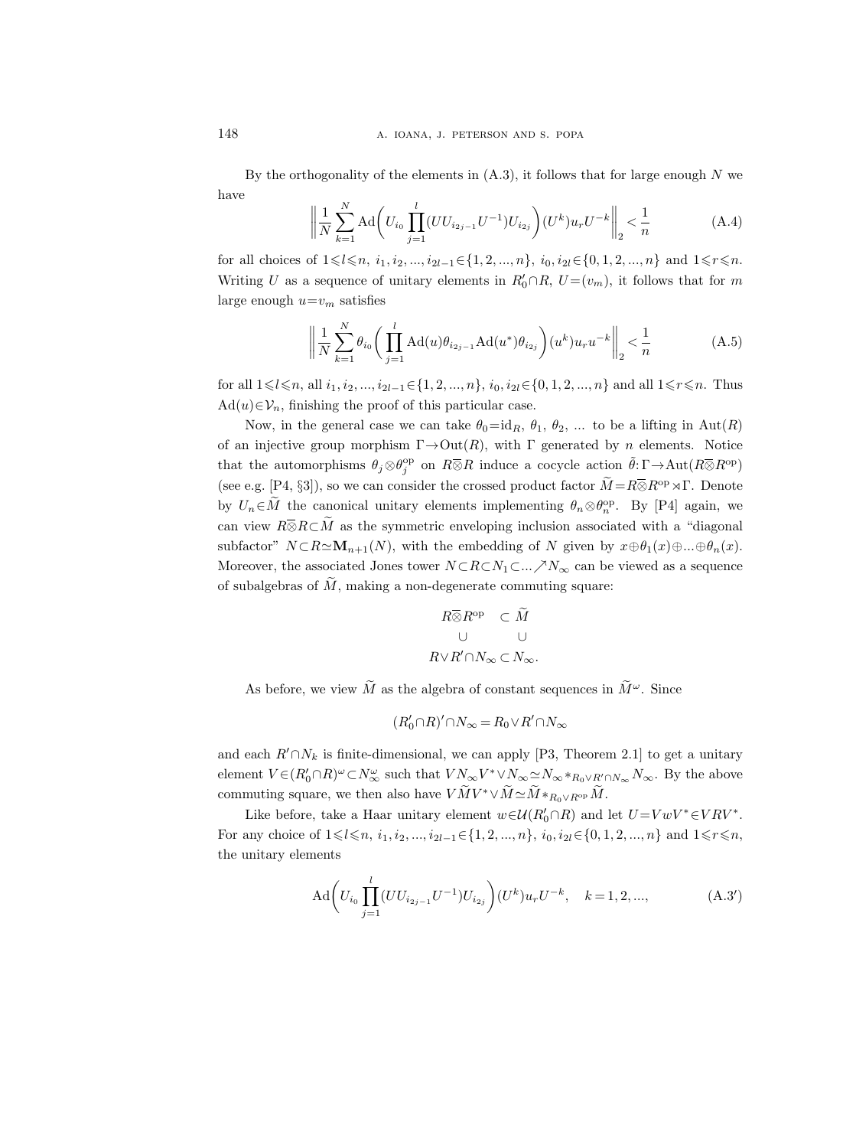By the orthogonality of the elements in  $(A.3)$ , it follows that for large enough N we have

$$
\left\| \frac{1}{N} \sum_{k=1}^{N} \text{Ad} \left( U_{i_0} \prod_{j=1}^{l} (UU_{i_{2j-1}} U^{-1}) U_{i_{2j}} \right) (U^k) u_r U^{-k} \right\|_2 < \frac{1}{n} \tag{A.4}
$$

for all choices of  $1 \leq l \leq n$ ,  $i_1, i_2, ..., i_{2l-1} \in \{1, 2, ..., n\}$ ,  $i_0, i_{2l} \in \{0, 1, 2, ..., n\}$  and  $1 \leq r \leq n$ . Writing U as a sequence of unitary elements in  $R'_0 \cap R$ ,  $U = (v_m)$ , it follows that for m large enough  $u=v_m$  satisfies

$$
\left\| \frac{1}{N} \sum_{k=1}^{N} \theta_{i_0} \left( \prod_{j=1}^{l} \text{Ad}(u) \theta_{i_{2j-1}} \text{Ad}(u^*) \theta_{i_{2j}} \right) (u^k) u_r u^{-k} \right\|_2 < \frac{1}{n} \tag{A.5}
$$

for all  $1 \leq l \leq n$ , all  $i_1, i_2, ..., i_{2l-1} \in \{1, 2, ..., n\}$ ,  $i_0, i_{2l} \in \{0, 1, 2, ..., n\}$  and all  $1 \leq r \leq n$ . Thus  $\text{Ad}(u) \in \mathcal{V}_n$ , finishing the proof of this particular case.

Now, in the general case we can take  $\theta_0 = id_R$ ,  $\theta_1$ ,  $\theta_2$ , ... to be a lifting in Aut(R) of an injective group morphism  $\Gamma \rightarrow Out(R)$ , with  $\Gamma$  generated by n elements. Notice that the automorphisms  $\theta_j \otimes \theta_j^{\rm op}$  on  $R\overline{\otimes}R$  induce a cocycle action  $\tilde{\theta}: \Gamma \to \text{Aut}(R\overline{\otimes}R^{\rm op})$ (see e.g. [P4, §3]), so we can consider the crossed product factor  $\widetilde{M} = R \overline{\otimes} R^{\text{op}} \rtimes \Gamma$ . Denote by  $U_n \in \overline{M}$  the canonical unitary elements implementing  $\theta_n \otimes \theta_n^{\rm op}$ . By [P4] again, we can view  $R\overline{\otimes}R\subset\widetilde{M}$  as the symmetric enveloping inclusion associated with a "diagonal" subfactor"  $N \subset R \simeq M_{n+1}(N)$ , with the embedding of N given by  $x \oplus \theta_1(x) \oplus ... \oplus \theta_n(x)$ . Moreover, the associated Jones tower  $N \subset R \subset N_1 \subset ... \nearrow N_\infty$  can be viewed as a sequence of subalgebras of  $\tilde{M}$ , making a non-degenerate commuting square:

$$
\begin{array}{ccc} R\overline{\otimes}R^{\text{op}}&\subset\widetilde{M}&&\\ &\cup&&\cup\\ R\vee R^{\prime}\cap N_{\infty}\subset N_{\infty}.\end{array}
$$

As before, we view  $\tilde{M}$  as the algebra of constant sequences in  $\tilde{M}^{\omega}$ . Since

$$
(R_0'\cap R)'\cap N_\infty=R_0\vee R'\cap N_\infty
$$

and each  $R' \cap N_k$  is finite-dimensional, we can apply [P3, Theorem 2.1] to get a unitary element  $V \in (R'_0 \cap R)^\omega \subset N_\infty^\omega$  such that  $VN_\infty V^* \vee N_\infty \simeq N_\infty *_{R_0 \vee R' \cap N_\infty} N_\infty$ . By the above commuting square, we then also have  $V \widetilde{M} V^* \vee \widetilde{M} \simeq \widetilde{M} *_{R_0 \vee R^{op}} \widetilde{M}$ .

Like before, take a Haar unitary element  $w \in \mathcal{U}(R_0' \cap R)$  and let  $U = V w V^* \in VRV^*$ . For any choice of  $1 \leq l \leq n$ ,  $i_1, i_2, ..., i_{2l-1} \in \{1, 2, ..., n\}$ ,  $i_0, i_{2l} \in \{0, 1, 2, ..., n\}$  and  $1 \leq r \leq n$ , the unitary elements

$$
\mathrm{Ad}\bigg(U_{i_0}\prod_{j=1}^l (UU_{i_{2j-1}}U^{-1})U_{i_{2j}}\bigg)(U^k)u_rU^{-k}, \quad k=1,2,...,\tag{A.3'}
$$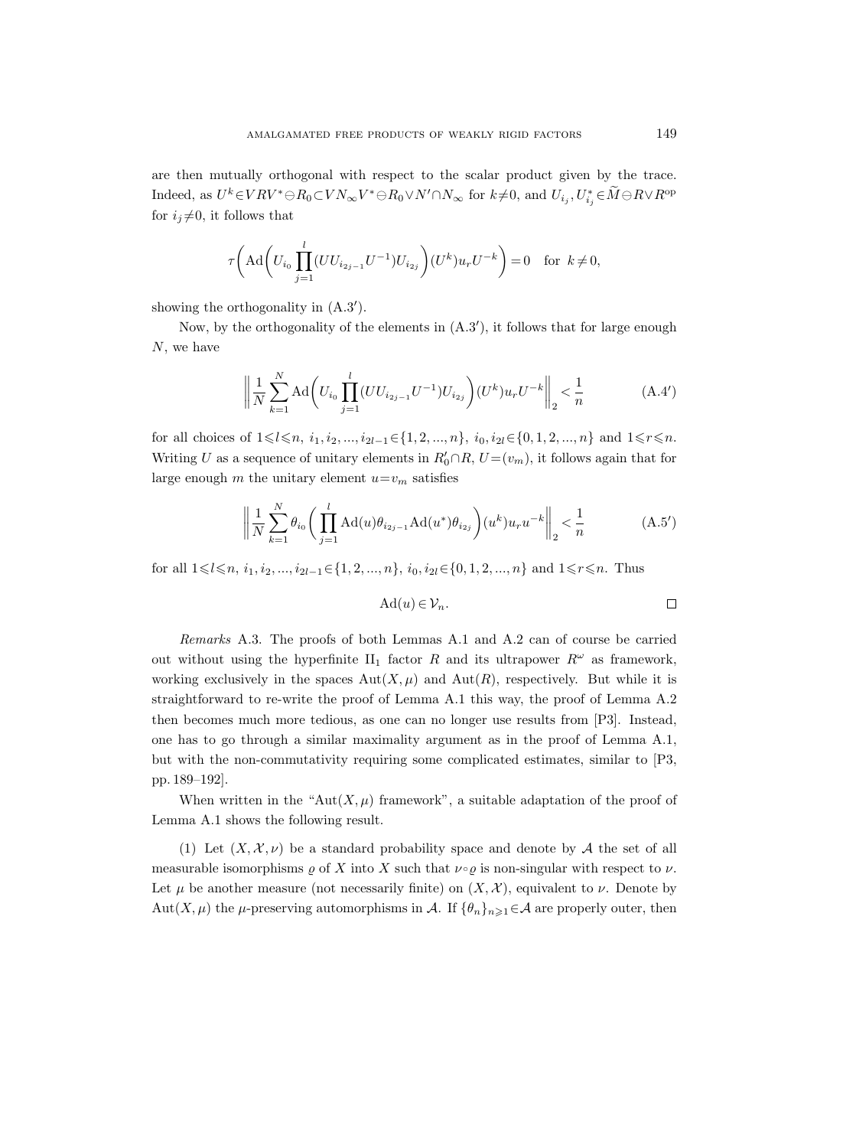are then mutually orthogonal with respect to the scalar product given by the trace. Indeed, as  $U^k \in VRV^* \ominus R_0 \subset VN_{\infty}V^* \ominus R_0 \vee N' \cap N_{\infty}$  for  $k\neq 0$ , and  $U_{i_j}, U^*_{i_j} \in M \ominus RVR^{\text{op}}$ for  $i_j \neq 0$ , it follows that

$$
\tau\bigg(\text{Ad}\bigg(U_{i_0}\prod_{j=1}^l (UU_{i_{2j-1}}U^{-1})U_{i_{2j}}\bigg)(U^k)u_rU^{-k}\bigg)=0 \text{ for } k\neq 0,
$$

showing the orthogonality in  $(A.3')$ .

Now, by the orthogonality of the elements in  $(A.3')$ , it follows that for large enough N, we have

$$
\left\| \frac{1}{N} \sum_{k=1}^{N} \text{Ad} \left( U_{i_0} \prod_{j=1}^{l} (UU_{i_{2j-1}} U^{-1}) U_{i_{2j}} \right) (U^k) u_r U^{-k} \right\|_2 < \frac{1}{n} \tag{A.4'}
$$

for all choices of  $1\leq l\leq n$ ,  $i_1, i_2, ..., i_{2l-1}\in\{1, 2, ..., n\}$ ,  $i_0, i_{2l}\in\{0, 1, 2, ..., n\}$  and  $1\leq r\leq n$ . Writing U as a sequence of unitary elements in  $R'_0 \cap R$ ,  $U = (v_m)$ , it follows again that for large enough m the unitary element  $u=v_m$  satisfies

$$
\left\| \frac{1}{N} \sum_{k=1}^{N} \theta_{i_0} \left( \prod_{j=1}^{l} \text{Ad}(u) \theta_{i_{2j-1}} \text{Ad}(u^*) \theta_{i_{2j}} \right) (u^k) u_r u^{-k} \right\|_2 < \frac{1}{n} \tag{A.5'}
$$

for all  $1 \leq l \leq n, i_1, i_2, ..., i_{2l-1} \in \{1, 2, ..., n\}, i_0, i_{2l} \in \{0, 1, 2, ..., n\}$  and  $1 \leq r \leq n$ . Thus

$$
\mathrm{Ad}(u) \in \mathcal{V}_n. \qquad \qquad \Box
$$

Remarks A.3. The proofs of both Lemmas A.1 and A.2 can of course be carried out without using the hyperfinite  $II_1$  factor R and its ultrapower  $R^{\omega}$  as framework, working exclusively in the spaces  $\text{Aut}(X,\mu)$  and  $\text{Aut}(R)$ , respectively. But while it is straightforward to re-write the proof of Lemma A.1 this way, the proof of Lemma A.2 then becomes much more tedious, as one can no longer use results from [P3]. Instead, one has to go through a similar maximality argument as in the proof of Lemma A.1, but with the non-commutativity requiring some complicated estimates, similar to [P3, pp. 189–192].

When written in the "Aut $(X, \mu)$  framework", a suitable adaptation of the proof of Lemma A.1 shows the following result.

(1) Let  $(X, \mathcal{X}, \nu)$  be a standard probability space and denote by A the set of all measurable isomorphisms  $\varrho$  of X into X such that  $\nu \circ \varrho$  is non-singular with respect to  $\nu$ . Let  $\mu$  be another measure (not necessarily finite) on  $(X, \mathcal{X})$ , equivalent to  $\nu$ . Denote by Aut $(X, \mu)$  the  $\mu$ -preserving automorphisms in A. If  $\{\theta_n\}_{n\geq 1} \in A$  are properly outer, then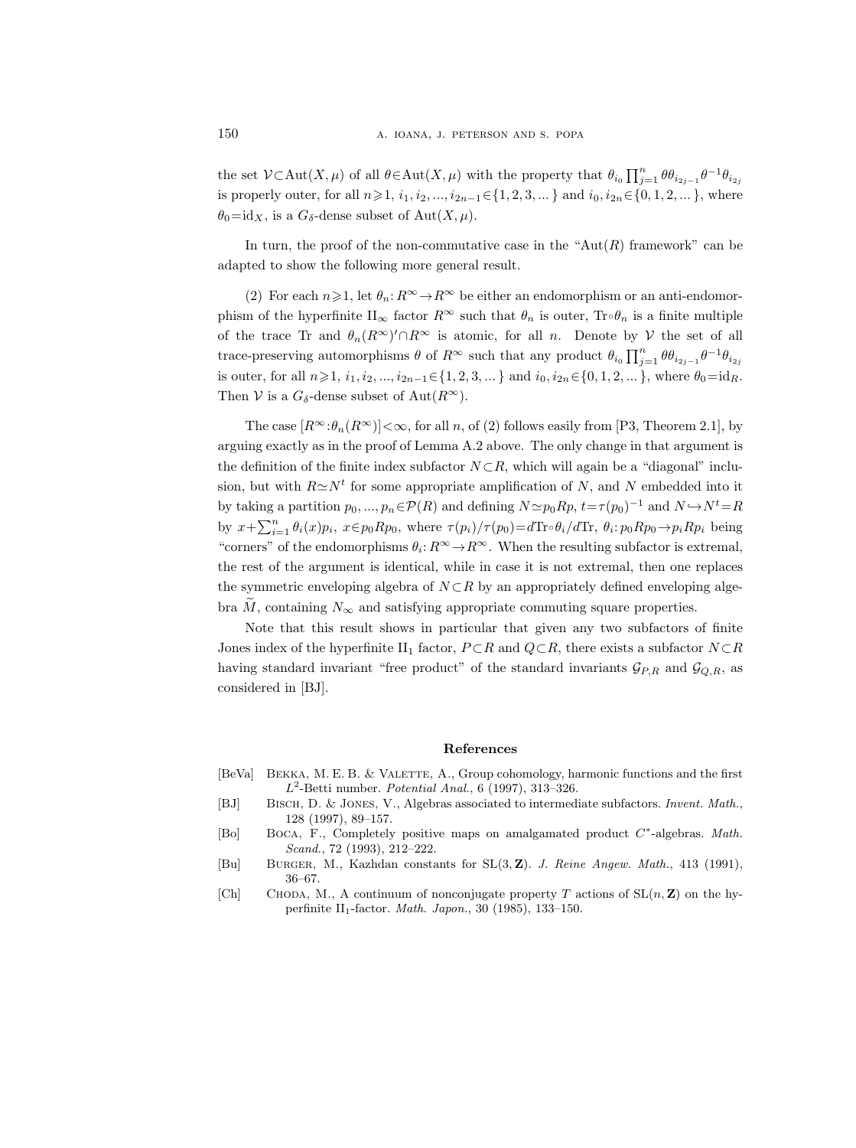the set  $\mathcal{V} \subset \text{Aut}(X,\mu)$  of all  $\theta \in \text{Aut}(X,\mu)$  with the property that  $\theta_{i_0} \prod_{j=1}^n \theta \theta_{i_{2j-1}} \theta^{-1} \theta_{i_{2j}}$ is properly outer, for all  $n\geq 1$ ,  $i_1, i_2, ..., i_{2n-1}\in \{1, 2, 3, ...\}$  and  $i_0, i_{2n}\in \{0, 1, 2, ...\}$ , where  $\theta_0 = id_X$ , is a  $G_\delta$ -dense subset of Aut $(X, \mu)$ .

In turn, the proof of the non-commutative case in the " $Aut(R)$  framework" can be adapted to show the following more general result.

(2) For each  $n\geqslant 1$ , let  $\theta_n: R^\infty \to R^\infty$  be either an endomorphism or an anti-endomorphism of the hyperfinite  $II_{\infty}$  factor  $R^{\infty}$  such that  $\theta_n$  is outer,  $\text{Tr}\,\theta_n$  is a finite multiple of the trace Tr and  $\theta_n(R^{\infty})' \cap R^{\infty}$  is atomic, for all n. Denote by V the set of all trace-preserving automorphisms  $\theta$  of  $R^{\infty}$  such that any product  $\theta_{i_0} \prod_{j=1}^n \theta \theta_{i_{2j-1}} \theta^{-1} \theta_{i_{2j}}$ is outer, for all  $n\geq 1$ ,  $i_1, i_2, ..., i_{2n-1} \in \{1, 2, 3, ...\}$  and  $i_0, i_{2n} \in \{0, 1, 2, ...\}$ , where  $\theta_0 = id_R$ . Then V is a  $G_{\delta}$ -dense subset of Aut $(R^{\infty})$ .

The case  $[R^{\infty}:\theta_n(R^{\infty})]<\infty$ , for all n, of (2) follows easily from [P3, Theorem 2.1], by arguing exactly as in the proof of Lemma A.2 above. The only change in that argument is the definition of the finite index subfactor  $N \subset R$ , which will again be a "diagonal" inclusion, but with  $R \simeq N^t$  for some appropriate amplification of N, and N embedded into it by taking a partition  $p_0, ..., p_n \in \mathcal{P}(R)$  and defining  $N \simeq p_0 R p$ ,  $t = \tau (p_0)^{-1}$  and  $N \hookrightarrow N^t = R$ by  $x + \sum_{i=1}^n \theta_i(x) p_i$ ,  $x \in p_0 R p_0$ , where  $\tau(p_i) / \tau(p_0) = d \text{Tr} \circ \theta_i / d \text{Tr}$ ,  $\theta_i : p_0 R p_0 \to p_i R p_i$  being "corners" of the endomorphisms  $\theta_i: R^\infty \to R^\infty$ . When the resulting subfactor is extremal, the rest of the argument is identical, while in case it is not extremal, then one replaces the symmetric enveloping algebra of  $N \subset R$  by an appropriately defined enveloping algebra M, containing  $N_{\infty}$  and satisfying appropriate commuting square properties.

Note that this result shows in particular that given any two subfactors of finite Jones index of the hyperfinite II<sub>1</sub> factor,  $P \subset R$  and  $Q \subset R$ , there exists a subfactor  $N \subset R$ having standard invariant "free product" of the standard invariants  $\mathcal{G}_{P,R}$  and  $\mathcal{G}_{Q,R}$ , as considered in [BJ].

#### References

- [BeVa] Bekka, M. E. B. & Valette, A., Group cohomology, harmonic functions and the first  $L^2$ -Betti number. *Potential Anal.*, 6 (1997), 313–326.
- [BJ] Bisch, D. & Jones, V., Algebras associated to intermediate subfactors. Invent. Math., 128 (1997), 89–157.
- [Bo] BOCA, F., Completely positive maps on amalgamated product  $C^*$ -algebras. Math. Scand., 72 (1993), 212–222.
- [Bu] Burger, M., Kazhdan constants for SL(3, Z). J. Reine Angew. Math., 413 (1991), 36–67.
- [Ch] CHODA, M., A continuum of nonconjugate property T actions of  $SL(n, Z)$  on the hyperfinite II1-factor. Math. Japon., 30 (1985), 133–150.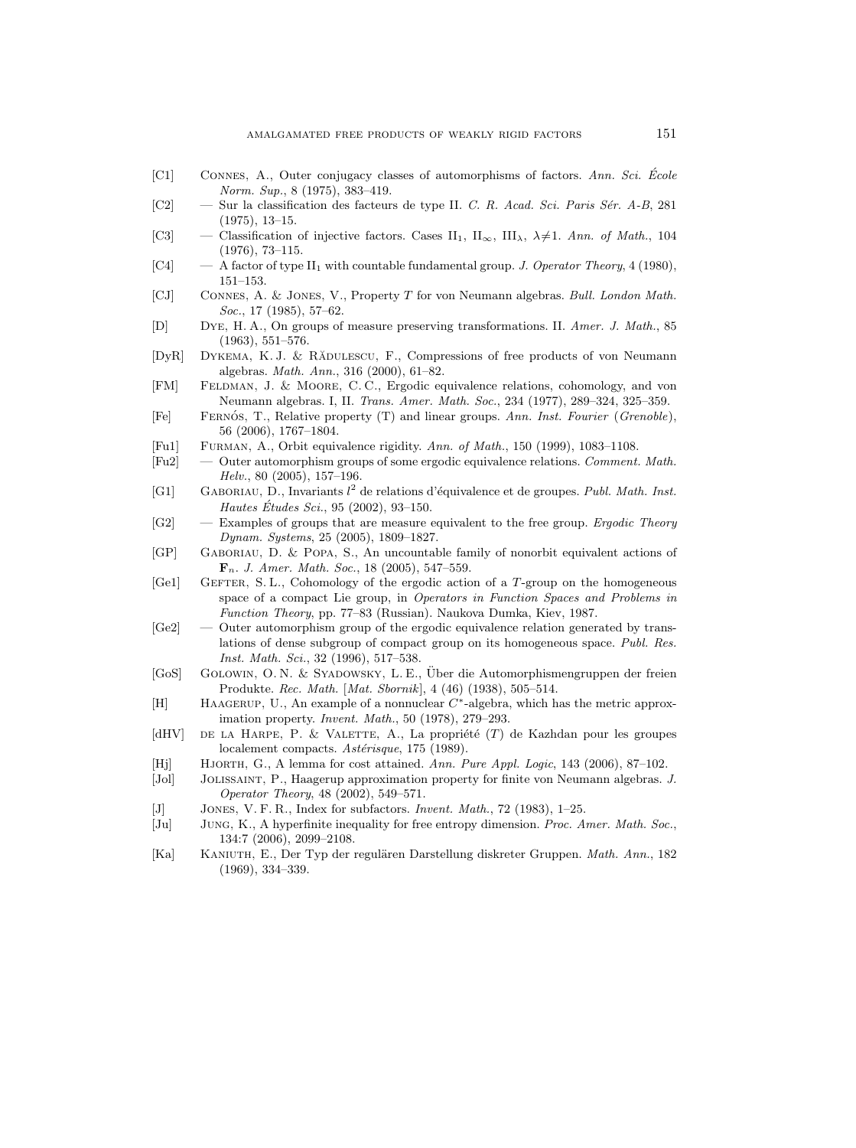- [C1] Connes, A., Outer conjugacy classes of automorphisms of factors. Ann. Sci. Ecole ´ Norm. Sup., 8 (1975), 383–419.
- [C2] Sur la classification des facteurs de type II. C. R. Acad. Sci. Paris Sér. A-B, 281 (1975), 13–15.
- [C3] Classification of injective factors. Cases II<sub>1</sub>, II<sub> $\infty$ </sub>, III<sub> $\lambda$ </sub>,  $\lambda \neq 1$ . Ann. of Math., 104 (1976), 73–115.
- [C4]  $-$  A factor of type II<sub>1</sub> with countable fundamental group. J. Operator Theory, 4 (1980), 151–153.
- [CJ] Connes, A. & Jones, V., Property T for von Neumann algebras. Bull. London Math. Soc., 17 (1985), 57–62.
- [D] Dye, H. A., On groups of measure preserving transformations. II. Amer. J. Math., 85 (1963), 551–576.
- [DyR] DYKEMA, K. J. & RADULESCU, F., Compressions of free products of von Neumann algebras. Math. Ann., 316 (2000), 61–82.
- [FM] Feldman, J. & Moore, C. C., Ergodic equivalence relations, cohomology, and von Neumann algebras. I, II. Trans. Amer. Math. Soc., 234 (1977), 289–324, 325–359.
- [Fe] FERNÓS, T., Relative property (T) and linear groups. Ann. Inst. Fourier (Grenoble), 56 (2006), 1767–1804.
- [Fu1] Furman, A., Orbit equivalence rigidity. Ann. of Math., 150 (1999), 1083–1108.
- [Fu2] Outer automorphism groups of some ergodic equivalence relations. Comment. Math. Helv., 80 (2005), 157–196.
- [G1] GABORIAU, D., Invariants  $l^2$  de relations d'équivalence et de groupes. Publ. Math. Inst. Hautes Études Sci., 95 (2002), 93-150.
- [G2] Examples of groups that are measure equivalent to the free group. Ergodic Theory Dynam. Systems, 25 (2005), 1809–1827.
- [GP] Gaboriau, D. & Popa, S., An uncountable family of nonorbit equivalent actions of  $\mathbf{F}_n$ . J. Amer. Math. Soc., 18 (2005), 547-559.
- [Ge1] GEFTER, S. L., Cohomology of the ergodic action of a T-group on the homogeneous space of a compact Lie group, in Operators in Function Spaces and Problems in Function Theory, pp. 77–83 (Russian). Naukova Dumka, Kiev, 1987.
- [Ge2] Outer automorphism group of the ergodic equivalence relation generated by translations of dense subgroup of compact group on its homogeneous space. Publ. Res. Inst. Math. Sci., 32 (1996), 517–538.
- [GoS] Golowin, O. N. & Syadowsky, L. E., Uber die Automorphismengruppen der freien ¨ Produkte. Rec. Math. [Mat. Sbornik], 4 (46) (1938), 505–514.
- [H] HAAGERUP, U., An example of a nonnuclear  $C^*$ -algebra, which has the metric approximation property. Invent. Math., 50 (1978), 279–293.
- [dHV] DE LA HARPE, P. & VALETTE, A., La propriété  $(T)$  de Kazhdan pour les groupes localement compacts. Astérisque, 175 (1989).
- [Hj] Hjorth, G., A lemma for cost attained. Ann. Pure Appl. Logic, 143 (2006), 87–102.
- [Jol] Jolissaint, P., Haagerup approximation property for finite von Neumann algebras. J. Operator Theory, 48 (2002), 549–571.
- [J] Jones, V. F. R., Index for subfactors. Invent. Math., 72 (1983), 1–25.
- [Ju] Jung, K., A hyperfinite inequality for free entropy dimension. Proc. Amer. Math. Soc., 134:7 (2006), 2099–2108.
- [Ka] KANIUTH, E., Der Typ der regulären Darstellung diskreter Gruppen. Math. Ann., 182 (1969), 334–339.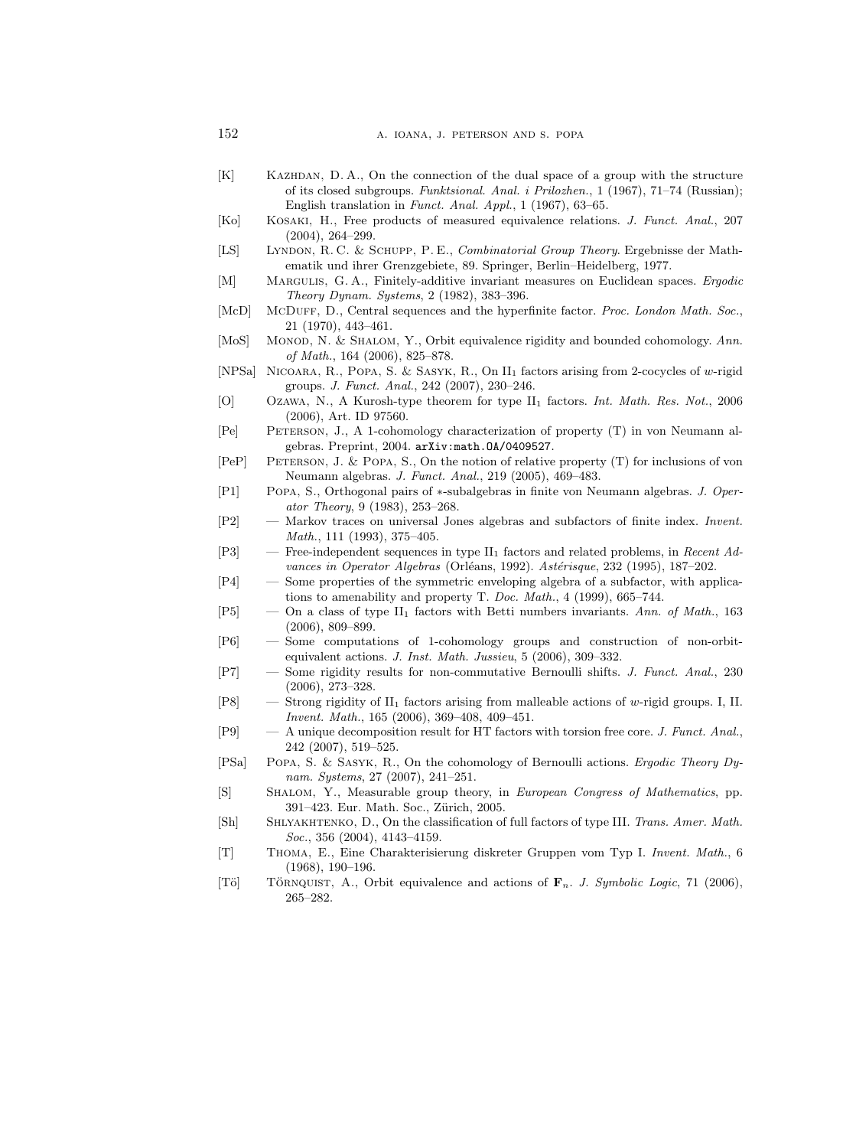- [K] Kazhdan, D. A., On the connection of the dual space of a group with the structure of its closed subgroups. Funktsional. Anal. i Prilozhen., 1 (1967), 71–74 (Russian); English translation in Funct. Anal. Appl., 1 (1967), 63–65.
- [Ko] Kosaki, H., Free products of measured equivalence relations. J. Funct. Anal., 207 (2004), 264–299.
- [LS] Lyndon, R. C. & Schupp, P. E., Combinatorial Group Theory. Ergebnisse der Mathematik und ihrer Grenzgebiete, 89. Springer, Berlin–Heidelberg, 1977.
- [M] MARGULIS, G. A., Finitely-additive invariant measures on Euclidean spaces. *Ergodic* Theory Dynam. Systems, 2 (1982), 383–396.
- [McD] McDUFF, D., Central sequences and the hyperfinite factor. Proc. London Math. Soc., 21 (1970), 443–461.
- [MoS] MONOD, N. & SHALOM, Y., Orbit equivalence rigidity and bounded cohomology. Ann. of Math., 164 (2006), 825–878.
- [NPSa] Nicoara, R., Popa, S. & Sasyk, R., On II<sup>1</sup> factors arising from 2-cocycles of w-rigid groups. J. Funct. Anal., 242 (2007), 230–246.
- [O] Ozawa, N., A Kurosh-type theorem for type II<sub>1</sub> factors. *Int. Math. Res. Not.*, 2006 (2006), Art. ID 97560.
- [Pe] Peterson, J., A 1-cohomology characterization of property (T) in von Neumann algebras. Preprint, 2004. arXiv:math.OA/0409527.
- [PeP] Peterson, J. & Popa, S., On the notion of relative property (T) for inclusions of von Neumann algebras. J. Funct. Anal., 219 (2005), 469–483.
- [P1] Popa, S., Orthogonal pairs of ∗-subalgebras in finite von Neumann algebras. J. Operator Theory, 9 (1983), 253–268.
- [P2] Markov traces on universal Jones algebras and subfactors of finite index. Invent. Math., 111 (1993), 375–405.
- $[P3]$  Free-independent sequences in type II<sub>1</sub> factors and related problems, in Recent Advances in Operator Algebras (Orléans, 1992). Astérisque, 232 (1995), 187–202.
- [P4] Some properties of the symmetric enveloping algebra of a subfactor, with applications to amenability and property T. Doc. Math., 4 (1999), 665–744.
- [P5] On a class of type II<sub>1</sub> factors with Betti numbers invariants. Ann. of Math., 163 (2006), 809–899.
- [P6] Some computations of 1-cohomology groups and construction of non-orbitequivalent actions. J. Inst. Math. Jussieu, 5 (2006), 309–332.
- [P7] Some rigidity results for non-commutative Bernoulli shifts. J. Funct. Anal., 230 (2006), 273–328.
- [P8] Strong rigidity of II<sup>1</sup> factors arising from malleable actions of w-rigid groups. I, II. Invent. Math., 165 (2006), 369–408, 409–451.
- [P9] A unique decomposition result for HT factors with torsion free core. J. Funct. Anal., 242 (2007), 519–525.
- [PSa] Popa, S. & Sasyk, R., On the cohomology of Bernoulli actions. Ergodic Theory Dynam. Systems, 27 (2007), 241–251.
- [S] Shalom, Y., Measurable group theory, in European Congress of Mathematics, pp. 391–423. Eur. Math. Soc., Zürich, 2005.
- [Sh] SHLYAKHTENKO, D., On the classification of full factors of type III. Trans. Amer. Math. Soc., 356 (2004), 4143-4159.
- [T] Thoma, E., Eine Charakterisierung diskreter Gruppen vom Typ I. Invent. Math., 6 (1968), 190–196.
- [Tö] TÖRNQUIST, A., Orbit equivalence and actions of  $\mathbf{F}_n$ . J. Symbolic Logic, 71 (2006), 265–282.